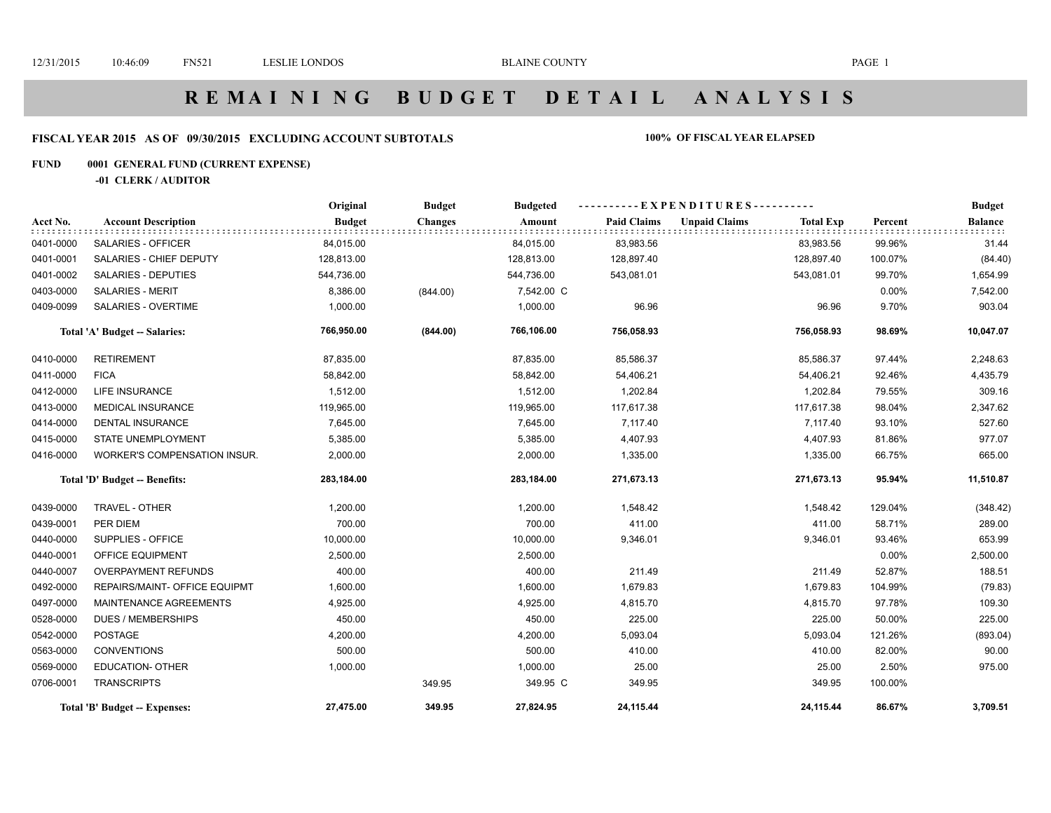# **R E M A I N I N G B U D G E T D E T A I L A N A L Y S I S**

### **FISCAL YEAR 2015 AS OF 09/30/2015 EXCLUDING ACCOUNT SUBTOTALS 100% OF FISCAL YEAR ELAPSED**

### **FUND 0001 GENERAL FUND (CURRENT EXPENSE)**

**-01 CLERK / AUDITOR**

|           |                               | Original      | <b>Budget</b>  | <b>Budgeted</b> | --EXPENDITURES---------- |                      |                  |         | <b>Budget</b>  |
|-----------|-------------------------------|---------------|----------------|-----------------|--------------------------|----------------------|------------------|---------|----------------|
| Acct No.  | <b>Account Description</b>    | <b>Budget</b> | <b>Changes</b> | Amount          | <b>Paid Claims</b>       | <b>Unpaid Claims</b> | <b>Total Exp</b> | Percent | <b>Balance</b> |
| 0401-0000 | SALARIES - OFFICER            | 84,015.00     |                | 84,015.00       | 83,983.56                |                      | 83,983.56        | 99.96%  | 31.44          |
| 0401-0001 | SALARIES - CHIEF DEPUTY       | 128,813.00    |                | 128,813.00      | 128,897.40               |                      | 128,897.40       | 100.07% | (84.40)        |
| 0401-0002 | <b>SALARIES - DEPUTIES</b>    | 544,736.00    |                | 544,736.00      | 543,081.01               |                      | 543,081.01       | 99.70%  | 1,654.99       |
| 0403-0000 | <b>SALARIES - MERIT</b>       | 8,386.00      | (844.00)       | 7,542.00 C      |                          |                      |                  | 0.00%   | 7,542.00       |
| 0409-0099 | <b>SALARIES - OVERTIME</b>    | 1,000.00      |                | 1,000.00        | 96.96                    |                      | 96.96            | 9.70%   | 903.04         |
|           | Total 'A' Budget -- Salaries: | 766,950.00    | (844.00)       | 766,106.00      | 756,058.93               |                      | 756,058.93       | 98.69%  | 10,047.07      |
| 0410-0000 | <b>RETIREMENT</b>             | 87,835.00     |                | 87,835.00       | 85,586.37                |                      | 85,586.37        | 97.44%  | 2,248.63       |
| 0411-0000 | <b>FICA</b>                   | 58,842.00     |                | 58,842.00       | 54,406.21                |                      | 54,406.21        | 92.46%  | 4,435.79       |
| 0412-0000 | <b>LIFE INSURANCE</b>         | 1,512.00      |                | 1,512.00        | 1,202.84                 |                      | 1,202.84         | 79.55%  | 309.16         |
| 0413-0000 | <b>MEDICAL INSURANCE</b>      | 119,965.00    |                | 119,965.00      | 117,617.38               |                      | 117,617.38       | 98.04%  | 2,347.62       |
| 0414-0000 | <b>DENTAL INSURANCE</b>       | 7,645.00      |                | 7,645.00        | 7,117.40                 |                      | 7,117.40         | 93.10%  | 527.60         |
| 0415-0000 | <b>STATE UNEMPLOYMENT</b>     | 5,385.00      |                | 5,385.00        | 4,407.93                 |                      | 4,407.93         | 81.86%  | 977.07         |
| 0416-0000 | WORKER'S COMPENSATION INSUR.  | 2,000.00      |                | 2,000.00        | 1,335.00                 |                      | 1,335.00         | 66.75%  | 665.00         |
|           | Total 'D' Budget -- Benefits: | 283,184.00    |                | 283,184.00      | 271,673.13               |                      | 271,673.13       | 95.94%  | 11,510.87      |
| 0439-0000 | TRAVEL - OTHER                | 1,200.00      |                | 1,200.00        | 1,548.42                 |                      | 1,548.42         | 129.04% | (348.42)       |
| 0439-0001 | PER DIEM                      | 700.00        |                | 700.00          | 411.00                   |                      | 411.00           | 58.71%  | 289.00         |
| 0440-0000 | SUPPLIES - OFFICE             | 10,000.00     |                | 10,000.00       | 9,346.01                 |                      | 9,346.01         | 93.46%  | 653.99         |
| 0440-0001 | OFFICE EQUIPMENT              | 2,500.00      |                | 2,500.00        |                          |                      |                  | 0.00%   | 2,500.00       |
| 0440-0007 | <b>OVERPAYMENT REFUNDS</b>    | 400.00        |                | 400.00          | 211.49                   |                      | 211.49           | 52.87%  | 188.51         |
| 0492-0000 | REPAIRS/MAINT- OFFICE EQUIPMT | 1,600.00      |                | 1,600.00        | 1,679.83                 |                      | 1,679.83         | 104.99% | (79.83)        |
| 0497-0000 | MAINTENANCE AGREEMENTS        | 4,925.00      |                | 4,925.00        | 4,815.70                 |                      | 4,815.70         | 97.78%  | 109.30         |
| 0528-0000 | <b>DUES / MEMBERSHIPS</b>     | 450.00        |                | 450.00          | 225.00                   |                      | 225.00           | 50.00%  | 225.00         |
| 0542-0000 | <b>POSTAGE</b>                | 4,200.00      |                | 4,200.00        | 5,093.04                 |                      | 5,093.04         | 121.26% | (893.04)       |
| 0563-0000 | <b>CONVENTIONS</b>            | 500.00        |                | 500.00          | 410.00                   |                      | 410.00           | 82.00%  | 90.00          |
| 0569-0000 | <b>EDUCATION- OTHER</b>       | 1,000.00      |                | 1,000.00        | 25.00                    |                      | 25.00            | 2.50%   | 975.00         |
| 0706-0001 | <b>TRANSCRIPTS</b>            |               | 349.95         | 349.95 C        | 349.95                   |                      | 349.95           | 100.00% |                |
|           | Total 'B' Budget -- Expenses: | 27,475.00     | 349.95         | 27,824.95       | 24,115.44                |                      | 24,115.44        | 86.67%  | 3,709.51       |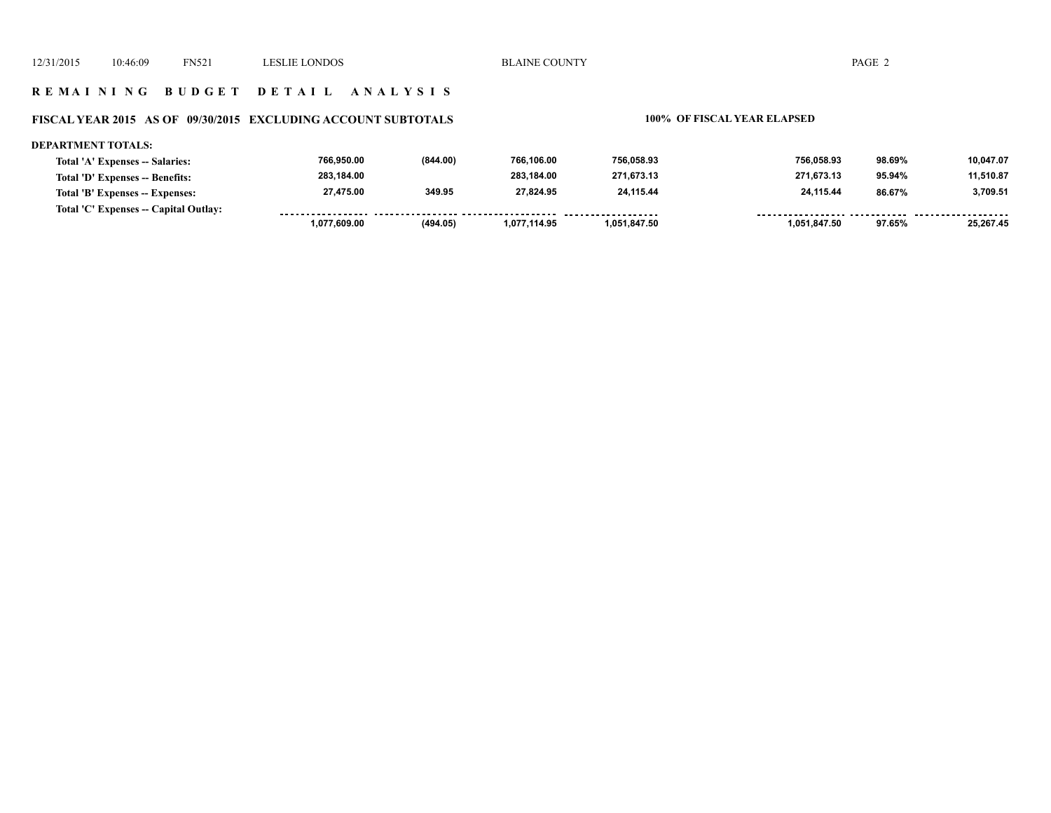### **R E M A I N I N G B U D G E T D E T A I L A N A L Y S I S**

### **FISCAL YEAR 2015 AS OF 09/30/2015 EXCLUDING ACCOUNT SUBTOTALS 100% OF FISCAL YEAR ELAPSED**

### **DEPARTMENT TOTALS: 766,950.00 (844.00) 766,106.00 756,058.93 756,058.93 98.69% 10,047.07 Total 'A' Expenses -- Salaries: 283,184.00 283,184.00 271,673.13 271,673.13 11,510.87 Total 'D' Expenses -- Benefits: 95.94% 27,475.00 349.95 27,824.95 24,115.44 24,115.44 3,709.51 Total 'B' Expenses -- Expenses: 86.67% Total 'C' Expenses -- Capital Outlay:** ------------------......... . . . . . . . . . <u>....... .........</u>  **1,077,609.00 (494.05) 1,077,114.95 1,051,847.50 1,051,847.50 97.65% 25,267.45**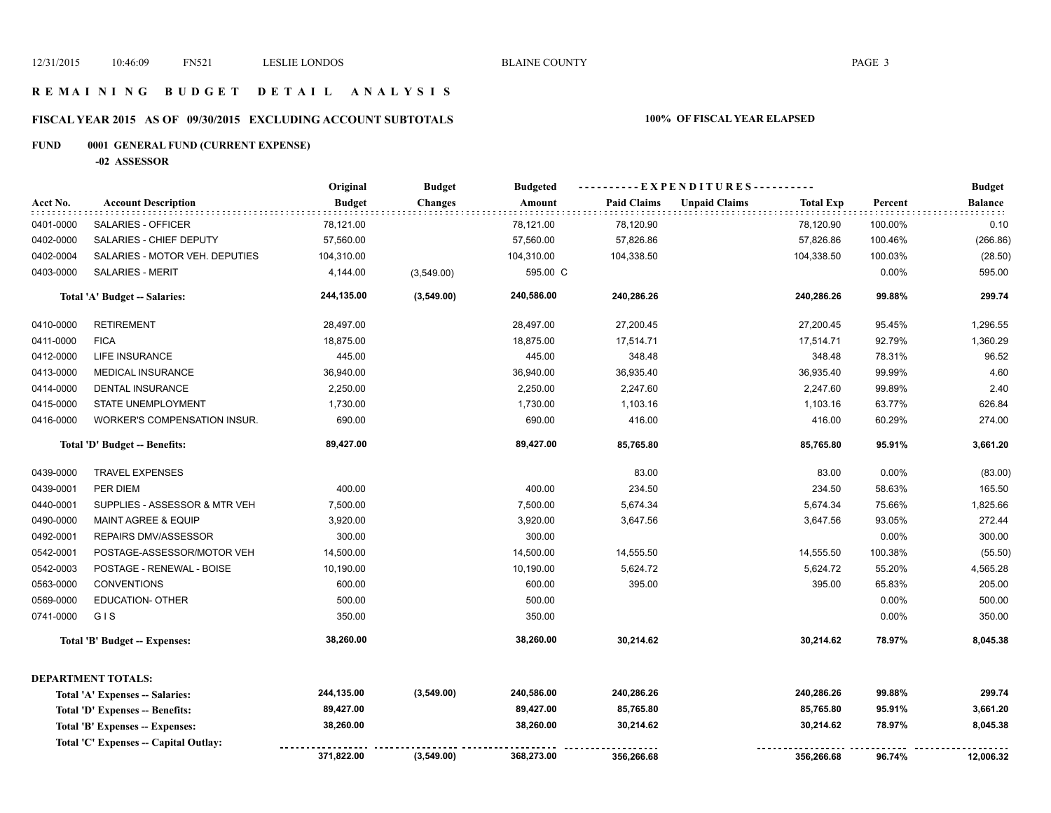### **R E M A I N I N G B U D G E T D E T A I L A N A L Y S I S**

# **FISCAL YEAR 2015 AS OF 09/30/2015 EXCLUDING ACCOUNT SUBTOTALS 100% OF FISCAL YEAR ELAPSED**

# **FUND 0001 GENERAL FUND (CURRENT EXPENSE)**

**-02 ASSESSOR**

|           |                                             | Original      | <b>Budget</b>  | <b>Budgeted</b> | ----------EXPENDITURES---------- |                      |                  |         | <b>Budget</b>                  |
|-----------|---------------------------------------------|---------------|----------------|-----------------|----------------------------------|----------------------|------------------|---------|--------------------------------|
| Acct No.  | <b>Account Description</b><br>is se se se s | <b>Budget</b> | <b>Changes</b> | Amount          | <b>Paid Claims</b>               | <b>Unpaid Claims</b> | <b>Total Exp</b> | Percent | <b>Balance</b><br><b>BBBBB</b> |
| 0401-0000 | SALARIES - OFFICER                          | 78,121.00     |                | 78,121.00       | 78,120.90                        |                      | 78,120.90        | 100.00% | 0.10                           |
| 0402-0000 | SALARIES - CHIEF DEPUTY                     | 57,560.00     |                | 57,560.00       | 57,826.86                        |                      | 57,826.86        | 100.46% | (266.86)                       |
| 0402-0004 | SALARIES - MOTOR VEH. DEPUTIES              | 104,310.00    |                | 104,310.00      | 104,338.50                       |                      | 104,338.50       | 100.03% | (28.50)                        |
| 0403-0000 | SALARIES - MERIT                            | 4,144.00      | (3,549.00)     | 595.00 C        |                                  |                      |                  | 0.00%   | 595.00                         |
|           | Total 'A' Budget -- Salaries:               | 244,135.00    | (3,549.00)     | 240,586.00      | 240,286.26                       |                      | 240,286.26       | 99.88%  | 299.74                         |
| 0410-0000 | <b>RETIREMENT</b>                           | 28,497.00     |                | 28,497.00       | 27,200.45                        |                      | 27,200.45        | 95.45%  | 1,296.55                       |
| 0411-0000 | <b>FICA</b>                                 | 18,875.00     |                | 18,875.00       | 17,514.71                        |                      | 17,514.71        | 92.79%  | 1,360.29                       |
| 0412-0000 | <b>LIFE INSURANCE</b>                       | 445.00        |                | 445.00          | 348.48                           |                      | 348.48           | 78.31%  | 96.52                          |
| 0413-0000 | <b>MEDICAL INSURANCE</b>                    | 36,940.00     |                | 36,940.00       | 36,935.40                        |                      | 36,935.40        | 99.99%  | 4.60                           |
| 0414-0000 | DENTAL INSURANCE                            | 2,250.00      |                | 2,250.00        | 2,247.60                         |                      | 2,247.60         | 99.89%  | 2.40                           |
| 0415-0000 | STATE UNEMPLOYMENT                          | 1,730.00      |                | 1,730.00        | 1,103.16                         |                      | 1,103.16         | 63.77%  | 626.84                         |
| 0416-0000 | WORKER'S COMPENSATION INSUR.                | 690.00        |                | 690.00          | 416.00                           |                      | 416.00           | 60.29%  | 274.00                         |
|           | Total 'D' Budget -- Benefits:               | 89,427.00     |                | 89,427.00       | 85,765.80                        |                      | 85,765.80        | 95.91%  | 3,661.20                       |
| 0439-0000 | <b>TRAVEL EXPENSES</b>                      |               |                |                 | 83.00                            |                      | 83.00            | 0.00%   | (83.00)                        |
| 0439-0001 | PER DIEM                                    | 400.00        |                | 400.00          | 234.50                           |                      | 234.50           | 58.63%  | 165.50                         |
| 0440-0001 | SUPPLIES - ASSESSOR & MTR VEH               | 7,500.00      |                | 7,500.00        | 5,674.34                         |                      | 5,674.34         | 75.66%  | 1,825.66                       |
| 0490-0000 | <b>MAINT AGREE &amp; EQUIP</b>              | 3,920.00      |                | 3,920.00        | 3,647.56                         |                      | 3,647.56         | 93.05%  | 272.44                         |
| 0492-0001 | <b>REPAIRS DMV/ASSESSOR</b>                 | 300.00        |                | 300.00          |                                  |                      |                  | 0.00%   | 300.00                         |
| 0542-0001 | POSTAGE-ASSESSOR/MOTOR VEH                  | 14,500.00     |                | 14,500.00       | 14,555.50                        |                      | 14,555.50        | 100.38% | (55.50)                        |
| 0542-0003 | POSTAGE - RENEWAL - BOISE                   | 10,190.00     |                | 10,190.00       | 5,624.72                         |                      | 5,624.72         | 55.20%  | 4,565.28                       |
| 0563-0000 | <b>CONVENTIONS</b>                          | 600.00        |                | 600.00          | 395.00                           |                      | 395.00           | 65.83%  | 205.00                         |
| 0569-0000 | <b>EDUCATION- OTHER</b>                     | 500.00        |                | 500.00          |                                  |                      |                  | 0.00%   | 500.00                         |
| 0741-0000 | GIS                                         | 350.00        |                | 350.00          |                                  |                      |                  | 0.00%   | 350.00                         |
|           | Total 'B' Budget -- Expenses:               | 38,260.00     |                | 38,260.00       | 30,214.62                        |                      | 30,214.62        | 78.97%  | 8,045.38                       |
|           | <b>DEPARTMENT TOTALS:</b>                   |               |                |                 |                                  |                      |                  |         |                                |
|           | Total 'A' Expenses -- Salaries:             | 244,135.00    | (3,549.00)     | 240,586.00      | 240,286.26                       |                      | 240,286.26       | 99.88%  | 299.74                         |
|           | Total 'D' Expenses -- Benefits:             | 89,427.00     |                | 89,427.00       | 85,765.80                        |                      | 85,765.80        | 95.91%  | 3,661.20                       |
|           | Total 'B' Expenses -- Expenses:             | 38,260.00     |                | 38,260.00       | 30,214.62                        |                      | 30,214.62        | 78.97%  | 8,045.38                       |
|           | Total 'C' Expenses -- Capital Outlay:       |               |                |                 |                                  |                      |                  |         |                                |
|           |                                             | 371,822.00    | (3,549.00)     | 368,273.00      | 356,266.68                       |                      | 356,266.68       | 96.74%  | 12,006.32                      |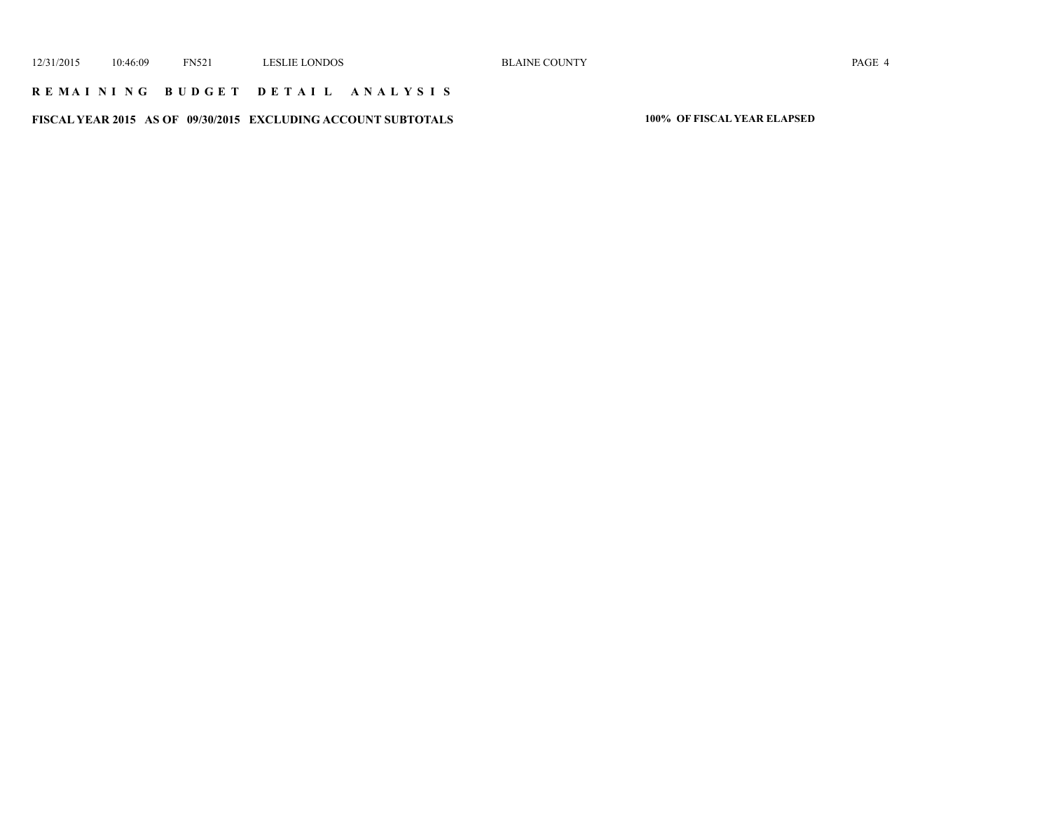### **R E M A I N I N G B U D G E T D E T A I L A N A L Y S I S**

**FISCAL YEAR 2015 AS OF 09/30/2015 EXCLUDING ACCOUNT SUBTOTALS 100% OF FISCAL YEAR ELAPSED**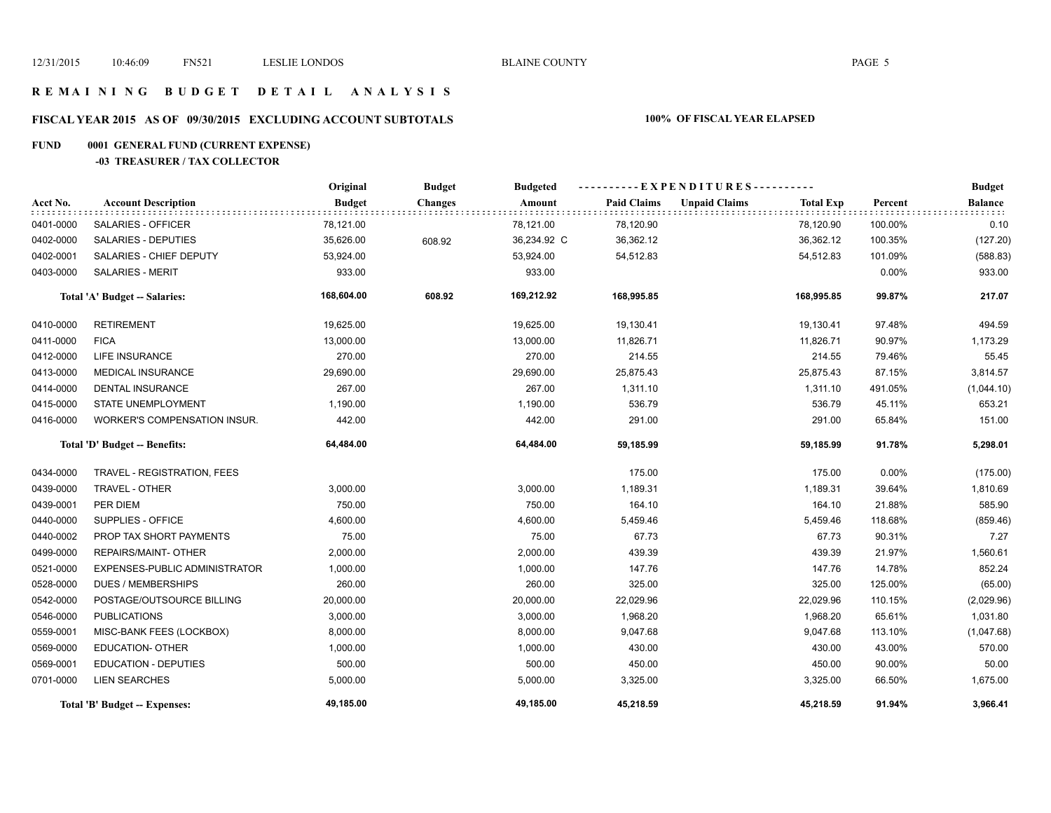### **R E M A I N I N G B U D G E T D E T A I L A N A L Y S I S**

# **FISCAL YEAR 2015 AS OF 09/30/2015 EXCLUDING ACCOUNT SUBTOTALS 100% OF FISCAL YEAR ELAPSED**

# **FUND 0001 GENERAL FUND (CURRENT EXPENSE)**

**-03 TREASURER / TAX COLLECTOR**

|                                      |                               | Original      | <b>Budget</b>  | <b>Budgeted</b> | ----------EXPENDITURES---------- |                      |                  |          | <b>Budget</b>  |
|--------------------------------------|-------------------------------|---------------|----------------|-----------------|----------------------------------|----------------------|------------------|----------|----------------|
| Acct No.                             | <b>Account Description</b>    | <b>Budget</b> | <b>Changes</b> | Amount          | <b>Paid Claims</b>               | <b>Unpaid Claims</b> | <b>Total Exp</b> | Percent  | <b>Balance</b> |
| 0401-0000                            | SALARIES - OFFICER            | 78,121.00     |                | 78,121.00       | 78,120.90                        |                      | 78,120.90        | 100.00%  | 0.10           |
| 0402-0000                            | <b>SALARIES - DEPUTIES</b>    | 35,626.00     | 608.92         | 36,234.92 C     | 36,362.12                        |                      | 36,362.12        | 100.35%  | (127.20)       |
| 0402-0001                            | SALARIES - CHIEF DEPUTY       | 53,924.00     |                | 53,924.00       | 54,512.83                        |                      | 54,512.83        | 101.09%  | (588.83)       |
| 0403-0000                            | <b>SALARIES - MERIT</b>       | 933.00        |                | 933.00          |                                  |                      |                  | $0.00\%$ | 933.00         |
|                                      | Total 'A' Budget -- Salaries: | 168,604.00    | 608.92         | 169,212.92      | 168,995.85                       |                      | 168,995.85       | 99.87%   | 217.07         |
| 0410-0000                            | <b>RETIREMENT</b>             | 19,625.00     |                | 19,625.00       | 19,130.41                        |                      | 19,130.41        | 97.48%   | 494.59         |
| 0411-0000                            | <b>FICA</b>                   | 13,000.00     |                | 13,000.00       | 11,826.71                        |                      | 11,826.71        | 90.97%   | 1,173.29       |
| 0412-0000                            | <b>LIFE INSURANCE</b>         | 270.00        |                | 270.00          | 214.55                           |                      | 214.55           | 79.46%   | 55.45          |
| 0413-0000                            | <b>MEDICAL INSURANCE</b>      | 29,690.00     |                | 29,690.00       | 25,875.43                        |                      | 25,875.43        | 87.15%   | 3,814.57       |
| 0414-0000                            | <b>DENTAL INSURANCE</b>       | 267.00        |                | 267.00          | 1,311.10                         |                      | 1,311.10         | 491.05%  | (1,044.10)     |
| 0415-0000                            | <b>STATE UNEMPLOYMENT</b>     | 1,190.00      |                | 1,190.00        | 536.79                           |                      | 536.79           | 45.11%   | 653.21         |
| 0416-0000                            | WORKER'S COMPENSATION INSUR.  | 442.00        |                | 442.00          | 291.00                           |                      | 291.00           | 65.84%   | 151.00         |
| <b>Total 'D' Budget -- Benefits:</b> |                               | 64,484.00     |                | 64,484.00       | 59,185.99                        |                      | 59,185.99        | 91.78%   | 5,298.01       |
| 0434-0000                            | TRAVEL - REGISTRATION, FEES   |               |                |                 | 175.00                           |                      | 175.00           | $0.00\%$ | (175.00)       |
| 0439-0000                            | TRAVEL - OTHER                | 3,000.00      |                | 3,000.00        | 1,189.31                         |                      | 1,189.31         | 39.64%   | 1,810.69       |
| 0439-0001                            | PER DIEM                      | 750.00        |                | 750.00          | 164.10                           |                      | 164.10           | 21.88%   | 585.90         |
| 0440-0000                            | SUPPLIES - OFFICE             | 4,600.00      |                | 4,600.00        | 5,459.46                         |                      | 5,459.46         | 118.68%  | (859.46)       |
| 0440-0002                            | PROP TAX SHORT PAYMENTS       | 75.00         |                | 75.00           | 67.73                            |                      | 67.73            | 90.31%   | 7.27           |
| 0499-0000                            | REPAIRS/MAINT- OTHER          | 2,000.00      |                | 2,000.00        | 439.39                           |                      | 439.39           | 21.97%   | 1,560.61       |
| 0521-0000                            | EXPENSES-PUBLIC ADMINISTRATOR | 1,000.00      |                | 1,000.00        | 147.76                           |                      | 147.76           | 14.78%   | 852.24         |
| 0528-0000                            | <b>DUES / MEMBERSHIPS</b>     | 260.00        |                | 260.00          | 325.00                           |                      | 325.00           | 125.00%  | (65.00)        |
| 0542-0000                            | POSTAGE/OUTSOURCE BILLING     | 20,000.00     |                | 20,000.00       | 22,029.96                        |                      | 22,029.96        | 110.15%  | (2,029.96)     |
| 0546-0000                            | <b>PUBLICATIONS</b>           | 3,000.00      |                | 3,000.00        | 1,968.20                         |                      | 1,968.20         | 65.61%   | 1,031.80       |
| 0559-0001                            | MISC-BANK FEES (LOCKBOX)      | 8,000.00      |                | 8,000.00        | 9,047.68                         |                      | 9,047.68         | 113.10%  | (1,047.68)     |
| 0569-0000                            | <b>EDUCATION- OTHER</b>       | 1,000.00      |                | 1,000.00        | 430.00                           |                      | 430.00           | 43.00%   | 570.00         |
| 0569-0001                            | <b>EDUCATION - DEPUTIES</b>   | 500.00        |                | 500.00          | 450.00                           |                      | 450.00           | 90.00%   | 50.00          |
| 0701-0000                            | <b>LIEN SEARCHES</b>          | 5,000.00      |                | 5,000.00        | 3,325.00                         |                      | 3,325.00         | 66.50%   | 1,675.00       |
|                                      | Total 'B' Budget -- Expenses: | 49,185.00     |                | 49,185.00       | 45,218.59                        |                      | 45,218.59        | 91.94%   | 3,966.41       |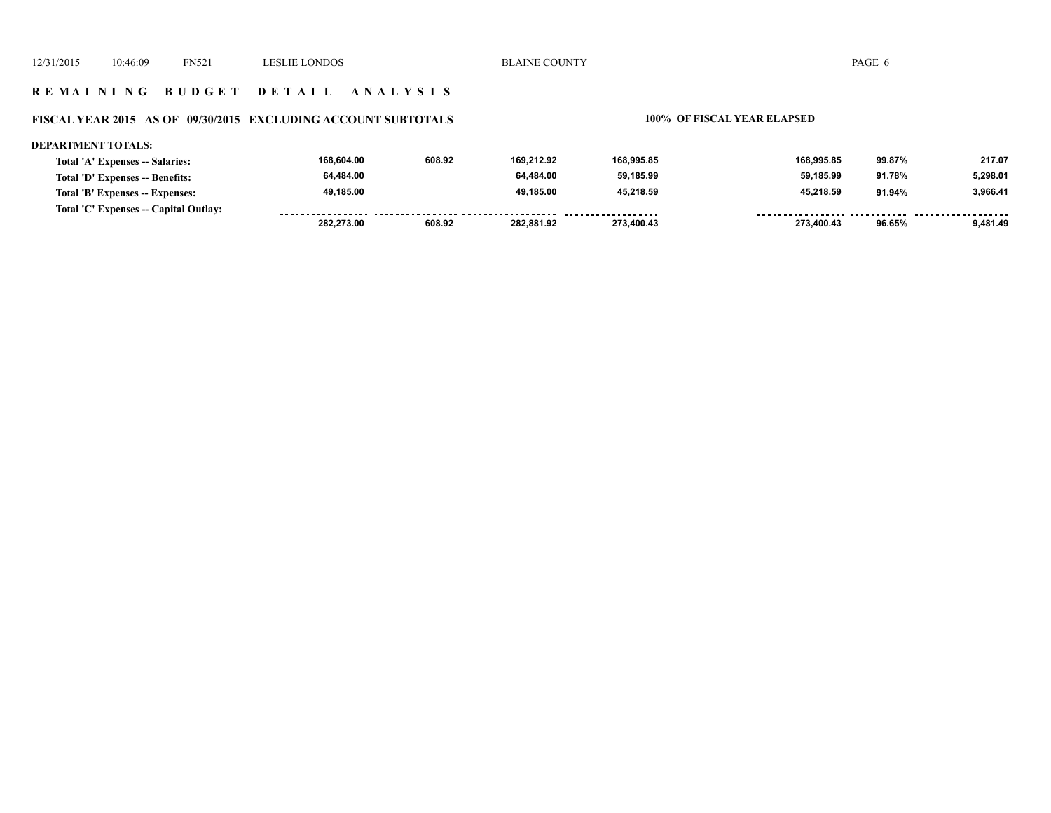### **R E M A I N I N G B U D G E T D E T A I L A N A L Y S I S**

# **FISCAL YEAR 2015 AS OF 09/30/2015 EXCLUDING ACCOUNT SUBTOTALS 100% OF FISCAL YEAR ELAPSED**

| <b>DEPARTMENT TOTALS:</b>             |            |        |            |            |            |        |          |
|---------------------------------------|------------|--------|------------|------------|------------|--------|----------|
| Total 'A' Expenses -- Salaries:       | 168.604.00 | 608.92 | 169.212.92 | 168,995.85 | 168.995.85 | 99.87% | 217.07   |
| Total 'D' Expenses -- Benefits:       | 64,484.00  |        | 64.484.00  | 59,185.99  | 59.185.99  | 91.78% | 5,298.01 |
| Total 'B' Expenses -- Expenses:       | 49.185.00  |        | 49.185.00  | 45.218.59  | 45.218.59  | 91.94% | 3.966.41 |
| Total 'C' Expenses -- Capital Outlay: |            |        |            |            |            |        |          |
|                                       | 282.273.00 | 608.92 | 282.881.92 | 273.400.43 | 273.400.43 | 96.65% | 9.481.49 |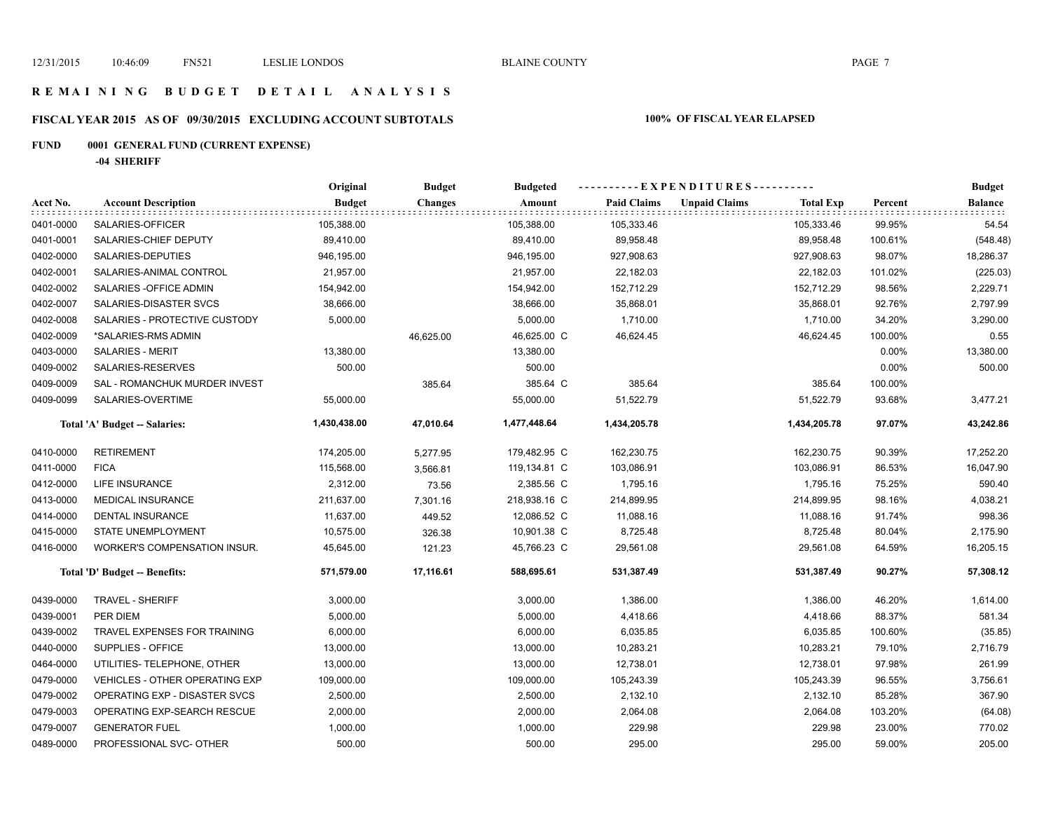### **R E M A I N I N G B U D G E T D E T A I L A N A L Y S I S**

# **FISCAL YEAR 2015 AS OF 09/30/2015 EXCLUDING ACCOUNT SUBTOTALS 100% OF FISCAL YEAR ELAPSED**

# **FUND 0001 GENERAL FUND (CURRENT EXPENSE)**

**-04 SHERIFF**

|           |                                       | Original      | <b>Budget</b>  | <b>Budgeted</b> | ----------EXPENDITURES---------- |                                          |         | <b>Budget</b>  |
|-----------|---------------------------------------|---------------|----------------|-----------------|----------------------------------|------------------------------------------|---------|----------------|
| Acct No.  | <b>Account Description</b>            | <b>Budget</b> | <b>Changes</b> | Amount          | <b>Paid Claims</b>               | <b>Unpaid Claims</b><br><b>Total Exp</b> | Percent | <b>Balance</b> |
| 0401-0000 | SALARIES-OFFICER                      | 105,388.00    |                | 105,388.00      | 105,333.46                       | 105,333.46                               | 99.95%  | 54.54          |
| 0401-0001 | SALARIES-CHIEF DEPUTY                 | 89,410.00     |                | 89,410.00       | 89,958.48                        | 89,958.48                                | 100.61% | (548.48)       |
| 0402-0000 | SALARIES-DEPUTIES                     | 946,195.00    |                | 946,195.00      | 927,908.63                       | 927,908.63                               | 98.07%  | 18,286.37      |
| 0402-0001 | SALARIES-ANIMAL CONTROL               | 21,957.00     |                | 21,957.00       | 22,182.03                        | 22,182.03                                | 101.02% | (225.03)       |
| 0402-0002 | SALARIES - OFFICE ADMIN               | 154,942.00    |                | 154,942.00      | 152,712.29                       | 152,712.29                               | 98.56%  | 2,229.71       |
| 0402-0007 | SALARIES-DISASTER SVCS                | 38,666.00     |                | 38,666.00       | 35,868.01                        | 35,868.01                                | 92.76%  | 2,797.99       |
| 0402-0008 | SALARIES - PROTECTIVE CUSTODY         | 5,000.00      |                | 5,000.00        | 1,710.00                         | 1,710.00                                 | 34.20%  | 3,290.00       |
| 0402-0009 | *SALARIES-RMS ADMIN                   |               | 46,625.00      | 46,625.00 C     | 46,624.45                        | 46,624.45                                | 100.00% | 0.55           |
| 0403-0000 | <b>SALARIES - MERIT</b>               | 13,380.00     |                | 13,380.00       |                                  |                                          | 0.00%   | 13,380.00      |
| 0409-0002 | SALARIES-RESERVES                     | 500.00        |                | 500.00          |                                  |                                          | 0.00%   | 500.00         |
| 0409-0009 | SAL - ROMANCHUK MURDER INVEST         |               | 385.64         | 385.64 C        | 385.64                           | 385.64                                   | 100.00% |                |
| 0409-0099 | SALARIES-OVERTIME                     | 55,000.00     |                | 55,000.00       | 51,522.79                        | 51,522.79                                | 93.68%  | 3,477.21       |
|           | Total 'A' Budget -- Salaries:         | 1,430,438.00  | 47,010.64      | 1,477,448.64    | 1,434,205.78                     | 1,434,205.78                             | 97.07%  | 43,242.86      |
| 0410-0000 | <b>RETIREMENT</b>                     | 174,205.00    | 5,277.95       | 179,482.95 C    | 162,230.75                       | 162,230.75                               | 90.39%  | 17,252.20      |
| 0411-0000 | <b>FICA</b>                           | 115,568.00    | 3,566.81       | 119,134.81 C    | 103,086.91                       | 103,086.91                               | 86.53%  | 16,047.90      |
| 0412-0000 | LIFE INSURANCE                        | 2,312.00      | 73.56          | 2,385.56 C      | 1,795.16                         | 1,795.16                                 | 75.25%  | 590.40         |
| 0413-0000 | <b>MEDICAL INSURANCE</b>              | 211,637.00    | 7,301.16       | 218,938.16 C    | 214,899.95                       | 214,899.95                               | 98.16%  | 4,038.21       |
| 0414-0000 | DENTAL INSURANCE                      | 11,637.00     | 449.52         | 12,086.52 C     | 11,088.16                        | 11,088.16                                | 91.74%  | 998.36         |
| 0415-0000 | STATE UNEMPLOYMENT                    | 10,575.00     | 326.38         | 10,901.38 C     | 8,725.48                         | 8,725.48                                 | 80.04%  | 2,175.90       |
| 0416-0000 | WORKER'S COMPENSATION INSUR.          | 45,645.00     | 121.23         | 45,766.23 C     | 29,561.08                        | 29,561.08                                | 64.59%  | 16,205.15      |
|           | Total 'D' Budget -- Benefits:         | 571,579.00    | 17,116.61      | 588,695.61      | 531,387.49                       | 531,387.49                               | 90.27%  | 57,308.12      |
| 0439-0000 | <b>TRAVEL - SHERIFF</b>               | 3,000.00      |                | 3,000.00        | 1,386.00                         | 1,386.00                                 | 46.20%  | 1,614.00       |
| 0439-0001 | PER DIEM                              | 5,000.00      |                | 5,000.00        | 4,418.66                         | 4,418.66                                 | 88.37%  | 581.34         |
| 0439-0002 | TRAVEL EXPENSES FOR TRAINING          | 6,000.00      |                | 6,000.00        | 6,035.85                         | 6,035.85                                 | 100.60% | (35.85)        |
| 0440-0000 | SUPPLIES - OFFICE                     | 13,000.00     |                | 13,000.00       | 10,283.21                        | 10,283.21                                | 79.10%  | 2,716.79       |
| 0464-0000 | UTILITIES- TELEPHONE, OTHER           | 13,000.00     |                | 13,000.00       | 12,738.01                        | 12,738.01                                | 97.98%  | 261.99         |
| 0479-0000 | <b>VEHICLES - OTHER OPERATING EXP</b> | 109,000.00    |                | 109,000.00      | 105,243.39                       | 105,243.39                               | 96.55%  | 3,756.61       |
| 0479-0002 | OPERATING EXP - DISASTER SVCS         | 2,500.00      |                | 2,500.00        | 2,132.10                         | 2,132.10                                 | 85.28%  | 367.90         |
| 0479-0003 | OPERATING EXP-SEARCH RESCUE           | 2,000.00      |                | 2,000.00        | 2,064.08                         | 2,064.08                                 | 103.20% | (64.08)        |
| 0479-0007 | <b>GENERATOR FUEL</b>                 | 1,000.00      |                | 1,000.00        | 229.98                           | 229.98                                   | 23.00%  | 770.02         |
| 0489-0000 | PROFESSIONAL SVC- OTHER               | 500.00        |                | 500.00          | 295.00                           | 295.00                                   | 59.00%  | 205.00         |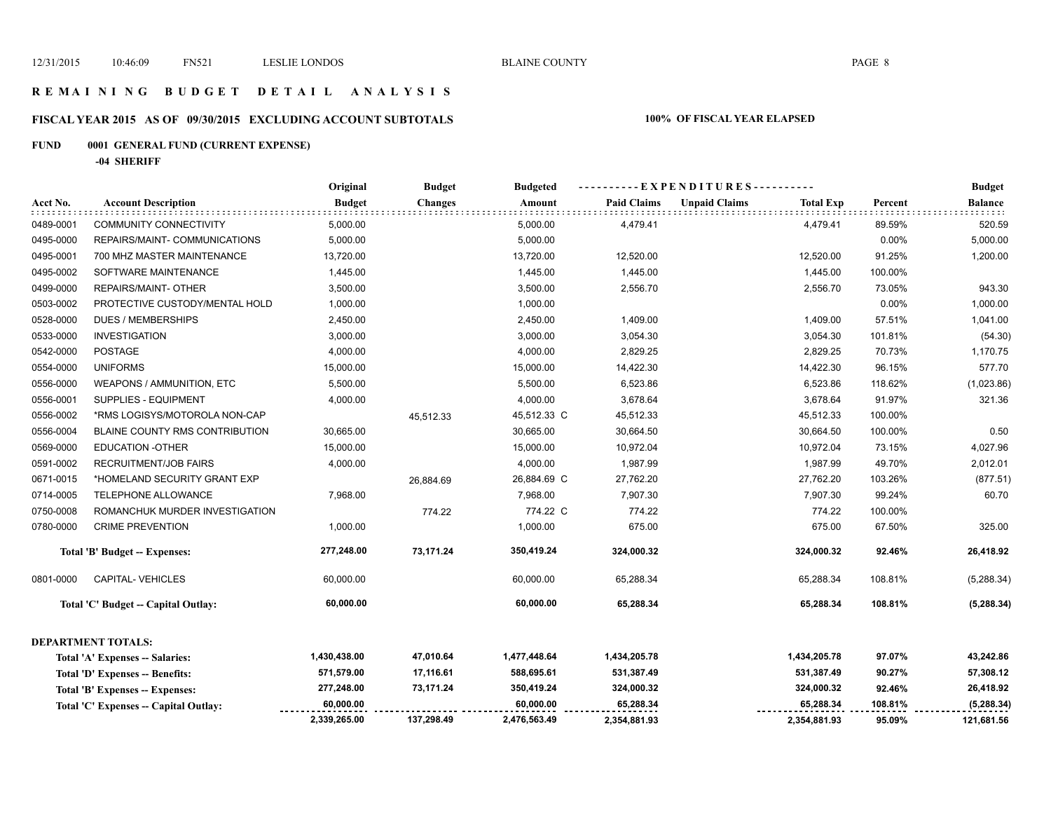# **R E M A I N I N G B U D G E T D E T A I L A N A L Y S I S**

# **FISCAL YEAR 2015 AS OF 09/30/2015 EXCLUDING ACCOUNT SUBTOTALS 100% OF FISCAL YEAR ELAPSED**

# **FUND 0001 GENERAL FUND (CURRENT EXPENSE)**

**-04 SHERIFF**

|           |                                       | Original      | <b>Budget</b>  | <b>Budgeted</b> | ----EXPENDITURES---------- |                      |                  |         | <b>Budget</b>  |
|-----------|---------------------------------------|---------------|----------------|-----------------|----------------------------|----------------------|------------------|---------|----------------|
| Acct No.  | <b>Account Description</b>            | <b>Budget</b> | <b>Changes</b> | Amount          | <b>Paid Claims</b>         | <b>Unpaid Claims</b> | <b>Total Exp</b> | Percent | <b>Balance</b> |
| 0489-0001 | <b>COMMUNITY CONNECTIVITY</b>         | 5,000.00      |                | 5,000.00        | 4,479.41                   |                      | 4,479.41         | 89.59%  | 520.59         |
| 0495-0000 | REPAIRS/MAINT- COMMUNICATIONS         | 5,000.00      |                | 5,000.00        |                            |                      |                  | 0.00%   | 5,000.00       |
| 0495-0001 | 700 MHZ MASTER MAINTENANCE            | 13,720.00     |                | 13,720.00       | 12,520.00                  |                      | 12,520.00        | 91.25%  | 1,200.00       |
| 0495-0002 | SOFTWARE MAINTENANCE                  | 1,445.00      |                | 1,445.00        | 1,445.00                   |                      | 1,445.00         | 100.00% |                |
| 0499-0000 | REPAIRS/MAINT- OTHER                  | 3,500.00      |                | 3,500.00        | 2,556.70                   |                      | 2,556.70         | 73.05%  | 943.30         |
| 0503-0002 | PROTECTIVE CUSTODY/MENTAL HOLD        | 1,000.00      |                | 1,000.00        |                            |                      |                  | 0.00%   | 1,000.00       |
| 0528-0000 | <b>DUES / MEMBERSHIPS</b>             | 2,450.00      |                | 2,450.00        | 1,409.00                   |                      | 1,409.00         | 57.51%  | 1,041.00       |
| 0533-0000 | <b>INVESTIGATION</b>                  | 3,000.00      |                | 3,000.00        | 3,054.30                   |                      | 3,054.30         | 101.81% | (54.30)        |
| 0542-0000 | <b>POSTAGE</b>                        | 4,000.00      |                | 4,000.00        | 2,829.25                   |                      | 2,829.25         | 70.73%  | 1,170.75       |
| 0554-0000 | <b>UNIFORMS</b>                       | 15,000.00     |                | 15,000.00       | 14,422.30                  |                      | 14,422.30        | 96.15%  | 577.70         |
| 0556-0000 | WEAPONS / AMMUNITION, ETC             | 5,500.00      |                | 5,500.00        | 6,523.86                   |                      | 6,523.86         | 118.62% | (1,023.86)     |
| 0556-0001 | SUPPLIES - EQUIPMENT                  | 4,000.00      |                | 4,000.00        | 3,678.64                   |                      | 3,678.64         | 91.97%  | 321.36         |
| 0556-0002 | *RMS LOGISYS/MOTOROLA NON-CAP         |               | 45,512.33      | 45,512.33 C     | 45,512.33                  |                      | 45,512.33        | 100.00% |                |
| 0556-0004 | <b>BLAINE COUNTY RMS CONTRIBUTION</b> | 30,665.00     |                | 30,665.00       | 30,664.50                  |                      | 30,664.50        | 100.00% | 0.50           |
| 0569-0000 | <b>EDUCATION -OTHER</b>               | 15,000.00     |                | 15,000.00       | 10,972.04                  |                      | 10,972.04        | 73.15%  | 4,027.96       |
| 0591-0002 | <b>RECRUITMENT/JOB FAIRS</b>          | 4,000.00      |                | 4,000.00        | 1,987.99                   |                      | 1,987.99         | 49.70%  | 2,012.01       |
| 0671-0015 | *HOMELAND SECURITY GRANT EXP          |               | 26,884.69      | 26,884.69 C     | 27,762.20                  |                      | 27,762.20        | 103.26% | (877.51)       |
| 0714-0005 | TELEPHONE ALLOWANCE                   | 7,968.00      |                | 7,968.00        | 7,907.30                   |                      | 7,907.30         | 99.24%  | 60.70          |
| 0750-0008 | ROMANCHUK MURDER INVESTIGATION        |               | 774.22         | 774.22 C        | 774.22                     |                      | 774.22           | 100.00% |                |
| 0780-0000 | <b>CRIME PREVENTION</b>               | 1,000.00      |                | 1,000.00        | 675.00                     |                      | 675.00           | 67.50%  | 325.00         |
|           | Total 'B' Budget -- Expenses:         | 277,248.00    | 73,171.24      | 350,419.24      | 324,000.32                 |                      | 324,000.32       | 92.46%  | 26,418.92      |
| 0801-0000 | <b>CAPITAL-VEHICLES</b>               | 60,000.00     |                | 60,000.00       | 65,288.34                  |                      | 65,288.34        | 108.81% | (5,288.34)     |
|           | Total 'C' Budget -- Capital Outlay:   | 60,000.00     |                | 60,000.00       | 65,288.34                  |                      | 65,288.34        | 108.81% | (5, 288.34)    |
|           | <b>DEPARTMENT TOTALS:</b>             |               |                |                 |                            |                      |                  |         |                |
|           | Total 'A' Expenses -- Salaries:       | 1,430,438.00  | 47,010.64      | 1,477,448.64    | 1,434,205.78               |                      | 1,434,205.78     | 97.07%  | 43,242.86      |
|           | Total 'D' Expenses -- Benefits:       | 571,579.00    | 17,116.61      | 588,695.61      | 531,387.49                 |                      | 531,387.49       | 90.27%  | 57,308.12      |
|           | Total 'B' Expenses -- Expenses:       | 277,248.00    | 73,171.24      | 350,419.24      | 324,000.32                 |                      | 324,000.32       | 92.46%  | 26,418.92      |
|           | Total 'C' Expenses -- Capital Outlay: | 60,000.00     |                | 60,000.00       | 65,288.34                  |                      | 65,288.34        | 108.81% | (5, 288.34)    |
|           |                                       | 2,339,265.00  | 137,298.49     | 2,476,563.49    | 2,354,881.93               |                      | 2,354,881.93     | 95.09%  | 121,681.56     |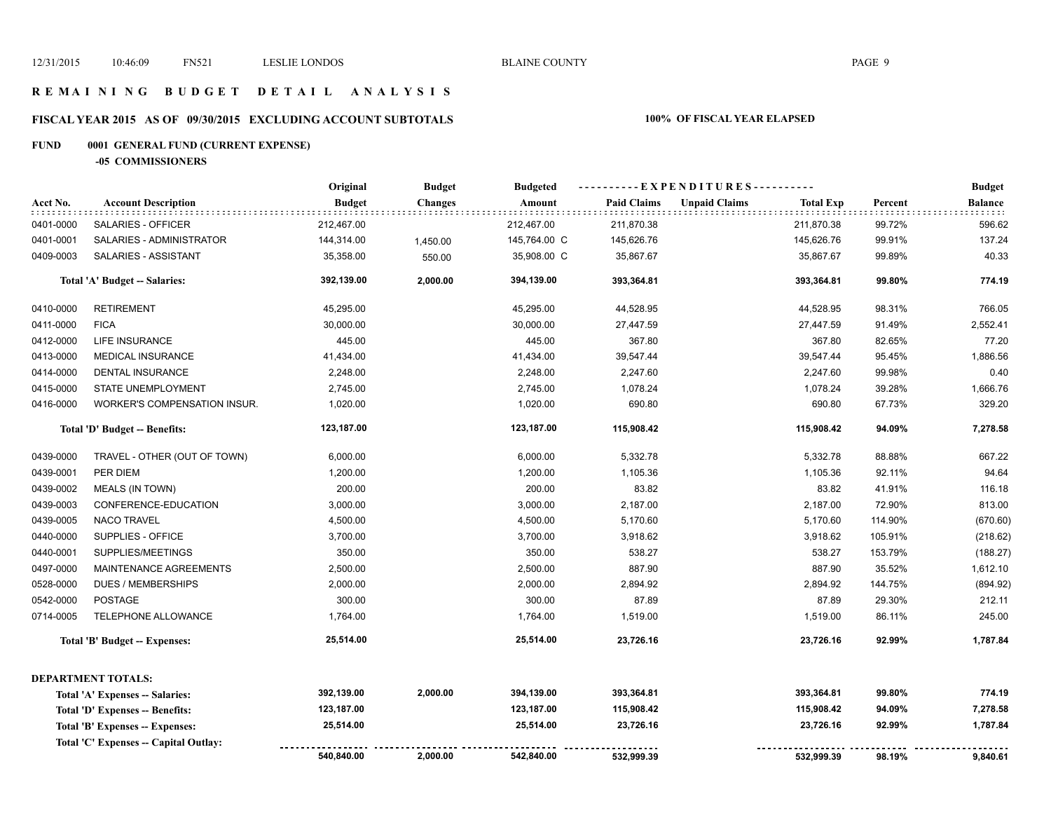### **R E M A I N I N G B U D G E T D E T A I L A N A L Y S I S**

# **FISCAL YEAR 2015 AS OF 09/30/2015 EXCLUDING ACCOUNT SUBTOTALS 100% OF FISCAL YEAR ELAPSED**

# **FUND 0001 GENERAL FUND (CURRENT EXPENSE)**

**-05 COMMISSIONERS**

|           |                                                   | Original      | <b>Budget</b>  | <b>Budgeted</b> | ----------EXPENDITURES---------- |                      |                  |         | <b>Budget</b>          |
|-----------|---------------------------------------------------|---------------|----------------|-----------------|----------------------------------|----------------------|------------------|---------|------------------------|
| Acct No.  | <b>Account Description</b><br>: : : : : : : : : : | <b>Budget</b> | <b>Changes</b> | Amount          | <b>Paid Claims</b>               | <b>Unpaid Claims</b> | <b>Total Exp</b> | Percent | <b>Balance</b><br>1111 |
| 0401-0000 | SALARIES - OFFICER                                | 212,467.00    |                | 212,467.00      | 211,870.38                       |                      | 211,870.38       | 99.72%  | 596.62                 |
| 0401-0001 | SALARIES - ADMINISTRATOR                          | 144,314.00    | 1,450.00       | 145,764.00 C    | 145,626.76                       |                      | 145,626.76       | 99.91%  | 137.24                 |
| 0409-0003 | SALARIES - ASSISTANT                              | 35,358.00     | 550.00         | 35,908.00 C     | 35,867.67                        |                      | 35,867.67        | 99.89%  | 40.33                  |
|           | Total 'A' Budget -- Salaries:                     | 392,139.00    | 2,000.00       | 394,139.00      | 393,364.81                       |                      | 393,364.81       | 99.80%  | 774.19                 |
| 0410-0000 | <b>RETIREMENT</b>                                 | 45,295.00     |                | 45,295.00       | 44,528.95                        |                      | 44,528.95        | 98.31%  | 766.05                 |
| 0411-0000 | <b>FICA</b>                                       | 30,000.00     |                | 30,000.00       | 27,447.59                        |                      | 27,447.59        | 91.49%  | 2,552.41               |
| 0412-0000 | LIFE INSURANCE                                    | 445.00        |                | 445.00          | 367.80                           |                      | 367.80           | 82.65%  | 77.20                  |
| 0413-0000 | <b>MEDICAL INSURANCE</b>                          | 41,434.00     |                | 41,434.00       | 39,547.44                        |                      | 39,547.44        | 95.45%  | 1,886.56               |
| 0414-0000 | <b>DENTAL INSURANCE</b>                           | 2,248.00      |                | 2,248.00        | 2,247.60                         |                      | 2,247.60         | 99.98%  | 0.40                   |
| 0415-0000 | STATE UNEMPLOYMENT                                | 2,745.00      |                | 2,745.00        | 1,078.24                         |                      | 1,078.24         | 39.28%  | 1,666.76               |
| 0416-0000 | WORKER'S COMPENSATION INSUR.                      | 1,020.00      |                | 1,020.00        | 690.80                           |                      | 690.80           | 67.73%  | 329.20                 |
|           | Total 'D' Budget -- Benefits:                     | 123,187.00    |                | 123,187.00      | 115,908.42                       |                      | 115,908.42       | 94.09%  | 7,278.58               |
| 0439-0000 | TRAVEL - OTHER (OUT OF TOWN)                      | 6,000.00      |                | 6,000.00        | 5,332.78                         |                      | 5,332.78         | 88.88%  | 667.22                 |
| 0439-0001 | PER DIEM                                          | 1,200.00      |                | 1,200.00        | 1,105.36                         |                      | 1,105.36         | 92.11%  | 94.64                  |
| 0439-0002 | <b>MEALS (IN TOWN)</b>                            | 200.00        |                | 200.00          | 83.82                            |                      | 83.82            | 41.91%  | 116.18                 |
| 0439-0003 | CONFERENCE-EDUCATION                              | 3,000.00      |                | 3,000.00        | 2,187.00                         |                      | 2,187.00         | 72.90%  | 813.00                 |
| 0439-0005 | <b>NACO TRAVEL</b>                                | 4,500.00      |                | 4,500.00        | 5,170.60                         |                      | 5,170.60         | 114.90% | (670.60)               |
| 0440-0000 | SUPPLIES - OFFICE                                 | 3,700.00      |                | 3,700.00        | 3,918.62                         |                      | 3,918.62         | 105.91% | (218.62)               |
| 0440-0001 | SUPPLIES/MEETINGS                                 | 350.00        |                | 350.00          | 538.27                           |                      | 538.27           | 153.79% | (188.27)               |
| 0497-0000 | MAINTENANCE AGREEMENTS                            | 2,500.00      |                | 2,500.00        | 887.90                           |                      | 887.90           | 35.52%  | 1,612.10               |
| 0528-0000 | <b>DUES / MEMBERSHIPS</b>                         | 2,000.00      |                | 2,000.00        | 2,894.92                         |                      | 2,894.92         | 144.75% | (894.92)               |
| 0542-0000 | POSTAGE                                           | 300.00        |                | 300.00          | 87.89                            |                      | 87.89            | 29.30%  | 212.11                 |
| 0714-0005 | TELEPHONE ALLOWANCE                               | 1,764.00      |                | 1,764.00        | 1,519.00                         |                      | 1,519.00         | 86.11%  | 245.00                 |
|           | Total 'B' Budget -- Expenses:                     | 25,514.00     |                | 25,514.00       | 23,726.16                        |                      | 23,726.16        | 92.99%  | 1,787.84               |
|           | <b>DEPARTMENT TOTALS:</b>                         |               |                |                 |                                  |                      |                  |         |                        |
|           | Total 'A' Expenses -- Salaries:                   | 392,139.00    | 2,000.00       | 394,139.00      | 393,364.81                       |                      | 393,364.81       | 99.80%  | 774.19                 |
|           | Total 'D' Expenses -- Benefits:                   | 123,187.00    |                | 123,187.00      | 115,908.42                       |                      | 115,908.42       | 94.09%  | 7,278.58               |
|           | Total 'B' Expenses -- Expenses:                   | 25,514.00     |                | 25,514.00       | 23,726.16                        |                      | 23,726.16        | 92.99%  | 1,787.84               |
|           | Total 'C' Expenses -- Capital Outlay:             |               |                |                 |                                  |                      |                  |         |                        |
|           |                                                   | 540,840.00    | 2,000.00       | 542,840.00      | 532,999.39                       |                      | 532,999.39       | 98.19%  | 9,840.61               |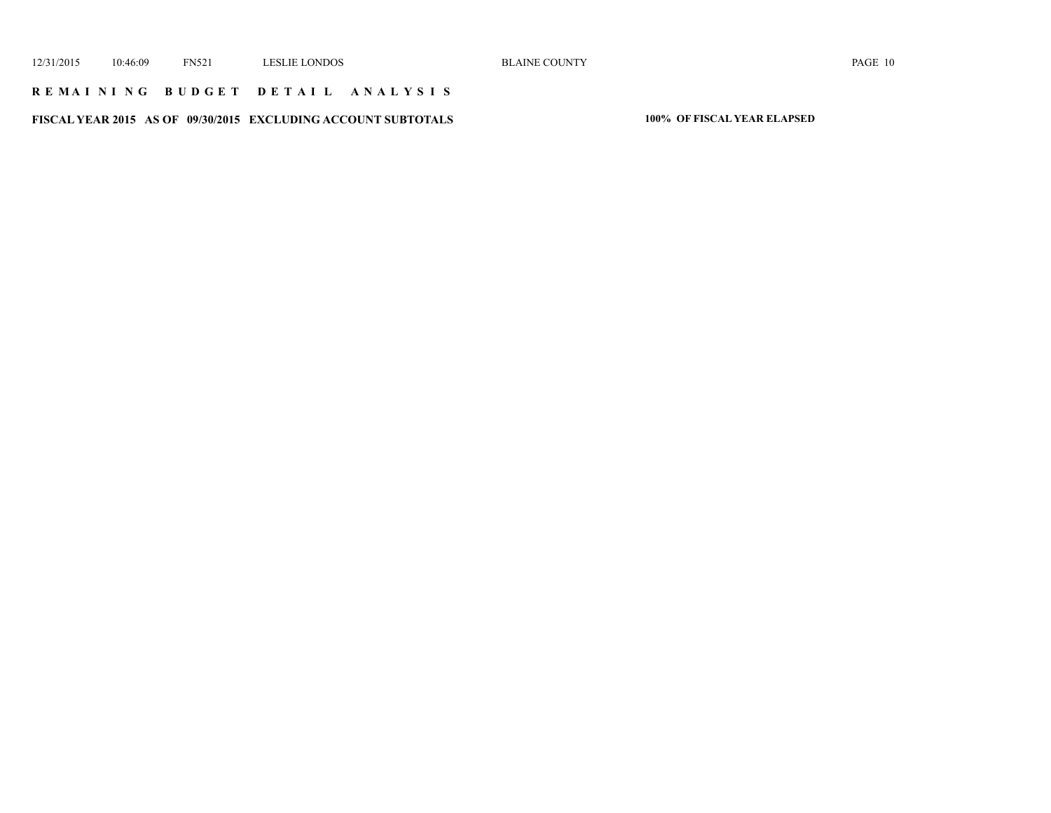### **R E M A I N I N G B U D G E T D E T A I L A N A L Y S I S**

**FISCAL YEAR 2015 AS OF 09/30/2015 EXCLUDING ACCOUNT SUBTOTALS 100% OF FISCAL YEAR ELAPSED**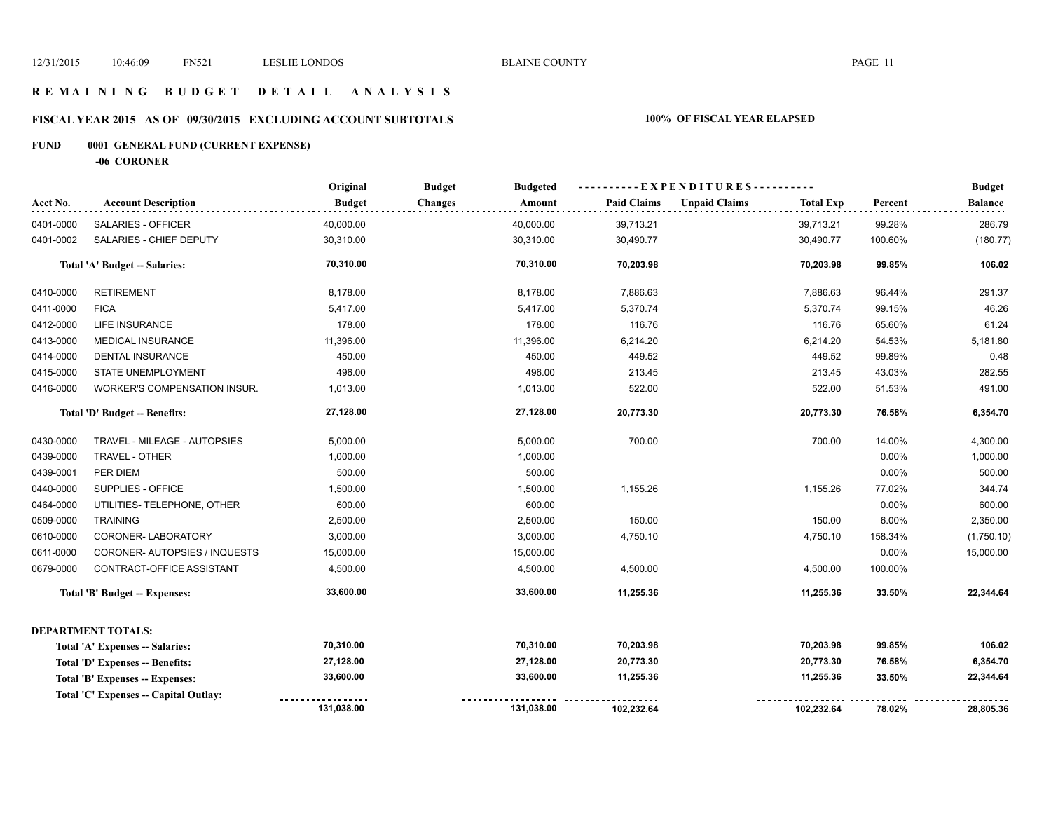### **R E M A I N I N G B U D G E T D E T A I L A N A L Y S I S**

# **FISCAL YEAR 2015 AS OF 09/30/2015 EXCLUDING ACCOUNT SUBTOTALS 100% OF FISCAL YEAR ELAPSED**

# **FUND 0001 GENERAL FUND (CURRENT EXPENSE)**

**-06 CORONER**

|           |                                       | Original      | <b>Budget</b><br><b>Budgeted</b> |                    | ----------EXPENDITURES----------         |         | <b>Budget</b>  |
|-----------|---------------------------------------|---------------|----------------------------------|--------------------|------------------------------------------|---------|----------------|
| Acct No.  | <b>Account Description</b>            | <b>Budget</b> | <b>Changes</b><br>Amount         | <b>Paid Claims</b> | <b>Unpaid Claims</b><br><b>Total Exp</b> | Percent | <b>Balance</b> |
| 0401-0000 | SALARIES - OFFICER                    | 40,000.00     | 40,000.00                        | 39,713.21          | 39,713.21                                | 99.28%  | 286.79         |
| 0401-0002 | SALARIES - CHIEF DEPUTY               | 30,310.00     | 30,310.00                        | 30,490.77          | 30,490.77                                | 100.60% | (180.77)       |
|           | <b>Total 'A' Budget -- Salaries:</b>  | 70,310.00     | 70,310.00                        | 70,203.98          | 70,203.98                                | 99.85%  | 106.02         |
| 0410-0000 | <b>RETIREMENT</b>                     | 8,178.00      | 8,178.00                         | 7,886.63           | 7,886.63                                 | 96.44%  | 291.37         |
| 0411-0000 | <b>FICA</b>                           | 5,417.00      | 5,417.00                         | 5,370.74           | 5,370.74                                 | 99.15%  | 46.26          |
| 0412-0000 | LIFE INSURANCE                        | 178.00        | 178.00                           | 116.76             | 116.76                                   | 65.60%  | 61.24          |
| 0413-0000 | MEDICAL INSURANCE                     | 11,396.00     | 11,396.00                        | 6,214.20           | 6,214.20                                 | 54.53%  | 5,181.80       |
| 0414-0000 | <b>DENTAL INSURANCE</b>               | 450.00        | 450.00                           | 449.52             | 449.52                                   | 99.89%  | 0.48           |
| 0415-0000 | STATE UNEMPLOYMENT                    | 496.00        | 496.00                           | 213.45             | 213.45                                   | 43.03%  | 282.55         |
| 0416-0000 | WORKER'S COMPENSATION INSUR.          | 1,013.00      | 1,013.00                         | 522.00             | 522.00                                   | 51.53%  | 491.00         |
|           | Total 'D' Budget -- Benefits:         | 27,128.00     | 27,128.00                        | 20,773.30          | 20,773.30                                | 76.58%  | 6,354.70       |
| 0430-0000 | TRAVEL - MILEAGE - AUTOPSIES          | 5,000.00      | 5,000.00                         | 700.00             | 700.00                                   | 14.00%  | 4,300.00       |
| 0439-0000 | TRAVEL - OTHER                        | 1,000.00      | 1,000.00                         |                    |                                          | 0.00%   | 1,000.00       |
| 0439-0001 | PER DIEM                              | 500.00        | 500.00                           |                    |                                          | 0.00%   | 500.00         |
| 0440-0000 | SUPPLIES - OFFICE                     | 1,500.00      | 1,500.00                         | 1,155.26           | 1,155.26                                 | 77.02%  | 344.74         |
| 0464-0000 | UTILITIES- TELEPHONE, OTHER           | 600.00        | 600.00                           |                    |                                          | 0.00%   | 600.00         |
| 0509-0000 | <b>TRAINING</b>                       | 2,500.00      | 2,500.00                         | 150.00             | 150.00                                   | 6.00%   | 2,350.00       |
| 0610-0000 | CORONER-LABORATORY                    | 3,000.00      | 3,000.00                         | 4,750.10           | 4,750.10                                 | 158.34% | (1,750.10)     |
| 0611-0000 | CORONER- AUTOPSIES / INQUESTS         | 15,000.00     | 15,000.00                        |                    |                                          | 0.00%   | 15,000.00      |
| 0679-0000 | CONTRACT-OFFICE ASSISTANT             | 4,500.00      | 4,500.00                         | 4,500.00           | 4,500.00                                 | 100.00% |                |
|           | <b>Total 'B' Budget -- Expenses:</b>  | 33,600.00     | 33,600.00                        | 11,255.36          | 11,255.36                                | 33.50%  | 22,344.64      |
|           | <b>DEPARTMENT TOTALS:</b>             |               |                                  |                    |                                          |         |                |
|           | Total 'A' Expenses -- Salaries:       | 70,310.00     | 70,310.00                        | 70,203.98          | 70,203.98                                | 99.85%  | 106.02         |
|           | Total 'D' Expenses -- Benefits:       | 27,128.00     | 27,128.00                        | 20,773.30          | 20,773.30                                | 76.58%  | 6,354.70       |
|           | Total 'B' Expenses -- Expenses:       | 33,600.00     | 33,600.00                        | 11,255.36          | 11,255.36                                | 33.50%  | 22,344.64      |
|           | Total 'C' Expenses -- Capital Outlay: |               |                                  |                    |                                          |         |                |
|           |                                       | 131,038.00    | 131,038.00                       | 102,232.64         | 102,232.64                               | 78.02%  | 28,805.36      |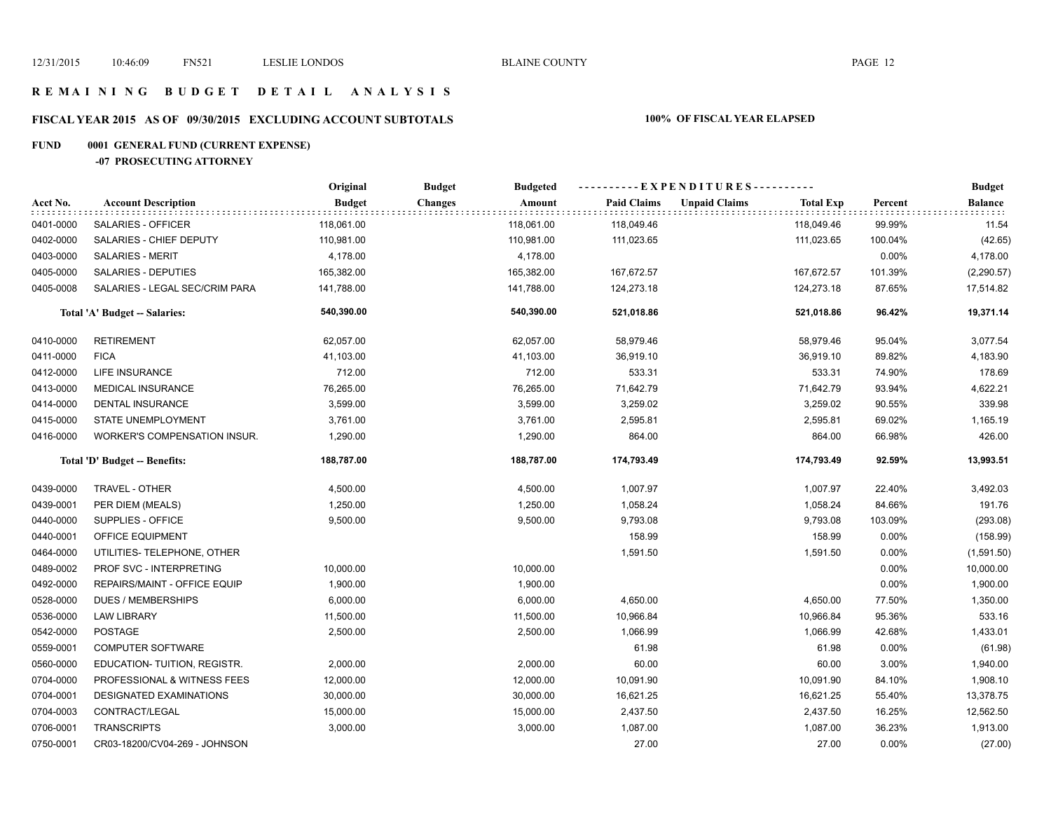### **R E M A I N I N G B U D G E T D E T A I L A N A L Y S I S**

# **FISCAL YEAR 2015 AS OF 09/30/2015 EXCLUDING ACCOUNT SUBTOTALS 100% OF FISCAL YEAR ELAPSED**

# **FUND 0001 GENERAL FUND (CURRENT EXPENSE)**

### **-07 PROSECUTING ATTORNEY**

|           |                                | Original      | <b>Budget</b><br><b>Budgeted</b> |                    | ---------- EXPENDITURES----------        |         | <b>Budget</b>         |
|-----------|--------------------------------|---------------|----------------------------------|--------------------|------------------------------------------|---------|-----------------------|
| Acct No.  | <b>Account Description</b>     | <b>Budget</b> | <b>Changes</b><br>Amount<br>.    | <b>Paid Claims</b> | <b>Unpaid Claims</b><br><b>Total Exp</b> | Percent | Balance<br>it tit tit |
| 0401-0000 | SALARIES - OFFICER             | 118,061.00    | 118,061.00                       | 118,049.46         | 118,049.46                               | 99.99%  | 11.54                 |
| 0402-0000 | SALARIES - CHIEF DEPUTY        | 110,981.00    | 110,981.00                       | 111,023.65         | 111,023.65                               | 100.04% | (42.65)               |
| 0403-0000 | <b>SALARIES - MERIT</b>        | 4,178.00      | 4,178.00                         |                    |                                          | 0.00%   | 4,178.00              |
| 0405-0000 | SALARIES - DEPUTIES            | 165,382.00    | 165,382.00                       | 167,672.57         | 167,672.57                               | 101.39% | (2, 290.57)           |
| 0405-0008 | SALARIES - LEGAL SEC/CRIM PARA | 141,788.00    | 141,788.00                       | 124,273.18         | 124,273.18                               | 87.65%  | 17,514.82             |
|           | Total 'A' Budget -- Salaries:  | 540,390.00    | 540,390.00                       | 521,018.86         | 521,018.86                               | 96.42%  | 19,371.14             |
| 0410-0000 | <b>RETIREMENT</b>              | 62,057.00     | 62,057.00                        | 58,979.46          | 58,979.46                                | 95.04%  | 3,077.54              |
| 0411-0000 | <b>FICA</b>                    | 41,103.00     | 41,103.00                        | 36,919.10          | 36,919.10                                | 89.82%  | 4,183.90              |
| 0412-0000 | LIFE INSURANCE                 | 712.00        | 712.00                           | 533.31             | 533.31                                   | 74.90%  | 178.69                |
| 0413-0000 | <b>MEDICAL INSURANCE</b>       | 76,265.00     | 76,265.00                        | 71,642.79          | 71,642.79                                | 93.94%  | 4,622.21              |
| 0414-0000 | <b>DENTAL INSURANCE</b>        | 3,599.00      | 3,599.00                         | 3,259.02           | 3,259.02                                 | 90.55%  | 339.98                |
| 0415-0000 | STATE UNEMPLOYMENT             | 3,761.00      | 3,761.00                         | 2,595.81           | 2,595.81                                 | 69.02%  | 1,165.19              |
| 0416-0000 | WORKER'S COMPENSATION INSUR.   | 1,290.00      | 1,290.00                         | 864.00             | 864.00                                   | 66.98%  | 426.00                |
|           | Total 'D' Budget -- Benefits:  | 188,787.00    | 188,787.00                       | 174,793.49         | 174,793.49                               | 92.59%  | 13,993.51             |
| 0439-0000 | TRAVEL - OTHER                 | 4,500.00      | 4,500.00                         | 1,007.97           | 1,007.97                                 | 22.40%  | 3,492.03              |
| 0439-0001 | PER DIEM (MEALS)               | 1,250.00      | 1,250.00                         | 1,058.24           | 1,058.24                                 | 84.66%  | 191.76                |
| 0440-0000 | SUPPLIES - OFFICE              | 9,500.00      | 9,500.00                         | 9,793.08           | 9,793.08                                 | 103.09% | (293.08)              |
| 0440-0001 | OFFICE EQUIPMENT               |               |                                  | 158.99             | 158.99                                   | 0.00%   | (158.99)              |
| 0464-0000 | UTILITIES- TELEPHONE, OTHER    |               |                                  | 1,591.50           | 1,591.50                                 | 0.00%   | (1,591.50)            |
| 0489-0002 | PROF SVC - INTERPRETING        | 10,000.00     | 10,000.00                        |                    |                                          | 0.00%   | 10,000.00             |
| 0492-0000 | REPAIRS/MAINT - OFFICE EQUIP   | 1,900.00      | 1,900.00                         |                    |                                          | 0.00%   | 1,900.00              |
| 0528-0000 | <b>DUES / MEMBERSHIPS</b>      | 6,000.00      | 6,000.00                         | 4,650.00           | 4,650.00                                 | 77.50%  | 1,350.00              |
| 0536-0000 | <b>LAW LIBRARY</b>             | 11,500.00     | 11,500.00                        | 10,966.84          | 10,966.84                                | 95.36%  | 533.16                |
| 0542-0000 | <b>POSTAGE</b>                 | 2,500.00      | 2,500.00                         | 1,066.99           | 1,066.99                                 | 42.68%  | 1,433.01              |
| 0559-0001 | <b>COMPUTER SOFTWARE</b>       |               |                                  | 61.98              | 61.98                                    | 0.00%   | (61.98)               |
| 0560-0000 | EDUCATION-TUITION, REGISTR.    | 2,000.00      | 2,000.00                         | 60.00              | 60.00                                    | 3.00%   | 1,940.00              |
| 0704-0000 | PROFESSIONAL & WITNESS FEES    | 12,000.00     | 12,000.00                        | 10,091.90          | 10,091.90                                | 84.10%  | 1,908.10              |
| 0704-0001 | DESIGNATED EXAMINATIONS        | 30,000.00     | 30,000.00                        | 16,621.25          | 16,621.25                                | 55.40%  | 13,378.75             |
| 0704-0003 | CONTRACT/LEGAL                 | 15,000.00     | 15,000.00                        | 2,437.50           | 2,437.50                                 | 16.25%  | 12,562.50             |
| 0706-0001 | <b>TRANSCRIPTS</b>             | 3,000.00      | 3,000.00                         | 1,087.00           | 1,087.00                                 | 36.23%  | 1,913.00              |
| 0750-0001 | CR03-18200/CV04-269 - JOHNSON  |               |                                  | 27.00              | 27.00                                    | 0.00%   | (27.00)               |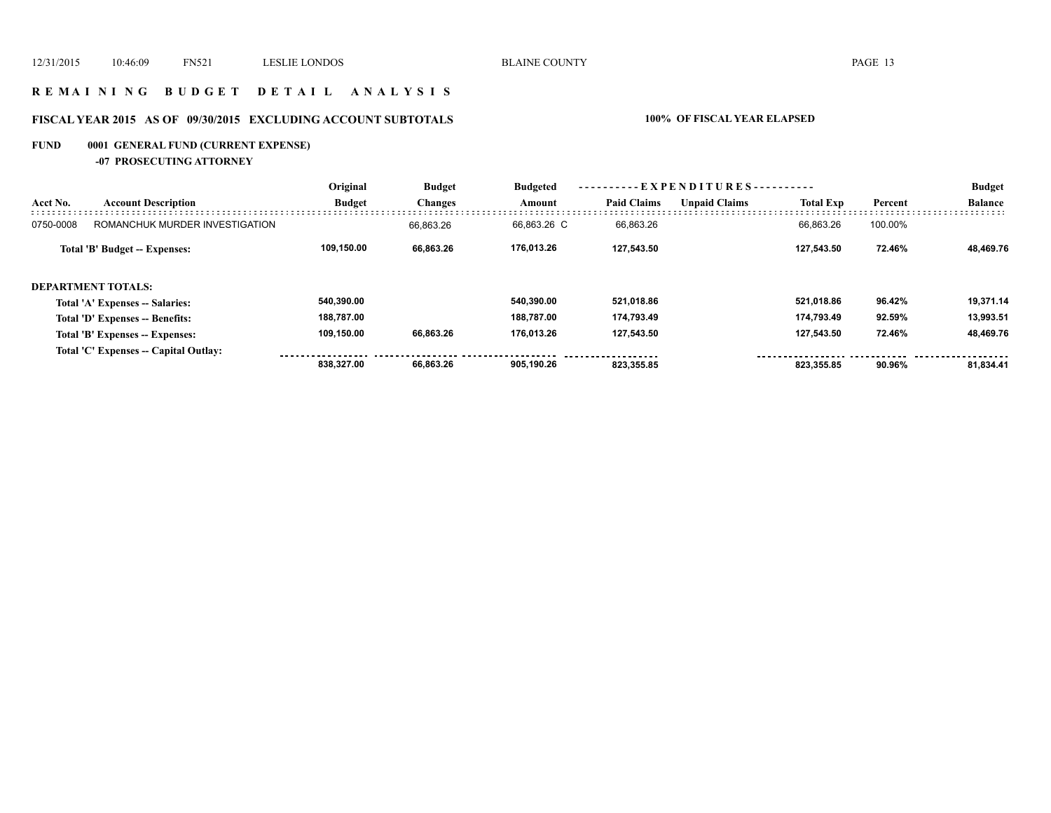### **R E M A I N I N G B U D G E T D E T A I L A N A L Y S I S**

# **FISCAL YEAR 2015 AS OF 09/30/2015 EXCLUDING ACCOUNT SUBTOTALS 100% OF FISCAL YEAR ELAPSED**

# **FUND 0001 GENERAL FUND (CURRENT EXPENSE)**

**-07 PROSECUTING ATTORNEY**

|           | <b>Account Description</b>            | Original      | <b>Budget</b><br><b>Changes</b> | ----------EXPENDITURES----------<br><b>Budgeted</b> |                    |                      |                  |         | <b>Budget</b>  |
|-----------|---------------------------------------|---------------|---------------------------------|-----------------------------------------------------|--------------------|----------------------|------------------|---------|----------------|
| Acct No.  |                                       | <b>Budget</b> |                                 | Amount                                              | <b>Paid Claims</b> | <b>Unpaid Claims</b> | <b>Total Exp</b> | Percent | <b>Balance</b> |
| 0750-0008 | ROMANCHUK MURDER INVESTIGATION        |               | 66.863.26                       | 66.863.26 C                                         | 66,863.26          |                      | 66.863.26        | 100.00% |                |
|           | Total 'B' Budget -- Expenses:         | 109.150.00    | 66,863.26                       | 176.013.26                                          | 127,543.50         |                      | 127.543.50       | 72.46%  | 48.469.76      |
|           | <b>DEPARTMENT TOTALS:</b>             |               |                                 |                                                     |                    |                      |                  |         |                |
|           | Total 'A' Expenses -- Salaries:       | 540.390.00    |                                 | 540.390.00                                          | 521,018.86         |                      | 521,018.86       | 96.42%  | 19,371.14      |
|           | Total 'D' Expenses -- Benefits:       | 188,787.00    |                                 | 188.787.00                                          | 174.793.49         |                      | 174.793.49       | 92.59%  | 13.993.51      |
|           | Total 'B' Expenses -- Expenses:       | 109.150.00    | 66,863.26                       | 176.013.26                                          | 127,543.50         |                      | 127,543.50       | 72.46%  | 48.469.76      |
|           | Total 'C' Expenses -- Capital Outlay: |               |                                 |                                                     |                    |                      |                  |         |                |
|           |                                       | 838.327.00    | 66.863.26                       | 905.190.26                                          | 823.355.85         |                      | 823.355.85       | 90.96%  | 81,834.41      |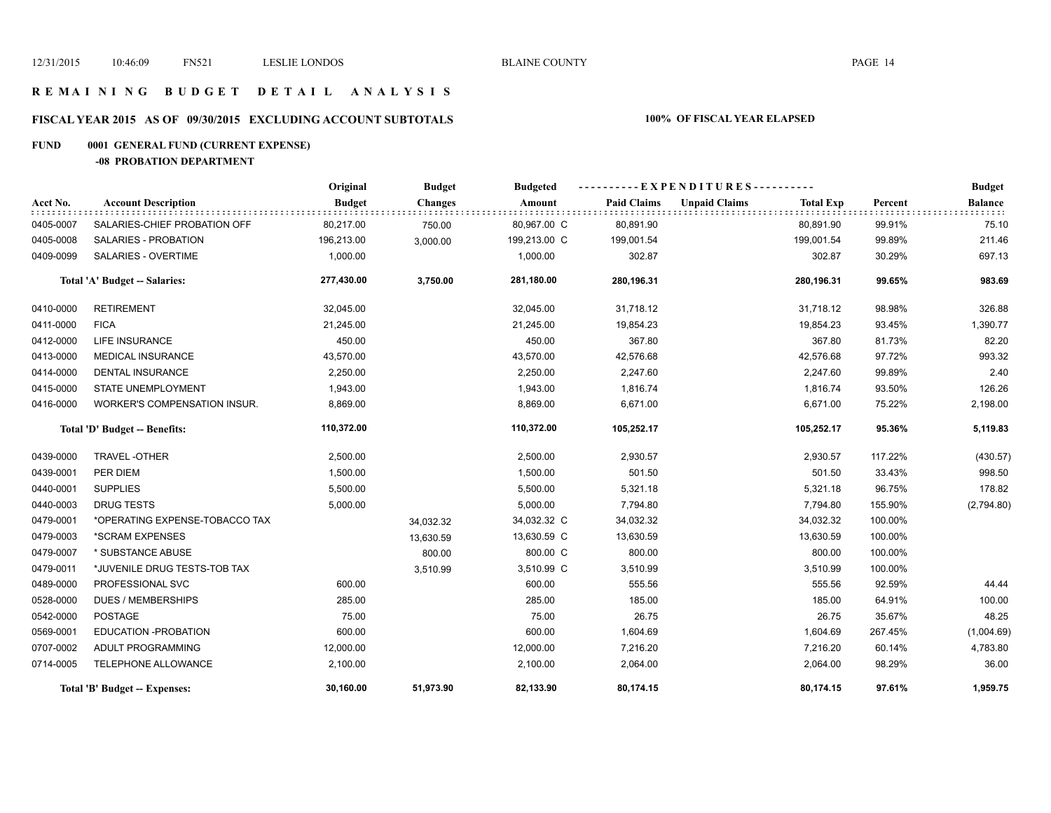### **R E M A I N I N G B U D G E T D E T A I L A N A L Y S I S**

# **FISCAL YEAR 2015 AS OF 09/30/2015 EXCLUDING ACCOUNT SUBTOTALS 100% OF FISCAL YEAR ELAPSED**

# **FUND 0001 GENERAL FUND (CURRENT EXPENSE)**

### **-08 PROBATION DEPARTMENT**

|                               |                                      | Original      | <b>Budget</b>  | <b>Budgeted</b> | ----------EXPENDITURES---------- |                      |                  |         | <b>Budget</b>  |
|-------------------------------|--------------------------------------|---------------|----------------|-----------------|----------------------------------|----------------------|------------------|---------|----------------|
| Acct No.                      | <b>Account Description</b>           | <b>Budget</b> | <b>Changes</b> | Amount          | <b>Paid Claims</b>               | <b>Unpaid Claims</b> | <b>Total Exp</b> | Percent | <b>Balance</b> |
| 0405-0007                     | SALARIES-CHIEF PROBATION OFF         | 80,217.00     | 750.00         | 80,967.00 C     | 80,891.90                        |                      | 80,891.90        | 99.91%  | 75.10          |
| 0405-0008                     | <b>SALARIES - PROBATION</b>          | 196,213.00    | 3,000.00       | 199,213.00 C    | 199,001.54                       |                      | 199,001.54       | 99.89%  | 211.46         |
| 0409-0099                     | <b>SALARIES - OVERTIME</b>           | 1,000.00      |                | 1,000.00        | 302.87                           |                      | 302.87           | 30.29%  | 697.13         |
|                               | <b>Total 'A' Budget -- Salaries:</b> | 277,430.00    | 3,750.00       | 281,180.00      | 280,196.31                       |                      | 280,196.31       | 99.65%  | 983.69         |
| 0410-0000                     | <b>RETIREMENT</b>                    | 32,045.00     |                | 32,045.00       | 31,718.12                        |                      | 31,718.12        | 98.98%  | 326.88         |
| 0411-0000                     | <b>FICA</b>                          | 21,245.00     |                | 21,245.00       | 19,854.23                        |                      | 19,854.23        | 93.45%  | 1,390.77       |
| 0412-0000                     | LIFE INSURANCE                       | 450.00        |                | 450.00          | 367.80                           |                      | 367.80           | 81.73%  | 82.20          |
| 0413-0000                     | <b>MEDICAL INSURANCE</b>             | 43,570.00     |                | 43,570.00       | 42,576.68                        |                      | 42,576.68        | 97.72%  | 993.32         |
| 0414-0000                     | <b>DENTAL INSURANCE</b>              | 2,250.00      |                | 2,250.00        | 2,247.60                         |                      | 2,247.60         | 99.89%  | 2.40           |
| 0415-0000                     | <b>STATE UNEMPLOYMENT</b>            | 1,943.00      |                | 1,943.00        | 1,816.74                         |                      | 1,816.74         | 93.50%  | 126.26         |
| 0416-0000                     | WORKER'S COMPENSATION INSUR.         | 8,869.00      |                | 8,869.00        | 6,671.00                         |                      | 6,671.00         | 75.22%  | 2,198.00       |
| Total 'D' Budget -- Benefits: |                                      | 110,372.00    |                | 110,372.00      | 105,252.17                       |                      | 105,252.17       | 95.36%  | 5,119.83       |
| 0439-0000                     | <b>TRAVEL-OTHER</b>                  | 2,500.00      |                | 2,500.00        | 2,930.57                         |                      | 2,930.57         | 117.22% | (430.57)       |
| 0439-0001                     | PER DIEM                             | 1,500.00      |                | 1,500.00        | 501.50                           |                      | 501.50           | 33.43%  | 998.50         |
| 0440-0001                     | <b>SUPPLIES</b>                      | 5,500.00      |                | 5,500.00        | 5,321.18                         |                      | 5,321.18         | 96.75%  | 178.82         |
| 0440-0003                     | <b>DRUG TESTS</b>                    | 5,000.00      |                | 5,000.00        | 7,794.80                         |                      | 7,794.80         | 155.90% | (2,794.80)     |
| 0479-0001                     | *OPERATING EXPENSE-TOBACCO TAX       |               | 34,032.32      | 34,032.32 C     | 34,032.32                        |                      | 34,032.32        | 100.00% |                |
| 0479-0003                     | *SCRAM EXPENSES                      |               | 13,630.59      | 13,630.59 C     | 13,630.59                        |                      | 13,630.59        | 100.00% |                |
| 0479-0007                     | * SUBSTANCE ABUSE                    |               | 800.00         | 800.00 C        | 800.00                           |                      | 800.00           | 100.00% |                |
| 0479-0011                     | *JUVENILE DRUG TESTS-TOB TAX         |               | 3,510.99       | 3,510.99 C      | 3,510.99                         |                      | 3,510.99         | 100.00% |                |
| 0489-0000                     | PROFESSIONAL SVC                     | 600.00        |                | 600.00          | 555.56                           |                      | 555.56           | 92.59%  | 44.44          |
| 0528-0000                     | <b>DUES / MEMBERSHIPS</b>            | 285.00        |                | 285.00          | 185.00                           |                      | 185.00           | 64.91%  | 100.00         |
| 0542-0000                     | <b>POSTAGE</b>                       | 75.00         |                | 75.00           | 26.75                            |                      | 26.75            | 35.67%  | 48.25          |
| 0569-0001                     | EDUCATION - PROBATION                | 600.00        |                | 600.00          | 1,604.69                         |                      | 1,604.69         | 267.45% | (1,004.69)     |
| 0707-0002                     | ADULT PROGRAMMING                    | 12,000.00     |                | 12,000.00       | 7,216.20                         |                      | 7,216.20         | 60.14%  | 4,783.80       |
| 0714-0005                     | TELEPHONE ALLOWANCE                  | 2,100.00      |                | 2,100.00        | 2,064.00                         |                      | 2,064.00         | 98.29%  | 36.00          |
|                               | Total 'B' Budget -- Expenses:        | 30,160.00     | 51,973.90      | 82,133.90       | 80,174.15                        |                      | 80,174.15        | 97.61%  | 1,959.75       |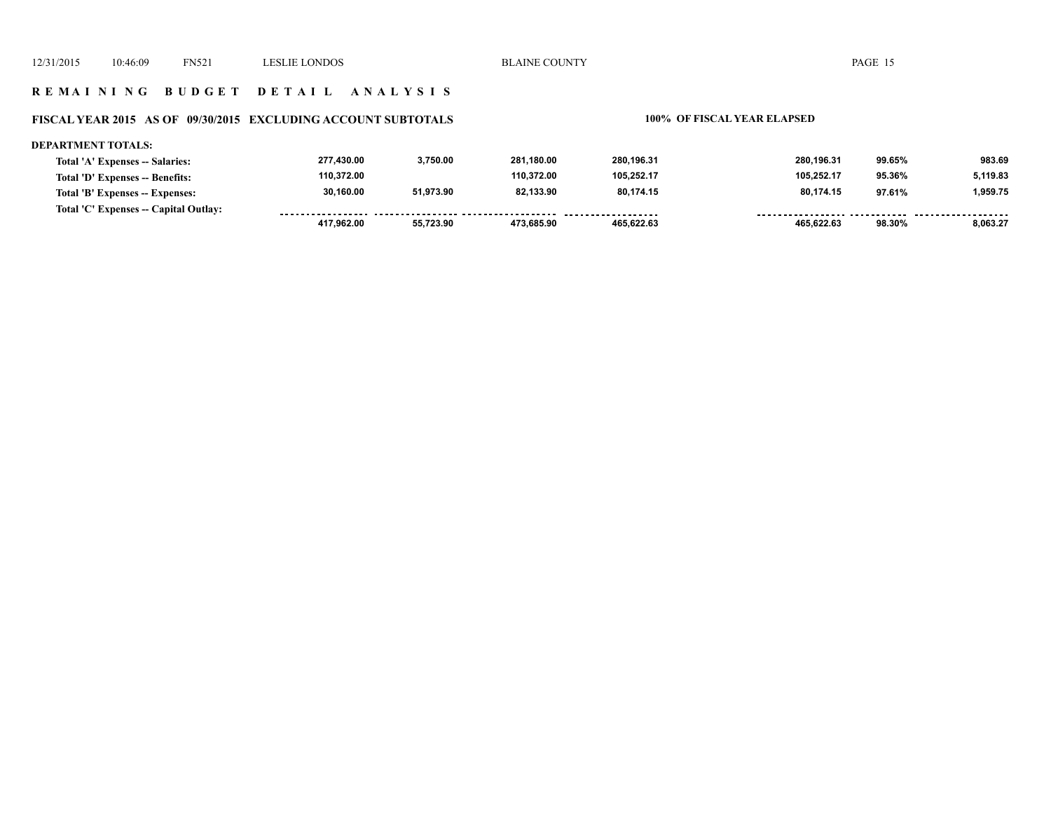### **R E M A I N I N G B U D G E T D E T A I L A N A L Y S I S**

### **FISCAL YEAR 2015 AS OF 09/30/2015 EXCLUDING ACCOUNT SUBTOTALS 100% OF FISCAL YEAR ELAPSED**

### **DEPARTMENT TOTALS: 277,430.00 3,750.00 281,180.00 280,196.31 280,196.31 99.65% 983.69 Total 'A' Expenses -- Salaries: 110,372.00 110,372.00 105,252.17 105,252.17 5,119.83 Total 'D' Expenses -- Benefits: 95.36% 30,160.00 51,973.90 82,133.90 80,174.15 80,174.15 1,959.75 Total 'B' Expenses -- Expenses: 97.61% Total 'C' Expenses -- Capital Outlay:** ------------------.................. .. . . . . . . . . . **. . . . . . . . . . . . . . .** . ------- -------- **417,962.00 55,723.90 473,685.90 465,622.63 465,622.63 98.30% 8,063.27**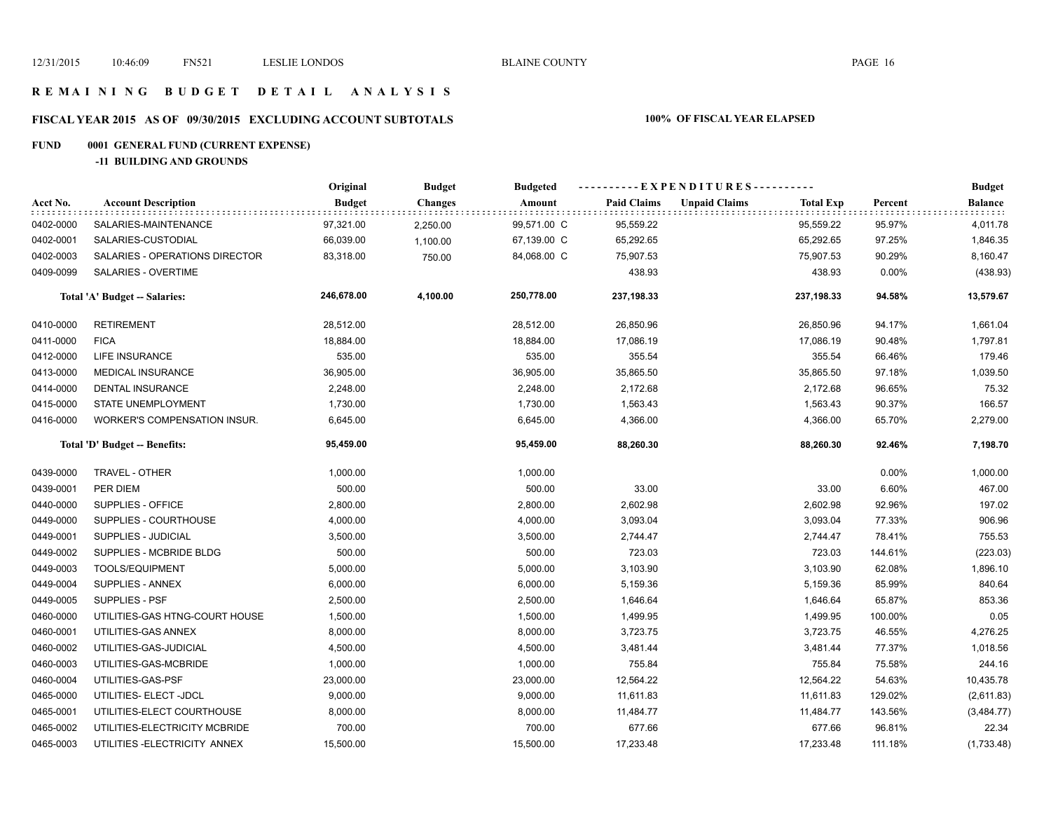### **R E M A I N I N G B U D G E T D E T A I L A N A L Y S I S**

# **FISCAL YEAR 2015 AS OF 09/30/2015 EXCLUDING ACCOUNT SUBTOTALS 100% OF FISCAL YEAR ELAPSED**

# **FUND 0001 GENERAL FUND (CURRENT EXPENSE)**

**-11 BUILDING AND GROUNDS**

|                               |                                     | Original      | <b>Budget</b><br><b>Changes</b> | <b>Budgeted</b> | ----------EXPENDITURES---------- |                      |                  |         | <b>Budget</b> |
|-------------------------------|-------------------------------------|---------------|---------------------------------|-----------------|----------------------------------|----------------------|------------------|---------|---------------|
| Acct No.                      | <b>Account Description</b>          | <b>Budget</b> |                                 | Amount          | <b>Paid Claims</b>               | <b>Unpaid Claims</b> | <b>Total Exp</b> | Percent | Balance       |
| 0402-0000                     | SALARIES-MAINTENANCE                | 97,321.00     | 2,250.00                        | 99,571.00 C     | 95,559.22                        |                      | 95,559.22        | 95.97%  | 4,011.78      |
| 0402-0001                     | SALARIES-CUSTODIAL                  | 66,039.00     | 1,100.00                        | 67,139.00 C     | 65,292.65                        |                      | 65,292.65        | 97.25%  | 1,846.35      |
| 0402-0003                     | SALARIES - OPERATIONS DIRECTOR      | 83,318.00     | 750.00                          | 84,068.00 C     | 75,907.53                        |                      | 75,907.53        | 90.29%  | 8,160.47      |
| 0409-0099                     | SALARIES - OVERTIME                 |               |                                 |                 | 438.93                           |                      | 438.93           | 0.00%   | (438.93)      |
|                               | Total 'A' Budget -- Salaries:       | 246,678.00    | 4,100.00                        | 250,778.00      | 237,198.33                       |                      | 237,198.33       | 94.58%  | 13,579.67     |
| 0410-0000                     | <b>RETIREMENT</b>                   | 28,512.00     |                                 | 28,512.00       | 26,850.96                        |                      | 26,850.96        | 94.17%  | 1,661.04      |
| 0411-0000                     | <b>FICA</b>                         | 18,884.00     |                                 | 18,884.00       | 17,086.19                        |                      | 17,086.19        | 90.48%  | 1,797.81      |
| 0412-0000                     | LIFE INSURANCE                      | 535.00        |                                 | 535.00          | 355.54                           |                      | 355.54           | 66.46%  | 179.46        |
| 0413-0000                     | MEDICAL INSURANCE                   | 36,905.00     |                                 | 36,905.00       | 35,865.50                        |                      | 35,865.50        | 97.18%  | 1,039.50      |
| 0414-0000                     | <b>DENTAL INSURANCE</b>             | 2,248.00      |                                 | 2,248.00        | 2,172.68                         |                      | 2,172.68         | 96.65%  | 75.32         |
| 0415-0000                     | STATE UNEMPLOYMENT                  | 1,730.00      |                                 | 1,730.00        | 1,563.43                         |                      | 1,563.43         | 90.37%  | 166.57        |
| 0416-0000                     | <b>WORKER'S COMPENSATION INSUR.</b> | 6,645.00      |                                 | 6,645.00        | 4,366.00                         |                      | 4,366.00         | 65.70%  | 2,279.00      |
| Total 'D' Budget -- Benefits: |                                     | 95,459.00     |                                 | 95,459.00       | 88,260.30                        |                      | 88,260.30        | 92.46%  | 7,198.70      |
| 0439-0000                     | TRAVEL - OTHER                      | 1,000.00      |                                 | 1,000.00        |                                  |                      |                  | 0.00%   | 1,000.00      |
| 0439-0001                     | PER DIEM                            | 500.00        |                                 | 500.00          | 33.00                            |                      | 33.00            | 6.60%   | 467.00        |
| 0440-0000                     | SUPPLIES - OFFICE                   | 2,800.00      |                                 | 2,800.00        | 2,602.98                         |                      | 2,602.98         | 92.96%  | 197.02        |
| 0449-0000                     | SUPPLIES - COURTHOUSE               | 4,000.00      |                                 | 4,000.00        | 3,093.04                         |                      | 3,093.04         | 77.33%  | 906.96        |
| 0449-0001                     | SUPPLIES - JUDICIAL                 | 3,500.00      |                                 | 3,500.00        | 2,744.47                         |                      | 2,744.47         | 78.41%  | 755.53        |
| 0449-0002                     | SUPPLIES - MCBRIDE BLDG             | 500.00        |                                 | 500.00          | 723.03                           |                      | 723.03           | 144.61% | (223.03)      |
| 0449-0003                     | TOOLS/EQUIPMENT                     | 5,000.00      |                                 | 5,000.00        | 3,103.90                         |                      | 3,103.90         | 62.08%  | 1,896.10      |
| 0449-0004                     | SUPPLIES - ANNEX                    | 6,000.00      |                                 | 6,000.00        | 5,159.36                         |                      | 5,159.36         | 85.99%  | 840.64        |
| 0449-0005                     | <b>SUPPLIES - PSF</b>               | 2,500.00      |                                 | 2,500.00        | 1,646.64                         |                      | 1,646.64         | 65.87%  | 853.36        |
| 0460-0000                     | UTILITIES-GAS HTNG-COURT HOUSE      | 1,500.00      |                                 | 1,500.00        | 1,499.95                         |                      | 1,499.95         | 100.00% | 0.05          |
| 0460-0001                     | UTILITIES-GAS ANNEX                 | 8,000.00      |                                 | 8,000.00        | 3,723.75                         |                      | 3,723.75         | 46.55%  | 4,276.25      |
| 0460-0002                     | UTILITIES-GAS-JUDICIAL              | 4,500.00      |                                 | 4,500.00        | 3,481.44                         |                      | 3,481.44         | 77.37%  | 1,018.56      |
| 0460-0003                     | UTILITIES-GAS-MCBRIDE               | 1,000.00      |                                 | 1,000.00        | 755.84                           |                      | 755.84           | 75.58%  | 244.16        |
| 0460-0004                     | UTILITIES-GAS-PSF                   | 23,000.00     |                                 | 23,000.00       | 12,564.22                        |                      | 12,564.22        | 54.63%  | 10,435.78     |
| 0465-0000                     | UTILITIES- ELECT -JDCL              | 9,000.00      |                                 | 9,000.00        | 11,611.83                        |                      | 11,611.83        | 129.02% | (2,611.83)    |
| 0465-0001                     | UTILITIES-ELECT COURTHOUSE          | 8,000.00      |                                 | 8,000.00        | 11,484.77                        |                      | 11,484.77        | 143.56% | (3,484.77)    |
| 0465-0002                     | UTILITIES-ELECTRICITY MCBRIDE       | 700.00        |                                 | 700.00          | 677.66                           |                      | 677.66           | 96.81%  | 22.34         |
| 0465-0003                     | UTILITIES - ELECTRICITY ANNEX       | 15,500.00     |                                 | 15,500.00       | 17,233.48                        |                      | 17,233.48        | 111.18% | (1,733.48)    |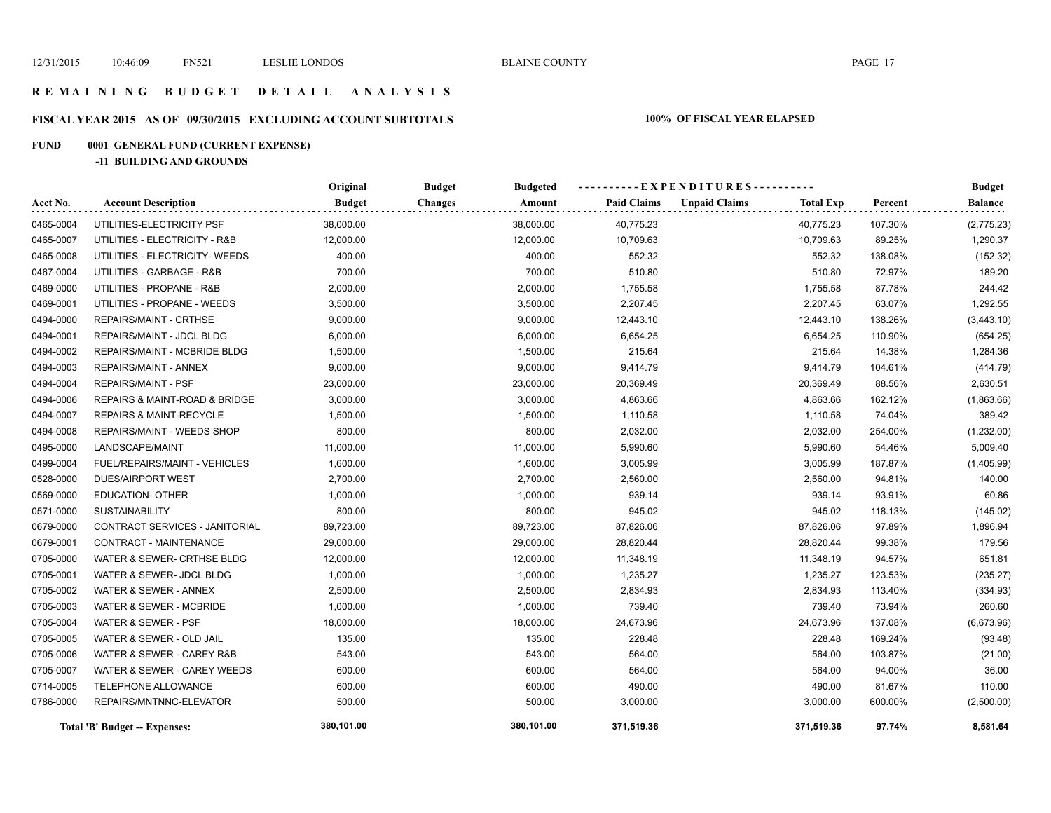### **R E M A I N I N G B U D G E T D E T A I L A N A L Y S I S**

# **FISCAL YEAR 2015 AS OF 09/30/2015 EXCLUDING ACCOUNT SUBTOTALS 100% OF FISCAL YEAR ELAPSED**

# **FUND 0001 GENERAL FUND (CURRENT EXPENSE)**

**-11 BUILDING AND GROUNDS**

|           |                                    | Original      | <b>Budget</b><br><b>Budgeted</b> |                    |                                          |         | <b>Budget</b>  |
|-----------|------------------------------------|---------------|----------------------------------|--------------------|------------------------------------------|---------|----------------|
| Acct No.  | <b>Account Description</b>         | <b>Budget</b> | <b>Changes</b><br>Amount         | <b>Paid Claims</b> | <b>Unpaid Claims</b><br><b>Total Exp</b> | Percent | <b>Balance</b> |
| 0465-0004 | UTILITIES-ELECTRICITY PSF          | 38,000.00     | 38,000.00                        | 40,775.23          | 40,775.23                                | 107.30% | (2,775.23)     |
| 0465-0007 | UTILITIES - ELECTRICITY - R&B      | 12,000.00     | 12,000.00                        | 10,709.63          | 10,709.63                                | 89.25%  | 1,290.37       |
| 0465-0008 | UTILITIES - ELECTRICITY- WEEDS     | 400.00        | 400.00                           | 552.32             | 552.32                                   | 138.08% | (152.32)       |
| 0467-0004 | UTILITIES - GARBAGE - R&B          | 700.00        | 700.00                           | 510.80             | 510.80                                   | 72.97%  | 189.20         |
| 0469-0000 | UTILITIES - PROPANE - R&B          | 2,000.00      | 2,000.00                         | 1,755.58           | 1,755.58                                 | 87.78%  | 244.42         |
| 0469-0001 | UTILITIES - PROPANE - WEEDS        | 3,500.00      | 3,500.00                         | 2,207.45           | 2,207.45                                 | 63.07%  | 1,292.55       |
| 0494-0000 | <b>REPAIRS/MAINT - CRTHSE</b>      | 9,000.00      | 9,000.00                         | 12,443.10          | 12,443.10                                | 138.26% | (3,443.10)     |
| 0494-0001 | REPAIRS/MAINT - JDCL BLDG          | 6,000.00      | 6,000.00                         | 6,654.25           | 6,654.25                                 | 110.90% | (654.25)       |
| 0494-0002 | REPAIRS/MAINT - MCBRIDE BLDG       | 1,500.00      | 1,500.00                         | 215.64             | 215.64                                   | 14.38%  | 1,284.36       |
| 0494-0003 | REPAIRS/MAINT - ANNEX              | 9,000.00      | 9,000.00                         | 9,414.79           | 9,414.79                                 | 104.61% | (414.79)       |
| 0494-0004 | <b>REPAIRS/MAINT - PSF</b>         | 23,000.00     | 23,000.00                        | 20,369.49          | 20,369.49                                | 88.56%  | 2,630.51       |
| 0494-0006 | REPAIRS & MAINT-ROAD & BRIDGE      | 3,000.00      | 3,000.00                         | 4,863.66           | 4,863.66                                 | 162.12% | (1,863.66)     |
| 0494-0007 | <b>REPAIRS &amp; MAINT-RECYCLE</b> | 1,500.00      | 1,500.00                         | 1,110.58           | 1,110.58                                 | 74.04%  | 389.42         |
| 0494-0008 | REPAIRS/MAINT - WEEDS SHOP         | 800.00        | 800.00                           | 2,032.00           | 2,032.00                                 | 254.00% | (1,232.00)     |
| 0495-0000 | LANDSCAPE/MAINT                    | 11,000.00     | 11,000.00                        | 5,990.60           | 5,990.60                                 | 54.46%  | 5,009.40       |
| 0499-0004 | FUEL/REPAIRS/MAINT - VEHICLES      | 1,600.00      | 1,600.00                         | 3,005.99           | 3,005.99                                 | 187.87% | (1,405.99)     |
| 0528-0000 | <b>DUES/AIRPORT WEST</b>           | 2,700.00      | 2,700.00                         | 2,560.00           | 2,560.00                                 | 94.81%  | 140.00         |
| 0569-0000 | <b>EDUCATION- OTHER</b>            | 1,000.00      | 1,000.00                         | 939.14             | 939.14                                   | 93.91%  | 60.86          |
| 0571-0000 | <b>SUSTAINABILITY</b>              | 800.00        | 800.00                           | 945.02             | 945.02                                   | 118.13% | (145.02)       |
| 0679-0000 | CONTRACT SERVICES - JANITORIAL     | 89,723.00     | 89,723.00                        | 87,826.06          | 87,826.06                                | 97.89%  | 1,896.94       |
| 0679-0001 | CONTRACT - MAINTENANCE             | 29,000.00     | 29,000.00                        | 28,820.44          | 28,820.44                                | 99.38%  | 179.56         |
| 0705-0000 | WATER & SEWER- CRTHSE BLDG         | 12,000.00     | 12,000.00                        | 11,348.19          | 11,348.19                                | 94.57%  | 651.81         |
| 0705-0001 | WATER & SEWER- JDCL BLDG           | 1,000.00      | 1,000.00                         | 1,235.27           | 1,235.27                                 | 123.53% | (235.27)       |
| 0705-0002 | WATER & SEWER - ANNEX              | 2,500.00      | 2,500.00                         | 2,834.93           | 2,834.93                                 | 113.40% | (334.93)       |
| 0705-0003 | WATER & SEWER - MCBRIDE            | 1,000.00      | 1,000.00                         | 739.40             | 739.40                                   | 73.94%  | 260.60         |
| 0705-0004 | WATER & SEWER - PSF                | 18,000.00     | 18,000.00                        | 24,673.96          | 24,673.96                                | 137.08% | (6,673.96)     |
| 0705-0005 | WATER & SEWER - OLD JAIL           | 135.00        | 135.00                           | 228.48             | 228.48                                   | 169.24% | (93.48)        |
| 0705-0006 | WATER & SEWER - CAREY R&B          | 543.00        | 543.00                           | 564.00             | 564.00                                   | 103.87% | (21.00)        |
| 0705-0007 | WATER & SEWER - CAREY WEEDS        | 600.00        | 600.00                           | 564.00             | 564.00                                   | 94.00%  | 36.00          |
| 0714-0005 | TELEPHONE ALLOWANCE                | 600.00        | 600.00                           | 490.00             | 490.00                                   | 81.67%  | 110.00         |
| 0786-0000 | REPAIRS/MNTNNC-ELEVATOR            | 500.00        | 500.00                           | 3,000.00           | 3,000.00                                 | 600.00% | (2,500.00)     |
|           | Total 'B' Budget -- Expenses:      | 380,101.00    | 380,101.00                       | 371,519.36         | 371,519.36                               | 97.74%  | 8,581.64       |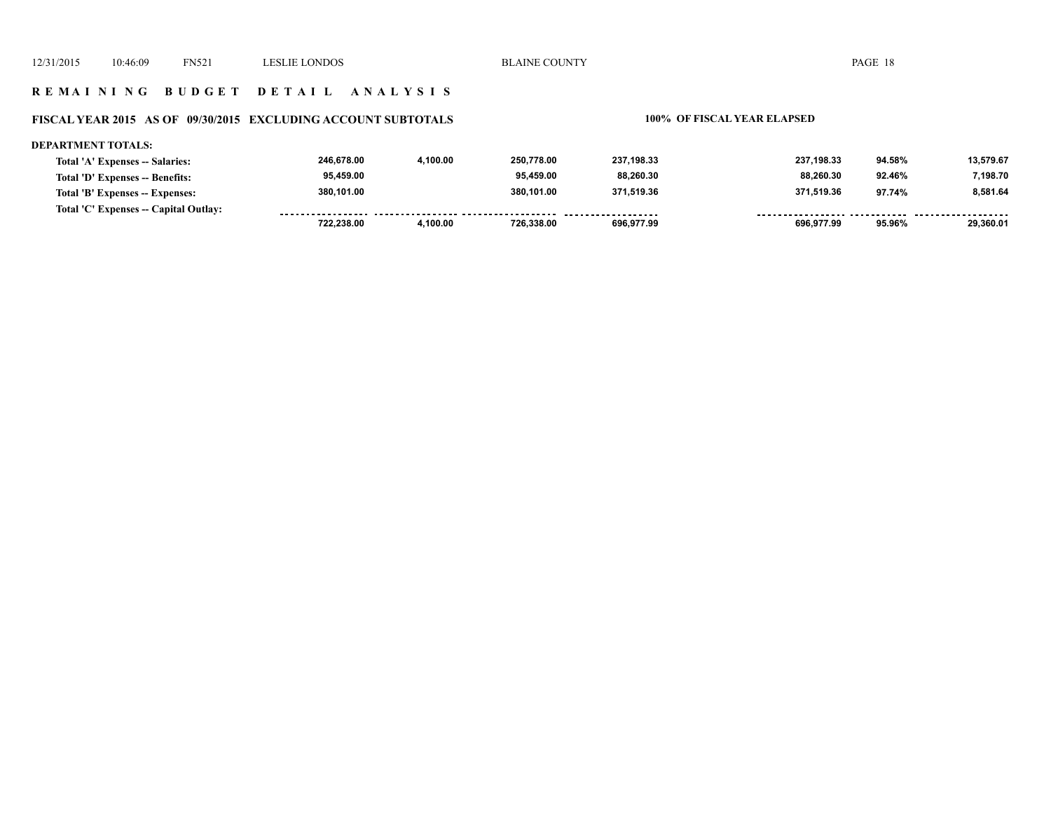### **R E M A I N I N G B U D G E T D E T A I L A N A L Y S I S**

# **FISCAL YEAR 2015 AS OF 09/30/2015 EXCLUDING ACCOUNT SUBTOTALS 100% OF FISCAL YEAR ELAPSED**

| DEPARTMENT TOTALS:                    |            |          |            |            |            |        |           |
|---------------------------------------|------------|----------|------------|------------|------------|--------|-----------|
| Total 'A' Expenses -- Salaries:       | 246.678.00 | 4.100.00 | 250.778.00 | 237.198.33 | 237.198.33 | 94.58% | 13.579.67 |
| Total 'D' Expenses -- Benefits:       | 95,459.00  |          | 95.459.00  | 88,260.30  | 88.260.30  | 92.46% | 7,198.70  |
| Total 'B' Expenses -- Expenses:       | 380.101.00 |          | 380.101.00 | 371.519.36 | 371.519.36 | 97.74% | 8.581.64  |
| Total 'C' Expenses -- Capital Outlay: |            |          |            |            |            |        |           |
|                                       | 722.238.00 | 4.100.00 | 726.338.00 | 696.977.99 | 696.977.99 | 95.96% | 29,360.01 |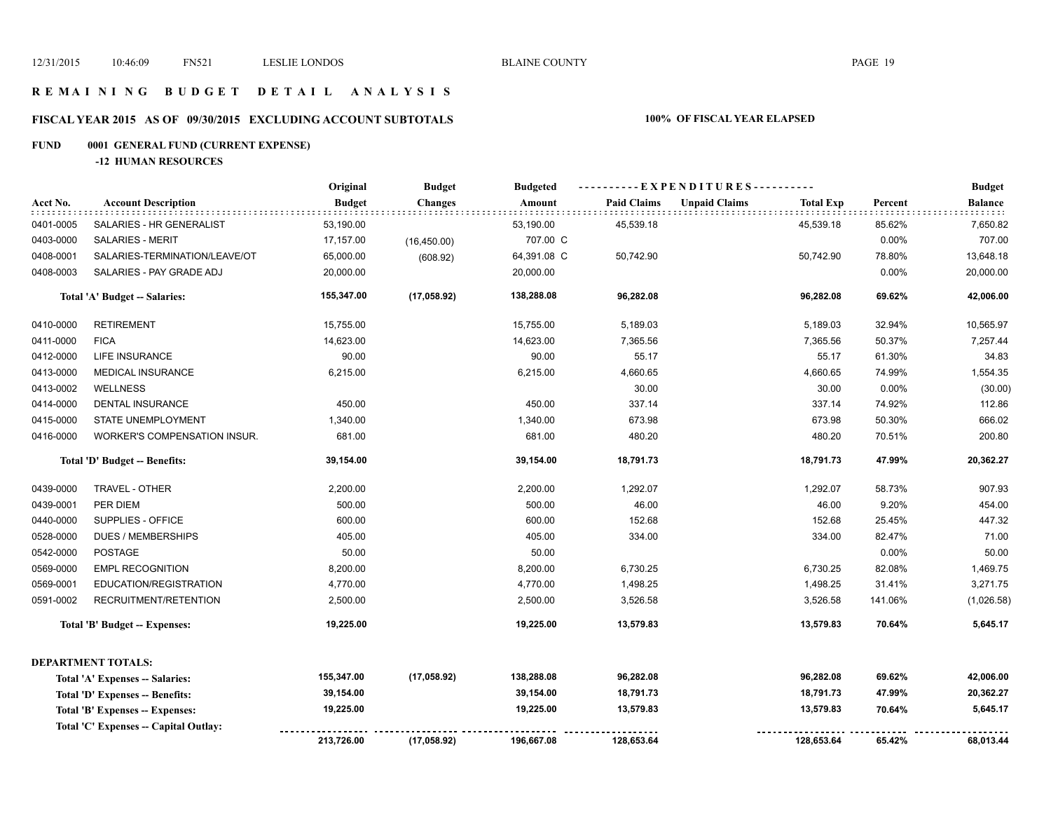### **R E M A I N I N G B U D G E T D E T A I L A N A L Y S I S**

# **FISCAL YEAR 2015 AS OF 09/30/2015 EXCLUDING ACCOUNT SUBTOTALS 100% OF FISCAL YEAR ELAPSED**

# **FUND 0001 GENERAL FUND (CURRENT EXPENSE)**

**-12 HUMAN RESOURCES**

|           |                                       | Original      | <b>Budget</b>  | <b>Budgeted</b> | ----------EXPENDITURES---------- |                      |                  |         | <b>Budget</b> |
|-----------|---------------------------------------|---------------|----------------|-----------------|----------------------------------|----------------------|------------------|---------|---------------|
| Acct No.  | <b>Account Description</b>            | <b>Budget</b> | <b>Changes</b> | Amount          | <b>Paid Claims</b>               | <b>Unpaid Claims</b> | <b>Total Exp</b> | Percent | Balance       |
| 0401-0005 | SALARIES - HR GENERALIST              | 53,190.00     |                | 53,190.00       | 45,539.18                        |                      | 45,539.18        | 85.62%  | 7,650.82      |
| 0403-0000 | <b>SALARIES - MERIT</b>               | 17,157.00     | (16, 450.00)   | 707.00 C        |                                  |                      |                  | 0.00%   | 707.00        |
| 0408-0001 | SALARIES-TERMINATION/LEAVE/OT         | 65,000.00     | (608.92)       | 64,391.08 C     | 50,742.90                        |                      | 50,742.90        | 78.80%  | 13,648.18     |
| 0408-0003 | SALARIES - PAY GRADE ADJ              | 20,000.00     |                | 20,000.00       |                                  |                      |                  | 0.00%   | 20,000.00     |
|           | Total 'A' Budget -- Salaries:         | 155,347.00    | (17,058.92)    | 138,288.08      | 96,282.08                        |                      | 96,282.08        | 69.62%  | 42,006.00     |
| 0410-0000 | <b>RETIREMENT</b>                     | 15,755.00     |                | 15,755.00       | 5,189.03                         |                      | 5,189.03         | 32.94%  | 10,565.97     |
| 0411-0000 | <b>FICA</b>                           | 14,623.00     |                | 14,623.00       | 7,365.56                         |                      | 7,365.56         | 50.37%  | 7,257.44      |
| 0412-0000 | LIFE INSURANCE                        | 90.00         |                | 90.00           | 55.17                            |                      | 55.17            | 61.30%  | 34.83         |
| 0413-0000 | MEDICAL INSURANCE                     | 6,215.00      |                | 6,215.00        | 4,660.65                         |                      | 4,660.65         | 74.99%  | 1,554.35      |
| 0413-0002 | <b>WELLNESS</b>                       |               |                |                 | 30.00                            |                      | 30.00            | 0.00%   | (30.00)       |
| 0414-0000 | DENTAL INSURANCE                      | 450.00        |                | 450.00          | 337.14                           |                      | 337.14           | 74.92%  | 112.86        |
| 0415-0000 | STATE UNEMPLOYMENT                    | 1,340.00      |                | 1,340.00        | 673.98                           |                      | 673.98           | 50.30%  | 666.02        |
| 0416-0000 | WORKER'S COMPENSATION INSUR.          | 681.00        |                | 681.00          | 480.20                           |                      | 480.20           | 70.51%  | 200.80        |
|           | Total 'D' Budget -- Benefits:         | 39,154.00     |                | 39,154.00       | 18,791.73                        |                      | 18,791.73        | 47.99%  | 20,362.27     |
| 0439-0000 | TRAVEL - OTHER                        | 2,200.00      |                | 2,200.00        | 1,292.07                         |                      | 1,292.07         | 58.73%  | 907.93        |
| 0439-0001 | PER DIEM                              | 500.00        |                | 500.00          | 46.00                            |                      | 46.00            | 9.20%   | 454.00        |
| 0440-0000 | SUPPLIES - OFFICE                     | 600.00        |                | 600.00          | 152.68                           |                      | 152.68           | 25.45%  | 447.32        |
| 0528-0000 | <b>DUES / MEMBERSHIPS</b>             | 405.00        |                | 405.00          | 334.00                           |                      | 334.00           | 82.47%  | 71.00         |
| 0542-0000 | <b>POSTAGE</b>                        | 50.00         |                | 50.00           |                                  |                      |                  | 0.00%   | 50.00         |
| 0569-0000 | <b>EMPL RECOGNITION</b>               | 8,200.00      |                | 8,200.00        | 6,730.25                         |                      | 6,730.25         | 82.08%  | 1,469.75      |
| 0569-0001 | EDUCATION/REGISTRATION                | 4,770.00      |                | 4,770.00        | 1,498.25                         |                      | 1,498.25         | 31.41%  | 3,271.75      |
| 0591-0002 | RECRUITMENT/RETENTION                 | 2,500.00      |                | 2,500.00        | 3,526.58                         |                      | 3,526.58         | 141.06% | (1,026.58)    |
|           | Total 'B' Budget -- Expenses:         | 19,225.00     |                | 19,225.00       | 13,579.83                        |                      | 13,579.83        | 70.64%  | 5,645.17      |
|           | <b>DEPARTMENT TOTALS:</b>             |               |                |                 |                                  |                      |                  |         |               |
|           | Total 'A' Expenses -- Salaries:       | 155,347.00    | (17,058.92)    | 138,288.08      | 96,282.08                        |                      | 96,282.08        | 69.62%  | 42,006.00     |
|           | Total 'D' Expenses -- Benefits:       | 39,154.00     |                | 39,154.00       | 18,791.73                        |                      | 18,791.73        | 47.99%  | 20,362.27     |
|           | Total 'B' Expenses -- Expenses:       | 19,225.00     |                | 19,225.00       | 13,579.83                        |                      | 13,579.83        | 70.64%  | 5,645.17      |
|           | Total 'C' Expenses -- Capital Outlay: |               |                |                 |                                  |                      |                  |         |               |
|           |                                       | 213,726.00    | (17,058.92)    | 196,667.08      | 128,653.64                       |                      | 128,653.64       | 65.42%  | 68,013.44     |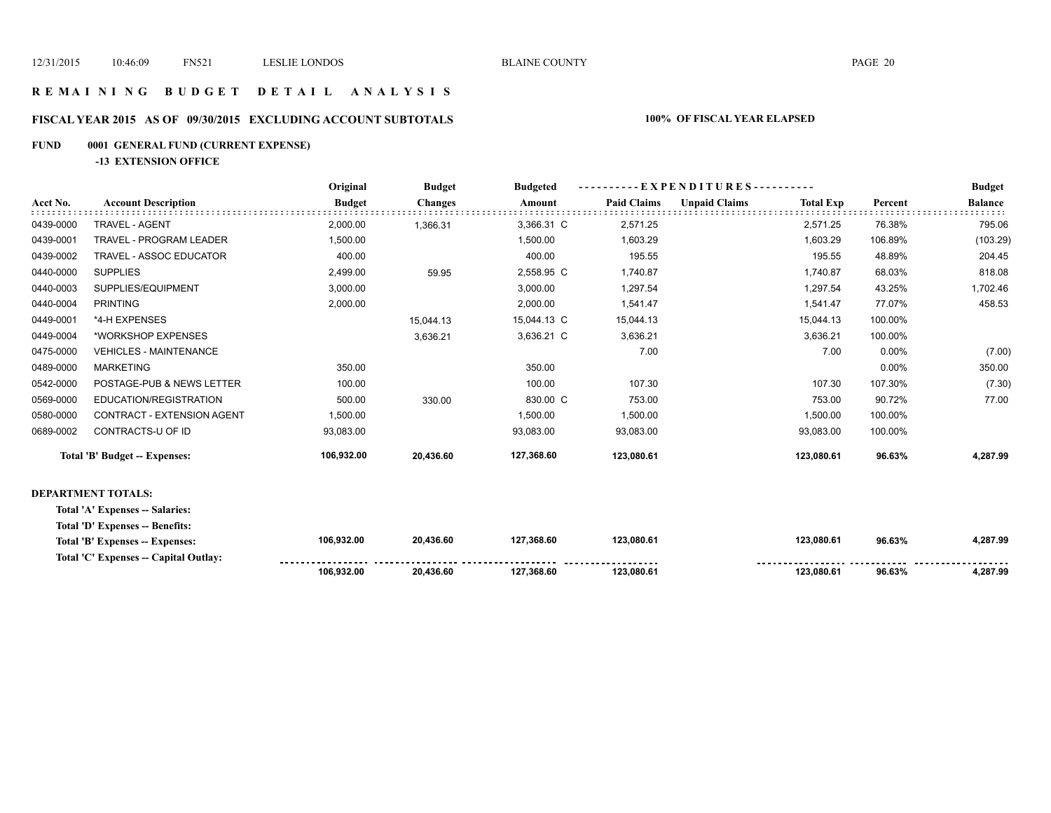**123,080.61 123,080.61 96.63% 4,287.99** 

### **R E M A I N I N G B U D G E T D E T A I L A N A L Y S I S**

### **FISCAL YEAR 2015 AS OF 09/30/2015 EXCLUDING ACCOUNT SUBTOTALS 100% OF FISCAL YEAR ELAPSED**

### **FUND 0001 GENERAL FUND (CURRENT EXPENSE)**

**-13 EXTENSION OFFICE**

**Total 'C' Expenses -- Capital Outlay:**

|           |                                 | Original      | <b>Budget</b>  | <b>Budgeted</b> |                    |                      |                  |         | <b>Budget</b>  |
|-----------|---------------------------------|---------------|----------------|-----------------|--------------------|----------------------|------------------|---------|----------------|
| Acct No.  | <b>Account Description</b>      | <b>Budget</b> | <b>Changes</b> | Amount          | <b>Paid Claims</b> | <b>Unpaid Claims</b> | <b>Total Exp</b> | Percent | <b>Balance</b> |
| 0439-0000 | <b>TRAVEL - AGENT</b>           | 2,000.00      | 1,366.31       | 3,366.31 C      | 2,571.25           |                      | 2,571.25         | 76.38%  | 795.06         |
| 0439-0001 | <b>TRAVEL - PROGRAM LEADER</b>  | 1,500.00      |                | 1,500.00        | 1,603.29           |                      | 1,603.29         | 106.89% | (103.29)       |
| 0439-0002 | TRAVEL - ASSOC EDUCATOR         | 400.00        |                | 400.00          | 195.55             |                      | 195.55           | 48.89%  | 204.45         |
| 0440-0000 | <b>SUPPLIES</b>                 | 2,499.00      | 59.95          | 2,558.95 C      | 1,740.87           |                      | 1,740.87         | 68.03%  | 818.08         |
| 0440-0003 | SUPPLIES/EQUIPMENT              | 3,000.00      |                | 3,000.00        | 1,297.54           |                      | 1,297.54         | 43.25%  | 1,702.46       |
| 0440-0004 | <b>PRINTING</b>                 | 2,000.00      |                | 2,000.00        | 1,541.47           |                      | 1,541.47         | 77.07%  | 458.53         |
| 0449-0001 | *4-H EXPENSES                   |               | 15,044.13      | 15,044.13 C     | 15,044.13          |                      | 15,044.13        | 100.00% |                |
| 0449-0004 | *WORKSHOP EXPENSES              |               | 3,636.21       | 3,636.21 C      | 3,636.21           |                      | 3,636.21         | 100.00% |                |
| 0475-0000 | <b>VEHICLES - MAINTENANCE</b>   |               |                |                 | 7.00               |                      | 7.00             | 0.00%   | (7.00)         |
| 0489-0000 | <b>MARKETING</b>                | 350.00        |                | 350.00          |                    |                      |                  | 0.00%   | 350.00         |
| 0542-0000 | POSTAGE-PUB & NEWS LETTER       | 100.00        |                | 100.00          | 107.30             |                      | 107.30           | 107.30% | (7.30)         |
| 0569-0000 | EDUCATION/REGISTRATION          | 500.00        | 330.00         | 830.00 C        | 753.00             |                      | 753.00           | 90.72%  | 77.00          |
| 0580-0000 | CONTRACT - EXTENSION AGENT      | 1,500.00      |                | 1,500.00        | 1,500.00           |                      | 1,500.00         | 100.00% |                |
| 0689-0002 | CONTRACTS-U OF ID               | 93,083.00     |                | 93,083.00       | 93,083.00          |                      | 93,083.00        | 100.00% |                |
|           | Total 'B' Budget -- Expenses:   | 106,932.00    | 20,436.60      | 127,368.60      | 123,080.61         |                      | 123,080.61       | 96.63%  | 4,287.99       |
|           | <b>DEPARTMENT TOTALS:</b>       |               |                |                 |                    |                      |                  |         |                |
|           | Total 'A' Expenses -- Salaries: |               |                |                 |                    |                      |                  |         |                |
|           | Total 'D' Expenses -- Benefits: |               |                |                 |                    |                      |                  |         |                |
|           | Total 'B' Expenses -- Expenses: | 106,932.00    | 20,436.60      | 127,368.60      | 123,080.61         |                      | 123,080.61       | 96.63%  | 4,287.99       |

 **127,368.60**

 **20,436.60** 

 **106,932.00**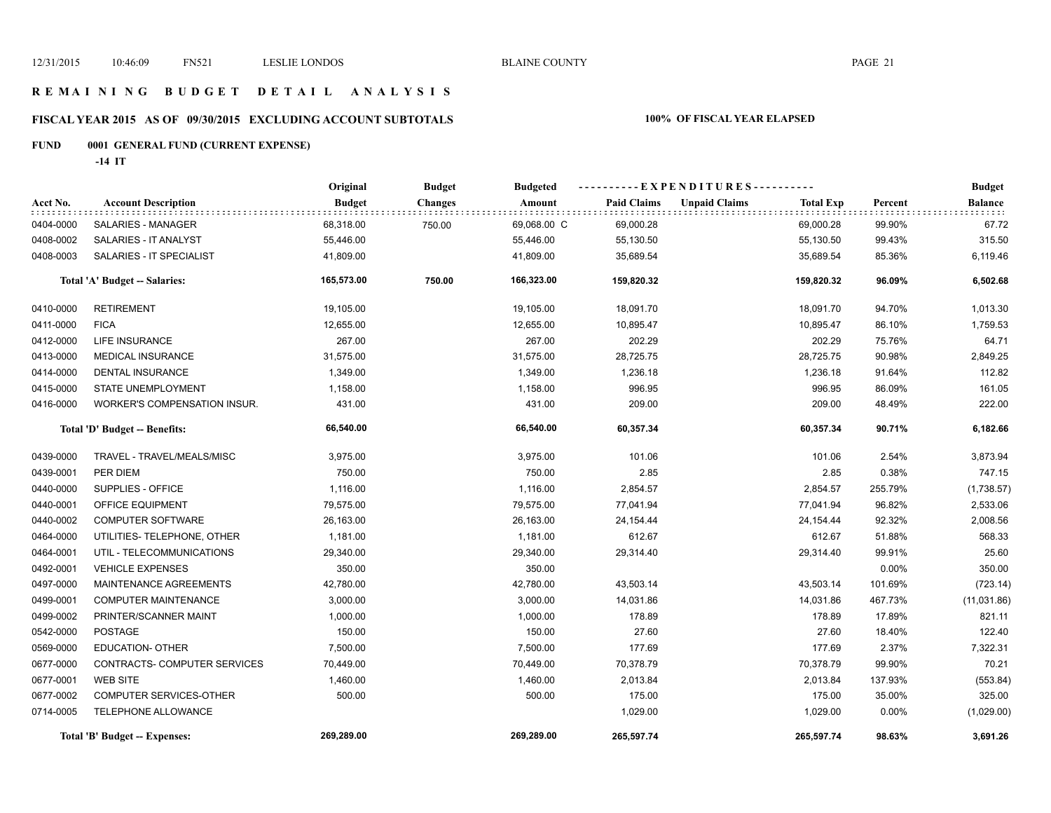### **R E M A I N I N G B U D G E T D E T A I L A N A L Y S I S**

# **FISCAL YEAR 2015 AS OF 09/30/2015 EXCLUDING ACCOUNT SUBTOTALS 100% OF FISCAL YEAR ELAPSED**

# **FUND 0001 GENERAL FUND (CURRENT EXPENSE)**

**-14 IT**

|           |                               | Original      | <b>Budget</b>  | <b>Budgeted</b> | ----------EXPENDITURES---------- |                      |                  | <b>Budget</b> |                |
|-----------|-------------------------------|---------------|----------------|-----------------|----------------------------------|----------------------|------------------|---------------|----------------|
| Acct No.  | <b>Account Description</b>    | <b>Budget</b> | <b>Changes</b> | Amount          | <b>Paid Claims</b>               | <b>Unpaid Claims</b> | <b>Total Exp</b> | Percent       | <b>Balance</b> |
| 0404-0000 | SALARIES - MANAGER            | 68,318.00     | 750.00         | 69,068.00 C     | 69,000.28                        |                      | 69,000.28        | 99.90%        | 67.72          |
| 0408-0002 | SALARIES - IT ANALYST         | 55,446.00     |                | 55,446.00       | 55,130.50                        |                      | 55,130.50        | 99.43%        | 315.50         |
| 0408-0003 | SALARIES - IT SPECIALIST      | 41,809.00     |                | 41,809.00       | 35,689.54                        |                      | 35,689.54        | 85.36%        | 6,119.46       |
|           | Total 'A' Budget -- Salaries: | 165,573.00    | 750.00         | 166,323.00      | 159,820.32                       |                      | 159,820.32       | 96.09%        | 6,502.68       |
| 0410-0000 | <b>RETIREMENT</b>             | 19,105.00     |                | 19,105.00       | 18,091.70                        |                      | 18,091.70        | 94.70%        | 1,013.30       |
| 0411-0000 | <b>FICA</b>                   | 12,655.00     |                | 12,655.00       | 10,895.47                        |                      | 10,895.47        | 86.10%        | 1,759.53       |
| 0412-0000 | <b>LIFE INSURANCE</b>         | 267.00        |                | 267.00          | 202.29                           |                      | 202.29           | 75.76%        | 64.71          |
| 0413-0000 | <b>MEDICAL INSURANCE</b>      | 31,575.00     |                | 31,575.00       | 28,725.75                        |                      | 28,725.75        | 90.98%        | 2,849.25       |
| 0414-0000 | <b>DENTAL INSURANCE</b>       | 1,349.00      |                | 1,349.00        | 1,236.18                         |                      | 1,236.18         | 91.64%        | 112.82         |
| 0415-0000 | STATE UNEMPLOYMENT            | 1,158.00      |                | 1,158.00        | 996.95                           |                      | 996.95           | 86.09%        | 161.05         |
| 0416-0000 | WORKER'S COMPENSATION INSUR.  | 431.00        |                | 431.00          | 209.00                           |                      | 209.00           | 48.49%        | 222.00         |
|           | Total 'D' Budget -- Benefits: | 66,540.00     |                | 66,540.00       | 60,357.34                        |                      | 60,357.34        | 90.71%        | 6,182.66       |
| 0439-0000 | TRAVEL - TRAVEL/MEALS/MISC    | 3,975.00      |                | 3,975.00        | 101.06                           |                      | 101.06           | 2.54%         | 3,873.94       |
| 0439-0001 | PER DIEM                      | 750.00        |                | 750.00          | 2.85                             |                      | 2.85             | 0.38%         | 747.15         |
| 0440-0000 | SUPPLIES - OFFICE             | 1,116.00      |                | 1,116.00        | 2,854.57                         |                      | 2,854.57         | 255.79%       | (1,738.57)     |
| 0440-0001 | OFFICE EQUIPMENT              | 79,575.00     |                | 79,575.00       | 77,041.94                        |                      | 77,041.94        | 96.82%        | 2,533.06       |
| 0440-0002 | <b>COMPUTER SOFTWARE</b>      | 26,163.00     |                | 26,163.00       | 24,154.44                        |                      | 24, 154. 44      | 92.32%        | 2,008.56       |
| 0464-0000 | UTILITIES- TELEPHONE, OTHER   | 1,181.00      |                | 1,181.00        | 612.67                           |                      | 612.67           | 51.88%        | 568.33         |
| 0464-0001 | UTIL - TELECOMMUNICATIONS     | 29,340.00     |                | 29,340.00       | 29,314.40                        |                      | 29,314.40        | 99.91%        | 25.60          |
| 0492-0001 | <b>VEHICLE EXPENSES</b>       | 350.00        |                | 350.00          |                                  |                      |                  | 0.00%         | 350.00         |
| 0497-0000 | MAINTENANCE AGREEMENTS        | 42,780.00     |                | 42,780.00       | 43,503.14                        |                      | 43,503.14        | 101.69%       | (723.14)       |
| 0499-0001 | <b>COMPUTER MAINTENANCE</b>   | 3,000.00      |                | 3,000.00        | 14,031.86                        |                      | 14,031.86        | 467.73%       | (11,031.86)    |
| 0499-0002 | PRINTER/SCANNER MAINT         | 1,000.00      |                | 1,000.00        | 178.89                           |                      | 178.89           | 17.89%        | 821.11         |
| 0542-0000 | <b>POSTAGE</b>                | 150.00        |                | 150.00          | 27.60                            |                      | 27.60            | 18.40%        | 122.40         |
| 0569-0000 | <b>EDUCATION- OTHER</b>       | 7,500.00      |                | 7,500.00        | 177.69                           |                      | 177.69           | 2.37%         | 7,322.31       |
| 0677-0000 | CONTRACTS- COMPUTER SERVICES  | 70,449.00     |                | 70,449.00       | 70,378.79                        |                      | 70,378.79        | 99.90%        | 70.21          |
| 0677-0001 | <b>WEB SITE</b>               | 1,460.00      |                | 1,460.00        | 2,013.84                         |                      | 2,013.84         | 137.93%       | (553.84)       |
| 0677-0002 | COMPUTER SERVICES-OTHER       | 500.00        |                | 500.00          | 175.00                           |                      | 175.00           | 35.00%        | 325.00         |
| 0714-0005 | <b>TELEPHONE ALLOWANCE</b>    |               |                |                 | 1,029.00                         |                      | 1,029.00         | $0.00\%$      | (1,029.00)     |
|           | Total 'B' Budget -- Expenses: | 269,289.00    |                | 269,289.00      | 265,597.74                       |                      | 265,597.74       | 98.63%        | 3,691.26       |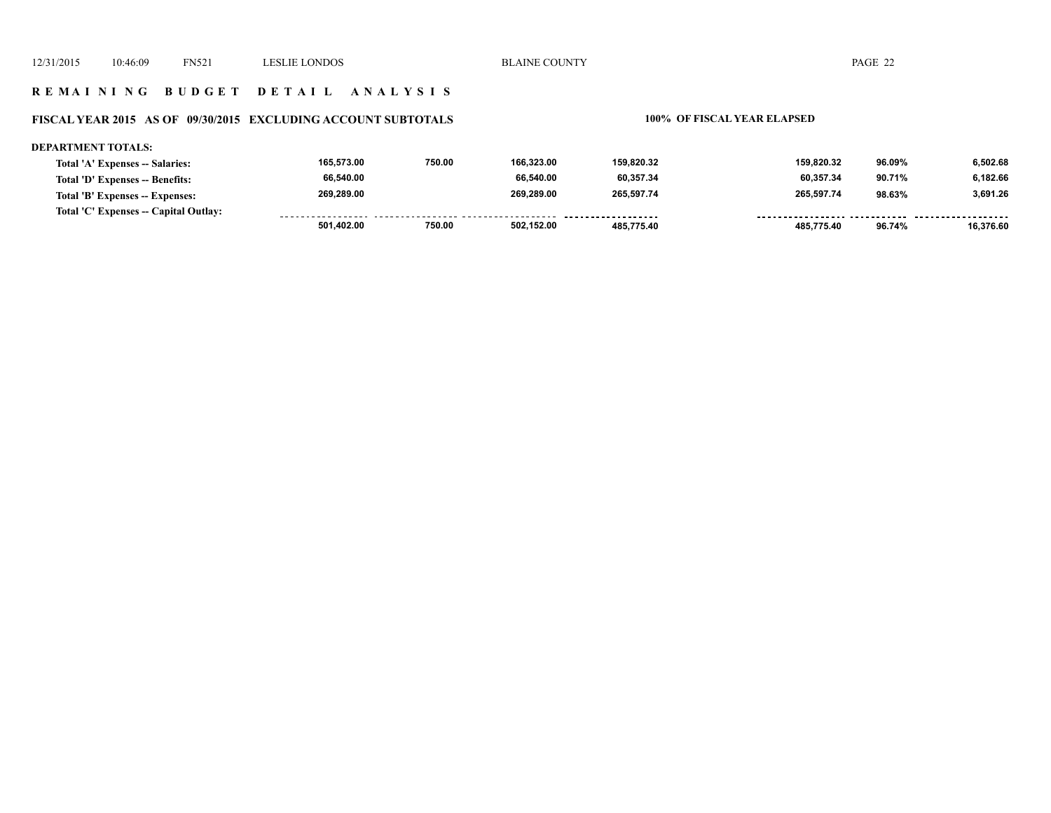### **R E M A I N I N G B U D G E T D E T A I L A N A L Y S I S**

### **FISCAL YEAR 2015 AS OF 09/30/2015 EXCLUDING ACCOUNT SUBTOTALS 100% OF FISCAL YEAR ELAPSED**

### **DEPARTMENT TOTALS: 165,573.00 750.00 166,323.00 159,820.32 159,820.32 96.09% 6,502.68 Total 'A' Expenses -- Salaries: 66,540.00 66,540.00 60,357.34 60,357.34 90.71% 6,182.66 Total 'D' Expenses -- Benefits: 269,289.00 269,289.00 265,597.74 265,597.74 3,691.26 Total 'B' Expenses -- Expenses: 98.63% Total 'C' Expenses -- Capital Outlay:** . . . . . . . . . . . . . . . . .........  **501,402.00 750.00 502,152.00 485,775.40 485,775.40 96.74% 16,376.60**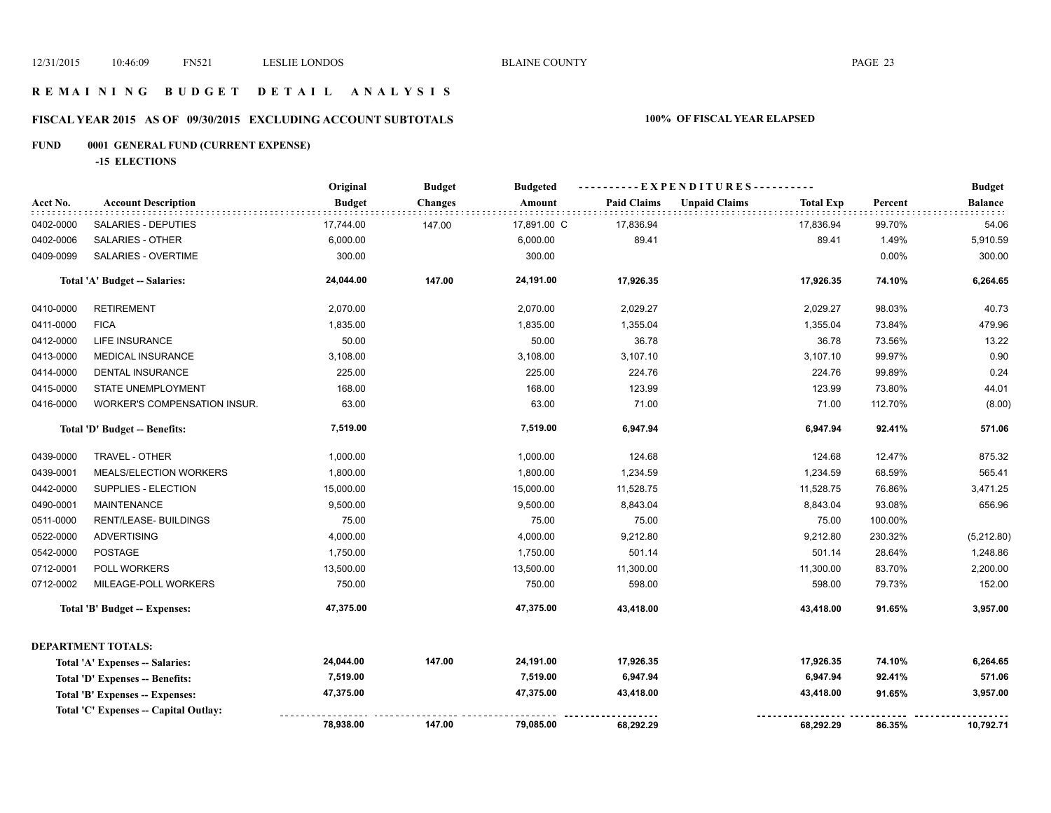### **R E M A I N I N G B U D G E T D E T A I L A N A L Y S I S**

# **FISCAL YEAR 2015 AS OF 09/30/2015 EXCLUDING ACCOUNT SUBTOTALS 100% OF FISCAL YEAR ELAPSED**

# **FUND 0001 GENERAL FUND (CURRENT EXPENSE)**

**-15 ELECTIONS**

|           |                                       | Original      | <b>Budget</b>  | <b>Budgeted</b> | ---- EXPENDITURES---------- |                      |                  |         | <b>Budget</b>  |
|-----------|---------------------------------------|---------------|----------------|-----------------|-----------------------------|----------------------|------------------|---------|----------------|
| Acct No.  | <b>Account Description</b>            | <b>Budget</b> | <b>Changes</b> | Amount          | <b>Paid Claims</b>          | <b>Unpaid Claims</b> | <b>Total Exp</b> | Percent | <b>Balance</b> |
| 0402-0000 | SALARIES - DEPUTIES                   | 17,744.00     | 147.00         | 17,891.00 C     | 17,836.94                   |                      | 17,836.94        | 99.70%  | 54.06          |
| 0402-0006 | SALARIES - OTHER                      | 6,000.00      |                | 6,000.00        | 89.41                       |                      | 89.41            | 1.49%   | 5,910.59       |
| 0409-0099 | SALARIES - OVERTIME                   | 300.00        |                | 300.00          |                             |                      |                  | 0.00%   | 300.00         |
|           | Total 'A' Budget -- Salaries:         | 24,044.00     | 147.00         | 24,191.00       | 17,926.35                   |                      | 17,926.35        | 74.10%  | 6,264.65       |
| 0410-0000 | <b>RETIREMENT</b>                     | 2,070.00      |                | 2,070.00        | 2,029.27                    |                      | 2,029.27         | 98.03%  | 40.73          |
| 0411-0000 | <b>FICA</b>                           | 1,835.00      |                | 1,835.00        | 1,355.04                    |                      | 1,355.04         | 73.84%  | 479.96         |
| 0412-0000 | LIFE INSURANCE                        | 50.00         |                | 50.00           | 36.78                       |                      | 36.78            | 73.56%  | 13.22          |
| 0413-0000 | <b>MEDICAL INSURANCE</b>              | 3,108.00      |                | 3,108.00        | 3,107.10                    |                      | 3,107.10         | 99.97%  | 0.90           |
| 0414-0000 | DENTAL INSURANCE                      | 225.00        |                | 225.00          | 224.76                      |                      | 224.76           | 99.89%  | 0.24           |
| 0415-0000 | STATE UNEMPLOYMENT                    | 168.00        |                | 168.00          | 123.99                      |                      | 123.99           | 73.80%  | 44.01          |
| 0416-0000 | WORKER'S COMPENSATION INSUR.          | 63.00         |                | 63.00           | 71.00                       |                      | 71.00            | 112.70% | (8.00)         |
|           | Total 'D' Budget -- Benefits:         | 7,519.00      |                | 7,519.00        | 6,947.94                    |                      | 6,947.94         | 92.41%  | 571.06         |
| 0439-0000 | TRAVEL - OTHER                        | 1,000.00      |                | 1,000.00        | 124.68                      |                      | 124.68           | 12.47%  | 875.32         |
| 0439-0001 | MEALS/ELECTION WORKERS                | 1,800.00      |                | 1,800.00        | 1,234.59                    |                      | 1,234.59         | 68.59%  | 565.41         |
| 0442-0000 | SUPPLIES - ELECTION                   | 15,000.00     |                | 15,000.00       | 11,528.75                   |                      | 11,528.75        | 76.86%  | 3,471.25       |
| 0490-0001 | <b>MAINTENANCE</b>                    | 9,500.00      |                | 9,500.00        | 8,843.04                    |                      | 8,843.04         | 93.08%  | 656.96         |
| 0511-0000 | <b>RENT/LEASE- BUILDINGS</b>          | 75.00         |                | 75.00           | 75.00                       |                      | 75.00            | 100.00% |                |
| 0522-0000 | <b>ADVERTISING</b>                    | 4,000.00      |                | 4,000.00        | 9,212.80                    |                      | 9,212.80         | 230.32% | (5,212.80)     |
| 0542-0000 | <b>POSTAGE</b>                        | 1,750.00      |                | 1,750.00        | 501.14                      |                      | 501.14           | 28.64%  | 1,248.86       |
| 0712-0001 | POLL WORKERS                          | 13,500.00     |                | 13,500.00       | 11,300.00                   |                      | 11,300.00        | 83.70%  | 2,200.00       |
| 0712-0002 | MILEAGE-POLL WORKERS                  | 750.00        |                | 750.00          | 598.00                      |                      | 598.00           | 79.73%  | 152.00         |
|           | <b>Total 'B' Budget -- Expenses:</b>  | 47,375.00     |                | 47,375.00       | 43,418.00                   |                      | 43,418.00        | 91.65%  | 3,957.00       |
|           | <b>DEPARTMENT TOTALS:</b>             |               |                |                 |                             |                      |                  |         |                |
|           | Total 'A' Expenses -- Salaries:       | 24,044.00     | 147.00         | 24,191.00       | 17,926.35                   |                      | 17,926.35        | 74.10%  | 6,264.65       |
|           | Total 'D' Expenses -- Benefits:       | 7,519.00      |                | 7,519.00        | 6,947.94                    |                      | 6,947.94         | 92.41%  | 571.06         |
|           | Total 'B' Expenses -- Expenses:       | 47,375.00     |                | 47,375.00       | 43,418.00                   |                      | 43,418.00        | 91.65%  | 3,957.00       |
|           | Total 'C' Expenses -- Capital Outlay: |               |                |                 |                             |                      |                  |         |                |
|           |                                       | 78,938.00     | 147.00         | 79,085.00       | 68,292.29                   |                      | 68,292.29        | 86.35%  | 10,792.71      |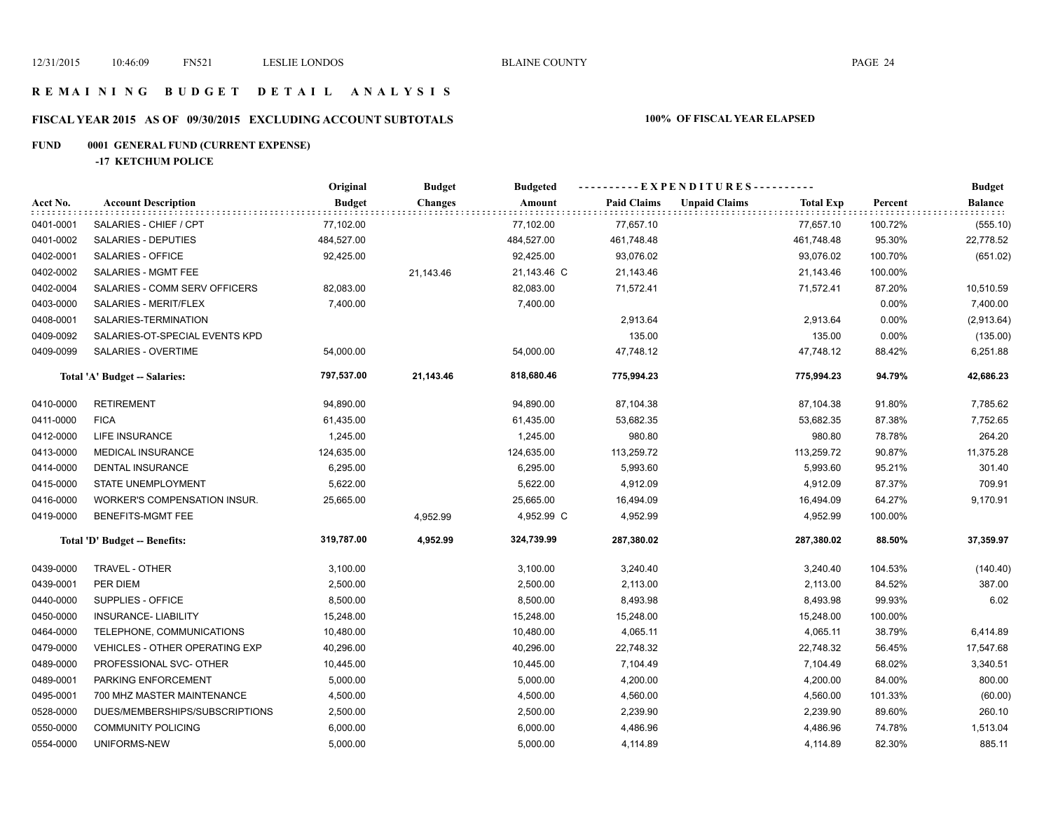### **R E M A I N I N G B U D G E T D E T A I L A N A L Y S I S**

# **FISCAL YEAR 2015 AS OF 09/30/2015 EXCLUDING ACCOUNT SUBTOTALS 100% OF FISCAL YEAR ELAPSED**

# **FUND 0001 GENERAL FUND (CURRENT EXPENSE)**

**-17 KETCHUM POLICE**

|           |                                       | Original      | <b>Budget</b>  | <b>Budgeted</b> | ----------EXPENDITURES---------- |                      |                  |         | <b>Budget</b> |
|-----------|---------------------------------------|---------------|----------------|-----------------|----------------------------------|----------------------|------------------|---------|---------------|
| Acct No.  | <b>Account Description</b>            | <b>Budget</b> | <b>Changes</b> | Amount          | <b>Paid Claims</b>               | <b>Unpaid Claims</b> | <b>Total Exp</b> | Percent | Balance       |
| 0401-0001 | SALARIES - CHIEF / CPT                | 77,102.00     |                | 77,102.00       | 77,657.10                        |                      | 77,657.10        | 100.72% | (555.10)      |
| 0401-0002 | SALARIES - DEPUTIES                   | 484,527.00    |                | 484,527.00      | 461,748.48                       |                      | 461,748.48       | 95.30%  | 22,778.52     |
| 0402-0001 | SALARIES - OFFICE                     | 92,425.00     |                | 92,425.00       | 93,076.02                        |                      | 93,076.02        | 100.70% | (651.02)      |
| 0402-0002 | SALARIES - MGMT FEE                   |               | 21,143.46      | 21,143.46 C     | 21,143.46                        |                      | 21,143.46        | 100.00% |               |
| 0402-0004 | SALARIES - COMM SERV OFFICERS         | 82,083.00     |                | 82,083.00       | 71,572.41                        |                      | 71,572.41        | 87.20%  | 10,510.59     |
| 0403-0000 | SALARIES - MERIT/FLEX                 | 7,400.00      |                | 7,400.00        |                                  |                      |                  | 0.00%   | 7,400.00      |
| 0408-0001 | SALARIES-TERMINATION                  |               |                |                 | 2,913.64                         |                      | 2,913.64         | 0.00%   | (2,913.64)    |
| 0409-0092 | SALARIES-OT-SPECIAL EVENTS KPD        |               |                |                 | 135.00                           |                      | 135.00           | 0.00%   | (135.00)      |
| 0409-0099 | SALARIES - OVERTIME                   | 54,000.00     |                | 54,000.00       | 47,748.12                        |                      | 47,748.12        | 88.42%  | 6,251.88      |
|           | Total 'A' Budget -- Salaries:         | 797,537.00    | 21,143.46      | 818,680.46      | 775,994.23                       |                      | 775,994.23       | 94.79%  | 42,686.23     |
| 0410-0000 | <b>RETIREMENT</b>                     | 94,890.00     |                | 94,890.00       | 87,104.38                        |                      | 87,104.38        | 91.80%  | 7,785.62      |
| 0411-0000 | <b>FICA</b>                           | 61,435.00     |                | 61,435.00       | 53,682.35                        |                      | 53,682.35        | 87.38%  | 7,752.65      |
| 0412-0000 | <b>LIFE INSURANCE</b>                 | 1,245.00      |                | 1,245.00        | 980.80                           |                      | 980.80           | 78.78%  | 264.20        |
| 0413-0000 | <b>MEDICAL INSURANCE</b>              | 124,635.00    |                | 124,635.00      | 113,259.72                       |                      | 113,259.72       | 90.87%  | 11,375.28     |
| 0414-0000 | <b>DENTAL INSURANCE</b>               | 6,295.00      |                | 6,295.00        | 5,993.60                         |                      | 5,993.60         | 95.21%  | 301.40        |
| 0415-0000 | STATE UNEMPLOYMENT                    | 5,622.00      |                | 5,622.00        | 4,912.09                         |                      | 4,912.09         | 87.37%  | 709.91        |
| 0416-0000 | <b>WORKER'S COMPENSATION INSUR.</b>   | 25,665.00     |                | 25,665.00       | 16,494.09                        |                      | 16,494.09        | 64.27%  | 9,170.91      |
| 0419-0000 | BENEFITS-MGMT FEE                     |               | 4,952.99       | 4,952.99 C      | 4,952.99                         |                      | 4,952.99         | 100.00% |               |
|           | Total 'D' Budget -- Benefits:         | 319,787.00    | 4,952.99       | 324,739.99      | 287,380.02                       |                      | 287,380.02       | 88.50%  | 37,359.97     |
| 0439-0000 | TRAVEL - OTHER                        | 3,100.00      |                | 3,100.00        | 3,240.40                         |                      | 3,240.40         | 104.53% | (140.40)      |
| 0439-0001 | PER DIEM                              | 2,500.00      |                | 2,500.00        | 2,113.00                         |                      | 2,113.00         | 84.52%  | 387.00        |
| 0440-0000 | SUPPLIES - OFFICE                     | 8,500.00      |                | 8,500.00        | 8,493.98                         |                      | 8,493.98         | 99.93%  | 6.02          |
| 0450-0000 | <b>INSURANCE- LIABILITY</b>           | 15,248.00     |                | 15,248.00       | 15,248.00                        |                      | 15,248.00        | 100.00% |               |
| 0464-0000 | TELEPHONE, COMMUNICATIONS             | 10,480.00     |                | 10,480.00       | 4,065.11                         |                      | 4,065.11         | 38.79%  | 6,414.89      |
| 0479-0000 | <b>VEHICLES - OTHER OPERATING EXP</b> | 40,296.00     |                | 40,296.00       | 22,748.32                        |                      | 22,748.32        | 56.45%  | 17,547.68     |
| 0489-0000 | PROFESSIONAL SVC- OTHER               | 10,445.00     |                | 10,445.00       | 7,104.49                         |                      | 7,104.49         | 68.02%  | 3,340.51      |
| 0489-0001 | PARKING ENFORCEMENT                   | 5,000.00      |                | 5,000.00        | 4,200.00                         |                      | 4,200.00         | 84.00%  | 800.00        |
| 0495-0001 | 700 MHZ MASTER MAINTENANCE            | 4,500.00      |                | 4,500.00        | 4,560.00                         |                      | 4,560.00         | 101.33% | (60.00)       |
| 0528-0000 | DUES/MEMBERSHIPS/SUBSCRIPTIONS        | 2,500.00      |                | 2,500.00        | 2,239.90                         |                      | 2,239.90         | 89.60%  | 260.10        |
| 0550-0000 | <b>COMMUNITY POLICING</b>             | 6,000.00      |                | 6,000.00        | 4,486.96                         |                      | 4,486.96         | 74.78%  | 1,513.04      |
| 0554-0000 | UNIFORMS-NEW                          | 5,000.00      |                | 5,000.00        | 4,114.89                         |                      | 4,114.89         | 82.30%  | 885.11        |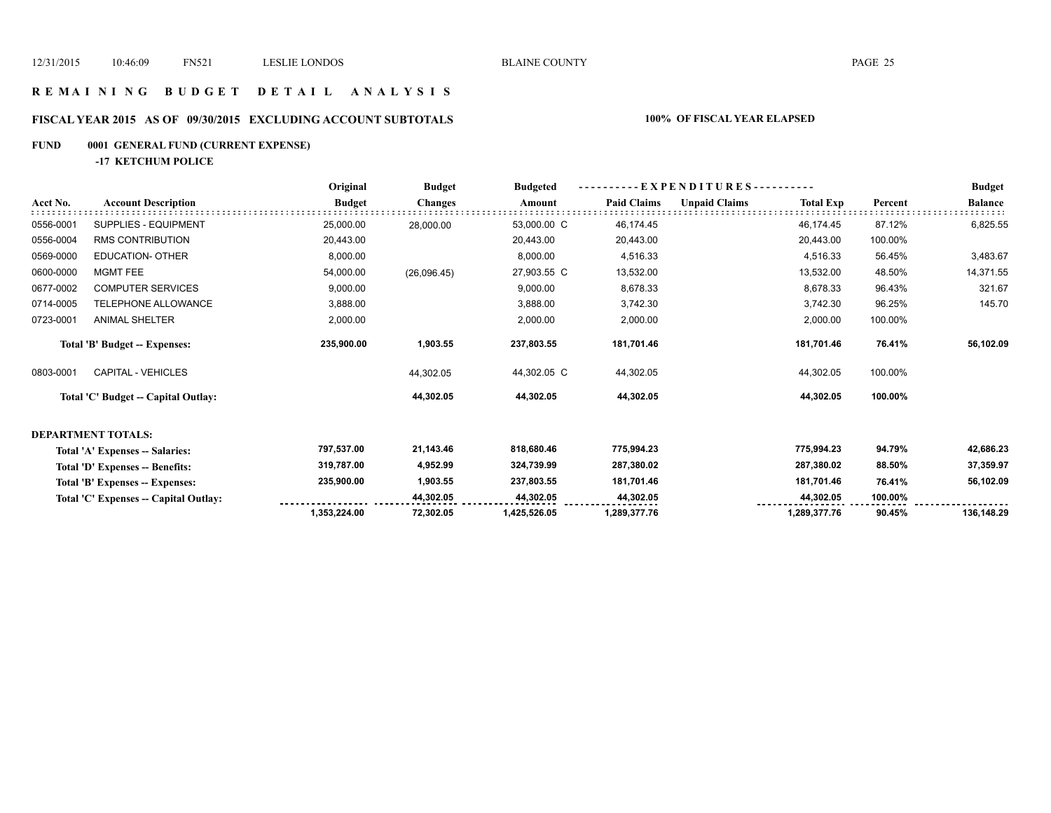### **R E M A I N I N G B U D G E T D E T A I L A N A L Y S I S**

# **FISCAL YEAR 2015 AS OF 09/30/2015 EXCLUDING ACCOUNT SUBTOTALS 100% OF FISCAL YEAR ELAPSED**

# **FUND 0001 GENERAL FUND (CURRENT EXPENSE)**

**-17 KETCHUM POLICE**

|           |                                       | Original      | <b>Budget</b>  | <b>Budgeted</b> | EXPENDITURES---------- |                      |                  | <b>Budget</b> |                |
|-----------|---------------------------------------|---------------|----------------|-----------------|------------------------|----------------------|------------------|---------------|----------------|
| Acct No.  | <b>Account Description</b>            | <b>Budget</b> | <b>Changes</b> | Amount          | <b>Paid Claims</b>     | <b>Unpaid Claims</b> | <b>Total Exp</b> | Percent       | <b>Balance</b> |
| 0556-0001 | <b>SUPPLIES - EQUIPMENT</b>           | 25,000.00     | 28,000.00      | 53,000.00 C     | 46,174.45              |                      | 46,174.45        | 87.12%        | 6,825.55       |
| 0556-0004 | <b>RMS CONTRIBUTION</b>               | 20,443.00     |                | 20,443.00       | 20,443.00              |                      | 20,443.00        | 100.00%       |                |
| 0569-0000 | EDUCATION- OTHER                      | 8,000.00      |                | 8,000.00        | 4,516.33               |                      | 4,516.33         | 56.45%        | 3,483.67       |
| 0600-0000 | <b>MGMT FEE</b>                       | 54,000.00     | (26,096.45)    | 27,903.55 C     | 13,532.00              |                      | 13,532.00        | 48.50%        | 14,371.55      |
| 0677-0002 | <b>COMPUTER SERVICES</b>              | 9,000.00      |                | 9,000.00        | 8,678.33               |                      | 8,678.33         | 96.43%        | 321.67         |
| 0714-0005 | TELEPHONE ALLOWANCE                   | 3,888.00      |                | 3,888.00        | 3,742.30               |                      | 3,742.30         | 96.25%        | 145.70         |
| 0723-0001 | <b>ANIMAL SHELTER</b>                 | 2,000.00      |                | 2,000.00        | 2,000.00               |                      | 2,000.00         | 100.00%       |                |
|           | <b>Total 'B' Budget -- Expenses:</b>  | 235,900.00    | 1,903.55       | 237,803.55      | 181,701.46             |                      | 181,701.46       | 76.41%        | 56,102.09      |
| 0803-0001 | CAPITAL - VEHICLES                    |               | 44,302.05      | 44,302.05 C     | 44,302.05              |                      | 44,302.05        | 100.00%       |                |
|           | Total 'C' Budget -- Capital Outlay:   |               | 44,302.05      | 44,302.05       | 44,302.05              |                      | 44,302.05        | 100.00%       |                |
|           | <b>DEPARTMENT TOTALS:</b>             |               |                |                 |                        |                      |                  |               |                |
|           | Total 'A' Expenses -- Salaries:       | 797,537.00    | 21,143.46      | 818,680.46      | 775,994.23             |                      | 775,994.23       | 94.79%        | 42,686.23      |
|           | Total 'D' Expenses -- Benefits:       | 319,787.00    | 4,952.99       | 324,739.99      | 287,380.02             |                      | 287,380.02       | 88.50%        | 37,359.97      |
|           | Total 'B' Expenses -- Expenses:       | 235,900.00    | 1,903.55       | 237,803.55      | 181,701.46             |                      | 181,701.46       | 76.41%        | 56,102.09      |
|           | Total 'C' Expenses -- Capital Outlay: |               | 44,302.05      | 44,302.05       | 44,302.05              |                      | 44,302.05        | 100.00%       |                |
|           |                                       | 1,353,224.00  | 72,302.05      | 1,425,526.05    | 1,289,377.76           |                      | 1,289,377.76     | 90.45%        | 136,148.29     |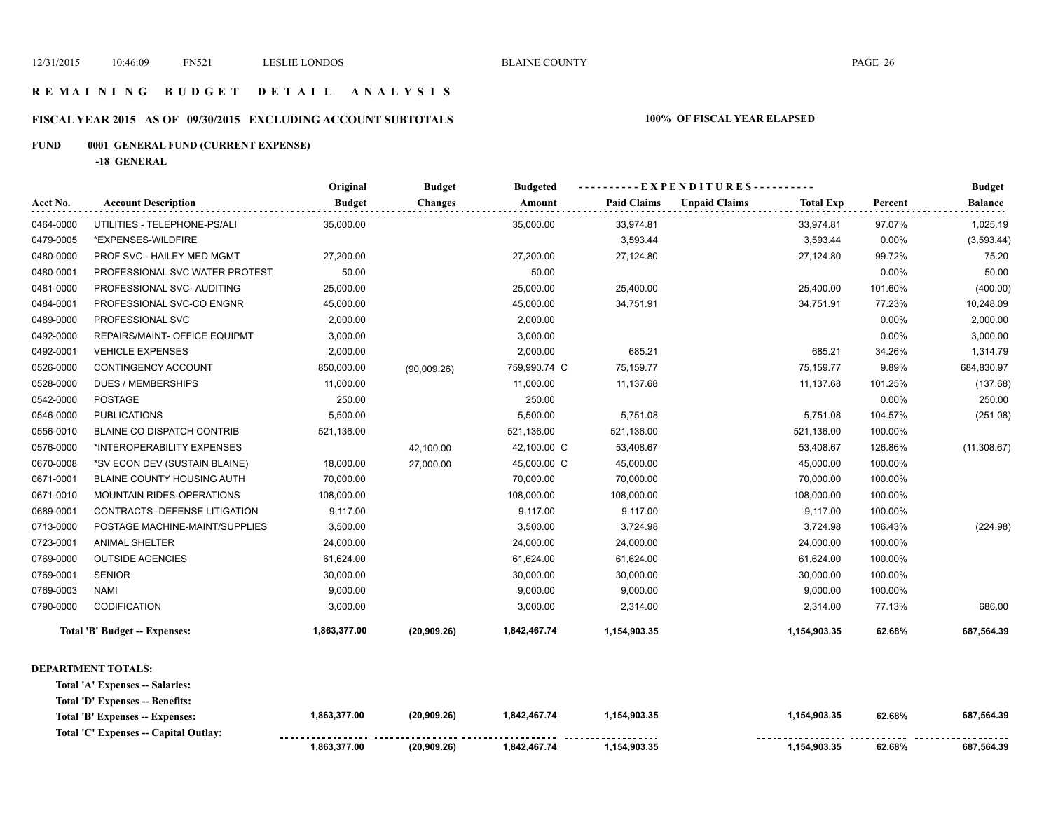### **R E M A I N I N G B U D G E T D E T A I L A N A L Y S I S**

# **FISCAL YEAR 2015 AS OF 09/30/2015 EXCLUDING ACCOUNT SUBTOTALS 100% OF FISCAL YEAR ELAPSED**

# **FUND 0001 GENERAL FUND (CURRENT EXPENSE)**

**-18 GENERAL**

|           |                                   | Original      | <b>Budget</b>  | <b>Budgeted</b>     | - - - - - - - - - - E X P E N D I T U R E S - - - - - - - - - - |                      |                  | <b>Budget</b>  |                   |
|-----------|-----------------------------------|---------------|----------------|---------------------|-----------------------------------------------------------------|----------------------|------------------|----------------|-------------------|
| Acct No.  | <b>Account Description</b>        | <b>Budget</b> | <b>Changes</b> | Amount              | <b>Paid Claims</b>                                              | <b>Unpaid Claims</b> | <b>Total Exp</b> | Percent        | <b>Balance</b>    |
| 0464-0000 | UTILITIES - TELEPHONE-PS/ALI      | 35,000.00     |                | 35,000.00           | 33,974.81                                                       |                      | 33,974.81        | 97.07%         | 1,025.19          |
| 0479-0005 | *EXPENSES-WILDFIRE                |               |                |                     | 3,593.44                                                        |                      | 3,593.44         | 0.00%          | (3,593.44)        |
| 0480-0000 | PROF SVC - HAILEY MED MGMT        | 27,200.00     |                | 27,200.00           | 27,124.80                                                       |                      | 27,124.80        | 99.72%         | 75.20             |
| 0480-0001 | PROFESSIONAL SVC WATER PROTEST    | 50.00         |                | 50.00               |                                                                 |                      |                  | 0.00%          | 50.00             |
| 0481-0000 | PROFESSIONAL SVC- AUDITING        | 25,000.00     |                | 25,000.00           | 25,400.00                                                       |                      | 25,400.00        | 101.60%        | (400.00)          |
| 0484-0001 | PROFESSIONAL SVC-CO ENGNR         | 45,000.00     |                | 45,000.00           | 34,751.91                                                       |                      | 34,751.91        | 77.23%         | 10,248.09         |
| 0489-0000 | PROFESSIONAL SVC                  | 2,000.00      |                | 2,000.00            |                                                                 |                      |                  | 0.00%          | 2,000.00          |
| 0492-0000 | REPAIRS/MAINT- OFFICE EQUIPMT     | 3,000.00      |                | 3,000.00            |                                                                 |                      |                  | 0.00%          | 3,000.00          |
| 0492-0001 | <b>VEHICLE EXPENSES</b>           | 2,000.00      |                | 2,000.00            | 685.21                                                          |                      | 685.21           | 34.26%         | 1,314.79          |
| 0526-0000 | CONTINGENCY ACCOUNT               | 850,000.00    | (90,009.26)    | 759,990.74 C        | 75,159.77                                                       |                      | 75,159.77        | 9.89%          | 684,830.97        |
| 0528-0000 | <b>DUES / MEMBERSHIPS</b>         | 11,000.00     |                | 11,000.00           | 11,137.68                                                       |                      | 11,137.68        | 101.25%        | (137.68)          |
| 0542-0000 | <b>POSTAGE</b>                    | 250.00        |                | 250.00              |                                                                 |                      |                  | 0.00%          | 250.00            |
| 0546-0000 | <b>PUBLICATIONS</b>               | 5,500.00      |                | 5,500.00            | 5,751.08                                                        |                      | 5,751.08         | 104.57%        | (251.08)          |
| 0556-0010 | <b>BLAINE CO DISPATCH CONTRIB</b> | 521,136.00    |                | 521,136.00          | 521,136.00                                                      |                      | 521,136.00       | 100.00%        |                   |
| 0576-0000 | *INTEROPERABILITY EXPENSES        |               | 42,100.00      | 42,100.00 C         | 53,408.67                                                       |                      | 53,408.67        | 126.86%        | (11,308.67)       |
| 0670-0008 | *SV ECON DEV (SUSTAIN BLAINE)     | 18,000.00     | 27,000.00      | 45,000.00 C         | 45,000.00                                                       |                      | 45,000.00        | 100.00%        |                   |
| 0671-0001 | <b>BLAINE COUNTY HOUSING AUTH</b> | 70,000.00     |                | 70,000.00           | 70,000.00                                                       |                      | 70,000.00        | 100.00%        |                   |
| 0671-0010 | MOUNTAIN RIDES-OPERATIONS         | 108,000.00    |                | 108,000.00          | 108,000.00                                                      |                      | 108,000.00       | 100.00%        |                   |
| 0689-0001 | CONTRACTS - DEFENSE LITIGATION    | 9,117.00      |                | 9,117.00            | 9,117.00                                                        |                      | 9,117.00         | 100.00%        |                   |
| 0713-0000 | POSTAGE MACHINE-MAINT/SUPPLIES    | 3,500.00      |                | 3,500.00            | 3,724.98                                                        |                      | 3,724.98         | 106.43%        | (224.98)          |
| 0723-0001 | <b>ANIMAL SHELTER</b>             | 24,000.00     |                | 24,000.00           | 24,000.00                                                       |                      | 24,000.00        | 100.00%        |                   |
| 0769-0000 | <b>OUTSIDE AGENCIES</b>           | 61,624.00     |                | 61,624.00           | 61,624.00                                                       |                      | 61,624.00        | 100.00%        |                   |
| 0769-0001 | <b>SENIOR</b>                     | 30,000.00     |                | 30,000.00           | 30,000.00                                                       |                      | 30,000.00        | 100.00%        |                   |
| 0769-0003 | <b>NAMI</b>                       | 9,000.00      |                | 9,000.00            | 9,000.00                                                        |                      | 9,000.00         | 100.00%        |                   |
| 0790-0000 | CODIFICATION                      | 3,000.00      |                | 3,000.00            | 2,314.00                                                        |                      | 2,314.00         | 77.13%         | 686.00            |
|           | Total 'B' Budget -- Expenses:     | 1,863,377.00  | (20,909.26)    | 1,842,467.74        | 1,154,903.35                                                    |                      | 1,154,903.35     | 62.68%         | 687,564.39        |
|           | <b>DEPARTMENT TOTALS:</b>         |               |                |                     |                                                                 |                      |                  |                |                   |
|           | Total 'A' Expenses -- Salaries:   |               |                |                     |                                                                 |                      |                  |                |                   |
|           | Total 'D' Expenses -- Benefits:   |               |                |                     |                                                                 |                      |                  |                |                   |
|           | Total IDI Evropees Evropees       | 1.863.377.00  | ואל החה חלו    | <b>1 842 467 74</b> | 1 154 903 35                                                    |                      | 1 154 903 35     | <b>CO COO/</b> | <b>687 564 39</b> |

| Total 'B' Expenses -- Expenses:      | .863,377.00  | (20,909.26)  | 1.842.467.74 | 154.903.35          | 1,154,903.35 | 62.68% | 687,564.39 |
|--------------------------------------|--------------|--------------|--------------|---------------------|--------------|--------|------------|
| Total 'C' Expenses - Capital Outlay: |              |              |              | ------------------- |              |        |            |
|                                      | 1.863.377.00 | (20, 909.26) | 1.842.467.74 | .154.903.35         | 1,154,903.35 | 62.68% | 687,564.39 |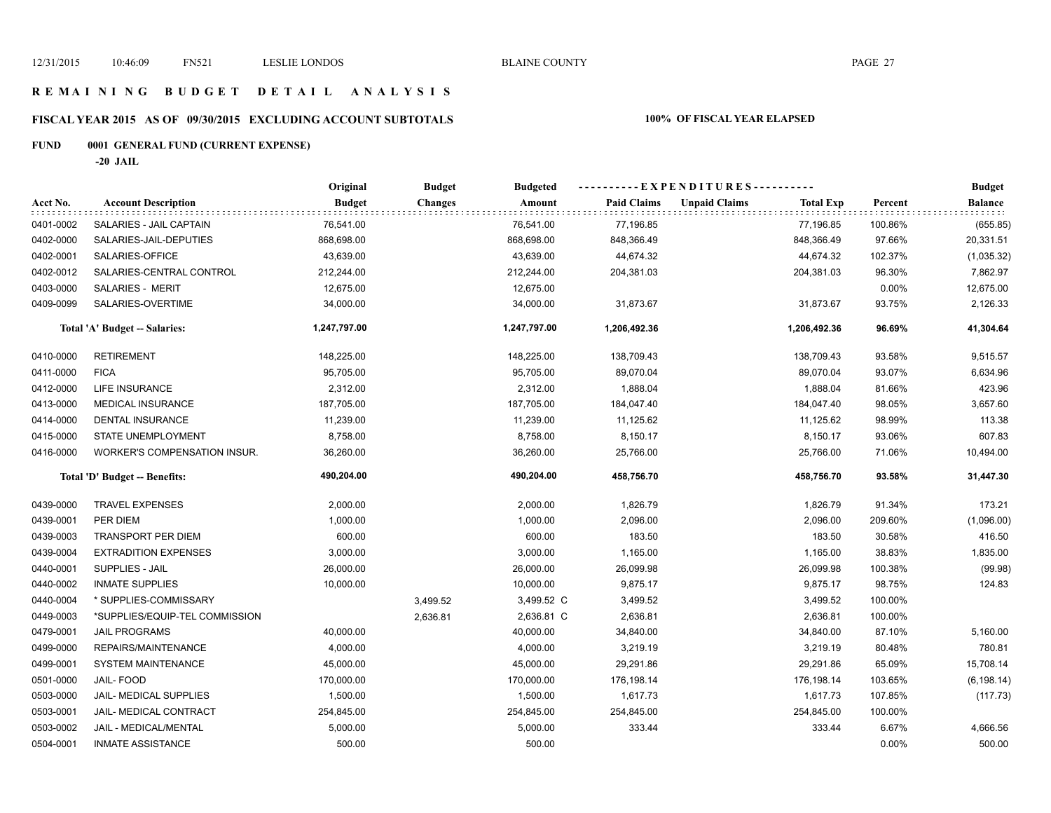# **R E M A I N I N G B U D G E T D E T A I L A N A L Y S I S**

# **FISCAL YEAR 2015 AS OF 09/30/2015 EXCLUDING ACCOUNT SUBTOTALS 100% OF FISCAL YEAR ELAPSED**

# **FUND 0001 GENERAL FUND (CURRENT EXPENSE)**

**-20 JAIL**

|           |                                | Original      | <b>Budget</b>  | <b>Budgeted</b> | ----------EXPENDITURES---------- |                                          |         | <b>Budget</b>  |
|-----------|--------------------------------|---------------|----------------|-----------------|----------------------------------|------------------------------------------|---------|----------------|
| Acct No.  | <b>Account Description</b>     | <b>Budget</b> | <b>Changes</b> | Amount          | <b>Paid Claims</b>               | <b>Unpaid Claims</b><br><b>Total Exp</b> | Percent | <b>Balance</b> |
| 0401-0002 | SALARIES - JAIL CAPTAIN        | 76,541.00     |                | 76,541.00       | 77,196.85                        | 77,196.85                                | 100.86% | (655.85)       |
| 0402-0000 | SALARIES-JAIL-DEPUTIES         | 868,698.00    |                | 868,698.00      | 848,366.49                       | 848,366.49                               | 97.66%  | 20,331.51      |
| 0402-0001 | SALARIES-OFFICE                | 43,639.00     |                | 43,639.00       | 44,674.32                        | 44,674.32                                | 102.37% | (1,035.32)     |
| 0402-0012 | SALARIES-CENTRAL CONTROL       | 212,244.00    |                | 212,244.00      | 204,381.03                       | 204,381.03                               | 96.30%  | 7,862.97       |
| 0403-0000 | SALARIES - MERIT               | 12,675.00     |                | 12,675.00       |                                  |                                          | 0.00%   | 12,675.00      |
| 0409-0099 | SALARIES-OVERTIME              | 34,000.00     |                | 34,000.00       | 31,873.67                        | 31,873.67                                | 93.75%  | 2,126.33       |
|           | Total 'A' Budget -- Salaries:  | 1,247,797.00  |                | 1,247,797.00    | 1,206,492.36                     | 1,206,492.36                             | 96.69%  | 41,304.64      |
| 0410-0000 | <b>RETIREMENT</b>              | 148,225.00    |                | 148,225.00      | 138,709.43                       | 138,709.43                               | 93.58%  | 9,515.57       |
| 0411-0000 | <b>FICA</b>                    | 95,705.00     |                | 95,705.00       | 89,070.04                        | 89,070.04                                | 93.07%  | 6,634.96       |
| 0412-0000 | <b>LIFE INSURANCE</b>          | 2,312.00      |                | 2,312.00        | 1,888.04                         | 1,888.04                                 | 81.66%  | 423.96         |
| 0413-0000 | <b>MEDICAL INSURANCE</b>       | 187,705.00    |                | 187,705.00      | 184,047.40                       | 184,047.40                               | 98.05%  | 3,657.60       |
| 0414-0000 | <b>DENTAL INSURANCE</b>        | 11,239.00     |                | 11,239.00       | 11,125.62                        | 11,125.62                                | 98.99%  | 113.38         |
| 0415-0000 | STATE UNEMPLOYMENT             | 8,758.00      |                | 8,758.00        | 8,150.17                         | 8,150.17                                 | 93.06%  | 607.83         |
| 0416-0000 | WORKER'S COMPENSATION INSUR.   | 36,260.00     |                | 36,260.00       | 25,766.00                        | 25,766.00                                | 71.06%  | 10,494.00      |
|           | Total 'D' Budget -- Benefits:  | 490,204.00    |                | 490,204.00      | 458,756.70                       | 458,756.70                               | 93.58%  | 31,447.30      |
| 0439-0000 | <b>TRAVEL EXPENSES</b>         | 2,000.00      |                | 2,000.00        | 1,826.79                         | 1,826.79                                 | 91.34%  | 173.21         |
| 0439-0001 | PER DIEM                       | 1,000.00      |                | 1,000.00        | 2,096.00                         | 2,096.00                                 | 209.60% | (1,096.00)     |
| 0439-0003 | <b>TRANSPORT PER DIEM</b>      | 600.00        |                | 600.00          | 183.50                           | 183.50                                   | 30.58%  | 416.50         |
| 0439-0004 | <b>EXTRADITION EXPENSES</b>    | 3,000.00      |                | 3,000.00        | 1,165.00                         | 1,165.00                                 | 38.83%  | 1,835.00       |
| 0440-0001 | SUPPLIES - JAIL                | 26,000.00     |                | 26,000.00       | 26,099.98                        | 26,099.98                                | 100.38% | (99.98)        |
| 0440-0002 | <b>INMATE SUPPLIES</b>         | 10,000.00     |                | 10,000.00       | 9,875.17                         | 9,875.17                                 | 98.75%  | 124.83         |
| 0440-0004 | * SUPPLIES-COMMISSARY          |               | 3,499.52       | 3,499.52 C      | 3,499.52                         | 3,499.52                                 | 100.00% |                |
| 0449-0003 | *SUPPLIES/EQUIP-TEL COMMISSION |               | 2,636.81       | 2,636.81 C      | 2,636.81                         | 2,636.81                                 | 100.00% |                |
| 0479-0001 | <b>JAIL PROGRAMS</b>           | 40,000.00     |                | 40,000.00       | 34,840.00                        | 34,840.00                                | 87.10%  | 5,160.00       |
| 0499-0000 | REPAIRS/MAINTENANCE            | 4,000.00      |                | 4,000.00        | 3,219.19                         | 3,219.19                                 | 80.48%  | 780.81         |
| 0499-0001 | <b>SYSTEM MAINTENANCE</b>      | 45,000.00     |                | 45,000.00       | 29,291.86                        | 29,291.86                                | 65.09%  | 15,708.14      |
| 0501-0000 | JAIL-FOOD                      | 170,000.00    |                | 170,000.00      | 176,198.14                       | 176,198.14                               | 103.65% | (6, 198.14)    |
| 0503-0000 | <b>JAIL- MEDICAL SUPPLIES</b>  | 1,500.00      |                | 1,500.00        | 1,617.73                         | 1,617.73                                 | 107.85% | (117.73)       |
| 0503-0001 | JAIL- MEDICAL CONTRACT         | 254,845.00    |                | 254,845.00      | 254,845.00                       | 254,845.00                               | 100.00% |                |
| 0503-0002 | JAIL - MEDICAL/MENTAL          | 5,000.00      |                | 5,000.00        | 333.44                           | 333.44                                   | 6.67%   | 4,666.56       |
| 0504-0001 | <b>INMATE ASSISTANCE</b>       | 500.00        |                | 500.00          |                                  |                                          | 0.00%   | 500.00         |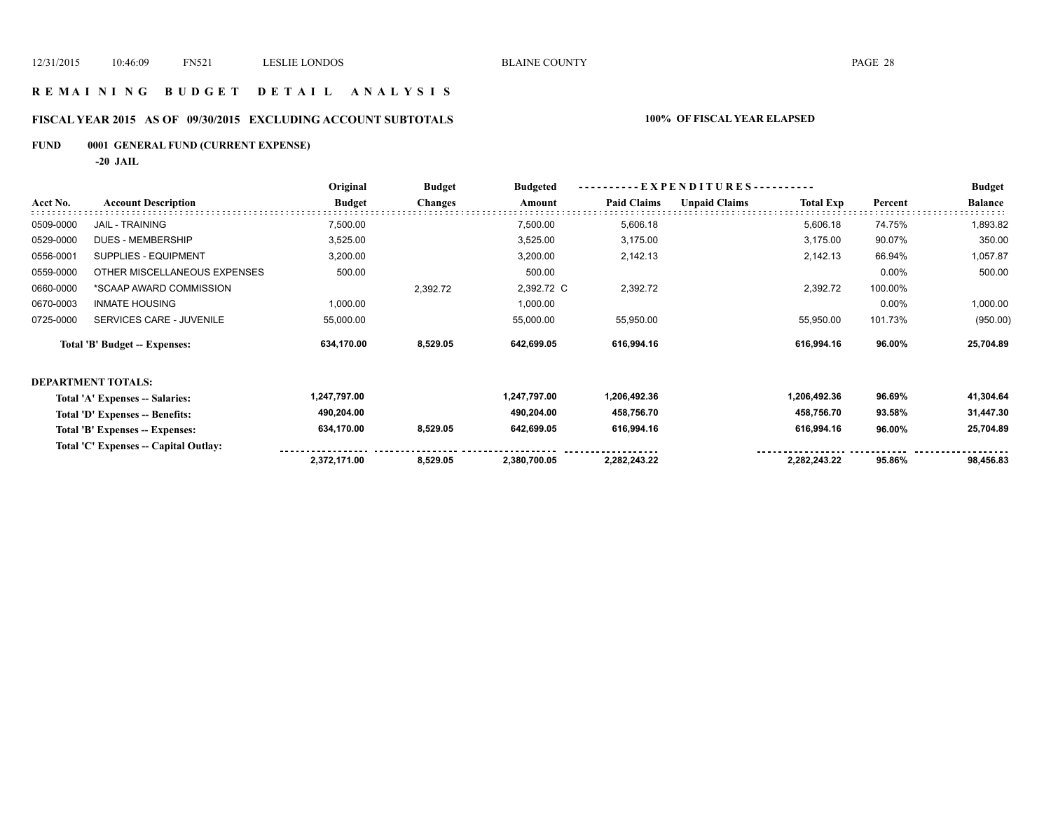### **R E M A I N I N G B U D G E T D E T A I L A N A L Y S I S**

# **FISCAL YEAR 2015 AS OF 09/30/2015 EXCLUDING ACCOUNT SUBTOTALS 100% OF FISCAL YEAR ELAPSED**

# **FUND 0001 GENERAL FUND (CURRENT EXPENSE)**

**-20 JAIL**

|           |                                       | Original      | <b>Budget</b>  | <b>Budgeted</b> | EXPENDITURES -     |                      |                  | <b>Budget</b> |                |
|-----------|---------------------------------------|---------------|----------------|-----------------|--------------------|----------------------|------------------|---------------|----------------|
| Acct No.  | <b>Account Description</b>            | <b>Budget</b> | <b>Changes</b> | Amount          | <b>Paid Claims</b> | <b>Unpaid Claims</b> | <b>Total Exp</b> | Percent       | <b>Balance</b> |
| 0509-0000 | <b>JAIL - TRAINING</b>                | 7,500.00      |                | 7,500.00        | 5,606.18           |                      | 5,606.18         | 74.75%        | 1,893.82       |
| 0529-0000 | DUES - MEMBERSHIP                     | 3,525.00      |                | 3,525.00        | 3,175.00           |                      | 3,175.00         | 90.07%        | 350.00         |
| 0556-0001 | SUPPLIES - EQUIPMENT                  | 3,200.00      |                | 3,200.00        | 2,142.13           |                      | 2,142.13         | 66.94%        | 1,057.87       |
| 0559-0000 | OTHER MISCELLANEOUS EXPENSES          | 500.00        |                | 500.00          |                    |                      |                  | 0.00%         | 500.00         |
| 0660-0000 | *SCAAP AWARD COMMISSION               |               | 2,392.72       | 2,392.72 C      | 2,392.72           |                      | 2,392.72         | 100.00%       |                |
| 0670-0003 | <b>INMATE HOUSING</b>                 | 1,000.00      |                | 1,000.00        |                    |                      |                  | 0.00%         | 1,000.00       |
| 0725-0000 | SERVICES CARE - JUVENILE              | 55,000.00     |                | 55,000.00       | 55,950.00          |                      | 55,950.00        | 101.73%       | (950.00)       |
|           | Total 'B' Budget -- Expenses:         | 634,170.00    | 8,529.05       | 642,699.05      | 616,994.16         |                      | 616,994.16       | 96.00%        | 25,704.89      |
|           | <b>DEPARTMENT TOTALS:</b>             |               |                |                 |                    |                      |                  |               |                |
|           | Total 'A' Expenses -- Salaries:       | 1,247,797.00  |                | 1,247,797.00    | 1,206,492.36       |                      | 1,206,492.36     | 96.69%        | 41,304.64      |
|           | Total 'D' Expenses -- Benefits:       | 490,204.00    |                | 490,204.00      | 458,756.70         |                      | 458,756.70       | 93.58%        | 31,447.30      |
|           | Total 'B' Expenses -- Expenses:       | 634,170.00    | 8,529.05       | 642,699.05      | 616,994.16         |                      | 616,994.16       | 96.00%        | 25,704.89      |
|           | Total 'C' Expenses -- Capital Outlay: |               |                |                 |                    |                      |                  |               |                |
|           |                                       | 2,372,171.00  | 8,529.05       | 2,380,700.05    | 2,282,243.22       |                      | 2,282,243.22     | 95.86%        | 98,456.83      |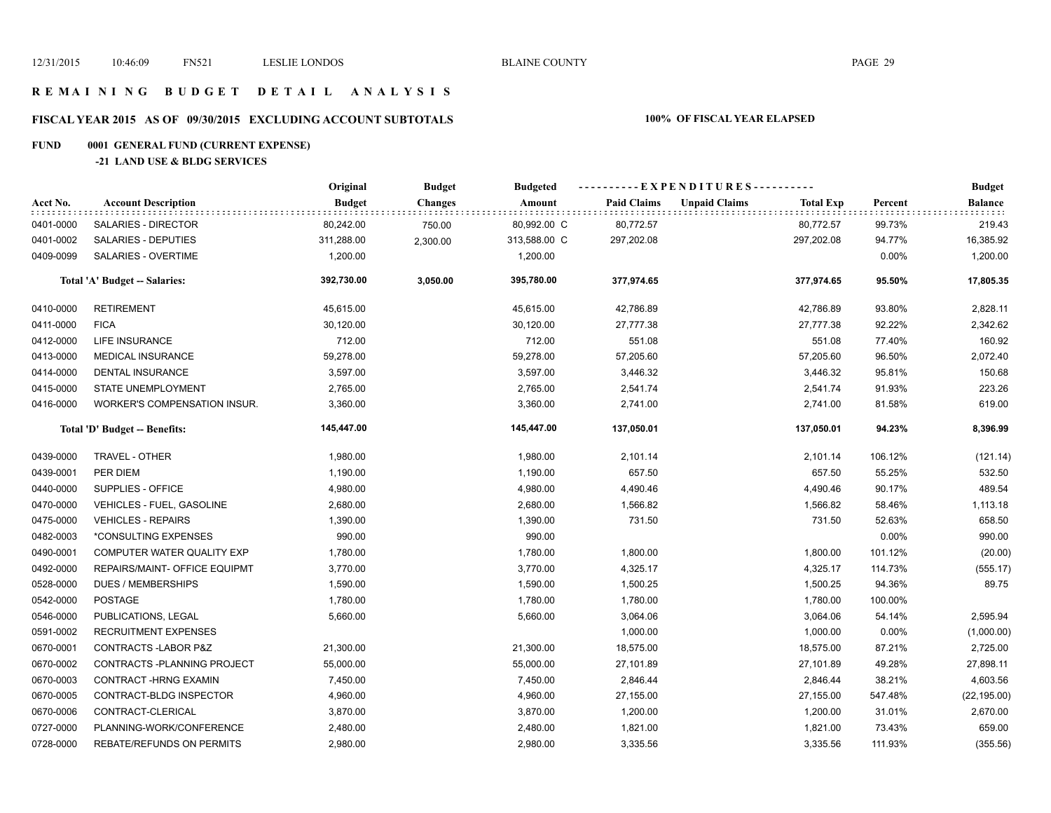### **R E M A I N I N G B U D G E T D E T A I L A N A L Y S I S**

# **FISCAL YEAR 2015 AS OF 09/30/2015 EXCLUDING ACCOUNT SUBTOTALS 100% OF FISCAL YEAR ELAPSED**

# **FUND 0001 GENERAL FUND (CURRENT EXPENSE)**

### **-21 LAND USE & BLDG SERVICES**

|           |                                  | Original      | <b>Budget</b>  | <b>Budgeted</b> | ----------EXPENDITURES---------- |                      |                  |         | <b>Budget</b> |
|-----------|----------------------------------|---------------|----------------|-----------------|----------------------------------|----------------------|------------------|---------|---------------|
| Acct No.  | <b>Account Description</b>       | <b>Budget</b> | <b>Changes</b> | Amount          | <b>Paid Claims</b>               | <b>Unpaid Claims</b> | <b>Total Exp</b> | Percent | Balance       |
| 0401-0000 | SALARIES - DIRECTOR              | 80,242.00     | 750.00         | 80,992.00 C     | 80,772.57                        |                      | 80,772.57        | 99.73%  | 219.43        |
| 0401-0002 | SALARIES - DEPUTIES              | 311,288.00    | 2,300.00       | 313,588.00 C    | 297,202.08                       |                      | 297,202.08       | 94.77%  | 16,385.92     |
| 0409-0099 | SALARIES - OVERTIME              | 1,200.00      |                | 1,200.00        |                                  |                      |                  | 0.00%   | 1,200.00      |
|           | Total 'A' Budget -- Salaries:    | 392,730.00    | 3,050.00       | 395,780.00      | 377,974.65                       |                      | 377,974.65       | 95.50%  | 17,805.35     |
| 0410-0000 | <b>RETIREMENT</b>                | 45,615.00     |                | 45,615.00       | 42,786.89                        |                      | 42,786.89        | 93.80%  | 2,828.11      |
| 0411-0000 | <b>FICA</b>                      | 30,120.00     |                | 30,120.00       | 27,777.38                        |                      | 27,777.38        | 92.22%  | 2,342.62      |
| 0412-0000 | LIFE INSURANCE                   | 712.00        |                | 712.00          | 551.08                           |                      | 551.08           | 77.40%  | 160.92        |
| 0413-0000 | <b>MEDICAL INSURANCE</b>         | 59,278.00     |                | 59,278.00       | 57,205.60                        |                      | 57,205.60        | 96.50%  | 2,072.40      |
| 0414-0000 | <b>DENTAL INSURANCE</b>          | 3,597.00      |                | 3,597.00        | 3,446.32                         |                      | 3,446.32         | 95.81%  | 150.68        |
| 0415-0000 | STATE UNEMPLOYMENT               | 2,765.00      |                | 2,765.00        | 2,541.74                         |                      | 2,541.74         | 91.93%  | 223.26        |
| 0416-0000 | WORKER'S COMPENSATION INSUR.     | 3,360.00      |                | 3,360.00        | 2,741.00                         |                      | 2,741.00         | 81.58%  | 619.00        |
|           | Total 'D' Budget -- Benefits:    | 145,447.00    |                | 145,447.00      | 137,050.01                       |                      | 137,050.01       | 94.23%  | 8,396.99      |
| 0439-0000 | TRAVEL - OTHER                   | 1,980.00      |                | 1,980.00        | 2,101.14                         |                      | 2,101.14         | 106.12% | (121.14)      |
| 0439-0001 | PER DIEM                         | 1,190.00      |                | 1,190.00        | 657.50                           |                      | 657.50           | 55.25%  | 532.50        |
| 0440-0000 | SUPPLIES - OFFICE                | 4,980.00      |                | 4,980.00        | 4,490.46                         |                      | 4,490.46         | 90.17%  | 489.54        |
| 0470-0000 | <b>VEHICLES - FUEL, GASOLINE</b> | 2,680.00      |                | 2,680.00        | 1,566.82                         |                      | 1,566.82         | 58.46%  | 1,113.18      |
| 0475-0000 | <b>VEHICLES - REPAIRS</b>        | 1,390.00      |                | 1,390.00        | 731.50                           |                      | 731.50           | 52.63%  | 658.50        |
| 0482-0003 | *CONSULTING EXPENSES             | 990.00        |                | 990.00          |                                  |                      |                  | 0.00%   | 990.00        |
| 0490-0001 | COMPUTER WATER QUALITY EXP       | 1,780.00      |                | 1,780.00        | 1,800.00                         |                      | 1,800.00         | 101.12% | (20.00)       |
| 0492-0000 | REPAIRS/MAINT- OFFICE EQUIPMT    | 3,770.00      |                | 3,770.00        | 4,325.17                         |                      | 4,325.17         | 114.73% | (555.17)      |
| 0528-0000 | <b>DUES / MEMBERSHIPS</b>        | 1,590.00      |                | 1,590.00        | 1,500.25                         |                      | 1,500.25         | 94.36%  | 89.75         |
| 0542-0000 | <b>POSTAGE</b>                   | 1,780.00      |                | 1,780.00        | 1,780.00                         |                      | 1,780.00         | 100.00% |               |
| 0546-0000 | PUBLICATIONS, LEGAL              | 5,660.00      |                | 5,660.00        | 3,064.06                         |                      | 3,064.06         | 54.14%  | 2,595.94      |
| 0591-0002 | <b>RECRUITMENT EXPENSES</b>      |               |                |                 | 1,000.00                         |                      | 1,000.00         | 0.00%   | (1,000.00)    |
| 0670-0001 | CONTRACTS-LABOR P&Z              | 21,300.00     |                | 21,300.00       | 18,575.00                        |                      | 18,575.00        | 87.21%  | 2,725.00      |
| 0670-0002 | CONTRACTS - PLANNING PROJECT     | 55,000.00     |                | 55,000.00       | 27,101.89                        |                      | 27,101.89        | 49.28%  | 27,898.11     |
| 0670-0003 | CONTRACT-HRNG EXAMIN             | 7,450.00      |                | 7,450.00        | 2,846.44                         |                      | 2,846.44         | 38.21%  | 4,603.56      |
| 0670-0005 | CONTRACT-BLDG INSPECTOR          | 4,960.00      |                | 4,960.00        | 27,155.00                        |                      | 27,155.00        | 547.48% | (22, 195.00)  |
| 0670-0006 | CONTRACT-CLERICAL                | 3,870.00      |                | 3,870.00        | 1,200.00                         |                      | 1,200.00         | 31.01%  | 2,670.00      |
| 0727-0000 | PLANNING-WORK/CONFERENCE         | 2,480.00      |                | 2,480.00        | 1,821.00                         |                      | 1,821.00         | 73.43%  | 659.00        |
| 0728-0000 | <b>REBATE/REFUNDS ON PERMITS</b> | 2,980.00      |                | 2,980.00        | 3,335.56                         |                      | 3,335.56         | 111.93% | (355.56)      |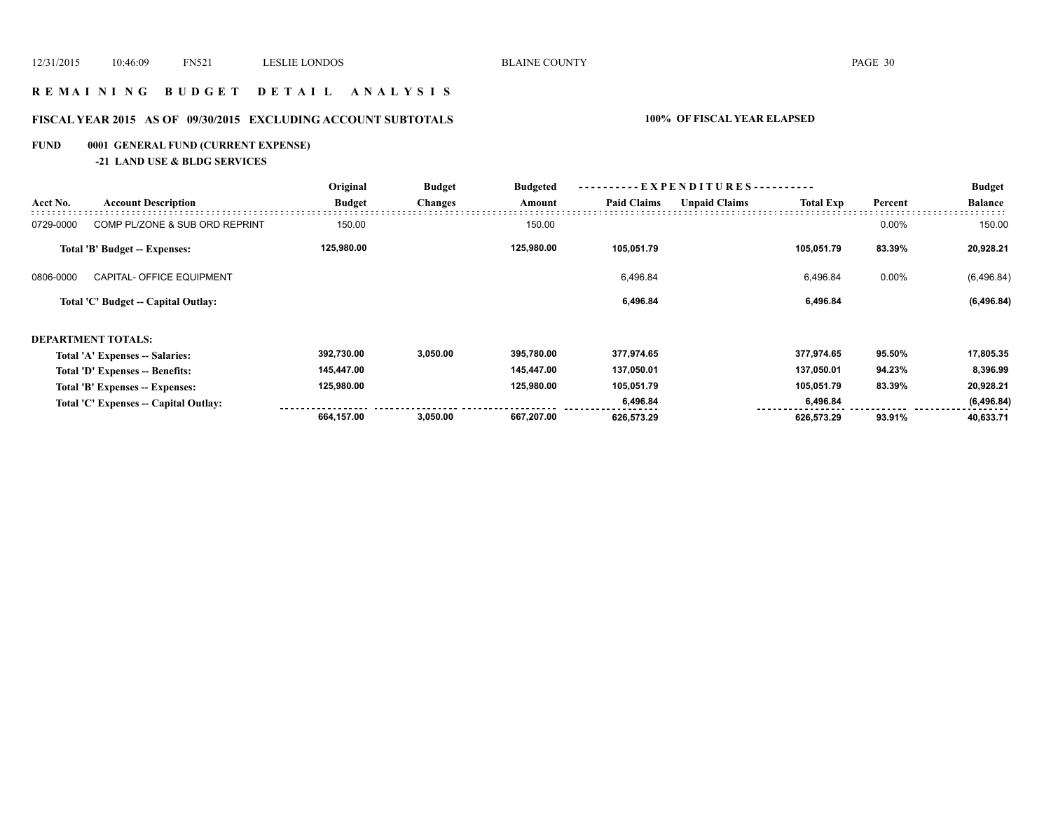### **R E M A I N I N G B U D G E T D E T A I L A N A L Y S I S**

# **FISCAL YEAR 2015 AS OF 09/30/2015 EXCLUDING ACCOUNT SUBTOTALS 100% OF FISCAL YEAR ELAPSED**

# **FUND 0001 GENERAL FUND (CURRENT EXPENSE)**

**-21 LAND USE & BLDG SERVICES**

|           | <b>Account Description</b>            | Original      | <b>Budget</b>  | <b>Budgeted</b> | - EXPENDITURES---------- |                      |                  | <b>Budget</b> |                |
|-----------|---------------------------------------|---------------|----------------|-----------------|--------------------------|----------------------|------------------|---------------|----------------|
| Acct No.  |                                       | <b>Budget</b> | <b>Changes</b> | Amount          | <b>Paid Claims</b>       | <b>Unpaid Claims</b> | <b>Total Exp</b> | Percent       | <b>Balance</b> |
| 0729-0000 | COMP PL/ZONE & SUB ORD REPRINT        | 150.00        |                | 150.00          |                          |                      |                  | 0.00%         | 150.00         |
|           | <b>Total 'B' Budget -- Expenses:</b>  | 125,980.00    |                | 125,980.00      | 105,051.79               |                      | 105,051.79       | 83.39%        | 20,928.21      |
| 0806-0000 | CAPITAL- OFFICE EQUIPMENT             |               |                |                 | 6,496.84                 |                      | 6,496.84         | 0.00%         | (6,496.84)     |
|           | Total 'C' Budget -- Capital Outlay:   |               |                |                 | 6,496.84                 |                      | 6,496.84         |               | (6, 496.84)    |
|           | <b>DEPARTMENT TOTALS:</b>             |               |                |                 |                          |                      |                  |               |                |
|           | Total 'A' Expenses -- Salaries:       | 392,730.00    | 3,050.00       | 395,780.00      | 377,974.65               |                      | 377,974.65       | 95.50%        | 17,805.35      |
|           | Total 'D' Expenses -- Benefits:       | 145,447.00    |                | 145,447.00      | 137,050.01               |                      | 137,050.01       | 94.23%        | 8,396.99       |
|           | Total 'B' Expenses -- Expenses:       | 125,980.00    |                | 125,980.00      | 105,051.79               |                      | 105,051.79       | 83.39%        | 20,928.21      |
|           | Total 'C' Expenses -- Capital Outlay: |               |                |                 | 6,496.84                 |                      | 6,496.84         |               | (6, 496.84)    |
|           |                                       | 664,157.00    | 3,050.00       | 667,207.00      | 626,573.29               |                      | 626,573.29       | 93.91%        | 40,633.71      |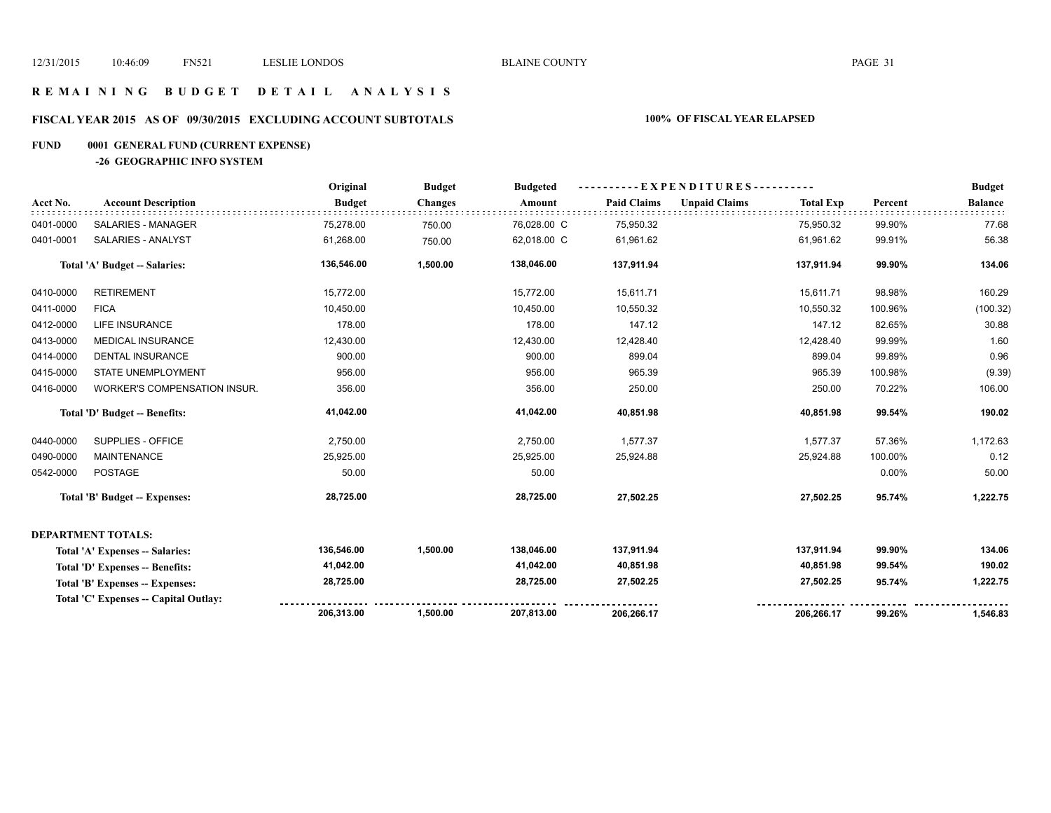### **R E M A I N I N G B U D G E T D E T A I L A N A L Y S I S**

# **FISCAL YEAR 2015 AS OF 09/30/2015 EXCLUDING ACCOUNT SUBTOTALS 100% OF FISCAL YEAR ELAPSED**

# **FUND 0001 GENERAL FUND (CURRENT EXPENSE)**

**-26 GEOGRAPHIC INFO SYSTEM**

|           |                                       | Original      | <b>Budget</b>  | <b>Budgeted</b> | ----------EXPENDITURES---------- |                      |                  |         | <b>Budget</b>  |
|-----------|---------------------------------------|---------------|----------------|-----------------|----------------------------------|----------------------|------------------|---------|----------------|
| Acct No.  | <b>Account Description</b>            | <b>Budget</b> | <b>Changes</b> | Amount          | <b>Paid Claims</b>               | <b>Unpaid Claims</b> | <b>Total Exp</b> | Percent | <b>Balance</b> |
| 0401-0000 | SALARIES - MANAGER                    | 75,278.00     | 750.00         | 76,028.00 C     | 75,950.32                        |                      | 75,950.32        | 99.90%  | 77.68          |
| 0401-0001 | SALARIES - ANALYST                    | 61,268.00     | 750.00         | 62,018.00 C     | 61,961.62                        |                      | 61,961.62        | 99.91%  | 56.38          |
|           | <b>Total 'A' Budget -- Salaries:</b>  | 136,546.00    | 1,500.00       | 138,046.00      | 137,911.94                       |                      | 137,911.94       | 99.90%  | 134.06         |
| 0410-0000 | <b>RETIREMENT</b>                     | 15,772.00     |                | 15,772.00       | 15,611.71                        |                      | 15,611.71        | 98.98%  | 160.29         |
| 0411-0000 | <b>FICA</b>                           | 10,450.00     |                | 10,450.00       | 10,550.32                        |                      | 10,550.32        | 100.96% | (100.32)       |
| 0412-0000 | LIFE INSURANCE                        | 178.00        |                | 178.00          | 147.12                           |                      | 147.12           | 82.65%  | 30.88          |
| 0413-0000 | <b>MEDICAL INSURANCE</b>              | 12,430.00     |                | 12,430.00       | 12,428.40                        |                      | 12,428.40        | 99.99%  | 1.60           |
| 0414-0000 | <b>DENTAL INSURANCE</b>               | 900.00        |                | 900.00          | 899.04                           |                      | 899.04           | 99.89%  | 0.96           |
| 0415-0000 | STATE UNEMPLOYMENT                    | 956.00        |                | 956.00          | 965.39                           |                      | 965.39           | 100.98% | (9.39)         |
| 0416-0000 | WORKER'S COMPENSATION INSUR.          | 356.00        |                | 356.00          | 250.00                           |                      | 250.00           | 70.22%  | 106.00         |
|           | Total 'D' Budget -- Benefits:         | 41,042.00     |                | 41,042.00       | 40,851.98                        |                      | 40,851.98        | 99.54%  | 190.02         |
| 0440-0000 | SUPPLIES - OFFICE                     | 2,750.00      |                | 2,750.00        | 1,577.37                         |                      | 1,577.37         | 57.36%  | 1,172.63       |
| 0490-0000 | <b>MAINTENANCE</b>                    | 25,925.00     |                | 25,925.00       | 25,924.88                        |                      | 25,924.88        | 100.00% | 0.12           |
| 0542-0000 | <b>POSTAGE</b>                        | 50.00         |                | 50.00           |                                  |                      |                  | 0.00%   | 50.00          |
|           | <b>Total 'B' Budget -- Expenses:</b>  | 28,725.00     |                | 28,725.00       | 27,502.25                        |                      | 27,502.25        | 95.74%  | 1,222.75       |
|           | <b>DEPARTMENT TOTALS:</b>             |               |                |                 |                                  |                      |                  |         |                |
|           | Total 'A' Expenses -- Salaries:       | 136,546.00    | 1,500.00       | 138,046.00      | 137,911.94                       |                      | 137,911.94       | 99.90%  | 134.06         |
|           | Total 'D' Expenses -- Benefits:       | 41,042.00     |                | 41,042.00       | 40,851.98                        |                      | 40,851.98        | 99.54%  | 190.02         |
|           | Total 'B' Expenses -- Expenses:       | 28,725.00     |                | 28,725.00       | 27,502.25                        |                      | 27,502.25        | 95.74%  | 1,222.75       |
|           | Total 'C' Expenses -- Capital Outlay: |               |                |                 |                                  |                      |                  |         |                |
|           |                                       | 206,313.00    | 1,500.00       | 207,813.00      | 206,266.17                       |                      | 206,266.17       | 99.26%  | 1,546.83       |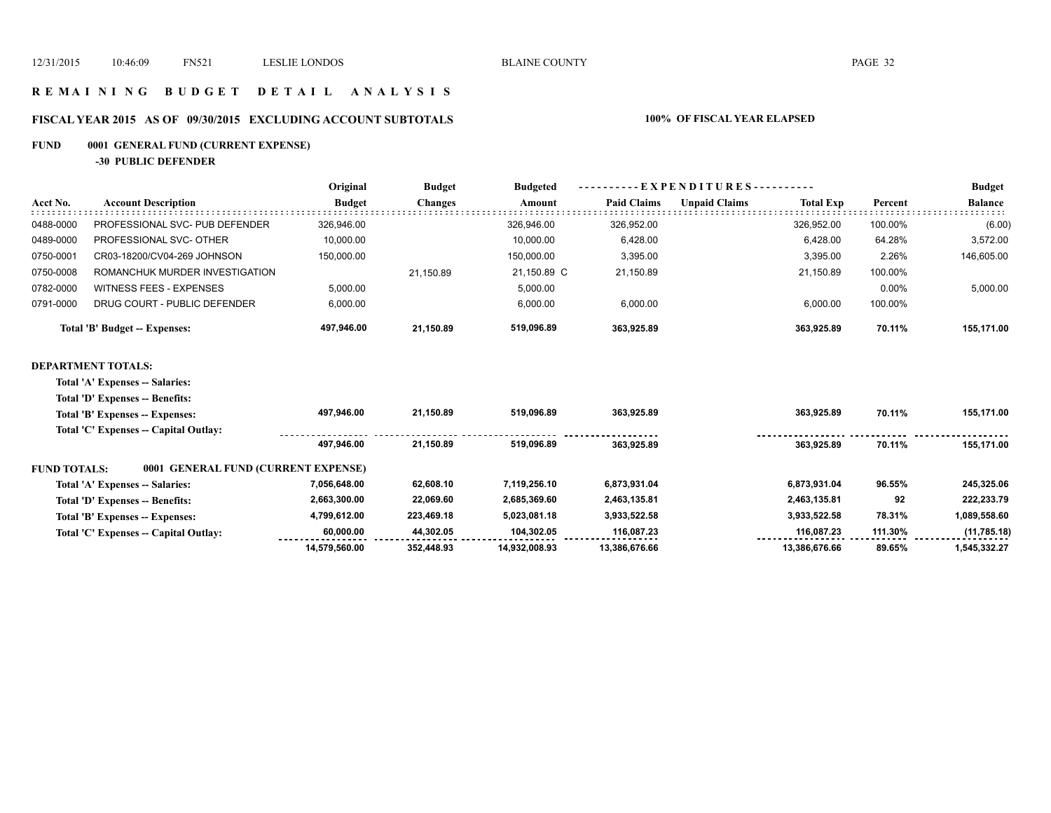### **R E M A I N I N G B U D G E T D E T A I L A N A L Y S I S**

# **FISCAL YEAR 2015 AS OF 09/30/2015 EXCLUDING ACCOUNT SUBTOTALS 100% OF FISCAL YEAR ELAPSED**

# **FUND 0001 GENERAL FUND (CURRENT EXPENSE)**

**-30 PUBLIC DEFENDER**

|                                | Original                      | <b>Budget</b>  | <b>Budgeted</b> |                    |                      | <b>Budget</b>    |                        |                |
|--------------------------------|-------------------------------|----------------|-----------------|--------------------|----------------------|------------------|------------------------|----------------|
| <b>Account Description</b>     | <b>Budget</b>                 | <b>Changes</b> | Amount          | <b>Paid Claims</b> | <b>Unpaid Claims</b> | <b>Total Exp</b> | Percent                | <b>Balance</b> |
| PROFESSIONAL SVC- PUB DEFENDER | 326.946.00                    |                | 326.946.00      | 326,952.00         |                      | 326.952.00       | 100.00%                | (6.00)         |
| PROFESSIONAL SVC- OTHER        | 10,000.00                     |                | 10.000.00       | 6,428.00           |                      | 6.428.00         | 64.28%                 | 3,572.00       |
| CR03-18200/CV04-269 JOHNSON    | 150.000.00                    |                | 150,000.00      | 3.395.00           |                      | 3.395.00         | 2.26%                  | 146,605.00     |
| ROMANCHUK MURDER INVESTIGATION |                               | 21.150.89      | 21.150.89 C     | 21,150.89          |                      | 21.150.89        | 100.00%                |                |
| <b>WITNESS FEES - EXPENSES</b> | 5.000.00                      |                | 5,000.00        |                    |                      |                  | 0.00%                  | 5,000.00       |
| DRUG COURT - PUBLIC DEFENDER   | 6.000.00                      |                | 6.000.00        | 6.000.00           |                      | 6.000.00         | 100.00%                |                |
|                                | 497,946.00                    | 21.150.89      | 519,096.89      | 363,925.89         |                      | 363.925.89       | 70.11%                 | 155,171.00     |
|                                | Total 'B' Budget -- Expenses: |                |                 |                    |                      |                  | EXPENDITURES---------- |                |

### **DEPARTMENT TOTALS:**

**Total 'A' Expenses -- Salaries: Total 'D' Expenses -- Benefits:**

| тошт в парсивоз венено:         |                                       |                                     |            |               |               |               |         |              |
|---------------------------------|---------------------------------------|-------------------------------------|------------|---------------|---------------|---------------|---------|--------------|
| Total 'B' Expenses -- Expenses: |                                       | 497.946.00                          | 21.150.89  | 519.096.89    | 363.925.89    | 363.925.89    | 70.11%  | 155,171.00   |
|                                 | Total 'C' Expenses -- Capital Outlay: |                                     |            |               |               |               |         |              |
|                                 |                                       | 497.946.00                          | 21.150.89  | 519.096.89    | 363.925.89    | 363.925.89    | 70.11%  | 155.171.00   |
| <b>FUND TOTALS:</b>             |                                       | 0001 GENERAL FUND (CURRENT EXPENSE) |            |               |               |               |         |              |
| Total 'A' Expenses -- Salaries: |                                       | 7,056,648.00                        | 62.608.10  | 7.119.256.10  | 6,873,931.04  | 6.873.931.04  | 96.55%  | 245,325.06   |
| Total 'D' Expenses -- Benefits: |                                       | 2,663,300.00                        | 22,069.60  | 2.685.369.60  | 2,463,135.81  | 2,463,135.81  | 92      | 222.233.79   |
| Total 'B' Expenses -- Expenses: |                                       | 4,799,612.00                        | 223,469.18 | 5.023.081.18  | 3,933,522.58  | 3,933,522.58  | 78.31%  | 1,089,558.60 |
|                                 | Total 'C' Expenses -- Capital Outlay: | 60.000.00                           | 44.302.05  | 104.302.05    | 116.087.23    | 116.087.23    | 111.30% | (11,785.18)  |
|                                 |                                       | 14.579.560.00                       | 352.448.93 | 14.932.008.93 | 13.386.676.66 | 13.386.676.66 | 89.65%  | 1,545,332.27 |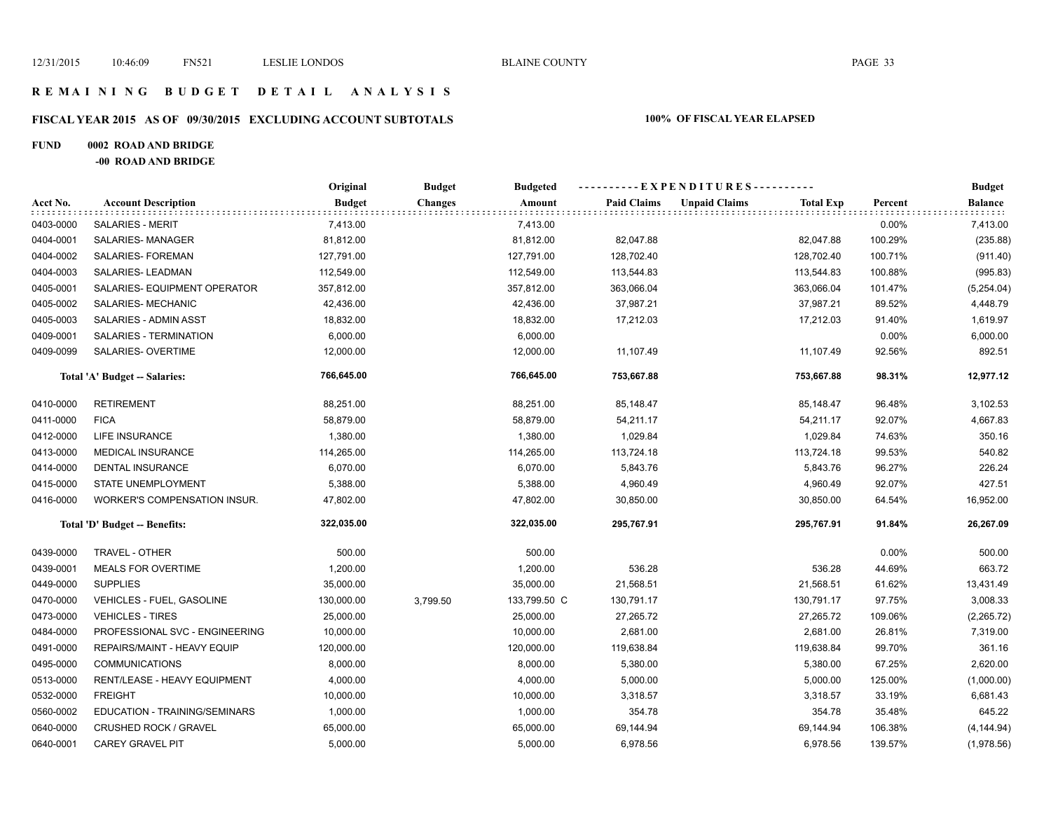### **R E M A I N I N G B U D G E T D E T A I L A N A L Y S I S**

# **FISCAL YEAR 2015 AS OF 09/30/2015 EXCLUDING ACCOUNT SUBTOTALS 100% OF FISCAL YEAR ELAPSED**

# **FUND 0002 ROAD AND BRIDGE**

**-00 ROAD AND BRIDGE**

|           |                                     | Original      | <b>Budget</b>  | <b>Budgeted</b> | ----------EXPENDITURES---------- |                      |                  |         | <b>Budget</b>  |
|-----------|-------------------------------------|---------------|----------------|-----------------|----------------------------------|----------------------|------------------|---------|----------------|
| Acct No.  | <b>Account Description</b>          | <b>Budget</b> | <b>Changes</b> | Amount          | <b>Paid Claims</b>               | <b>Unpaid Claims</b> | <b>Total Exp</b> | Percent | <b>Balance</b> |
| 0403-0000 | <b>SALARIES - MERIT</b>             | 7,413.00      |                | 7,413.00        |                                  |                      |                  | 0.00%   | 7,413.00       |
| 0404-0001 | SALARIES-MANAGER                    | 81,812.00     |                | 81,812.00       | 82,047.88                        |                      | 82,047.88        | 100.29% | (235.88)       |
| 0404-0002 | SALARIES- FOREMAN                   | 127,791.00    |                | 127,791.00      | 128,702.40                       |                      | 128,702.40       | 100.71% | (911.40)       |
| 0404-0003 | SALARIES-LEADMAN                    | 112,549.00    |                | 112,549.00      | 113,544.83                       |                      | 113,544.83       | 100.88% | (995.83)       |
| 0405-0001 | SALARIES- EQUIPMENT OPERATOR        | 357,812.00    |                | 357,812.00      | 363,066.04                       |                      | 363,066.04       | 101.47% | (5,254.04)     |
| 0405-0002 | SALARIES- MECHANIC                  | 42,436.00     |                | 42,436.00       | 37,987.21                        |                      | 37,987.21        | 89.52%  | 4,448.79       |
| 0405-0003 | SALARIES - ADMIN ASST               | 18,832.00     |                | 18,832.00       | 17,212.03                        |                      | 17,212.03        | 91.40%  | 1,619.97       |
| 0409-0001 | SALARIES - TERMINATION              | 6,000.00      |                | 6,000.00        |                                  |                      |                  | 0.00%   | 6,000.00       |
| 0409-0099 | SALARIES- OVERTIME                  | 12,000.00     |                | 12,000.00       | 11,107.49                        |                      | 11,107.49        | 92.56%  | 892.51         |
|           | Total 'A' Budget -- Salaries:       | 766,645.00    |                | 766,645.00      | 753,667.88                       |                      | 753,667.88       | 98.31%  | 12,977.12      |
| 0410-0000 | <b>RETIREMENT</b>                   | 88,251.00     |                | 88,251.00       | 85,148.47                        |                      | 85,148.47        | 96.48%  | 3,102.53       |
| 0411-0000 | <b>FICA</b>                         | 58,879.00     |                | 58,879.00       | 54,211.17                        |                      | 54,211.17        | 92.07%  | 4,667.83       |
| 0412-0000 | LIFE INSURANCE                      | 1,380.00      |                | 1,380.00        | 1,029.84                         |                      | 1,029.84         | 74.63%  | 350.16         |
| 0413-0000 | MEDICAL INSURANCE                   | 114,265.00    |                | 114,265.00      | 113,724.18                       |                      | 113,724.18       | 99.53%  | 540.82         |
| 0414-0000 | <b>DENTAL INSURANCE</b>             | 6,070.00      |                | 6,070.00        | 5,843.76                         |                      | 5,843.76         | 96.27%  | 226.24         |
| 0415-0000 | STATE UNEMPLOYMENT                  | 5,388.00      |                | 5,388.00        | 4,960.49                         |                      | 4,960.49         | 92.07%  | 427.51         |
| 0416-0000 | <b>WORKER'S COMPENSATION INSUR.</b> | 47,802.00     |                | 47,802.00       | 30,850.00                        |                      | 30,850.00        | 64.54%  | 16,952.00      |
|           | Total 'D' Budget -- Benefits:       | 322,035.00    |                | 322,035.00      | 295,767.91                       |                      | 295,767.91       | 91.84%  | 26,267.09      |
| 0439-0000 | TRAVEL - OTHER                      | 500.00        |                | 500.00          |                                  |                      |                  | 0.00%   | 500.00         |
| 0439-0001 | <b>MEALS FOR OVERTIME</b>           | 1,200.00      |                | 1,200.00        | 536.28                           |                      | 536.28           | 44.69%  | 663.72         |
| 0449-0000 | <b>SUPPLIES</b>                     | 35,000.00     |                | 35,000.00       | 21,568.51                        |                      | 21,568.51        | 61.62%  | 13,431.49      |
| 0470-0000 | VEHICLES - FUEL, GASOLINE           | 130,000.00    | 3,799.50       | 133,799.50 C    | 130,791.17                       |                      | 130,791.17       | 97.75%  | 3,008.33       |
| 0473-0000 | <b>VEHICLES - TIRES</b>             | 25,000.00     |                | 25,000.00       | 27,265.72                        |                      | 27,265.72        | 109.06% | (2, 265.72)    |
| 0484-0000 | PROFESSIONAL SVC - ENGINEERING      | 10,000.00     |                | 10,000.00       | 2,681.00                         |                      | 2,681.00         | 26.81%  | 7,319.00       |
| 0491-0000 | REPAIRS/MAINT - HEAVY EQUIP         | 120,000.00    |                | 120,000.00      | 119,638.84                       |                      | 119,638.84       | 99.70%  | 361.16         |
| 0495-0000 | <b>COMMUNICATIONS</b>               | 8,000.00      |                | 8,000.00        | 5,380.00                         |                      | 5,380.00         | 67.25%  | 2,620.00       |
| 0513-0000 | RENT/LEASE - HEAVY EQUIPMENT        | 4,000.00      |                | 4,000.00        | 5,000.00                         |                      | 5,000.00         | 125.00% | (1,000.00)     |
| 0532-0000 | <b>FREIGHT</b>                      | 10,000.00     |                | 10,000.00       | 3,318.57                         |                      | 3,318.57         | 33.19%  | 6,681.43       |
| 0560-0002 | EDUCATION - TRAINING/SEMINARS       | 1,000.00      |                | 1,000.00        | 354.78                           |                      | 354.78           | 35.48%  | 645.22         |
| 0640-0000 | <b>CRUSHED ROCK / GRAVEL</b>        | 65,000.00     |                | 65,000.00       | 69,144.94                        |                      | 69,144.94        | 106.38% | (4, 144.94)    |
| 0640-0001 | <b>CAREY GRAVEL PIT</b>             | 5,000.00      |                | 5,000.00        | 6,978.56                         |                      | 6,978.56         | 139.57% | (1,978.56)     |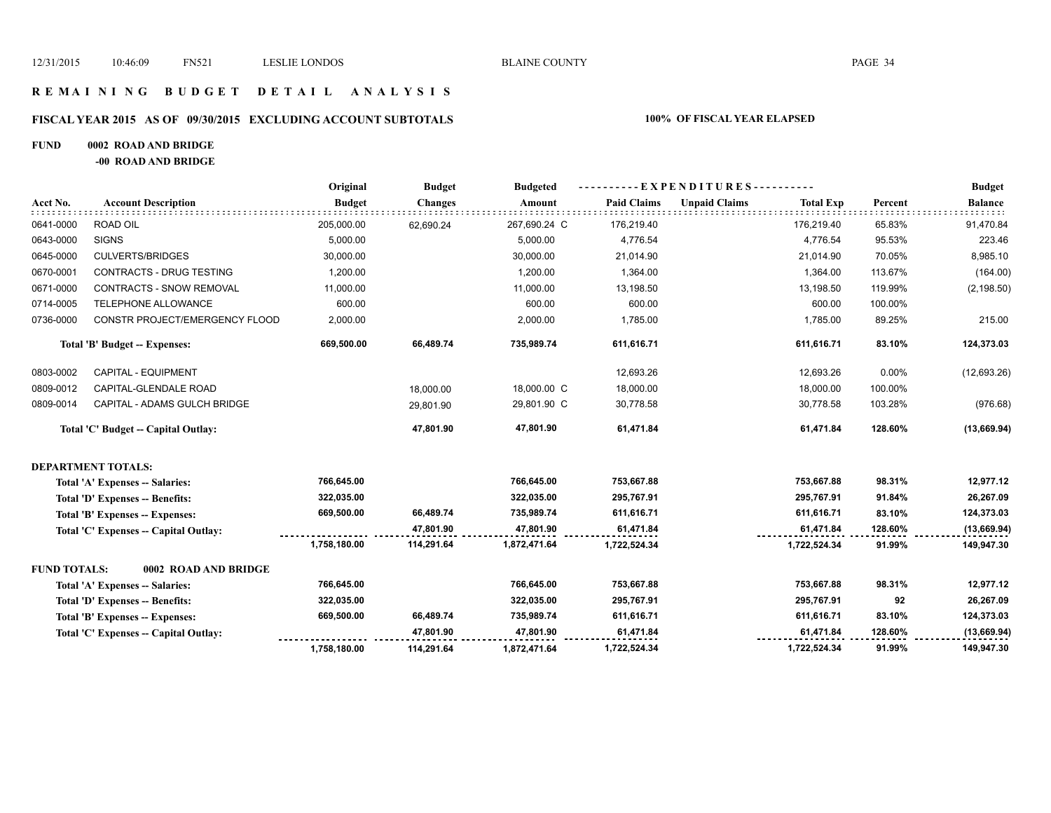### **R E M A I N I N G B U D G E T D E T A I L A N A L Y S I S**

### **FISCAL YEAR 2015 AS OF 09/30/2015 EXCLUDING ACCOUNT SUBTOTALS 100% OF FISCAL YEAR ELAPSED**

### **FUND 0002 ROAD AND BRIDGE**

**-00 ROAD AND BRIDGE**

|                     |                                       | Original      | <b>Budget</b>  | <b>Budgeted</b> | ----------EXPENDITURES---------- |                      |                  |         | <b>Budget</b>  |
|---------------------|---------------------------------------|---------------|----------------|-----------------|----------------------------------|----------------------|------------------|---------|----------------|
| Acct No.            | <b>Account Description</b>            | <b>Budget</b> | <b>Changes</b> | Amount          | <b>Paid Claims</b>               | <b>Unpaid Claims</b> | <b>Total Exp</b> | Percent | <b>Balance</b> |
| 0641-0000           | ROAD OIL                              | 205,000.00    | 62,690.24      | 267,690.24 C    | 176,219.40                       |                      | 176,219.40       | 65.83%  | 91,470.84      |
| 0643-0000           | <b>SIGNS</b>                          | 5,000.00      |                | 5,000.00        | 4,776.54                         |                      | 4,776.54         | 95.53%  | 223.46         |
| 0645-0000           | <b>CULVERTS/BRIDGES</b>               | 30,000.00     |                | 30,000.00       | 21,014.90                        |                      | 21,014.90        | 70.05%  | 8,985.10       |
| 0670-0001           | CONTRACTS - DRUG TESTING              | 1,200.00      |                | 1,200.00        | 1,364.00                         |                      | 1,364.00         | 113.67% | (164.00)       |
| 0671-0000           | CONTRACTS - SNOW REMOVAL              | 11,000.00     |                | 11,000.00       | 13,198.50                        |                      | 13,198.50        | 119.99% | (2, 198.50)    |
| 0714-0005           | TELEPHONE ALLOWANCE                   | 600.00        |                | 600.00          | 600.00                           |                      | 600.00           | 100.00% |                |
| 0736-0000           | CONSTR PROJECT/EMERGENCY FLOOD        | 2,000.00      |                | 2,000.00        | 1,785.00                         |                      | 1,785.00         | 89.25%  | 215.00         |
|                     | Total 'B' Budget -- Expenses:         | 669,500.00    | 66,489.74      | 735,989.74      | 611,616.71                       |                      | 611,616.71       | 83.10%  | 124,373.03     |
| 0803-0002           | CAPITAL - EQUIPMENT                   |               |                |                 | 12,693.26                        |                      | 12,693.26        | 0.00%   | (12,693.26)    |
| 0809-0012           | CAPITAL-GLENDALE ROAD                 |               | 18.000.00      | 18,000.00 C     | 18,000.00                        |                      | 18,000.00        | 100.00% |                |
| 0809-0014           | CAPITAL - ADAMS GULCH BRIDGE          |               | 29,801.90      | 29,801.90 C     | 30,778.58                        |                      | 30,778.58        | 103.28% | (976.68)       |
|                     | Total 'C' Budget -- Capital Outlay:   |               | 47,801.90      | 47,801.90       | 61,471.84                        |                      | 61,471.84        | 128.60% | (13, 669.94)   |
|                     | <b>DEPARTMENT TOTALS:</b>             |               |                |                 |                                  |                      |                  |         |                |
|                     | Total 'A' Expenses -- Salaries:       | 766,645.00    |                | 766,645.00      | 753,667.88                       |                      | 753,667.88       | 98.31%  | 12,977.12      |
|                     | Total 'D' Expenses -- Benefits:       | 322,035.00    |                | 322,035.00      | 295,767.91                       |                      | 295,767.91       | 91.84%  | 26,267.09      |
|                     | Total 'B' Expenses -- Expenses:       | 669,500.00    | 66,489.74      | 735,989.74      | 611,616.71                       |                      | 611,616.71       | 83.10%  | 124,373.03     |
|                     | Total 'C' Expenses -- Capital Outlay: |               | 47,801.90      | 47,801.90       | 61,471.84                        |                      | 61,471.84        | 128.60% | (13,669.94)    |
|                     |                                       | 1,758,180.00  | 114,291.64     | 1,872,471.64    | 1,722,524.34                     |                      | 1,722,524.34     | 91.99%  | 149,947.30     |
| <b>FUND TOTALS:</b> | 0002 ROAD AND BRIDGE                  |               |                |                 |                                  |                      |                  |         |                |
|                     | Total 'A' Expenses -- Salaries:       | 766,645.00    |                | 766,645.00      | 753,667.88                       |                      | 753,667.88       | 98.31%  | 12,977.12      |
|                     | Total 'D' Expenses -- Benefits:       | 322,035.00    |                | 322,035.00      | 295,767.91                       |                      | 295,767.91       | 92      | 26,267.09      |
|                     | Total 'B' Expenses -- Expenses:       | 669,500.00    | 66,489.74      | 735,989.74      | 611,616.71                       |                      | 611,616.71       | 83.10%  | 124,373.03     |
|                     | Total 'C' Expenses - Capital Outlay:  |               | 47,801.90      | 47,801.90       | 61,471.84                        |                      | 61,471.84        | 128.60% | (13,669.94)    |
|                     |                                       | 1,758,180.00  | 114,291.64     | 1,872,471.64    | 1,722,524.34                     |                      | 1,722,524.34     | 91.99%  | 149,947.30     |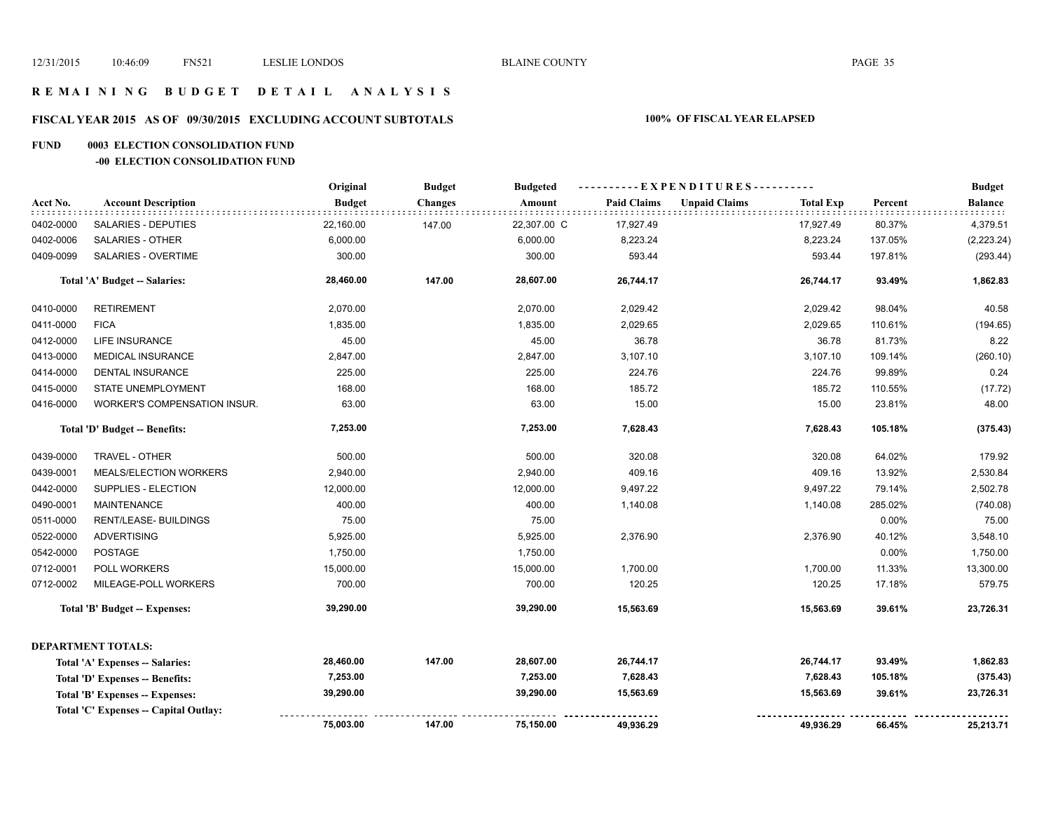### **R E M A I N I N G B U D G E T D E T A I L A N A L Y S I S**

# **FISCAL YEAR 2015 AS OF 09/30/2015 EXCLUDING ACCOUNT SUBTOTALS 100% OF FISCAL YEAR ELAPSED**

### **FUND 0003 ELECTION CONSOLIDATION FUND**

### **-00 ELECTION CONSOLIDATION FUND**

|           |                                       | Original      | <b>Budget</b>  | <b>Budgeted</b> | ----------EXPENDITURES---------- |                      |                  |         | <b>Budget</b>  |
|-----------|---------------------------------------|---------------|----------------|-----------------|----------------------------------|----------------------|------------------|---------|----------------|
| Acct No.  | <b>Account Description</b>            | <b>Budget</b> | <b>Changes</b> | Amount          | <b>Paid Claims</b>               | <b>Unpaid Claims</b> | <b>Total Exp</b> | Percent | <b>Balance</b> |
| 0402-0000 | <b>SALARIES - DEPUTIES</b>            | 22,160.00     | 147.00         | 22,307.00 C     | 17,927.49                        |                      | 17,927.49        | 80.37%  | 4,379.51       |
| 0402-0006 | <b>SALARIES - OTHER</b>               | 6,000.00      |                | 6,000.00        | 8,223.24                         |                      | 8,223.24         | 137.05% | (2,223.24)     |
| 0409-0099 | SALARIES - OVERTIME                   | 300.00        |                | 300.00          | 593.44                           |                      | 593.44           | 197.81% | (293.44)       |
|           | Total 'A' Budget -- Salaries:         | 28,460.00     | 147.00         | 28,607.00       | 26,744.17                        |                      | 26,744.17        | 93.49%  | 1,862.83       |
| 0410-0000 | <b>RETIREMENT</b>                     | 2,070.00      |                | 2,070.00        | 2,029.42                         |                      | 2,029.42         | 98.04%  | 40.58          |
| 0411-0000 | <b>FICA</b>                           | 1,835.00      |                | 1,835.00        | 2,029.65                         |                      | 2,029.65         | 110.61% | (194.65)       |
| 0412-0000 | LIFE INSURANCE                        | 45.00         |                | 45.00           | 36.78                            |                      | 36.78            | 81.73%  | 8.22           |
| 0413-0000 | <b>MEDICAL INSURANCE</b>              | 2,847.00      |                | 2,847.00        | 3,107.10                         |                      | 3,107.10         | 109.14% | (260.10)       |
| 0414-0000 | <b>DENTAL INSURANCE</b>               | 225.00        |                | 225.00          | 224.76                           |                      | 224.76           | 99.89%  | 0.24           |
| 0415-0000 | STATE UNEMPLOYMENT                    | 168.00        |                | 168.00          | 185.72                           |                      | 185.72           | 110.55% | (17.72)        |
| 0416-0000 | WORKER'S COMPENSATION INSUR.          | 63.00         |                | 63.00           | 15.00                            |                      | 15.00            | 23.81%  | 48.00          |
|           | Total 'D' Budget -- Benefits:         | 7,253.00      |                | 7,253.00        | 7,628.43                         |                      | 7,628.43         | 105.18% | (375.43)       |
| 0439-0000 | TRAVEL - OTHER                        | 500.00        |                | 500.00          | 320.08                           |                      | 320.08           | 64.02%  | 179.92         |
| 0439-0001 | MEALS/ELECTION WORKERS                | 2,940.00      |                | 2,940.00        | 409.16                           |                      | 409.16           | 13.92%  | 2,530.84       |
| 0442-0000 | SUPPLIES - ELECTION                   | 12,000.00     |                | 12,000.00       | 9,497.22                         |                      | 9,497.22         | 79.14%  | 2,502.78       |
| 0490-0001 | <b>MAINTENANCE</b>                    | 400.00        |                | 400.00          | 1,140.08                         |                      | 1,140.08         | 285.02% | (740.08)       |
| 0511-0000 | RENT/LEASE- BUILDINGS                 | 75.00         |                | 75.00           |                                  |                      |                  | 0.00%   | 75.00          |
| 0522-0000 | <b>ADVERTISING</b>                    | 5,925.00      |                | 5,925.00        | 2,376.90                         |                      | 2,376.90         | 40.12%  | 3,548.10       |
| 0542-0000 | <b>POSTAGE</b>                        | 1,750.00      |                | 1,750.00        |                                  |                      |                  | 0.00%   | 1,750.00       |
| 0712-0001 | POLL WORKERS                          | 15,000.00     |                | 15,000.00       | 1,700.00                         |                      | 1,700.00         | 11.33%  | 13,300.00      |
| 0712-0002 | MILEAGE-POLL WORKERS                  | 700.00        |                | 700.00          | 120.25                           |                      | 120.25           | 17.18%  | 579.75         |
|           | <b>Total 'B' Budget -- Expenses:</b>  | 39,290.00     |                | 39,290.00       | 15,563.69                        |                      | 15,563.69        | 39.61%  | 23,726.31      |
|           | <b>DEPARTMENT TOTALS:</b>             |               |                |                 |                                  |                      |                  |         |                |
|           | Total 'A' Expenses -- Salaries:       | 28,460.00     | 147.00         | 28,607.00       | 26,744.17                        |                      | 26,744.17        | 93.49%  | 1,862.83       |
|           | Total 'D' Expenses -- Benefits:       | 7,253.00      |                | 7,253.00        | 7,628.43                         |                      | 7,628.43         | 105.18% | (375.43)       |
|           | Total 'B' Expenses -- Expenses:       | 39,290.00     |                | 39,290.00       | 15,563.69                        |                      | 15,563.69        | 39.61%  | 23,726.31      |
|           | Total 'C' Expenses -- Capital Outlay: |               |                |                 |                                  |                      |                  |         |                |
|           |                                       | 75,003.00     | 147.00         | 75,150.00       | 49,936.29                        |                      | 49,936.29        | 66.45%  | 25,213.71      |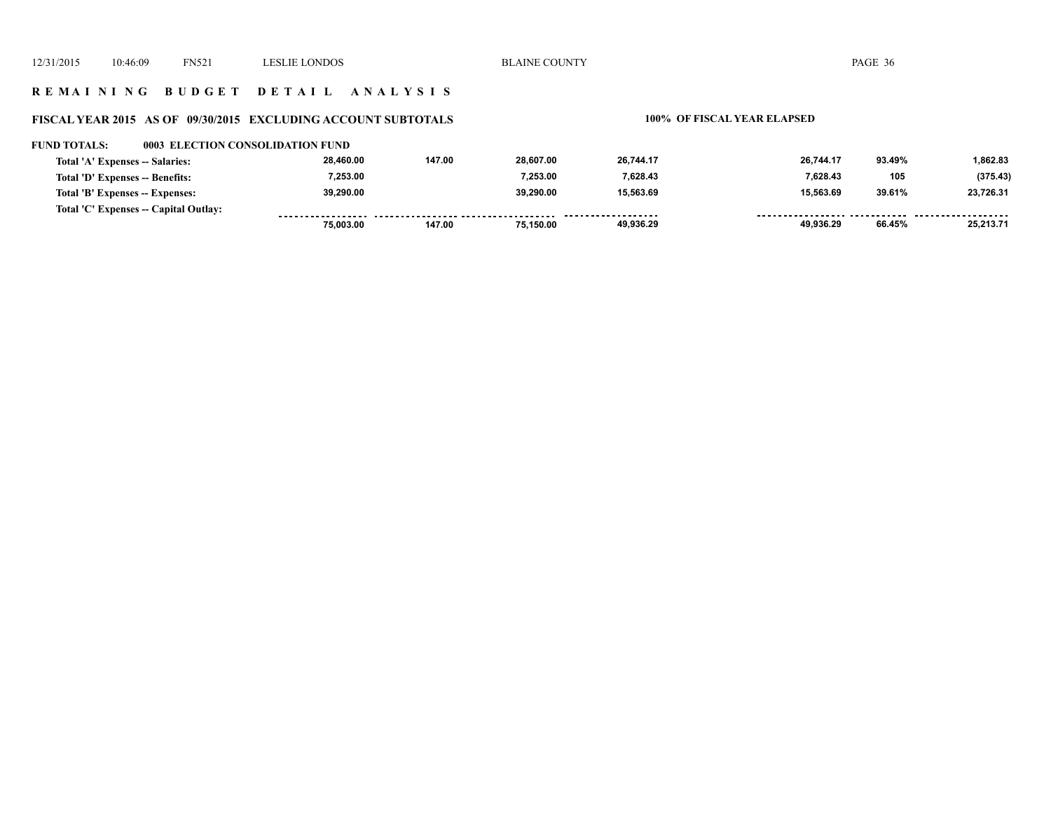### **R E M A I N I N G B U D G E T D E T A I L A N A L Y S I S**

# **FISCAL YEAR 2015 AS OF 09/30/2015 EXCLUDING ACCOUNT SUBTOTALS 100% OF FISCAL YEAR ELAPSED**

| <b>FUND TOTALS:</b>             |                                       | 0003 ELECTION CONSOLIDATION FUND |        |           |                     |           |        |           |
|---------------------------------|---------------------------------------|----------------------------------|--------|-----------|---------------------|-----------|--------|-----------|
| Total 'A' Expenses -- Salaries: |                                       | 28,460.00                        | 147.00 | 28.607.00 | 26.744.17           | 26.744.17 | 93.49% | 1,862.83  |
| Total 'D' Expenses -- Benefits: |                                       | 7.253.00                         |        | 7.253.00  | 7.628.43            | 7.628.43  | 105    | (375.43)  |
| Total 'B' Expenses -- Expenses: |                                       | 39,290.00                        |        | 39.290.00 | 15,563.69           | 15.563.69 | 39.61% | 23,726.31 |
|                                 | Total 'C' Expenses -- Capital Outlay: |                                  |        |           | ------------------- |           |        |           |
|                                 |                                       | 75.003.00                        | 147.00 | 75.150.00 | 49.936.29           | 49.936.29 | 66.45% | 25.213.71 |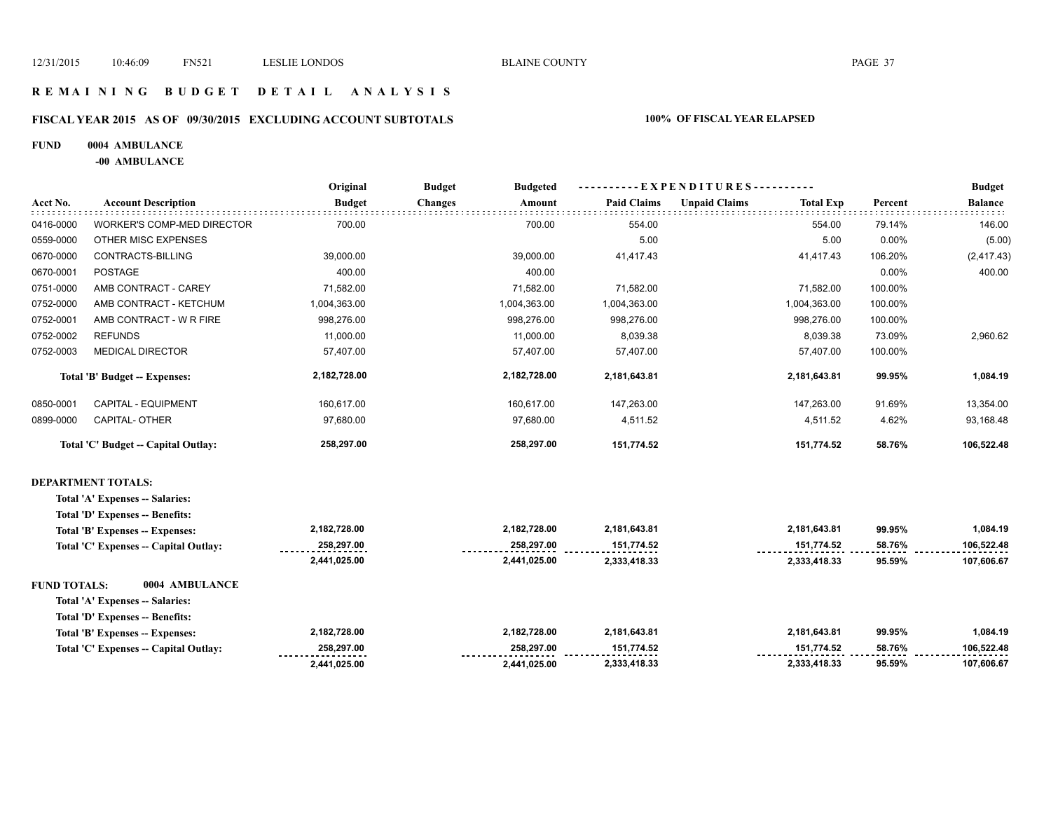**2,441,025.00** 

 **2,333,418.33 2,333,418.33 95.59% 107,606.67** 

### **R E M A I N I N G B U D G E T D E T A I L A N A L Y S I S**

### **FISCAL YEAR 2015 AS OF 09/30/2015 EXCLUDING ACCOUNT SUBTOTALS 100% OF FISCAL YEAR ELAPSED**

### **FUND 0004 AMBULANCE**

**-00 AMBULANCE**

|                     |                                        | Original      | <b>Budget</b><br><b>Budgeted</b> | $-EXPENDITURES$ --------- |                                          |         | <b>Budget</b>  |
|---------------------|----------------------------------------|---------------|----------------------------------|---------------------------|------------------------------------------|---------|----------------|
| Acct No.            | <b>Account Description</b>             | <b>Budget</b> | <b>Changes</b><br>Amount         | <b>Paid Claims</b>        | <b>Unpaid Claims</b><br><b>Total Exp</b> | Percent | <b>Balance</b> |
| 0416-0000           | <b>WORKER'S COMP-MED DIRECTOR</b>      | 700.00        | 700.00                           | 554.00                    | 554.00                                   | 79.14%  | 146.00         |
| 0559-0000           | OTHER MISC EXPENSES                    |               |                                  | 5.00                      | 5.00                                     | 0.00%   | (5.00)         |
| 0670-0000           | CONTRACTS-BILLING                      | 39,000.00     | 39,000.00                        | 41,417.43                 | 41,417.43                                | 106.20% | (2, 417.43)    |
| 0670-0001           | <b>POSTAGE</b>                         | 400.00        | 400.00                           |                           |                                          | 0.00%   | 400.00         |
| 0751-0000           | AMB CONTRACT - CAREY                   | 71,582.00     | 71,582.00                        | 71,582.00                 | 71,582.00                                | 100.00% |                |
| 0752-0000           | AMB CONTRACT - KETCHUM                 | 1,004,363.00  | 1,004,363.00                     | 1,004,363.00              | 1,004,363.00                             | 100.00% |                |
| 0752-0001           | AMB CONTRACT - W R FIRE                | 998,276.00    | 998,276.00                       | 998,276.00                | 998,276.00                               | 100.00% |                |
| 0752-0002           | <b>REFUNDS</b>                         | 11,000.00     | 11,000.00                        | 8,039.38                  | 8,039.38                                 | 73.09%  | 2,960.62       |
| 0752-0003           | <b>MEDICAL DIRECTOR</b>                | 57,407.00     | 57,407.00                        | 57,407.00                 | 57,407.00                                | 100.00% |                |
|                     | Total 'B' Budget -- Expenses:          | 2,182,728.00  | 2,182,728.00                     | 2,181,643.81              | 2,181,643.81                             | 99.95%  | 1,084.19       |
| 0850-0001           | CAPITAL - EQUIPMENT                    | 160,617.00    | 160,617.00                       | 147,263.00                | 147,263.00                               | 91.69%  | 13,354.00      |
| 0899-0000           | CAPITAL- OTHER                         | 97,680.00     | 97,680.00                        | 4,511.52                  | 4,511.52                                 | 4.62%   | 93,168.48      |
|                     | Total 'C' Budget -- Capital Outlay:    | 258,297.00    | 258,297.00                       | 151,774.52                | 151,774.52                               | 58.76%  | 106,522.48     |
|                     | <b>DEPARTMENT TOTALS:</b>              |               |                                  |                           |                                          |         |                |
|                     | Total 'A' Expenses -- Salaries:        |               |                                  |                           |                                          |         |                |
|                     | Total 'D' Expenses -- Benefits:        |               |                                  |                           |                                          |         |                |
|                     | Total 'B' Expenses -- Expenses:        | 2,182,728.00  | 2,182,728.00                     | 2,181,643.81              | 2,181,643.81                             | 99.95%  | 1,084.19       |
|                     | Total 'C' Expenses - Capital Outlay:   | 258,297.00    | 258,297.00                       | 151,774.52                | 151,774.52                               | 58.76%  | 106,522.48     |
|                     |                                        | 2,441,025.00  | 2,441,025.00                     | 2,333,418.33              | 2,333,418.33                             | 95.59%  | 107,606.67     |
| <b>FUND TOTALS:</b> | 0004 AMBULANCE                         |               |                                  |                           |                                          |         |                |
|                     | Total 'A' Expenses -- Salaries:        |               |                                  |                           |                                          |         |                |
|                     | <b>Total 'D' Expenses -- Benefits:</b> |               |                                  |                           |                                          |         |                |
|                     | Total 'B' Expenses -- Expenses:        | 2,182,728.00  | 2,182,728.00                     | 2,181,643.81              | 2,181,643.81                             | 99.95%  | 1,084.19       |
|                     | Total 'C' Expenses -- Capital Outlay:  | 258,297.00    | 258,297.00                       | 151,774.52                | 151,774.52                               | 58.76%  | 106,522.48     |

 **2,441,025.00**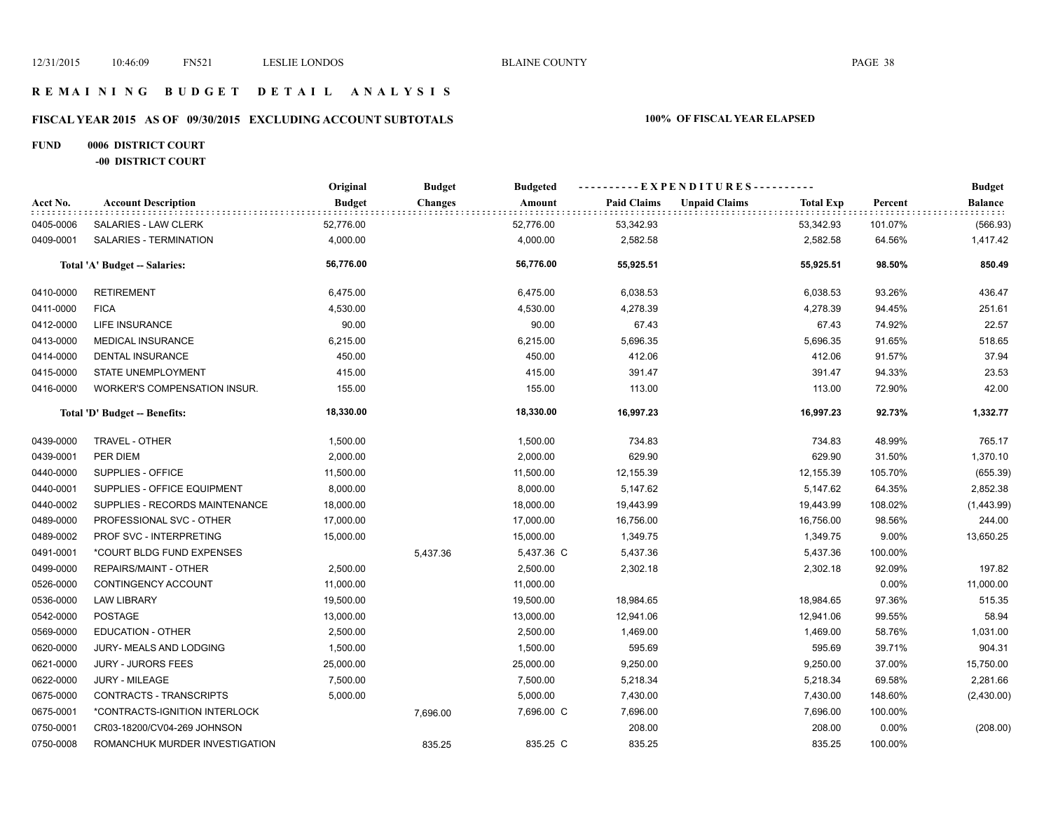### **R E M A I N I N G B U D G E T D E T A I L A N A L Y S I S**

# **FISCAL YEAR 2015 AS OF 09/30/2015 EXCLUDING ACCOUNT SUBTOTALS 100% OF FISCAL YEAR ELAPSED**

# **FUND 0006 DISTRICT COURT**

**-00 DISTRICT COURT**

|           |                                | Original      | <b>Budget</b>  | <b>Budgeted</b> | ----------EXPENDITURES---------- |                      |                  |         | <b>Budget</b> |
|-----------|--------------------------------|---------------|----------------|-----------------|----------------------------------|----------------------|------------------|---------|---------------|
| Acct No.  | <b>Account Description</b>     | <b>Budget</b> | <b>Changes</b> | Amount          | <b>Paid Claims</b>               | <b>Unpaid Claims</b> | <b>Total Exp</b> | Percent | Balance       |
| 0405-0006 | SALARIES - LAW CLERK           | 52,776.00     |                | 52,776.00       | 53,342.93                        |                      | 53,342.93        | 101.07% | (566.93)      |
| 0409-0001 | SALARIES - TERMINATION         | 4,000.00      |                | 4,000.00        | 2,582.58                         |                      | 2,582.58         | 64.56%  | 1,417.42      |
|           | Total 'A' Budget -- Salaries:  | 56,776.00     |                | 56,776.00       | 55,925.51                        |                      | 55,925.51        | 98.50%  | 850.49        |
| 0410-0000 | <b>RETIREMENT</b>              | 6,475.00      |                | 6,475.00        | 6,038.53                         |                      | 6,038.53         | 93.26%  | 436.47        |
| 0411-0000 | <b>FICA</b>                    | 4,530.00      |                | 4,530.00        | 4,278.39                         |                      | 4,278.39         | 94.45%  | 251.61        |
| 0412-0000 | LIFE INSURANCE                 | 90.00         |                | 90.00           | 67.43                            |                      | 67.43            | 74.92%  | 22.57         |
| 0413-0000 | <b>MEDICAL INSURANCE</b>       | 6,215.00      |                | 6,215.00        | 5,696.35                         |                      | 5,696.35         | 91.65%  | 518.65        |
| 0414-0000 | <b>DENTAL INSURANCE</b>        | 450.00        |                | 450.00          | 412.06                           |                      | 412.06           | 91.57%  | 37.94         |
| 0415-0000 | STATE UNEMPLOYMENT             | 415.00        |                | 415.00          | 391.47                           |                      | 391.47           | 94.33%  | 23.53         |
| 0416-0000 | WORKER'S COMPENSATION INSUR.   | 155.00        |                | 155.00          | 113.00                           |                      | 113.00           | 72.90%  | 42.00         |
|           | Total 'D' Budget -- Benefits:  | 18,330.00     |                | 18,330.00       | 16,997.23                        |                      | 16,997.23        | 92.73%  | 1,332.77      |
| 0439-0000 | TRAVEL - OTHER                 | 1,500.00      |                | 1,500.00        | 734.83                           |                      | 734.83           | 48.99%  | 765.17        |
| 0439-0001 | PER DIEM                       | 2,000.00      |                | 2,000.00        | 629.90                           |                      | 629.90           | 31.50%  | 1,370.10      |
| 0440-0000 | SUPPLIES - OFFICE              | 11,500.00     |                | 11,500.00       | 12,155.39                        |                      | 12,155.39        | 105.70% | (655.39)      |
| 0440-0001 | SUPPLIES - OFFICE EQUIPMENT    | 8,000.00      |                | 8,000.00        | 5,147.62                         |                      | 5,147.62         | 64.35%  | 2,852.38      |
| 0440-0002 | SUPPLIES - RECORDS MAINTENANCE | 18,000.00     |                | 18,000.00       | 19,443.99                        |                      | 19,443.99        | 108.02% | (1,443.99)    |
| 0489-0000 | PROFESSIONAL SVC - OTHER       | 17,000.00     |                | 17,000.00       | 16,756.00                        |                      | 16,756.00        | 98.56%  | 244.00        |
| 0489-0002 | PROF SVC - INTERPRETING        | 15,000.00     |                | 15,000.00       | 1,349.75                         |                      | 1,349.75         | 9.00%   | 13,650.25     |
| 0491-0001 | *COURT BLDG FUND EXPENSES      |               | 5,437.36       | 5,437.36 C      | 5,437.36                         |                      | 5,437.36         | 100.00% |               |
| 0499-0000 | <b>REPAIRS/MAINT - OTHER</b>   | 2,500.00      |                | 2,500.00        | 2,302.18                         |                      | 2,302.18         | 92.09%  | 197.82        |
| 0526-0000 | CONTINGENCY ACCOUNT            | 11,000.00     |                | 11,000.00       |                                  |                      |                  | 0.00%   | 11,000.00     |
| 0536-0000 | <b>LAW LIBRARY</b>             | 19,500.00     |                | 19,500.00       | 18,984.65                        |                      | 18,984.65        | 97.36%  | 515.35        |
| 0542-0000 | <b>POSTAGE</b>                 | 13,000.00     |                | 13,000.00       | 12,941.06                        |                      | 12,941.06        | 99.55%  | 58.94         |
| 0569-0000 | <b>EDUCATION - OTHER</b>       | 2,500.00      |                | 2,500.00        | 1,469.00                         |                      | 1,469.00         | 58.76%  | 1,031.00      |
| 0620-0000 | JURY- MEALS AND LODGING        | 1,500.00      |                | 1,500.00        | 595.69                           |                      | 595.69           | 39.71%  | 904.31        |
| 0621-0000 | <b>JURY - JURORS FEES</b>      | 25,000.00     |                | 25,000.00       | 9,250.00                         |                      | 9,250.00         | 37.00%  | 15,750.00     |
| 0622-0000 | <b>JURY - MILEAGE</b>          | 7,500.00      |                | 7,500.00        | 5,218.34                         |                      | 5,218.34         | 69.58%  | 2,281.66      |
| 0675-0000 | CONTRACTS - TRANSCRIPTS        | 5,000.00      |                | 5,000.00        | 7,430.00                         |                      | 7,430.00         | 148.60% | (2,430.00)    |
| 0675-0001 | *CONTRACTS-IGNITION INTERLOCK  |               | 7,696.00       | 7,696.00 C      | 7,696.00                         |                      | 7,696.00         | 100.00% |               |
| 0750-0001 | CR03-18200/CV04-269 JOHNSON    |               |                |                 | 208.00                           |                      | 208.00           | 0.00%   | (208.00)      |
| 0750-0008 | ROMANCHUK MURDER INVESTIGATION |               | 835.25         | 835.25 C        | 835.25                           |                      | 835.25           | 100.00% |               |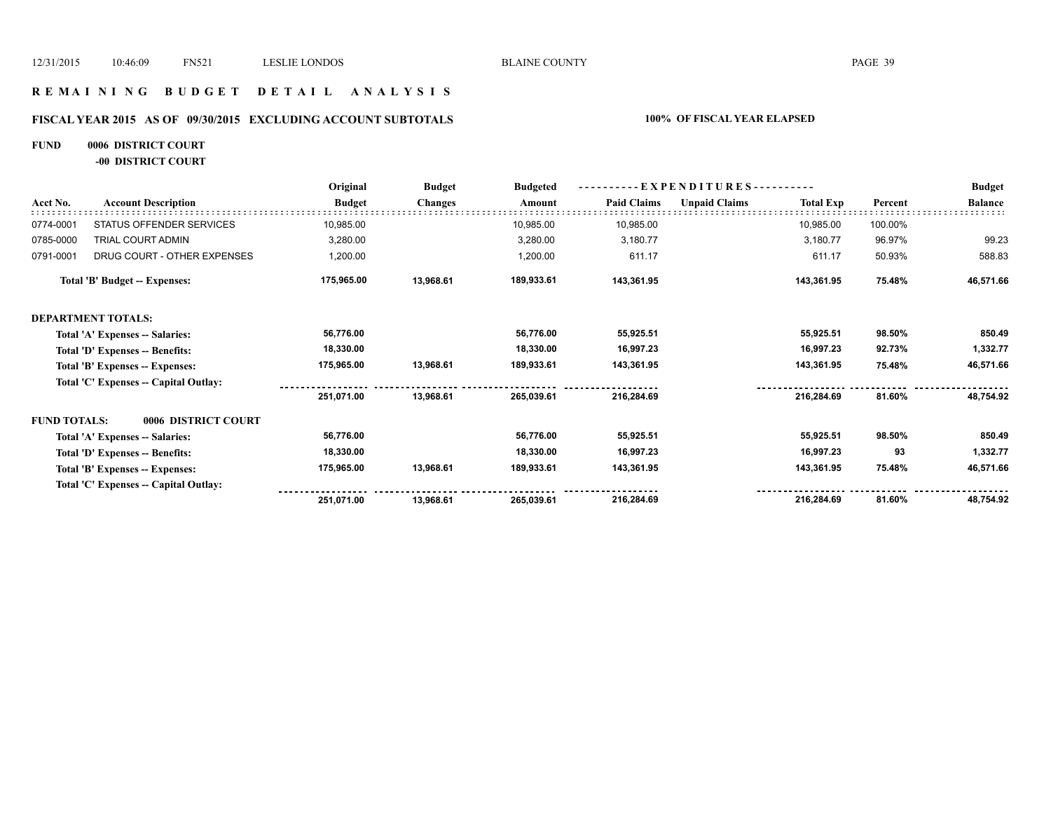### **R E M A I N I N G B U D G E T D E T A I L A N A L Y S I S**

### **FISCAL YEAR 2015 AS OF 09/30/2015 EXCLUDING ACCOUNT SUBTOTALS 100% OF FISCAL YEAR ELAPSED**

# **FUND 0006 DISTRICT COURT**

**-00 DISTRICT COURT**

|                     |                                       | Original      | <b>Budget</b>  | <b>Budgeted</b> | EXPENDITURES---    |                      |                  |         | <b>Budget</b>  |
|---------------------|---------------------------------------|---------------|----------------|-----------------|--------------------|----------------------|------------------|---------|----------------|
| Acct No.            | <b>Account Description</b>            | <b>Budget</b> | <b>Changes</b> | Amount          | <b>Paid Claims</b> | <b>Unpaid Claims</b> | <b>Total Exp</b> | Percent | <b>Balance</b> |
| 0774-0001           | STATUS OFFENDER SERVICES              | 10,985.00     |                | 10,985.00       | 10,985.00          |                      | 10,985.00        | 100.00% |                |
| 0785-0000           | TRIAL COURT ADMIN                     | 3,280.00      |                | 3,280.00        | 3,180.77           |                      | 3,180.77         | 96.97%  | 99.23          |
| 0791-0001           | DRUG COURT - OTHER EXPENSES           | 1,200.00      |                | 1,200.00        | 611.17             |                      | 611.17           | 50.93%  | 588.83         |
|                     | <b>Total 'B' Budget -- Expenses:</b>  | 175,965.00    | 13,968.61      | 189,933.61      | 143,361.95         |                      | 143,361.95       | 75.48%  | 46,571.66      |
|                     | <b>DEPARTMENT TOTALS:</b>             |               |                |                 |                    |                      |                  |         |                |
|                     | Total 'A' Expenses -- Salaries:       | 56,776.00     |                | 56,776.00       | 55,925.51          |                      | 55,925.51        | 98.50%  | 850.49         |
|                     | Total 'D' Expenses -- Benefits:       | 18,330.00     |                | 18,330.00       | 16,997.23          |                      | 16,997.23        | 92.73%  | 1,332.77       |
|                     | Total 'B' Expenses -- Expenses:       | 175,965.00    | 13,968.61      | 189,933.61      | 143,361.95         |                      | 143,361.95       | 75.48%  | 46,571.66      |
|                     | Total 'C' Expenses -- Capital Outlay: |               |                |                 |                    |                      |                  |         |                |
|                     |                                       | 251,071.00    | 13,968.61      | 265,039.61      | 216,284.69         |                      | 216,284.69       | 81.60%  | 48,754.92      |
| <b>FUND TOTALS:</b> | 0006 DISTRICT COURT                   |               |                |                 |                    |                      |                  |         |                |
|                     | Total 'A' Expenses -- Salaries:       | 56,776.00     |                | 56,776.00       | 55,925.51          |                      | 55,925.51        | 98.50%  | 850.49         |
|                     | Total 'D' Expenses -- Benefits:       | 18,330.00     |                | 18,330.00       | 16,997.23          |                      | 16,997.23        | 93      | 1,332.77       |
|                     | Total 'B' Expenses -- Expenses:       | 175,965.00    | 13,968.61      | 189,933.61      | 143,361.95         |                      | 143,361.95       | 75.48%  | 46,571.66      |
|                     | Total 'C' Expenses -- Capital Outlay: |               |                |                 |                    |                      |                  |         |                |
|                     |                                       | 251,071.00    | 13,968.61      | 265,039.61      | 216,284.69         |                      | 216,284.69       | 81.60%  | 48,754.92      |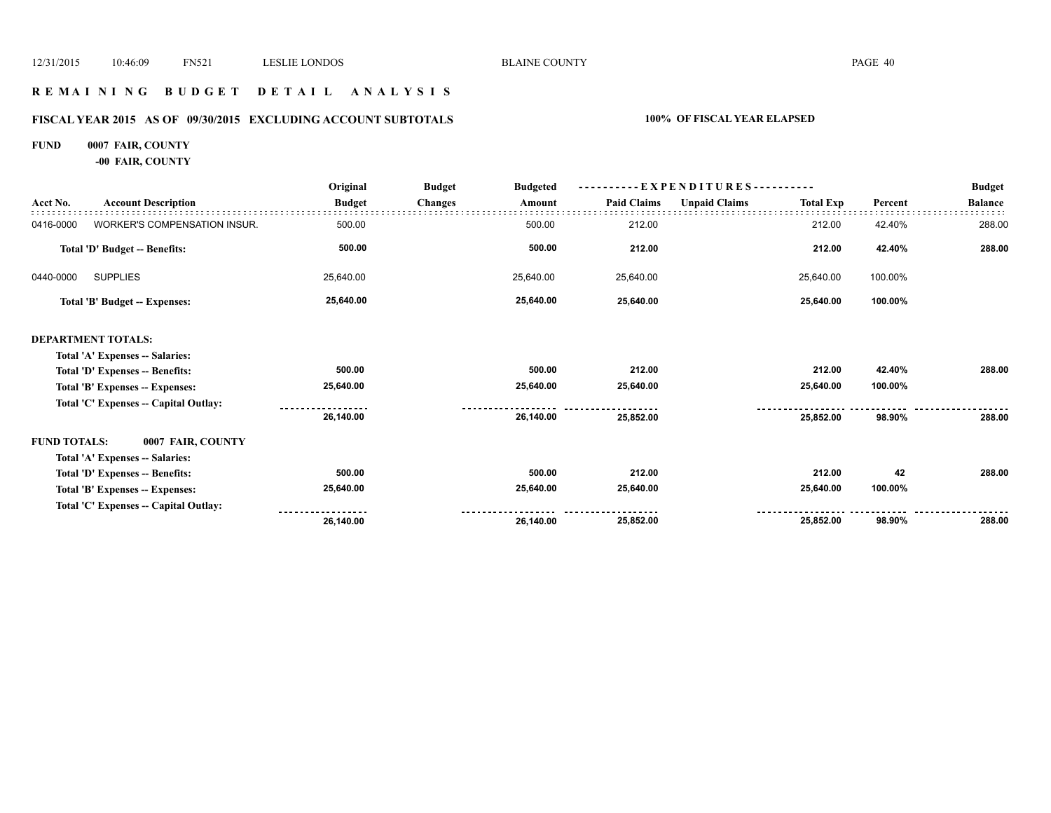### **R E M A I N I N G B U D G E T D E T A I L A N A L Y S I S**

# **FISCAL YEAR 2015 AS OF 09/30/2015 EXCLUDING ACCOUNT SUBTOTALS 100% OF FISCAL YEAR ELAPSED**

### **FUND 0007 FAIR, COUNTY**

**-00 FAIR, COUNTY**

|                                          | Original      | <b>Budget</b>  | <b>Budgeted</b> |                    |                      |                  |                            | <b>Budget</b>                                          |
|------------------------------------------|---------------|----------------|-----------------|--------------------|----------------------|------------------|----------------------------|--------------------------------------------------------|
| <b>Account Description</b>               | <b>Budget</b> | <b>Changes</b> | Amount          | <b>Paid Claims</b> | <b>Unpaid Claims</b> | <b>Total Exp</b> | Percent                    | <b>Balance</b><br>288.00<br>288.00<br>288.00<br>288.00 |
| WORKER'S COMPENSATION INSUR.             | 500.00        |                | 500.00          | 212.00             |                      | 212.00           | 42.40%                     |                                                        |
| Total 'D' Budget -- Benefits:            | 500.00        |                | 500.00          | 212.00             |                      | 212.00           | 42.40%                     |                                                        |
| <b>SUPPLIES</b><br>0440-0000             | 25,640.00     |                | 25,640.00       | 25,640.00          |                      | 25,640.00        | 100.00%                    |                                                        |
| <b>Total 'B' Budget -- Expenses:</b>     | 25,640.00     |                | 25,640.00       | 25,640.00          |                      | 25,640.00        | 100.00%                    |                                                        |
| <b>DEPARTMENT TOTALS:</b>                |               |                |                 |                    |                      |                  |                            |                                                        |
| Total 'A' Expenses -- Salaries:          |               |                |                 |                    |                      |                  |                            |                                                        |
| Total 'D' Expenses -- Benefits:          | 500.00        |                | 500.00          | 212.00             |                      | 212.00           | 42.40%                     |                                                        |
| Total 'B' Expenses -- Expenses:          | 25,640.00     |                | 25,640.00       | 25,640.00          |                      | 25,640.00        | 100.00%                    |                                                        |
| Total 'C' Expenses -- Capital Outlay:    |               |                |                 |                    |                      |                  |                            |                                                        |
|                                          | 26,140.00     |                | 26,140.00       | 25,852.00          |                      | 25,852.00        | 98.90%                     |                                                        |
| <b>FUND TOTALS:</b><br>0007 FAIR, COUNTY |               |                |                 |                    |                      |                  |                            |                                                        |
| Total 'A' Expenses -- Salaries:          |               |                |                 |                    |                      |                  |                            |                                                        |
| Total 'D' Expenses -- Benefits:          | 500.00        |                | 500.00          | 212.00             |                      | 212.00           | 42                         | 288.00                                                 |
| Total 'B' Expenses -- Expenses:          | 25,640.00     |                | 25,640.00       | 25,640.00          |                      | 25,640.00        | 100.00%                    |                                                        |
| Total 'C' Expenses -- Capital Outlay:    |               |                |                 |                    |                      |                  |                            |                                                        |
|                                          | 26,140.00     |                | 26,140.00       | 25,852.00          |                      | 25,852.00        | 98.90%                     | 288.00                                                 |
|                                          |               |                |                 |                    |                      |                  | $-$ EXPENDITURES---------- |                                                        |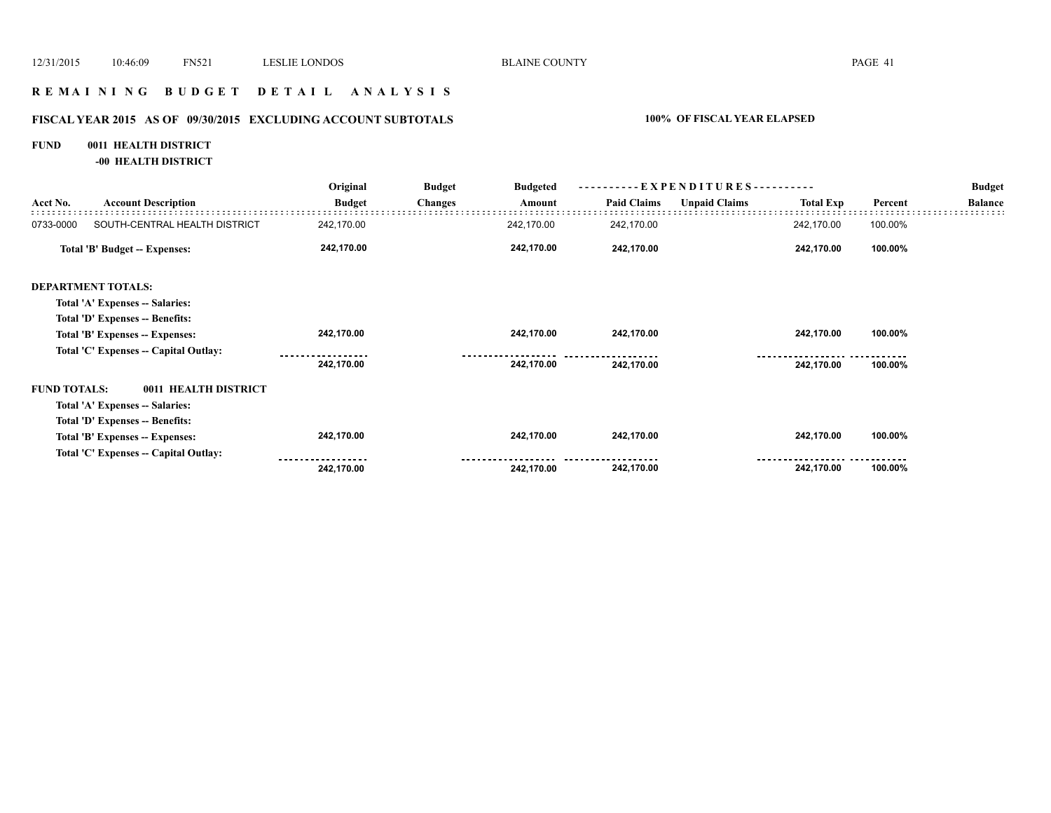### **R E M A I N I N G B U D G E T D E T A I L A N A L Y S I S**

# **FISCAL YEAR 2015 AS OF 09/30/2015 EXCLUDING ACCOUNT SUBTOTALS 100% OF FISCAL YEAR ELAPSED**

# **FUND 0011 HEALTH DISTRICT**

**-00 HEALTH DISTRICT**

|                     |                                       | Original      | <b>Budget</b>  | <b>Budgeted</b> |                    | ----------EXPENDITURES---------- |                  |         | <b>Budget</b>  |
|---------------------|---------------------------------------|---------------|----------------|-----------------|--------------------|----------------------------------|------------------|---------|----------------|
| Acct No.            | <b>Account Description</b>            | <b>Budget</b> | <b>Changes</b> | Amount          | <b>Paid Claims</b> | <b>Unpaid Claims</b>             | <b>Total Exp</b> | Percent | <b>Balance</b> |
| 0733-0000           | SOUTH-CENTRAL HEALTH DISTRICT         | 242,170.00    |                | 242,170.00      | 242,170.00         |                                  | 242,170.00       | 100.00% |                |
|                     | <b>Total 'B' Budget -- Expenses:</b>  | 242,170.00    |                | 242,170.00      | 242,170.00         |                                  | 242,170.00       | 100.00% |                |
|                     | <b>DEPARTMENT TOTALS:</b>             |               |                |                 |                    |                                  |                  |         |                |
|                     | Total 'A' Expenses -- Salaries:       |               |                |                 |                    |                                  |                  |         |                |
|                     | Total 'D' Expenses -- Benefits:       |               |                |                 |                    |                                  |                  |         |                |
|                     | Total 'B' Expenses -- Expenses:       | 242,170.00    |                | 242,170.00      | 242,170.00         |                                  | 242,170.00       | 100.00% |                |
|                     | Total 'C' Expenses -- Capital Outlay: |               |                |                 |                    |                                  |                  |         |                |
|                     |                                       | 242,170.00    |                | 242,170.00      | 242,170.00         |                                  | 242,170.00       | 100.00% |                |
| <b>FUND TOTALS:</b> | 0011 HEALTH DISTRICT                  |               |                |                 |                    |                                  |                  |         |                |
|                     | Total 'A' Expenses -- Salaries:       |               |                |                 |                    |                                  |                  |         |                |
|                     | Total 'D' Expenses -- Benefits:       |               |                |                 |                    |                                  |                  |         |                |
|                     | Total 'B' Expenses -- Expenses:       | 242,170.00    |                | 242,170.00      | 242,170.00         |                                  | 242,170.00       | 100.00% |                |
|                     | Total 'C' Expenses -- Capital Outlay: |               |                |                 |                    |                                  |                  |         |                |
|                     |                                       | 242,170.00    |                | 242,170.00      | 242,170.00         |                                  | 242,170.00       | 100.00% |                |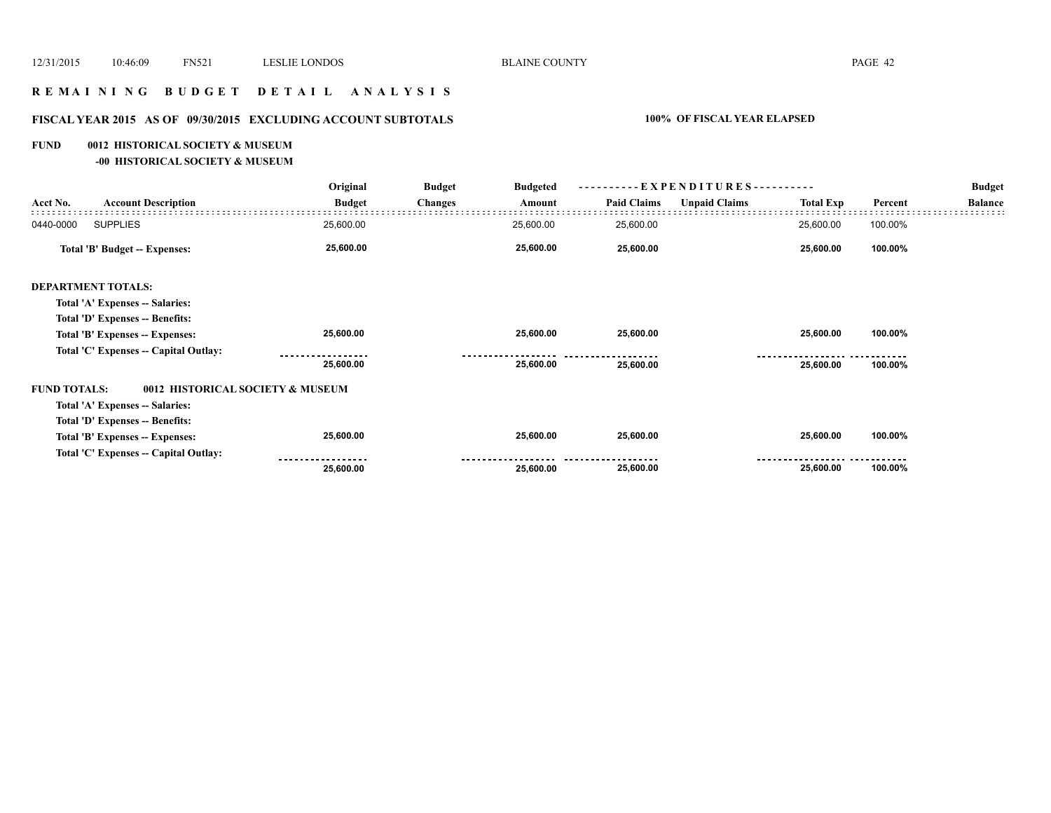### **R E M A I N I N G B U D G E T D E T A I L A N A L Y S I S**

# **FISCAL YEAR 2015 AS OF 09/30/2015 EXCLUDING ACCOUNT SUBTOTALS 100% OF FISCAL YEAR ELAPSED**

### **FUND 0012 HISTORICAL SOCIETY & MUSEUM**

**-00 HISTORICAL SOCIETY & MUSEUM**

|                                                         | Original      | <b>Budget</b>  | <b>Budgeted</b> |                    | ----------EXPENDITURES---------- |                  |         | <b>Budget</b>  |
|---------------------------------------------------------|---------------|----------------|-----------------|--------------------|----------------------------------|------------------|---------|----------------|
| <b>Account Description</b><br>Acct No.                  | <b>Budget</b> | <b>Changes</b> | Amount          | <b>Paid Claims</b> | <b>Unpaid Claims</b>             | <b>Total Exp</b> | Percent | <b>Balance</b> |
| <b>SUPPLIES</b><br>0440-0000                            | 25,600.00     |                | 25,600.00       | 25,600.00          |                                  | 25,600.00        | 100.00% |                |
| Total 'B' Budget -- Expenses:                           | 25,600.00     |                | 25,600.00       | 25,600.00          |                                  | 25,600.00        | 100.00% |                |
| <b>DEPARTMENT TOTALS:</b>                               |               |                |                 |                    |                                  |                  |         |                |
| Total 'A' Expenses -- Salaries:                         |               |                |                 |                    |                                  |                  |         |                |
| Total 'D' Expenses -- Benefits:                         |               |                |                 |                    |                                  |                  |         |                |
| Total 'B' Expenses -- Expenses:                         | 25,600.00     |                | 25,600.00       | 25,600.00          |                                  | 25,600.00        | 100.00% |                |
| Total 'C' Expenses -- Capital Outlay:                   |               |                |                 |                    |                                  |                  |         |                |
|                                                         | 25,600.00     |                | 25,600.00       | 25,600.00          |                                  | 25,600.00        | 100.00% |                |
| <b>FUND TOTALS:</b><br>0012 HISTORICAL SOCIETY & MUSEUM |               |                |                 |                    |                                  |                  |         |                |
| Total 'A' Expenses -- Salaries:                         |               |                |                 |                    |                                  |                  |         |                |
| Total 'D' Expenses -- Benefits:                         |               |                |                 |                    |                                  |                  |         |                |
| Total 'B' Expenses -- Expenses:                         | 25,600.00     |                | 25,600.00       | 25,600.00          |                                  | 25,600.00        | 100.00% |                |
| Total 'C' Expenses -- Capital Outlay:                   |               |                |                 |                    |                                  |                  |         |                |
|                                                         | 25,600.00     |                | 25,600.00       | 25,600.00          |                                  | 25,600.00        | 100.00% |                |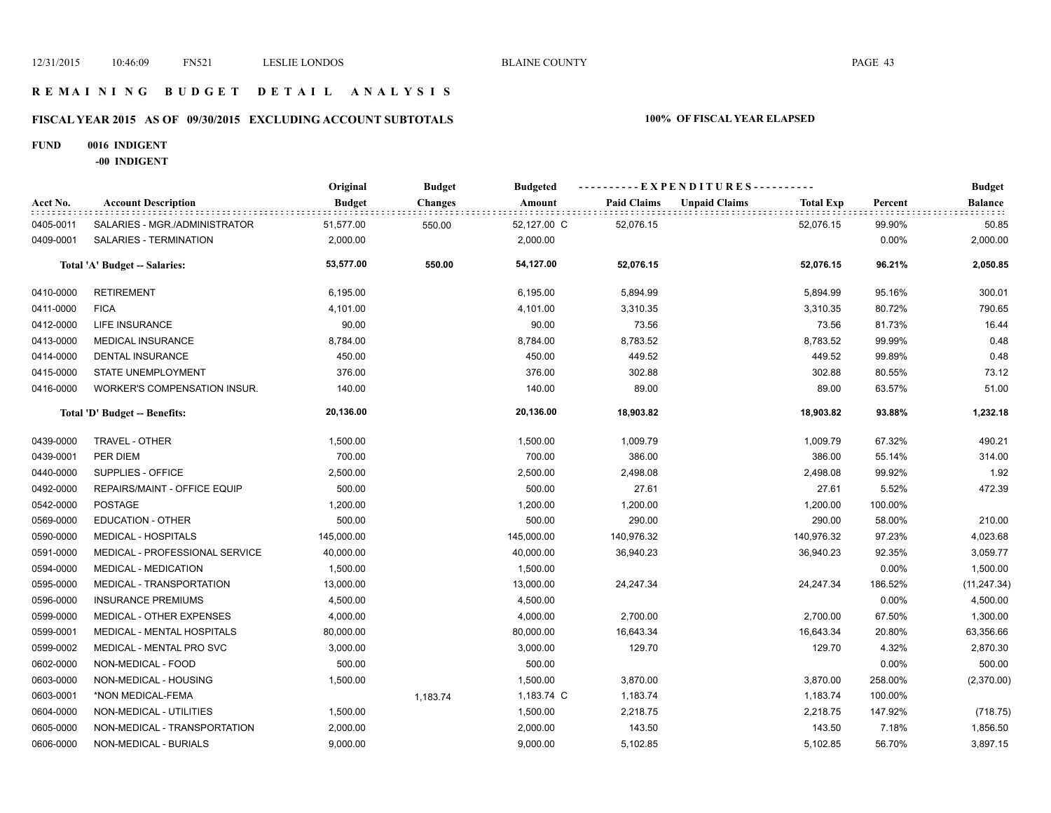### **R E M A I N I N G B U D G E T D E T A I L A N A L Y S I S**

# **FISCAL YEAR 2015 AS OF 09/30/2015 EXCLUDING ACCOUNT SUBTOTALS 100% OF FISCAL YEAR ELAPSED**

### **FUND 0016 INDIGENT**

**-00 INDIGENT**

|           |                                     | Original      | <b>Budget</b>  | <b>Budgeted</b> |                    | ----------EXPENDITURES----------         |         | <b>Budget</b>  |
|-----------|-------------------------------------|---------------|----------------|-----------------|--------------------|------------------------------------------|---------|----------------|
| Acct No.  | <b>Account Description</b>          | <b>Budget</b> | <b>Changes</b> | Amount          | <b>Paid Claims</b> | <b>Unpaid Claims</b><br><b>Total Exp</b> | Percent | <b>Balance</b> |
| 0405-0011 | SALARIES - MGR./ADMINISTRATOR       | 51,577.00     | 550.00         | 52,127.00 C     | 52,076.15          | 52,076.15                                | 99.90%  | 50.85          |
| 0409-0001 | SALARIES - TERMINATION              | 2,000.00      |                | 2,000.00        |                    |                                          | 0.00%   | 2,000.00       |
|           | Total 'A' Budget -- Salaries:       | 53,577.00     | 550.00         | 54,127.00       | 52,076.15          | 52,076.15                                | 96.21%  | 2,050.85       |
| 0410-0000 | <b>RETIREMENT</b>                   | 6,195.00      |                | 6,195.00        | 5,894.99           | 5,894.99                                 | 95.16%  | 300.01         |
| 0411-0000 | <b>FICA</b>                         | 4,101.00      |                | 4,101.00        | 3,310.35           | 3,310.35                                 | 80.72%  | 790.65         |
| 0412-0000 | LIFE INSURANCE                      | 90.00         |                | 90.00           | 73.56              | 73.56                                    | 81.73%  | 16.44          |
| 0413-0000 | <b>MEDICAL INSURANCE</b>            | 8,784.00      |                | 8,784.00        | 8,783.52           | 8,783.52                                 | 99.99%  | 0.48           |
| 0414-0000 | DENTAL INSURANCE                    | 450.00        |                | 450.00          | 449.52             | 449.52                                   | 99.89%  | 0.48           |
| 0415-0000 | STATE UNEMPLOYMENT                  | 376.00        |                | 376.00          | 302.88             | 302.88                                   | 80.55%  | 73.12          |
| 0416-0000 | <b>WORKER'S COMPENSATION INSUR.</b> | 140.00        |                | 140.00          | 89.00              | 89.00                                    | 63.57%  | 51.00          |
|           | Total 'D' Budget -- Benefits:       | 20,136.00     |                | 20,136.00       | 18,903.82          | 18,903.82                                | 93.88%  | 1,232.18       |
| 0439-0000 | TRAVEL - OTHER                      | 1,500.00      |                | 1,500.00        | 1,009.79           | 1,009.79                                 | 67.32%  | 490.21         |
| 0439-0001 | PER DIEM                            | 700.00        |                | 700.00          | 386.00             | 386.00                                   | 55.14%  | 314.00         |
| 0440-0000 | SUPPLIES - OFFICE                   | 2,500.00      |                | 2,500.00        | 2,498.08           | 2,498.08                                 | 99.92%  | 1.92           |
| 0492-0000 | REPAIRS/MAINT - OFFICE EQUIP        | 500.00        |                | 500.00          | 27.61              | 27.61                                    | 5.52%   | 472.39         |
| 0542-0000 | <b>POSTAGE</b>                      | 1,200.00      |                | 1,200.00        | 1,200.00           | 1,200.00                                 | 100.00% |                |
| 0569-0000 | <b>EDUCATION - OTHER</b>            | 500.00        |                | 500.00          | 290.00             | 290.00                                   | 58.00%  | 210.00         |
| 0590-0000 | <b>MEDICAL - HOSPITALS</b>          | 145,000.00    |                | 145,000.00      | 140,976.32         | 140,976.32                               | 97.23%  | 4,023.68       |
| 0591-0000 | MEDICAL - PROFESSIONAL SERVICE      | 40,000.00     |                | 40,000.00       | 36,940.23          | 36,940.23                                | 92.35%  | 3,059.77       |
| 0594-0000 | <b>MEDICAL - MEDICATION</b>         | 1,500.00      |                | 1,500.00        |                    |                                          | 0.00%   | 1,500.00       |
| 0595-0000 | MEDICAL - TRANSPORTATION            | 13,000.00     |                | 13,000.00       | 24,247.34          | 24,247.34                                | 186.52% | (11, 247.34)   |
| 0596-0000 | <b>INSURANCE PREMIUMS</b>           | 4,500.00      |                | 4,500.00        |                    |                                          | 0.00%   | 4,500.00       |
| 0599-0000 | MEDICAL - OTHER EXPENSES            | 4,000.00      |                | 4,000.00        | 2,700.00           | 2,700.00                                 | 67.50%  | 1,300.00       |
| 0599-0001 | MEDICAL - MENTAL HOSPITALS          | 80,000.00     |                | 80,000.00       | 16,643.34          | 16,643.34                                | 20.80%  | 63,356.66      |
| 0599-0002 | MEDICAL - MENTAL PRO SVC            | 3,000.00      |                | 3,000.00        | 129.70             | 129.70                                   | 4.32%   | 2,870.30       |
| 0602-0000 | NON-MEDICAL - FOOD                  | 500.00        |                | 500.00          |                    |                                          | 0.00%   | 500.00         |
| 0603-0000 | NON-MEDICAL - HOUSING               | 1,500.00      |                | 1,500.00        | 3,870.00           | 3,870.00                                 | 258.00% | (2,370.00)     |
| 0603-0001 | *NON MEDICAL-FEMA                   |               | 1,183.74       | 1,183.74 C      | 1,183.74           | 1,183.74                                 | 100.00% |                |
| 0604-0000 | NON-MEDICAL - UTILITIES             | 1,500.00      |                | 1,500.00        | 2,218.75           | 2,218.75                                 | 147.92% | (718.75)       |
| 0605-0000 | NON-MEDICAL - TRANSPORTATION        | 2,000.00      |                | 2,000.00        | 143.50             | 143.50                                   | 7.18%   | 1,856.50       |
| 0606-0000 | NON-MEDICAL - BURIALS               | 9,000.00      |                | 9,000.00        | 5,102.85           | 5,102.85                                 | 56.70%  | 3,897.15       |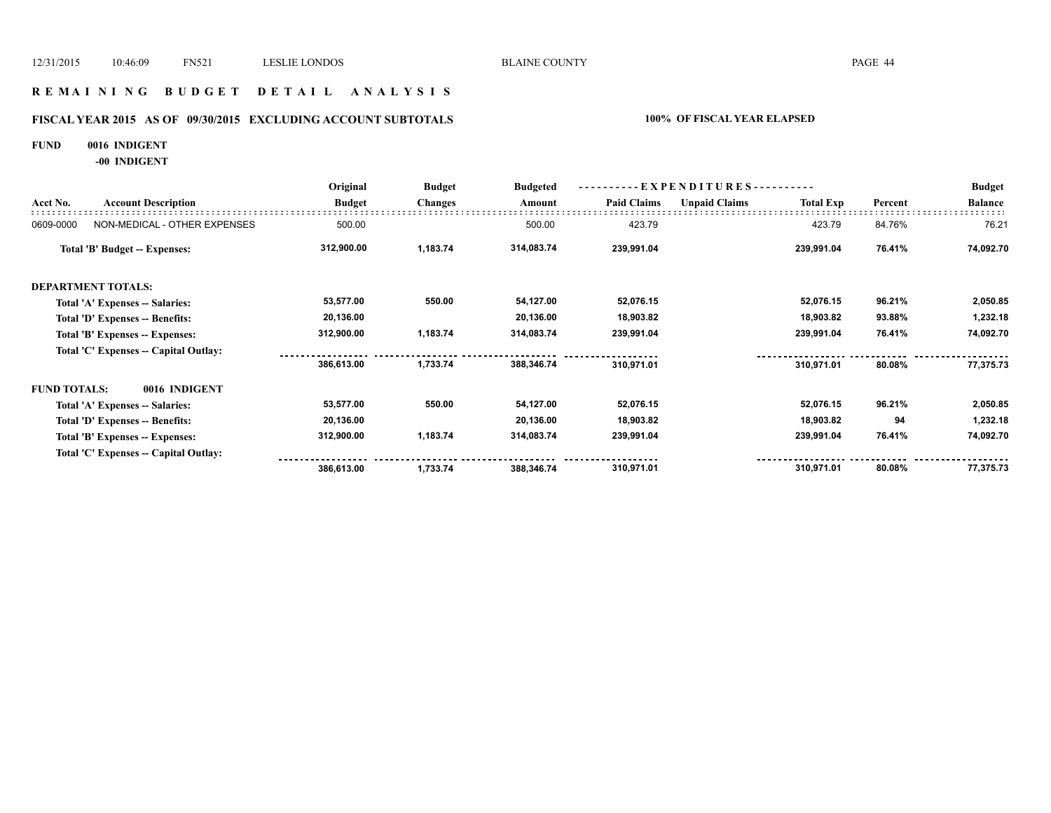### **R E M A I N I N G B U D G E T D E T A I L A N A L Y S I S**

# **FISCAL YEAR 2015 AS OF 09/30/2015 EXCLUDING ACCOUNT SUBTOTALS 100% OF FISCAL YEAR ELAPSED**

### **FUND 0016 INDIGENT**

**-00 INDIGENT**

|                              | Original<br><b>Budget</b><br><b>Budgeted</b><br>----------EXPENDITURES----------                                                                                                                                                                                                                                                                                                             |          | <b>Budget</b> |                |                                                                                                                                  |                    |         |                |
|------------------------------|----------------------------------------------------------------------------------------------------------------------------------------------------------------------------------------------------------------------------------------------------------------------------------------------------------------------------------------------------------------------------------------------|----------|---------------|----------------|----------------------------------------------------------------------------------------------------------------------------------|--------------------|---------|----------------|
| <b>Account Description</b>   | <b>Budget</b>                                                                                                                                                                                                                                                                                                                                                                                |          |               |                | <b>Unpaid Claims</b>                                                                                                             | <b>Total Exp</b>   | Percent | <b>Balance</b> |
| NON-MEDICAL - OTHER EXPENSES | 500.00                                                                                                                                                                                                                                                                                                                                                                                       |          | 500.00        | 423.79         |                                                                                                                                  | 423.79             | 84.76%  | 76.21          |
|                              | 312,900.00                                                                                                                                                                                                                                                                                                                                                                                   | 1,183.74 |               | 239,991.04     |                                                                                                                                  | 239,991.04         | 76.41%  | 74,092.70      |
|                              |                                                                                                                                                                                                                                                                                                                                                                                              |          |               |                |                                                                                                                                  |                    |         |                |
|                              | 53,577.00                                                                                                                                                                                                                                                                                                                                                                                    | 550.00   |               | 52,076.15      |                                                                                                                                  | 52,076.15          | 96.21%  | 2,050.85       |
|                              | 20,136.00                                                                                                                                                                                                                                                                                                                                                                                    |          |               | 18,903.82      |                                                                                                                                  | 18,903.82          | 93.88%  | 1,232.18       |
|                              | 312,900.00                                                                                                                                                                                                                                                                                                                                                                                   | 1,183.74 |               | 239,991.04     |                                                                                                                                  | 239,991.04         | 76.41%  | 74,092.70      |
|                              |                                                                                                                                                                                                                                                                                                                                                                                              |          |               |                |                                                                                                                                  |                    |         |                |
|                              | 386,613.00                                                                                                                                                                                                                                                                                                                                                                                   | 1,733.74 |               | 310,971.01     |                                                                                                                                  | 310,971.01         | 80.08%  | 77,375.73      |
| 0016 INDIGENT                |                                                                                                                                                                                                                                                                                                                                                                                              |          |               |                |                                                                                                                                  |                    |         |                |
|                              | 53,577.00                                                                                                                                                                                                                                                                                                                                                                                    | 550.00   |               | 52,076.15      |                                                                                                                                  | 52,076.15          | 96.21%  | 2,050.85       |
|                              | 20,136.00                                                                                                                                                                                                                                                                                                                                                                                    |          |               | 18,903.82      |                                                                                                                                  | 18,903.82          | 94      | 1,232.18       |
|                              | 312,900.00                                                                                                                                                                                                                                                                                                                                                                                   | 1,183.74 |               | 239,991.04     |                                                                                                                                  | 239,991.04         | 76.41%  | 74,092.70      |
|                              |                                                                                                                                                                                                                                                                                                                                                                                              |          |               |                |                                                                                                                                  |                    |         |                |
|                              | 386,613.00                                                                                                                                                                                                                                                                                                                                                                                   | 1,733.74 |               | 310,971.01     |                                                                                                                                  | 310,971.01         | 80.08%  | 77,375.73      |
|                              | <b>Total 'B' Budget -- Expenses:</b><br><b>DEPARTMENT TOTALS:</b><br>Total 'A' Expenses -- Salaries:<br>Total 'D' Expenses -- Benefits:<br>Total 'B' Expenses -- Expenses:<br>Total 'C' Expenses -- Capital Outlay:<br><b>FUND TOTALS:</b><br>Total 'A' Expenses -- Salaries:<br>Total 'D' Expenses -- Benefits:<br>Total 'B' Expenses -- Expenses:<br>Total 'C' Expenses -- Capital Outlay: |          |               | <b>Changes</b> | Amount<br>314,083.74<br>54,127.00<br>20,136.00<br>314,083.74<br>388,346.74<br>54,127.00<br>20,136.00<br>314,083.74<br>388,346.74 | <b>Paid Claims</b> |         |                |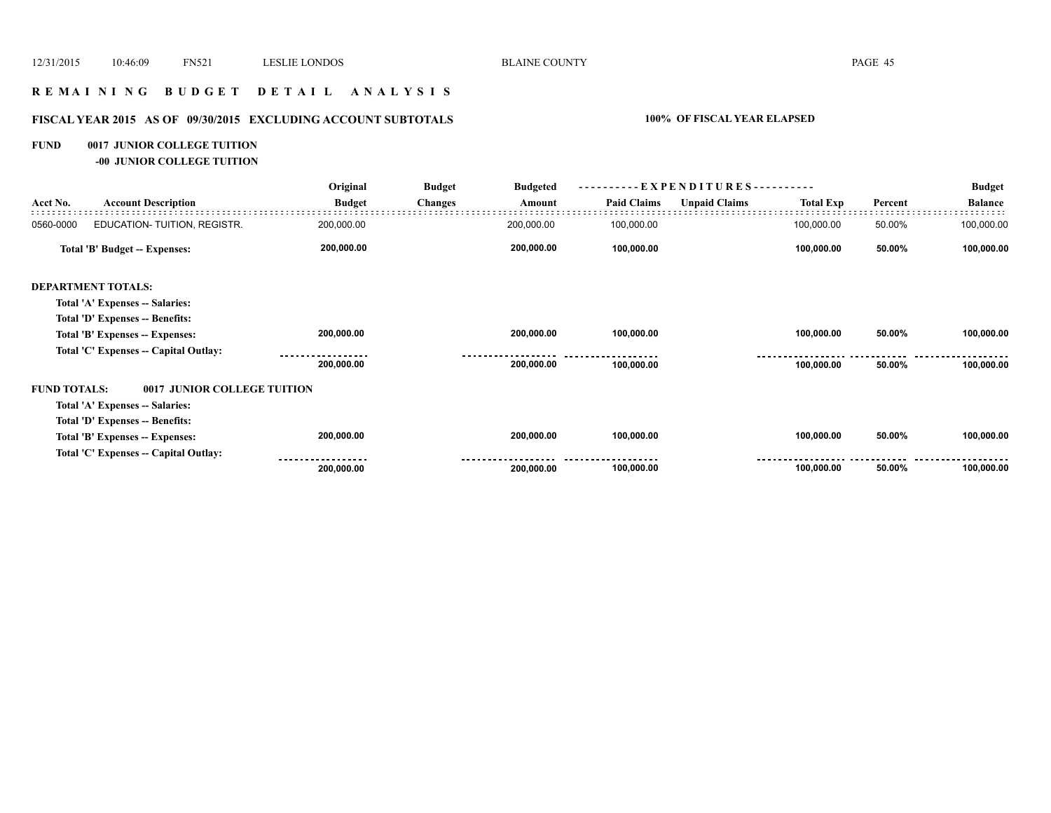### **R E M A I N I N G B U D G E T D E T A I L A N A L Y S I S**

# **FISCAL YEAR 2015 AS OF 09/30/2015 EXCLUDING ACCOUNT SUBTOTALS 100% OF FISCAL YEAR ELAPSED**

### **FUND 0017 JUNIOR COLLEGE TUITION**

**-00 JUNIOR COLLEGE TUITION**

|                     |                                       | Original      | <b>Budget</b>  | <b>Budgeted</b> | EXPENDITURES--     |                      |                  |         | <b>Budget</b>  |
|---------------------|---------------------------------------|---------------|----------------|-----------------|--------------------|----------------------|------------------|---------|----------------|
| Acct No.            | <b>Account Description</b>            | <b>Budget</b> | <b>Changes</b> | Amount          | <b>Paid Claims</b> | <b>Unpaid Claims</b> | <b>Total Exp</b> | Percent | <b>Balance</b> |
| 0560-0000           | EDUCATION- TUITION, REGISTR.          | 200,000.00    |                | 200,000.00      | 100,000.00         |                      | 100,000.00       | 50.00%  | 100,000.00     |
|                     | Total 'B' Budget -- Expenses:         | 200,000.00    |                | 200,000.00      | 100,000.00         |                      | 100,000.00       | 50.00%  | 100,000.00     |
|                     | <b>DEPARTMENT TOTALS:</b>             |               |                |                 |                    |                      |                  |         |                |
|                     | Total 'A' Expenses -- Salaries:       |               |                |                 |                    |                      |                  |         |                |
|                     | Total 'D' Expenses -- Benefits:       |               |                |                 |                    |                      |                  |         |                |
|                     | Total 'B' Expenses -- Expenses:       | 200,000.00    |                | 200,000.00      | 100,000.00         |                      | 100,000.00       | 50.00%  | 100,000.00     |
|                     | Total 'C' Expenses -- Capital Outlay: |               |                |                 |                    |                      |                  |         |                |
|                     |                                       | 200,000.00    |                | 200,000.00      | 100,000.00         |                      | 100,000.00       | 50.00%  | 100,000.00     |
| <b>FUND TOTALS:</b> | 0017 JUNIOR COLLEGE TUITION           |               |                |                 |                    |                      |                  |         |                |
|                     | Total 'A' Expenses -- Salaries:       |               |                |                 |                    |                      |                  |         |                |
|                     | Total 'D' Expenses -- Benefits:       |               |                |                 |                    |                      |                  |         |                |
|                     | Total 'B' Expenses -- Expenses:       | 200,000.00    |                | 200,000.00      | 100,000.00         |                      | 100,000.00       | 50.00%  | 100,000.00     |
|                     | Total 'C' Expenses -- Capital Outlay: |               |                |                 |                    |                      |                  |         |                |
|                     |                                       | 200,000.00    |                | 200,000.00      | 100,000.00         |                      | 100,000.00       | 50.00%  | 100,000.00     |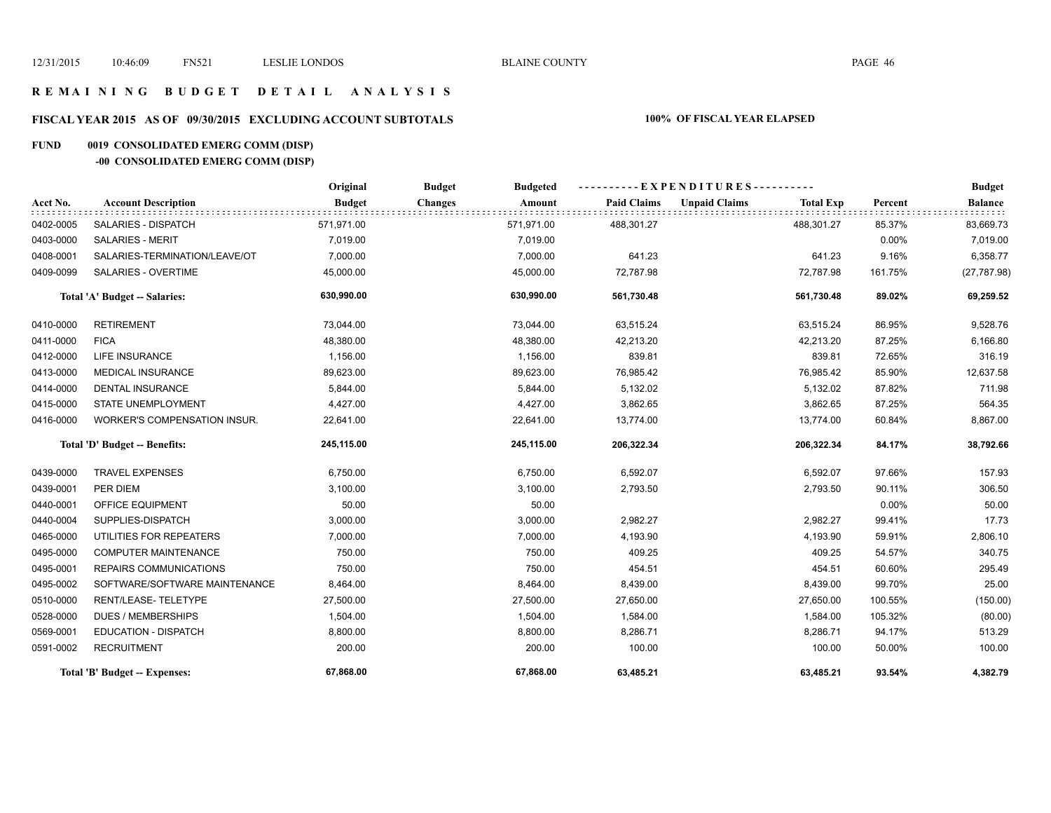### **R E M A I N I N G B U D G E T D E T A I L A N A L Y S I S**

# **FISCAL YEAR 2015 AS OF 09/30/2015 EXCLUDING ACCOUNT SUBTOTALS 100% OF FISCAL YEAR ELAPSED**

# **FUND 0019 CONSOLIDATED EMERG COMM (DISP)**

# **-00 CONSOLIDATED EMERG COMM (DISP)**

|           |                                     | Original      | <b>Budget</b><br><b>Budgeted</b> |                    | ----------EXPENDITURES---------- |                  |         | <b>Budget</b>  |
|-----------|-------------------------------------|---------------|----------------------------------|--------------------|----------------------------------|------------------|---------|----------------|
| Acct No.  | <b>Account Description</b>          | <b>Budget</b> | <b>Changes</b><br>Amount         | <b>Paid Claims</b> | <b>Unpaid Claims</b>             | <b>Total Exp</b> | Percent | <b>Balance</b> |
| 0402-0005 | SALARIES - DISPATCH                 | 571,971.00    | 571,971.00                       | 488,301.27         |                                  | 488,301.27       | 85.37%  | 83,669.73      |
| 0403-0000 | <b>SALARIES - MERIT</b>             | 7,019.00      | 7,019.00                         |                    |                                  |                  | 0.00%   | 7,019.00       |
| 0408-0001 | SALARIES-TERMINATION/LEAVE/OT       | 7,000.00      | 7,000.00                         | 641.23             |                                  | 641.23           | 9.16%   | 6,358.77       |
| 0409-0099 | SALARIES - OVERTIME                 | 45,000.00     | 45,000.00                        | 72,787.98          |                                  | 72,787.98        | 161.75% | (27, 787.98)   |
|           | Total 'A' Budget -- Salaries:       | 630,990.00    | 630,990.00                       | 561,730.48         |                                  | 561,730.48       | 89.02%  | 69,259.52      |
| 0410-0000 | <b>RETIREMENT</b>                   | 73,044.00     | 73,044.00                        | 63,515.24          |                                  | 63,515.24        | 86.95%  | 9,528.76       |
| 0411-0000 | <b>FICA</b>                         | 48,380.00     | 48,380.00                        | 42,213.20          |                                  | 42,213.20        | 87.25%  | 6,166.80       |
| 0412-0000 | <b>LIFE INSURANCE</b>               | 1,156.00      | 1,156.00                         | 839.81             |                                  | 839.81           | 72.65%  | 316.19         |
| 0413-0000 | <b>MEDICAL INSURANCE</b>            | 89,623.00     | 89,623.00                        | 76,985.42          |                                  | 76,985.42        | 85.90%  | 12,637.58      |
| 0414-0000 | <b>DENTAL INSURANCE</b>             | 5,844.00      | 5,844.00                         | 5,132.02           |                                  | 5,132.02         | 87.82%  | 711.98         |
| 0415-0000 | <b>STATE UNEMPLOYMENT</b>           | 4,427.00      | 4,427.00                         | 3,862.65           |                                  | 3,862.65         | 87.25%  | 564.35         |
| 0416-0000 | <b>WORKER'S COMPENSATION INSUR.</b> | 22,641.00     | 22,641.00                        | 13,774.00          |                                  | 13,774.00        | 60.84%  | 8,867.00       |
|           | Total 'D' Budget -- Benefits:       | 245,115.00    | 245,115.00                       | 206,322.34         |                                  | 206,322.34       | 84.17%  | 38,792.66      |
| 0439-0000 | <b>TRAVEL EXPENSES</b>              | 6,750.00      | 6,750.00                         | 6,592.07           |                                  | 6,592.07         | 97.66%  | 157.93         |
| 0439-0001 | PER DIEM                            | 3,100.00      | 3,100.00                         | 2,793.50           |                                  | 2,793.50         | 90.11%  | 306.50         |
| 0440-0001 | OFFICE EQUIPMENT                    | 50.00         | 50.00                            |                    |                                  |                  | 0.00%   | 50.00          |
| 0440-0004 | SUPPLIES-DISPATCH                   | 3,000.00      | 3,000.00                         | 2,982.27           |                                  | 2,982.27         | 99.41%  | 17.73          |
| 0465-0000 | UTILITIES FOR REPEATERS             | 7,000.00      | 7,000.00                         | 4,193.90           |                                  | 4,193.90         | 59.91%  | 2,806.10       |
| 0495-0000 | <b>COMPUTER MAINTENANCE</b>         | 750.00        | 750.00                           | 409.25             |                                  | 409.25           | 54.57%  | 340.75         |
| 0495-0001 | REPAIRS COMMUNICATIONS              | 750.00        | 750.00                           | 454.51             |                                  | 454.51           | 60.60%  | 295.49         |
| 0495-0002 | SOFTWARE/SOFTWARE MAINTENANCE       | 8,464.00      | 8,464.00                         | 8,439.00           |                                  | 8,439.00         | 99.70%  | 25.00          |
| 0510-0000 | RENT/LEASE-TELETYPE                 | 27,500.00     | 27,500.00                        | 27,650.00          |                                  | 27,650.00        | 100.55% | (150.00)       |
| 0528-0000 | <b>DUES / MEMBERSHIPS</b>           | 1,504.00      | 1,504.00                         | 1,584.00           |                                  | 1,584.00         | 105.32% | (80.00)        |
| 0569-0001 | <b>EDUCATION - DISPATCH</b>         | 8,800.00      | 8,800.00                         | 8,286.71           |                                  | 8,286.71         | 94.17%  | 513.29         |
| 0591-0002 | <b>RECRUITMENT</b>                  | 200.00        | 200.00                           | 100.00             |                                  | 100.00           | 50.00%  | 100.00         |
|           | Total 'B' Budget -- Expenses:       | 67,868.00     | 67,868.00                        | 63,485.21          |                                  | 63,485.21        | 93.54%  | 4,382.79       |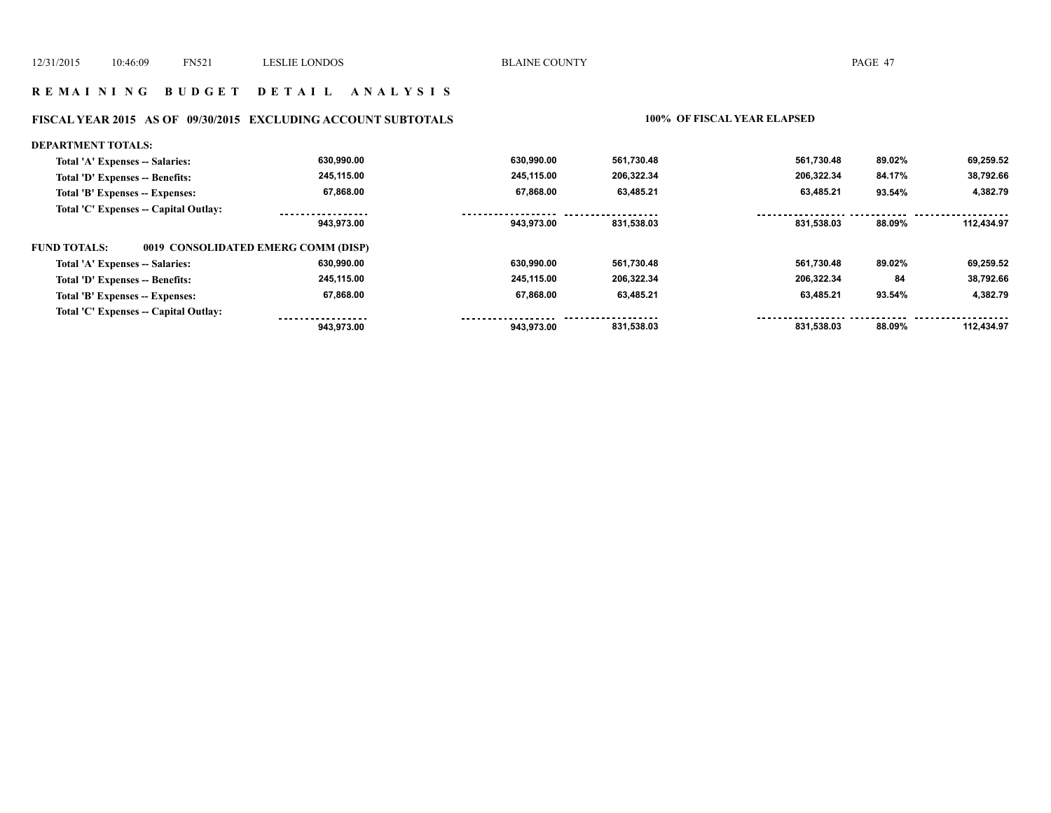### **R E M A I N I N G B U D G E T D E T A I L A N A L Y S I S**

# **FISCAL YEAR 2015 AS OF 09/30/2015 EXCLUDING ACCOUNT SUBTOTALS 100% OF FISCAL YEAR ELAPSED**

| <b>DEPARTMENT TOTALS:</b>             |                                     |            |            |            |        |            |
|---------------------------------------|-------------------------------------|------------|------------|------------|--------|------------|
| Total 'A' Expenses -- Salaries:       | 630,990.00                          | 630.990.00 | 561,730.48 | 561.730.48 | 89.02% | 69,259.52  |
| Total 'D' Expenses -- Benefits:       | 245,115.00                          | 245.115.00 | 206,322.34 | 206,322.34 | 84.17% | 38,792.66  |
| Total 'B' Expenses -- Expenses:       | 67,868.00                           | 67.868.00  | 63,485.21  | 63,485.21  | 93.54% | 4,382.79   |
| Total 'C' Expenses -- Capital Outlay: |                                     |            |            |            |        |            |
|                                       | 943.973.00                          | 943.973.00 | 831.538.03 | 831.538.03 | 88.09% | 112.434.97 |
| <b>FUND TOTALS:</b>                   | 0019 CONSOLIDATED EMERG COMM (DISP) |            |            |            |        |            |
| Total 'A' Expenses -- Salaries:       | 630,990.00                          | 630.990.00 | 561,730.48 | 561,730.48 | 89.02% | 69,259.52  |
| Total 'D' Expenses -- Benefits:       | 245.115.00                          | 245.115.00 | 206,322.34 | 206.322.34 | 84     | 38,792.66  |
| Total 'B' Expenses -- Expenses:       | 67,868.00                           | 67.868.00  | 63,485.21  | 63.485.21  | 93.54% | 4,382.79   |
| Total 'C' Expenses -- Capital Outlay: |                                     |            |            |            |        |            |
|                                       | 943.973.00                          | 943.973.00 | 831,538.03 | 831.538.03 | 88.09% | 112.434.97 |
|                                       |                                     |            |            |            |        |            |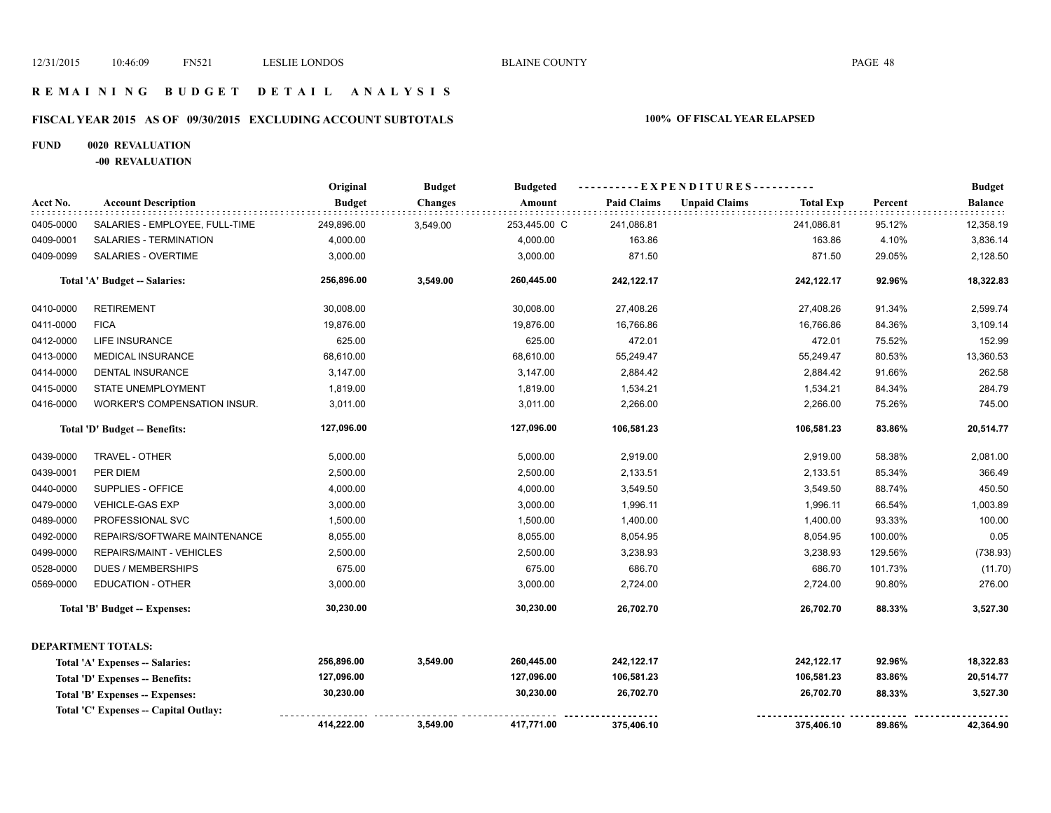### **R E M A I N I N G B U D G E T D E T A I L A N A L Y S I S**

# **FISCAL YEAR 2015 AS OF 09/30/2015 EXCLUDING ACCOUNT SUBTOTALS 100% OF FISCAL YEAR ELAPSED**

### **FUND 0020 REVALUATION**

**-00 REVALUATION**

|           |                                       | Original      | <b>Budget</b>  | <b>Budgeted</b> |                    | ----------EXPENDITURES---------- |                  |         | <b>Budget</b>  |
|-----------|---------------------------------------|---------------|----------------|-----------------|--------------------|----------------------------------|------------------|---------|----------------|
| Acct No.  | <b>Account Description</b>            | <b>Budget</b> | <b>Changes</b> | Amount          | <b>Paid Claims</b> | <b>Unpaid Claims</b>             | <b>Total Exp</b> | Percent | <b>Balance</b> |
| 0405-0000 | SALARIES - EMPLOYEE, FULL-TIME        | 249,896.00    | 3,549.00       | 253,445.00 C    | 241,086.81         |                                  | 241,086.81       | 95.12%  | 12,358.19      |
| 0409-0001 | SALARIES - TERMINATION                | 4,000.00      |                | 4,000.00        | 163.86             |                                  | 163.86           | 4.10%   | 3,836.14       |
| 0409-0099 | SALARIES - OVERTIME                   | 3,000.00      |                | 3,000.00        | 871.50             |                                  | 871.50           | 29.05%  | 2,128.50       |
|           | Total 'A' Budget -- Salaries:         | 256,896.00    | 3,549.00       | 260,445.00      | 242,122.17         |                                  | 242,122.17       | 92.96%  | 18,322.83      |
| 0410-0000 | <b>RETIREMENT</b>                     | 30,008.00     |                | 30,008.00       | 27,408.26          |                                  | 27,408.26        | 91.34%  | 2,599.74       |
| 0411-0000 | <b>FICA</b>                           | 19,876.00     |                | 19,876.00       | 16,766.86          |                                  | 16,766.86        | 84.36%  | 3,109.14       |
| 0412-0000 | LIFE INSURANCE                        | 625.00        |                | 625.00          | 472.01             |                                  | 472.01           | 75.52%  | 152.99         |
| 0413-0000 | MEDICAL INSURANCE                     | 68,610.00     |                | 68,610.00       | 55,249.47          |                                  | 55,249.47        | 80.53%  | 13,360.53      |
| 0414-0000 | <b>DENTAL INSURANCE</b>               | 3,147.00      |                | 3,147.00        | 2,884.42           |                                  | 2,884.42         | 91.66%  | 262.58         |
| 0415-0000 | <b>STATE UNEMPLOYMENT</b>             | 1,819.00      |                | 1,819.00        | 1,534.21           |                                  | 1,534.21         | 84.34%  | 284.79         |
| 0416-0000 | WORKER'S COMPENSATION INSUR.          | 3,011.00      |                | 3,011.00        | 2,266.00           |                                  | 2,266.00         | 75.26%  | 745.00         |
|           | Total 'D' Budget -- Benefits:         | 127,096.00    |                | 127,096.00      | 106,581.23         |                                  | 106,581.23       | 83.86%  | 20,514.77      |
| 0439-0000 | TRAVEL - OTHER                        | 5,000.00      |                | 5,000.00        | 2,919.00           |                                  | 2,919.00         | 58.38%  | 2,081.00       |
| 0439-0001 | PER DIEM                              | 2,500.00      |                | 2,500.00        | 2,133.51           |                                  | 2,133.51         | 85.34%  | 366.49         |
| 0440-0000 | SUPPLIES - OFFICE                     | 4,000.00      |                | 4,000.00        | 3,549.50           |                                  | 3,549.50         | 88.74%  | 450.50         |
| 0479-0000 | <b>VEHICLE-GAS EXP</b>                | 3,000.00      |                | 3,000.00        | 1,996.11           |                                  | 1,996.11         | 66.54%  | 1,003.89       |
| 0489-0000 | PROFESSIONAL SVC                      | 1,500.00      |                | 1,500.00        | 1,400.00           |                                  | 1,400.00         | 93.33%  | 100.00         |
| 0492-0000 | REPAIRS/SOFTWARE MAINTENANCE          | 8,055.00      |                | 8,055.00        | 8,054.95           |                                  | 8,054.95         | 100.00% | 0.05           |
| 0499-0000 | REPAIRS/MAINT - VEHICLES              | 2,500.00      |                | 2,500.00        | 3,238.93           |                                  | 3,238.93         | 129.56% | (738.93)       |
| 0528-0000 | <b>DUES / MEMBERSHIPS</b>             | 675.00        |                | 675.00          | 686.70             |                                  | 686.70           | 101.73% | (11.70)        |
| 0569-0000 | <b>EDUCATION - OTHER</b>              | 3,000.00      |                | 3,000.00        | 2,724.00           |                                  | 2,724.00         | 90.80%  | 276.00         |
|           | Total 'B' Budget -- Expenses:         | 30,230.00     |                | 30,230.00       | 26,702.70          |                                  | 26,702.70        | 88.33%  | 3,527.30       |
|           | <b>DEPARTMENT TOTALS:</b>             |               |                |                 |                    |                                  |                  |         |                |
|           | Total 'A' Expenses -- Salaries:       | 256,896.00    | 3,549.00       | 260,445.00      | 242,122.17         |                                  | 242,122.17       | 92.96%  | 18,322.83      |
|           | Total 'D' Expenses -- Benefits:       | 127,096.00    |                | 127,096.00      | 106,581.23         |                                  | 106,581.23       | 83.86%  | 20,514.77      |
|           | Total 'B' Expenses -- Expenses:       | 30,230.00     |                | 30,230.00       | 26,702.70          |                                  | 26,702.70        | 88.33%  | 3,527.30       |
|           | Total 'C' Expenses -- Capital Outlay: |               |                |                 |                    |                                  |                  |         |                |
|           |                                       | 414,222.00    | 3,549.00       | 417,771.00      | 375,406.10         |                                  | 375,406.10       | 89.86%  | 42,364.90      |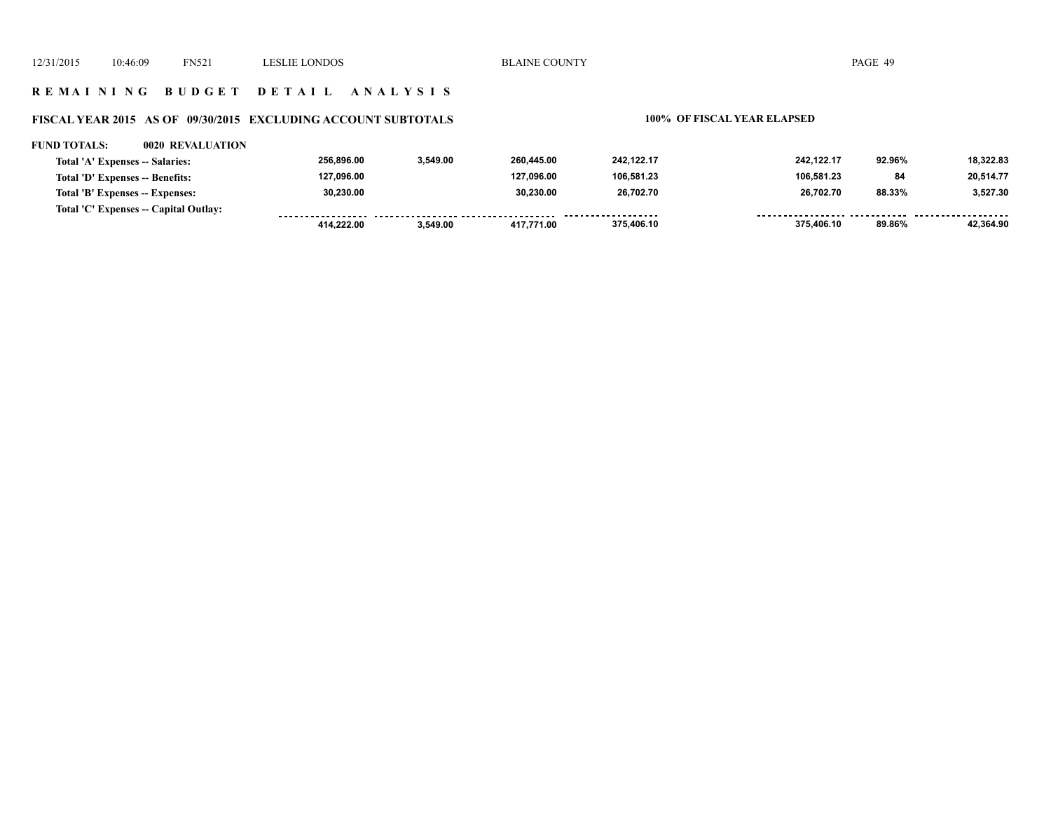### **R E M A I N I N G B U D G E T D E T A I L A N A L Y S I S**

### **FISCAL YEAR 2015 AS OF 09/30/2015 EXCLUDING ACCOUNT SUBTOTALS 100% OF FISCAL YEAR ELAPSED**

### **FUND TOTALS: 0020 REVALUATION 256,896.00 3,549.00 260,445.00 242,122.17 242,122.17 92.96% 18,322.83 Total 'A' Expenses -- Salaries: Total 'D' Expenses -- Benefits: 127,096.00 127,096.00 106,581.23 106,581.23 84 20,514.77 30,230.00 30,230.00 26,702.70 26,702.70 3,527.30 Total 'B' Expenses -- Expenses: 88.33% Total 'C' Expenses -- Capital Outlay:** <u>..................</u>. <u>..................</u> . . . . . . . . . . . . . . . . . . . . . . . .  **375,406.10 375,406.10 89.86% 42,364.90 414,222.00 3,549.00 417,771.00**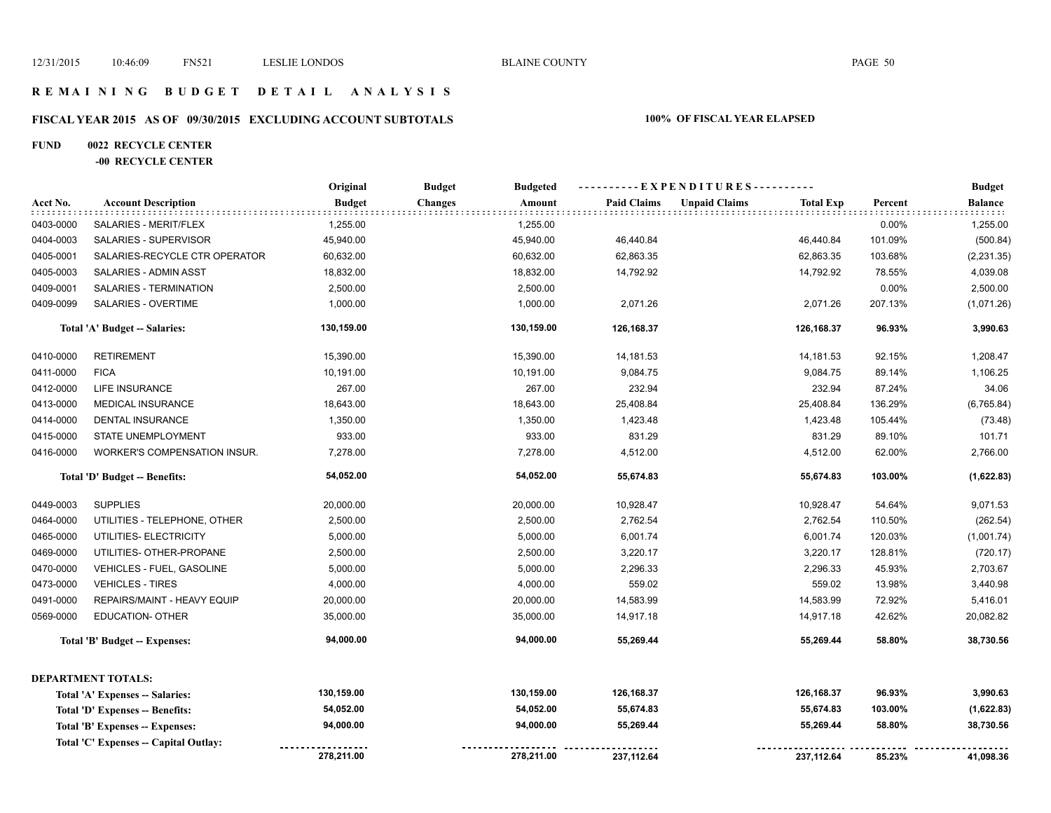### **R E M A I N I N G B U D G E T D E T A I L A N A L Y S I S**

# **FISCAL YEAR 2015 AS OF 09/30/2015 EXCLUDING ACCOUNT SUBTOTALS 100% OF FISCAL YEAR ELAPSED**

# **FUND 0022 RECYCLE CENTER**

### **-00 RECYCLE CENTER**

|           |                                      | Original      | <b>Budget</b><br><b>Budgeted</b> |                    | - - E X P E N D I T U R E S - - - - - - - - - - |         | <b>Budget</b>              |
|-----------|--------------------------------------|---------------|----------------------------------|--------------------|-------------------------------------------------|---------|----------------------------|
| Acct No.  | <b>Account Description</b>           | <b>Budget</b> | <b>Changes</b><br>Amount         | <b>Paid Claims</b> | <b>Unpaid Claims</b><br><b>Total Exp</b>        | Percent | <b>Balance</b><br>e e e el |
| 0403-0000 | SALARIES - MERIT/FLEX                | 1,255.00      | 1,255.00                         |                    |                                                 | 0.00%   | 1,255.00                   |
| 0404-0003 | SALARIES - SUPERVISOR                | 45,940.00     | 45,940.00                        | 46,440.84          | 46,440.84                                       | 101.09% | (500.84)                   |
| 0405-0001 | SALARIES-RECYCLE CTR OPERATOR        | 60,632.00     | 60,632.00                        | 62,863.35          | 62,863.35                                       | 103.68% | (2, 231.35)                |
| 0405-0003 | SALARIES - ADMIN ASST                | 18,832.00     | 18,832.00                        | 14,792.92          | 14,792.92                                       | 78.55%  | 4,039.08                   |
| 0409-0001 | SALARIES - TERMINATION               | 2,500.00      | 2,500.00                         |                    |                                                 | 0.00%   | 2,500.00                   |
| 0409-0099 | <b>SALARIES - OVERTIME</b>           | 1,000.00      | 1,000.00                         | 2,071.26           | 2,071.26                                        | 207.13% | (1,071.26)                 |
|           | Total 'A' Budget -- Salaries:        | 130,159.00    | 130,159.00                       | 126,168.37         | 126,168.37                                      | 96.93%  | 3,990.63                   |
| 0410-0000 | <b>RETIREMENT</b>                    | 15,390.00     | 15,390.00                        | 14,181.53          | 14,181.53                                       | 92.15%  | 1,208.47                   |
| 0411-0000 | <b>FICA</b>                          | 10,191.00     | 10,191.00                        | 9,084.75           | 9,084.75                                        | 89.14%  | 1,106.25                   |
| 0412-0000 | LIFE INSURANCE                       | 267.00        | 267.00                           | 232.94             | 232.94                                          | 87.24%  | 34.06                      |
| 0413-0000 | <b>MEDICAL INSURANCE</b>             | 18,643.00     | 18,643.00                        | 25,408.84          | 25,408.84                                       | 136.29% | (6,765.84)                 |
| 0414-0000 | DENTAL INSURANCE                     | 1,350.00      | 1,350.00                         | 1,423.48           | 1,423.48                                        | 105.44% | (73.48)                    |
| 0415-0000 | STATE UNEMPLOYMENT                   | 933.00        | 933.00                           | 831.29             | 831.29                                          | 89.10%  | 101.71                     |
| 0416-0000 | <b>WORKER'S COMPENSATION INSUR.</b>  | 7,278.00      | 7,278.00                         | 4,512.00           | 4,512.00                                        | 62.00%  | 2,766.00                   |
|           | Total 'D' Budget -- Benefits:        | 54,052.00     | 54,052.00                        | 55,674.83          | 55,674.83                                       | 103.00% | (1,622.83)                 |
| 0449-0003 | <b>SUPPLIES</b>                      | 20,000.00     | 20,000.00                        | 10,928.47          | 10,928.47                                       | 54.64%  | 9,071.53                   |
| 0464-0000 | UTILITIES - TELEPHONE, OTHER         | 2,500.00      | 2,500.00                         | 2,762.54           | 2,762.54                                        | 110.50% | (262.54)                   |
| 0465-0000 | UTILITIES- ELECTRICITY               | 5,000.00      | 5,000.00                         | 6,001.74           | 6,001.74                                        | 120.03% | (1,001.74)                 |
| 0469-0000 | UTILITIES- OTHER-PROPANE             | 2,500.00      | 2,500.00                         | 3,220.17           | 3,220.17                                        | 128.81% | (720.17)                   |
| 0470-0000 | VEHICLES - FUEL, GASOLINE            | 5,000.00      | 5,000.00                         | 2,296.33           | 2,296.33                                        | 45.93%  | 2,703.67                   |
| 0473-0000 | <b>VEHICLES - TIRES</b>              | 4,000.00      | 4,000.00                         | 559.02             | 559.02                                          | 13.98%  | 3,440.98                   |
| 0491-0000 | REPAIRS/MAINT - HEAVY EQUIP          | 20,000.00     | 20,000.00                        | 14,583.99          | 14,583.99                                       | 72.92%  | 5,416.01                   |
| 0569-0000 | <b>EDUCATION- OTHER</b>              | 35,000.00     | 35,000.00                        | 14,917.18          | 14,917.18                                       | 42.62%  | 20,082.82                  |
|           | <b>Total 'B' Budget -- Expenses:</b> | 94,000.00     | 94,000.00                        | 55,269.44          | 55,269.44                                       | 58.80%  | 38,730.56                  |
|           | DEPARTMENT TOTALS:                   |               |                                  |                    |                                                 |         |                            |
|           | Total 'A' Expenses -- Salaries:      | 130,159.00    | 130,159.00                       | 126,168.37         | 126,168.37                                      | 96.93%  | 3,990.63                   |
|           | Total 'D' Expenses -- Benefits:      | 54,052.00     | 54,052.00                        | 55,674.83          | 55,674.83                                       | 103.00% | (1,622.83)                 |
|           | Total 'B' Expenses -- Expenses:      | 94,000.00     | 94,000.00                        | 55,269.44          | 55,269.44                                       | 58.80%  | 38,730.56                  |
|           | Total 'C' Expenses - Capital Outlay: |               |                                  |                    |                                                 |         |                            |
|           |                                      | 278,211.00    | 278,211.00                       | 237,112.64         | 237, 112.64                                     | 85.23%  | 41,098.36                  |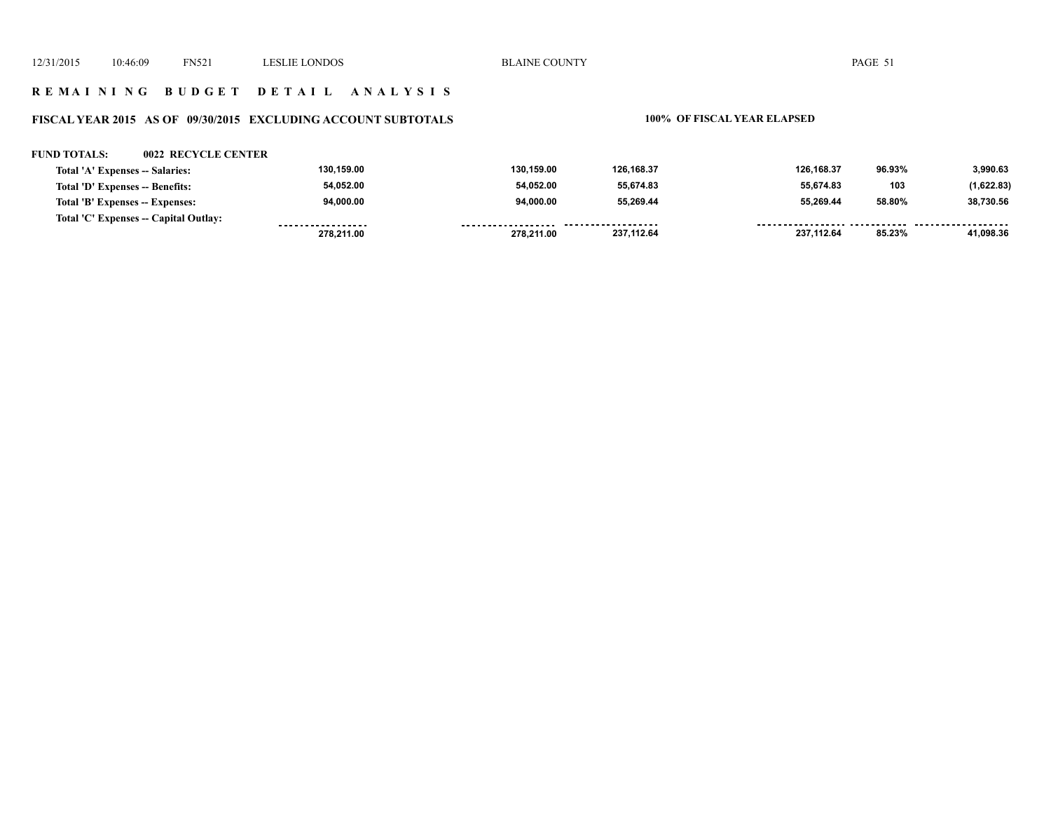### **R E M A I N I N G B U D G E T D E T A I L A N A L Y S I S**

### **FISCAL YEAR 2015 AS OF 09/30/2015 EXCLUDING ACCOUNT SUBTOTALS 100% OF FISCAL YEAR ELAPSED**

### **FUND TOTALS: 0022 RECYCLE CENTER**

| Total 'A' Expenses -- Salaries:       | 130.159.00        | 130.159.00         | 126.168.37 | 126.168.37 | 96.93% | 3.990.63   |
|---------------------------------------|-------------------|--------------------|------------|------------|--------|------------|
| Total 'D' Expenses -- Benefits:       | 54.052.00         | 54.052.00          | 55.674.83  | 55.674.83  | 103    | (1,622.83) |
| Total 'B' Expenses -- Expenses:       | 94.000.00         | 94.000.00          | 55.269.44  | 55.269.44  | 58.80% | 38.730.56  |
| Total 'C' Expenses -- Capital Outlay: | ----------------- | ------------------ | .          |            |        |            |
|                                       | 278,211.00        | 278.211.00         | 237,112.64 | 237.112.64 | 85.23% | 41.098.36  |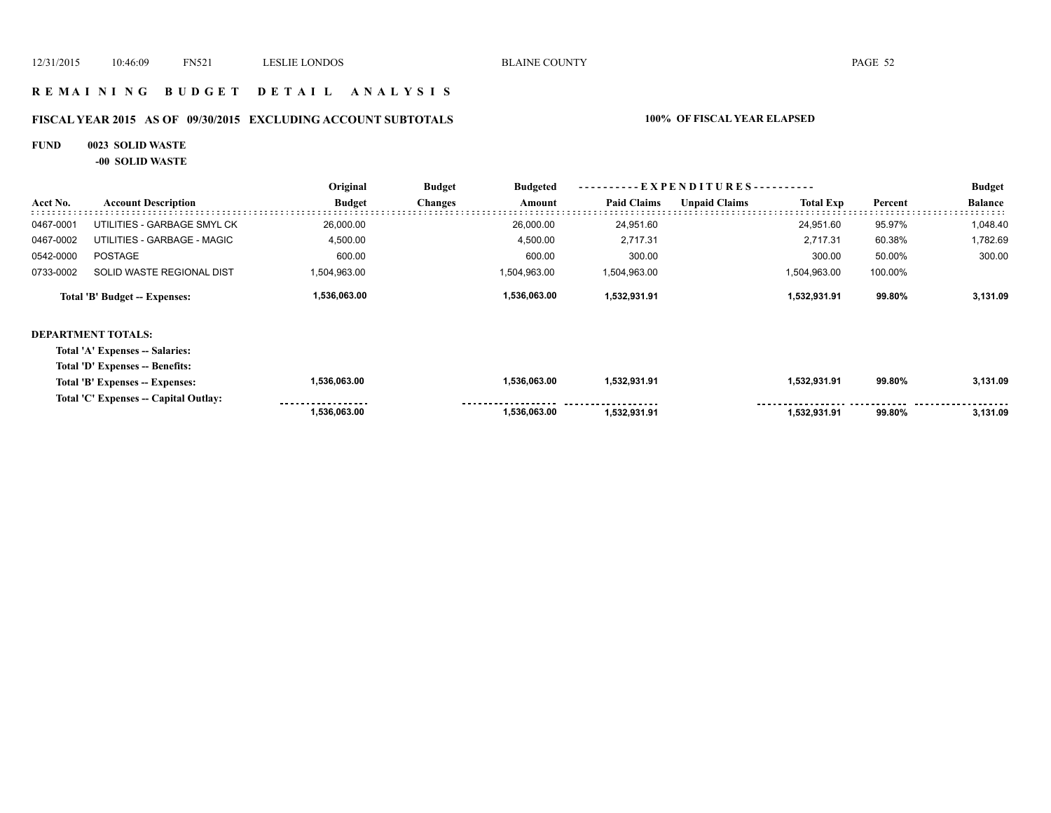### **R E M A I N I N G B U D G E T D E T A I L A N A L Y S I S**

# **FISCAL YEAR 2015 AS OF 09/30/2015 EXCLUDING ACCOUNT SUBTOTALS 100% OF FISCAL YEAR ELAPSED**

### **FUND 0023 SOLID WASTE**

**-00 SOLID WASTE**

|           |                                       | Original      | <b>Budget</b>  | <b>Budgeted</b> |                    | ----------EXPENDITURES---------- |                  |         | <b>Budget</b>  |
|-----------|---------------------------------------|---------------|----------------|-----------------|--------------------|----------------------------------|------------------|---------|----------------|
| Acct No.  | <b>Account Description</b>            | <b>Budget</b> | <b>Changes</b> | Amount          | <b>Paid Claims</b> | <b>Unpaid Claims</b>             | <b>Total Exp</b> | Percent | <b>Balance</b> |
| 0467-0001 | UTILITIES - GARBAGE SMYL CK           | 26,000.00     |                | 26,000.00       | 24,951.60          |                                  | 24,951.60        | 95.97%  | 1,048.40       |
| 0467-0002 | UTILITIES - GARBAGE - MAGIC           | 4,500.00      |                | 4,500.00        | 2,717.31           |                                  | 2,717.31         | 60.38%  | 1,782.69       |
| 0542-0000 | <b>POSTAGE</b>                        | 600.00        |                | 600.00          | 300.00             |                                  | 300.00           | 50.00%  | 300.00         |
| 0733-0002 | SOLID WASTE REGIONAL DIST             | 1,504,963.00  |                | 1,504,963.00    | 1,504,963.00       |                                  | 1,504,963.00     | 100.00% |                |
|           | Total 'B' Budget -- Expenses:         | 1,536,063.00  |                | 1,536,063.00    | 1,532,931.91       |                                  | 1,532,931.91     | 99.80%  | 3,131.09       |
|           | <b>DEPARTMENT TOTALS:</b>             |               |                |                 |                    |                                  |                  |         |                |
|           | Total 'A' Expenses -- Salaries:       |               |                |                 |                    |                                  |                  |         |                |
|           | Total 'D' Expenses -- Benefits:       |               |                |                 |                    |                                  |                  |         |                |
|           | Total 'B' Expenses -- Expenses:       | 1,536,063.00  |                | 1,536,063.00    | 1,532,931.91       |                                  | 1,532,931.91     | 99.80%  | 3,131.09       |
|           | Total 'C' Expenses -- Capital Outlay: |               |                |                 |                    |                                  |                  |         |                |
|           |                                       | 1,536,063.00  |                | 1,536,063.00    | 1,532,931.91       |                                  | 1,532,931.91     | 99.80%  | 3,131.09       |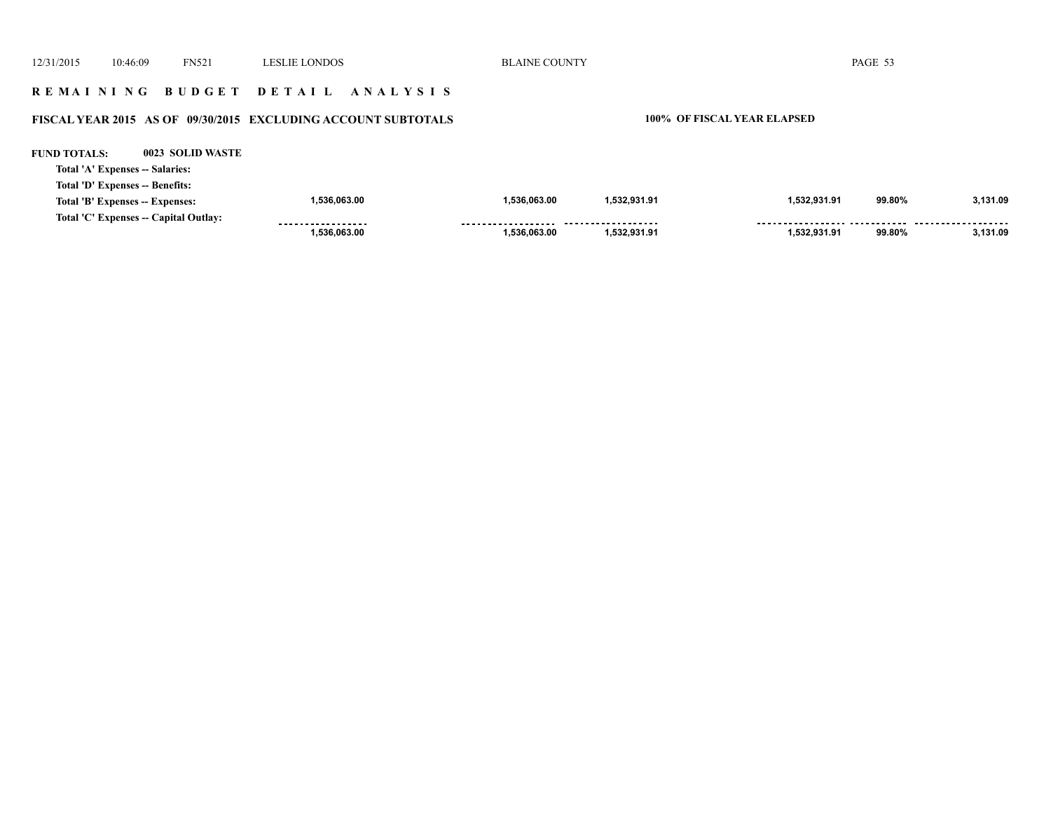12/31/2015 10:46:09 FN521 LESLIE LONDOS BLAINE COUNTY PAGE 53 **R E M A I N I N G B U D G E T D E T A I L A N A L Y S I S FISCAL YEAR 2015 AS OF 09/30/2015 EXCLUDING ACCOUNT SUBTOTALS 100% OF FISCAL YEAR ELAPSED FUND TOTALS: 0023 SOLID WASTETotal 'A' Expenses -- Salaries: Total 'D' Expenses -- Benefits: 1,536,063.00 1,536,063.00 1,532,931.91 1,532,931.91 99.80% 3,131.09 Total 'B' Expenses -- Expenses: Total 'C' Expenses -- Capital Outlay:** ..................  **1,536,063.00 1,536,063.00 1,532,931.91 1,532,931.91 99.80% 3,131.09**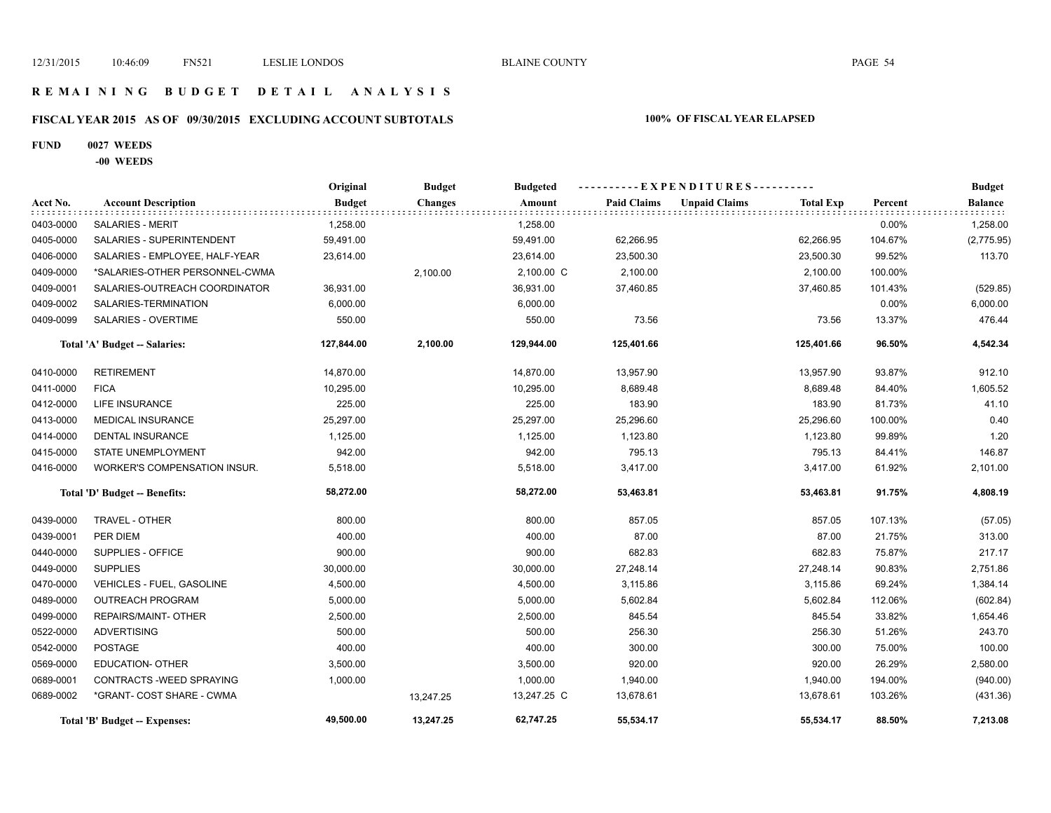### **R E M A I N I N G B U D G E T D E T A I L A N A L Y S I S**

# **FISCAL YEAR 2015 AS OF 09/30/2015 EXCLUDING ACCOUNT SUBTOTALS 100% OF FISCAL YEAR ELAPSED**

### **FUND 0027 WEEDS**

**-00 WEEDS**

|           |                                      | Original      | <b>Budget</b>  | <b>Budgeted</b> |                    | ----------EXPENDITURES----------         |         | <b>Budget</b>  |
|-----------|--------------------------------------|---------------|----------------|-----------------|--------------------|------------------------------------------|---------|----------------|
| Acct No.  | <b>Account Description</b>           | <b>Budget</b> | <b>Changes</b> | Amount          | <b>Paid Claims</b> | <b>Unpaid Claims</b><br><b>Total Exp</b> | Percent | <b>Balance</b> |
| 0403-0000 | <b>SALARIES - MERIT</b>              | 1,258.00      |                | 1,258.00        |                    |                                          | 0.00%   | 1,258.00       |
| 0405-0000 | SALARIES - SUPERINTENDENT            | 59,491.00     |                | 59,491.00       | 62,266.95          | 62,266.95                                | 104.67% | (2,775.95)     |
| 0406-0000 | SALARIES - EMPLOYEE, HALF-YEAR       | 23,614.00     |                | 23,614.00       | 23,500.30          | 23,500.30                                | 99.52%  | 113.70         |
| 0409-0000 | *SALARIES-OTHER PERSONNEL-CWMA       |               | 2,100.00       | 2,100.00 C      | 2,100.00           | 2,100.00                                 | 100.00% |                |
| 0409-0001 | SALARIES-OUTREACH COORDINATOR        | 36,931.00     |                | 36,931.00       | 37,460.85          | 37,460.85                                | 101.43% | (529.85)       |
| 0409-0002 | SALARIES-TERMINATION                 | 6,000.00      |                | 6,000.00        |                    |                                          | 0.00%   | 6,000.00       |
| 0409-0099 | SALARIES - OVERTIME                  | 550.00        |                | 550.00          | 73.56              | 73.56                                    | 13.37%  | 476.44         |
|           | Total 'A' Budget -- Salaries:        | 127,844.00    | 2,100.00       | 129,944.00      | 125,401.66         | 125,401.66                               | 96.50%  | 4,542.34       |
| 0410-0000 | <b>RETIREMENT</b>                    | 14,870.00     |                | 14,870.00       | 13,957.90          | 13,957.90                                | 93.87%  | 912.10         |
| 0411-0000 | <b>FICA</b>                          | 10,295.00     |                | 10,295.00       | 8,689.48           | 8,689.48                                 | 84.40%  | 1,605.52       |
| 0412-0000 | LIFE INSURANCE                       | 225.00        |                | 225.00          | 183.90             | 183.90                                   | 81.73%  | 41.10          |
| 0413-0000 | <b>MEDICAL INSURANCE</b>             | 25,297.00     |                | 25,297.00       | 25,296.60          | 25,296.60                                | 100.00% | 0.40           |
| 0414-0000 | <b>DENTAL INSURANCE</b>              | 1,125.00      |                | 1,125.00        | 1,123.80           | 1,123.80                                 | 99.89%  | 1.20           |
| 0415-0000 | <b>STATE UNEMPLOYMENT</b>            | 942.00        |                | 942.00          | 795.13             | 795.13                                   | 84.41%  | 146.87         |
| 0416-0000 | WORKER'S COMPENSATION INSUR.         | 5,518.00      |                | 5,518.00        | 3,417.00           | 3,417.00                                 | 61.92%  | 2,101.00       |
|           | Total 'D' Budget -- Benefits:        | 58,272.00     |                | 58,272.00       | 53,463.81          | 53,463.81                                | 91.75%  | 4,808.19       |
| 0439-0000 | TRAVEL - OTHER                       | 800.00        |                | 800.00          | 857.05             | 857.05                                   | 107.13% | (57.05)        |
| 0439-0001 | PER DIEM                             | 400.00        |                | 400.00          | 87.00              | 87.00                                    | 21.75%  | 313.00         |
| 0440-0000 | SUPPLIES - OFFICE                    | 900.00        |                | 900.00          | 682.83             | 682.83                                   | 75.87%  | 217.17         |
| 0449-0000 | <b>SUPPLIES</b>                      | 30,000.00     |                | 30,000.00       | 27,248.14          | 27,248.14                                | 90.83%  | 2,751.86       |
| 0470-0000 | <b>VEHICLES - FUEL, GASOLINE</b>     | 4,500.00      |                | 4,500.00        | 3,115.86           | 3,115.86                                 | 69.24%  | 1,384.14       |
| 0489-0000 | <b>OUTREACH PROGRAM</b>              | 5,000.00      |                | 5,000.00        | 5,602.84           | 5,602.84                                 | 112.06% | (602.84)       |
| 0499-0000 | REPAIRS/MAINT- OTHER                 | 2,500.00      |                | 2,500.00        | 845.54             | 845.54                                   | 33.82%  | 1,654.46       |
| 0522-0000 | <b>ADVERTISING</b>                   | 500.00        |                | 500.00          | 256.30             | 256.30                                   | 51.26%  | 243.70         |
| 0542-0000 | <b>POSTAGE</b>                       | 400.00        |                | 400.00          | 300.00             | 300.00                                   | 75.00%  | 100.00         |
| 0569-0000 | <b>EDUCATION- OTHER</b>              | 3,500.00      |                | 3,500.00        | 920.00             | 920.00                                   | 26.29%  | 2,580.00       |
| 0689-0001 | CONTRACTS - WEED SPRAYING            | 1,000.00      |                | 1,000.00        | 1,940.00           | 1,940.00                                 | 194.00% | (940.00)       |
| 0689-0002 | *GRANT- COST SHARE - CWMA            |               | 13,247.25      | 13,247.25 C     | 13,678.61          | 13,678.61                                | 103.26% | (431.36)       |
|           | <b>Total 'B' Budget -- Expenses:</b> | 49,500.00     | 13,247.25      | 62,747.25       | 55,534.17          | 55,534.17                                | 88.50%  | 7,213.08       |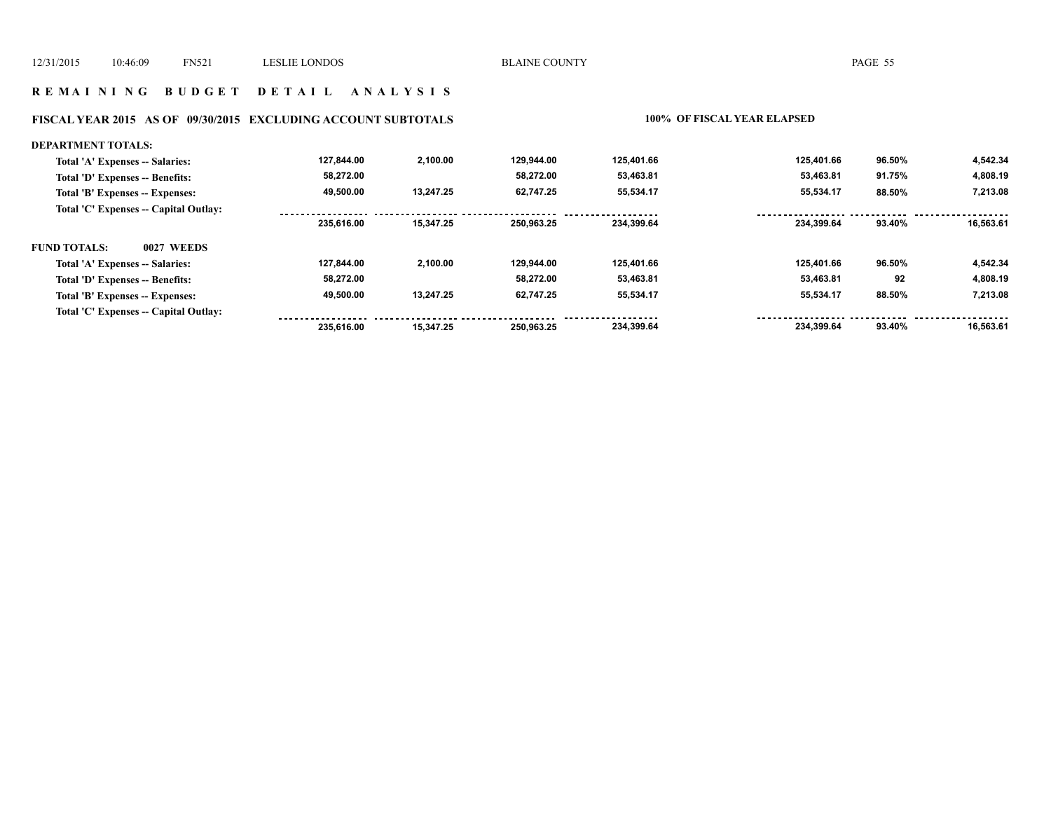### **R E M A I N I N G B U D G E T D E T A I L A N A L Y S I S**

# **FISCAL YEAR 2015 AS OF 09/30/2015 EXCLUDING ACCOUNT SUBTOTALS 100% OF FISCAL YEAR ELAPSED**

| <b>DEPARTMENT TOTALS:</b>             |            |           |            |            |            |        |           |
|---------------------------------------|------------|-----------|------------|------------|------------|--------|-----------|
| Total 'A' Expenses -- Salaries:       | 127,844.00 | 2,100.00  | 129,944.00 | 125,401.66 | 125,401.66 | 96.50% | 4,542.34  |
| Total 'D' Expenses -- Benefits:       | 58,272.00  |           | 58.272.00  | 53,463.81  | 53,463.81  | 91.75% | 4,808.19  |
| Total 'B' Expenses -- Expenses:       | 49,500.00  | 13,247.25 | 62,747.25  | 55,534.17  | 55,534.17  | 88.50% | 7,213.08  |
| Total 'C' Expenses -- Capital Outlay: |            |           |            |            |            |        |           |
|                                       | 235.616.00 | 15,347.25 | 250.963.25 | 234.399.64 | 234.399.64 | 93.40% | 16.563.61 |
| <b>FUND TOTALS:</b><br>0027 WEEDS     |            |           |            |            |            |        |           |
| Total 'A' Expenses -- Salaries:       | 127,844.00 | 2,100.00  | 129.944.00 | 125,401.66 | 125.401.66 | 96.50% | 4,542.34  |
| Total 'D' Expenses -- Benefits:       | 58,272.00  |           | 58.272.00  | 53,463.81  | 53,463.81  | 92     | 4,808.19  |
| Total 'B' Expenses -- Expenses:       | 49,500.00  | 13,247.25 | 62,747.25  | 55,534.17  | 55,534.17  | 88.50% | 7,213.08  |
| Total 'C' Expenses -- Capital Outlay: |            |           |            |            |            |        |           |
|                                       | 235.616.00 | 15.347.25 | 250.963.25 | 234,399.64 | 234.399.64 | 93.40% | 16.563.61 |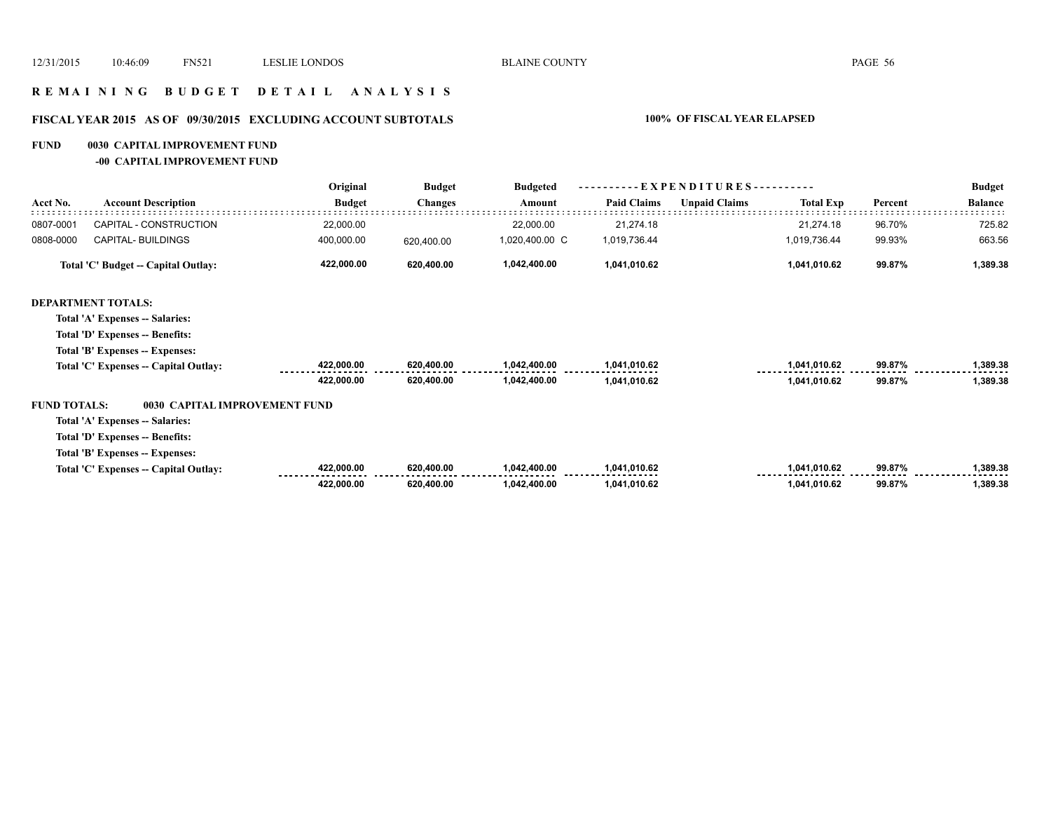### **R E M A I N I N G B U D G E T D E T A I L A N A L Y S I S**

# **FISCAL YEAR 2015 AS OF 09/30/2015 EXCLUDING ACCOUNT SUBTOTALS 100% OF FISCAL YEAR ELAPSED**

### **FUND 0030 CAPITAL IMPROVEMENT FUND**

**-00 CAPITAL IMPROVEMENT FUND**

|                     | <b>Account Description</b>            | Original      | <b>Budget</b><br><b>Changes</b> | <b>Budgeted</b> | $EXPENDITURES$ --------- |                      |                  |         | <b>Budget</b>  |
|---------------------|---------------------------------------|---------------|---------------------------------|-----------------|--------------------------|----------------------|------------------|---------|----------------|
| Acct No.            |                                       | <b>Budget</b> |                                 | Amount          | <b>Paid Claims</b>       | <b>Unpaid Claims</b> | <b>Total Exp</b> | Percent | <b>Balance</b> |
| 0807-0001           | CAPITAL - CONSTRUCTION                | 22,000.00     |                                 | 22,000.00       | 21,274.18                |                      | 21,274.18        | 96.70%  | 725.82         |
| 0808-0000           | CAPITAL- BUILDINGS                    | 400,000.00    | 620,400.00                      | 1,020,400.00 C  | 1,019,736.44             |                      | 1,019,736.44     | 99.93%  | 663.56         |
|                     | Total 'C' Budget -- Capital Outlay:   | 422,000.00    | 620,400.00                      | 1,042,400.00    | 1,041,010.62             |                      | 1,041,010.62     | 99.87%  | 1,389.38       |
|                     | <b>DEPARTMENT TOTALS:</b>             |               |                                 |                 |                          |                      |                  |         |                |
|                     | Total 'A' Expenses -- Salaries:       |               |                                 |                 |                          |                      |                  |         |                |
|                     | Total 'D' Expenses -- Benefits:       |               |                                 |                 |                          |                      |                  |         |                |
|                     | Total 'B' Expenses -- Expenses:       |               |                                 |                 |                          |                      |                  |         |                |
|                     | Total 'C' Expenses -- Capital Outlay: | 422,000.00    | 620,400.00                      | 1,042,400.00    | 1,041,010.62             |                      | 1,041,010.62     | 99.87%  | 1,389.38       |
|                     |                                       | 422,000.00    | 620,400.00                      | 1,042,400.00    | 1,041,010.62             |                      | 1,041,010.62     | 99.87%  | 1,389.38       |
| <b>FUND TOTALS:</b> | 0030 CAPITAL IMPROVEMENT FUND         |               |                                 |                 |                          |                      |                  |         |                |
|                     | Total 'A' Expenses -- Salaries:       |               |                                 |                 |                          |                      |                  |         |                |
|                     | Total 'D' Expenses -- Benefits:       |               |                                 |                 |                          |                      |                  |         |                |
|                     | Total 'B' Expenses -- Expenses:       |               |                                 |                 |                          |                      |                  |         |                |
|                     | Total 'C' Expenses -- Capital Outlay: | 422,000.00    | 620,400.00                      | 1,042,400.00    | 1,041,010.62             |                      | 1,041,010.62     | 99.87%  | 1,389.38       |
|                     |                                       | 422,000.00    | 620,400.00                      | 1,042,400.00    | 1,041,010.62             |                      | 1,041,010.62     | 99.87%  | 1,389.38       |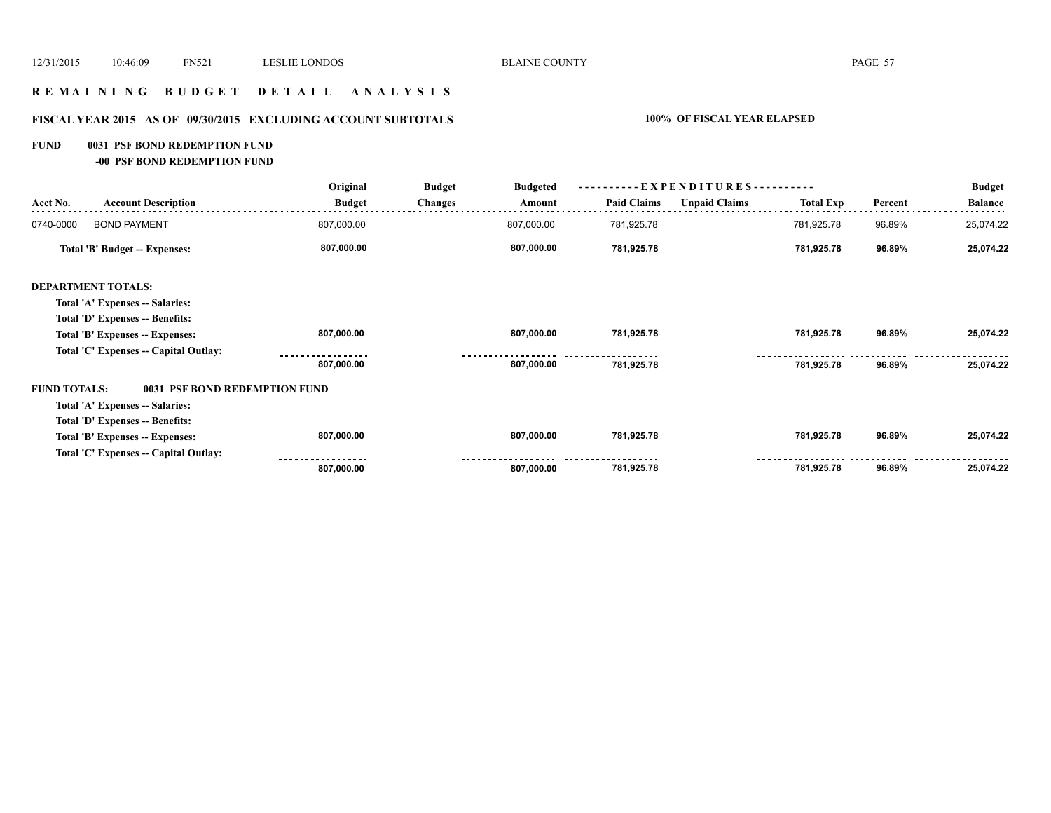### **R E M A I N I N G B U D G E T D E T A I L A N A L Y S I S**

# **FISCAL YEAR 2015 AS OF 09/30/2015 EXCLUDING ACCOUNT SUBTOTALS 100% OF FISCAL YEAR ELAPSED**

### **FUND 0031 PSF BOND REDEMPTION FUND**

**-00 PSF BOND REDEMPTION FUND**

|                                       | Original      | <b>Budget</b>                   | <b>Budgeted</b> | ----------EXPENDITURES---------- |                      |                  |         | <b>Budget</b>  |
|---------------------------------------|---------------|---------------------------------|-----------------|----------------------------------|----------------------|------------------|---------|----------------|
| <b>Account Description</b>            | <b>Budget</b> | <b>Changes</b>                  | Amount          | <b>Paid Claims</b>               | <b>Unpaid Claims</b> | <b>Total Exp</b> | Percent | <b>Balance</b> |
| <b>BOND PAYMENT</b>                   | 807,000.00    |                                 | 807,000.00      | 781,925.78                       |                      | 781,925.78       | 96.89%  | 25,074.22      |
| Total 'B' Budget -- Expenses:         | 807,000.00    |                                 | 807,000.00      | 781,925.78                       |                      | 781,925.78       | 96.89%  | 25,074.22      |
| <b>DEPARTMENT TOTALS:</b>             |               |                                 |                 |                                  |                      |                  |         |                |
| Total 'A' Expenses -- Salaries:       |               |                                 |                 |                                  |                      |                  |         |                |
| Total 'D' Expenses -- Benefits:       |               |                                 |                 |                                  |                      |                  |         |                |
| Total 'B' Expenses -- Expenses:       | 807,000.00    |                                 | 807,000.00      | 781,925.78                       |                      | 781,925.78       | 96.89%  | 25,074.22      |
| Total 'C' Expenses -- Capital Outlay: |               |                                 |                 |                                  |                      |                  |         |                |
|                                       | 807,000.00    |                                 | 807,000.00      | 781,925.78                       |                      | 781,925.78       | 96.89%  | 25,074.22      |
| <b>FUND TOTALS:</b><br>0031           |               |                                 |                 |                                  |                      |                  |         |                |
| Total 'A' Expenses -- Salaries:       |               |                                 |                 |                                  |                      |                  |         |                |
| Total 'D' Expenses -- Benefits:       |               |                                 |                 |                                  |                      |                  |         |                |
| Total 'B' Expenses -- Expenses:       | 807,000.00    |                                 | 807,000.00      | 781,925.78                       |                      | 781,925.78       | 96.89%  | 25,074.22      |
| Total 'C' Expenses -- Capital Outlay: |               |                                 |                 |                                  |                      |                  |         |                |
|                                       | 807,000.00    |                                 | 807,000.00      | 781,925.78                       |                      | 781,925.78       | 96.89%  | 25,074.22      |
|                                       |               | <b>PSF BOND REDEMPTION FUND</b> |                 |                                  |                      |                  |         |                |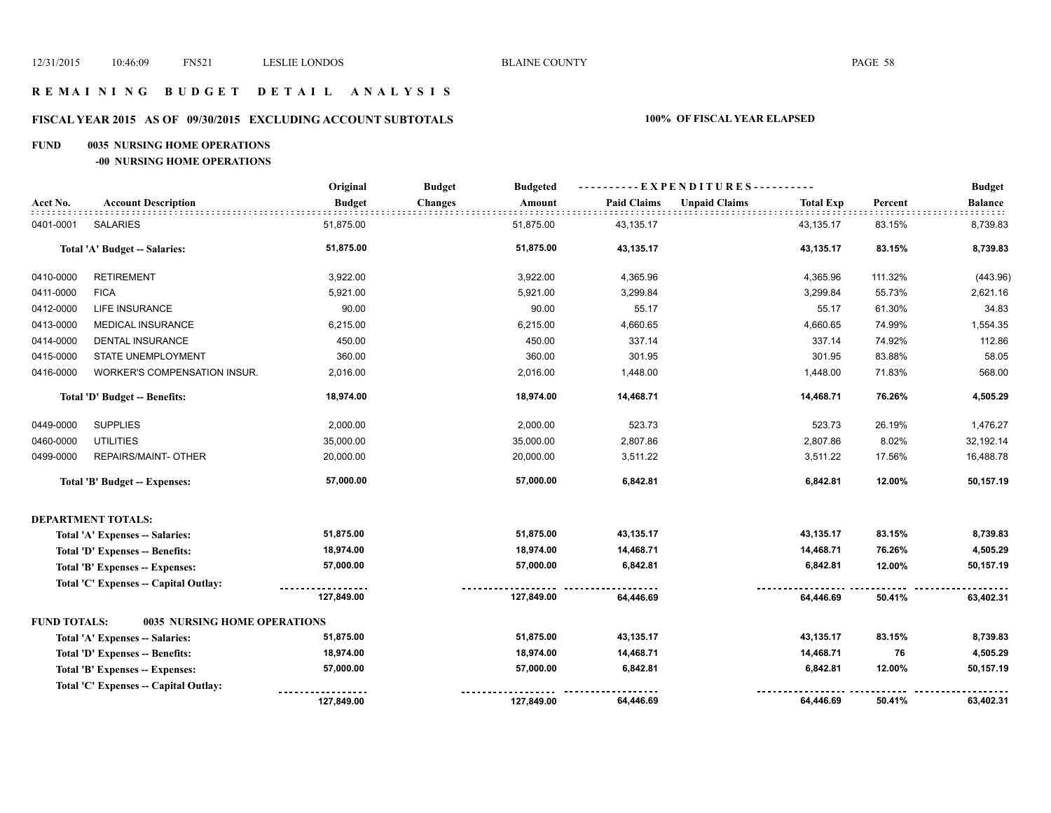### **R E M A I N I N G B U D G E T D E T A I L A N A L Y S I S**

# **FISCAL YEAR 2015 AS OF 09/30/2015 EXCLUDING ACCOUNT SUBTOTALS 100% OF FISCAL YEAR ELAPSED**

### **FUND 0035 NURSING HOME OPERATIONS**

**-00 NURSING HOME OPERATIONS**

|                     |                                        | Original      | <b>Budget</b><br><b>Budgeted</b> |                    | ----------EXPENDITURES----------         |         | <b>Budget</b>  |
|---------------------|----------------------------------------|---------------|----------------------------------|--------------------|------------------------------------------|---------|----------------|
| Acct No.            | <b>Account Description</b>             | <b>Budget</b> | <b>Changes</b><br>Amount         | <b>Paid Claims</b> | <b>Unpaid Claims</b><br><b>Total Exp</b> | Percent | <b>Balance</b> |
| 0401-0001           | <b>SALARIES</b>                        | 51,875.00     | 51,875.00                        | 43,135.17          | 43,135.17                                | 83.15%  | 8,739.83       |
|                     | Total 'A' Budget -- Salaries:          | 51,875.00     | 51,875.00                        | 43,135.17          | 43,135.17                                | 83.15%  | 8,739.83       |
| 0410-0000           | <b>RETIREMENT</b>                      | 3,922.00      | 3,922.00                         | 4,365.96           | 4,365.96                                 | 111.32% | (443.96)       |
| 0411-0000           | <b>FICA</b>                            | 5,921.00      | 5,921.00                         | 3,299.84           | 3,299.84                                 | 55.73%  | 2,621.16       |
| 0412-0000           | <b>LIFE INSURANCE</b>                  | 90.00         | 90.00                            | 55.17              | 55.17                                    | 61.30%  | 34.83          |
| 0413-0000           | <b>MEDICAL INSURANCE</b>               | 6,215.00      | 6,215.00                         | 4,660.65           | 4,660.65                                 | 74.99%  | 1,554.35       |
| 0414-0000           | DENTAL INSURANCE                       | 450.00        | 450.00                           | 337.14             | 337.14                                   | 74.92%  | 112.86         |
| 0415-0000           | STATE UNEMPLOYMENT                     | 360.00        | 360.00                           | 301.95             | 301.95                                   | 83.88%  | 58.05          |
| 0416-0000           | WORKER'S COMPENSATION INSUR.           | 2,016.00      | 2,016.00                         | 1,448.00           | 1,448.00                                 | 71.83%  | 568.00         |
|                     | Total 'D' Budget -- Benefits:          | 18,974.00     | 18,974.00                        | 14,468.71          | 14,468.71                                | 76.26%  | 4,505.29       |
| 0449-0000           | <b>SUPPLIES</b>                        | 2,000.00      | 2,000.00                         | 523.73             | 523.73                                   | 26.19%  | 1,476.27       |
| 0460-0000           | <b>UTILITIES</b>                       | 35,000.00     | 35,000.00                        | 2,807.86           | 2,807.86                                 | 8.02%   | 32,192.14      |
| 0499-0000           | REPAIRS/MAINT- OTHER                   | 20,000.00     | 20,000.00                        | 3,511.22           | 3,511.22                                 | 17.56%  | 16,488.78      |
|                     | Total 'B' Budget -- Expenses:          | 57,000.00     | 57,000.00                        | 6,842.81           | 6,842.81                                 | 12.00%  | 50,157.19      |
|                     | <b>DEPARTMENT TOTALS:</b>              |               |                                  |                    |                                          |         |                |
|                     | Total 'A' Expenses -- Salaries:        | 51,875.00     | 51,875.00                        | 43,135.17          | 43,135.17                                | 83.15%  | 8,739.83       |
|                     | <b>Total 'D' Expenses -- Benefits:</b> | 18,974.00     | 18,974.00                        | 14,468.71          | 14,468.71                                | 76.26%  | 4,505.29       |
|                     | Total 'B' Expenses -- Expenses:        | 57,000.00     | 57,000.00                        | 6,842.81           | 6,842.81                                 | 12.00%  | 50,157.19      |
|                     | Total 'C' Expenses - Capital Outlay:   | 127,849.00    | 127,849.00                       | 64,446.69          | 64,446.69                                | 50.41%  | 63,402.31      |
| <b>FUND TOTALS:</b> | <b>0035 NURSING HOME OPERATIONS</b>    |               |                                  |                    |                                          |         |                |
|                     |                                        | 51,875.00     | 51,875.00                        | 43,135.17          | 43,135.17                                | 83.15%  | 8,739.83       |
|                     | Total 'A' Expenses -- Salaries:        | 18,974.00     | 18,974.00                        | 14,468.71          | 14,468.71                                | 76      | 4,505.29       |
|                     | <b>Total 'D' Expenses -- Benefits:</b> | 57,000.00     | 57,000.00                        | 6,842.81           | 6,842.81                                 | 12.00%  | 50,157.19      |
|                     | Total 'B' Expenses -- Expenses:        |               |                                  |                    |                                          |         |                |
|                     | Total 'C' Expenses -- Capital Outlay:  | 127,849.00    | 127,849.00                       | 64,446.69          | 64,446.69                                | 50.41%  | 63,402.31      |
|                     |                                        |               |                                  |                    |                                          |         |                |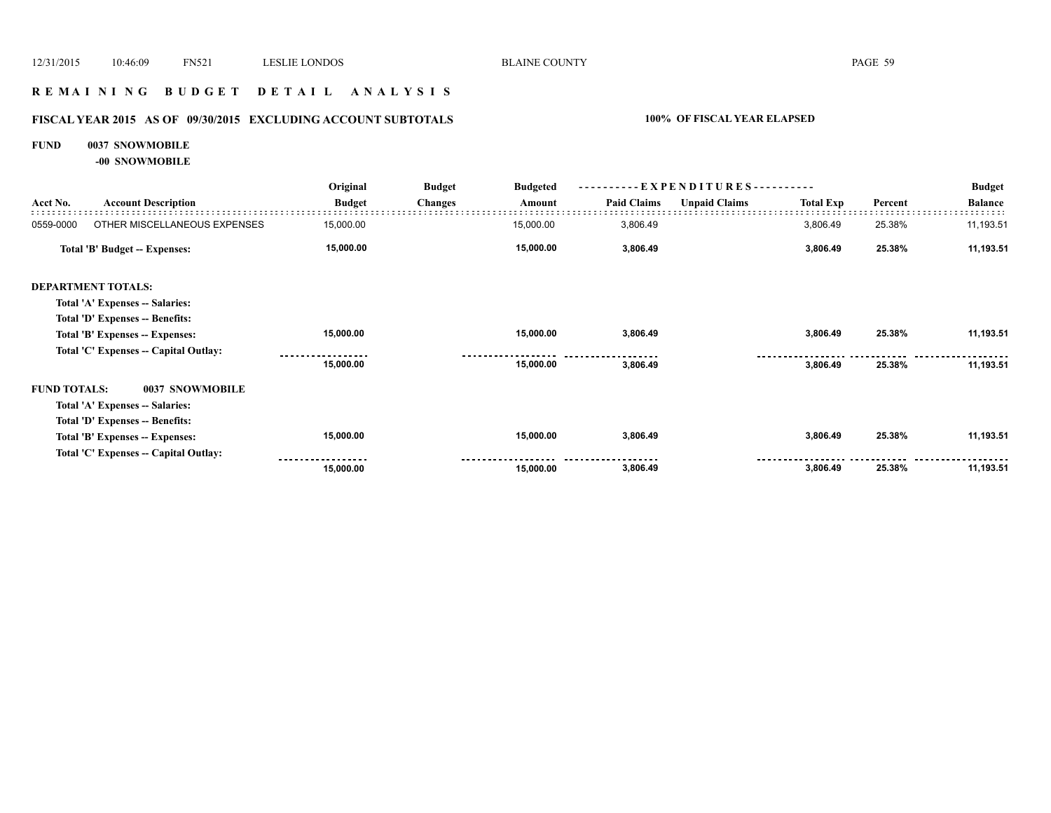### **R E M A I N I N G B U D G E T D E T A I L A N A L Y S I S**

# **FISCAL YEAR 2015 AS OF 09/30/2015 EXCLUDING ACCOUNT SUBTOTALS 100% OF FISCAL YEAR ELAPSED**

### **FUND 0037 SNOWMOBILE**

**-00 SNOWMOBILE**

|                     | <b>Account Description</b>            | Original      | <b>Budget</b>  | <b>Budgeted</b><br>Amount | - EXPENDITURES - --<br>. |                      |                  |         | <b>Budget</b>  |
|---------------------|---------------------------------------|---------------|----------------|---------------------------|--------------------------|----------------------|------------------|---------|----------------|
| Acct No.            |                                       | <b>Budget</b> | <b>Changes</b> |                           | <b>Paid Claims</b>       | <b>Unpaid Claims</b> | <b>Total Exp</b> | Percent | <b>Balance</b> |
| 0559-0000           | OTHER MISCELLANEOUS EXPENSES          | 15,000.00     |                | 15,000.00                 | 3,806.49                 |                      | 3,806.49         | 25.38%  | 11,193.51      |
|                     | Total 'B' Budget -- Expenses:         | 15,000.00     |                | 15,000.00                 | 3,806.49                 |                      | 3,806.49         | 25.38%  | 11,193.51      |
|                     | <b>DEPARTMENT TOTALS:</b>             |               |                |                           |                          |                      |                  |         |                |
|                     | Total 'A' Expenses -- Salaries:       |               |                |                           |                          |                      |                  |         |                |
|                     | Total 'D' Expenses -- Benefits:       |               |                |                           |                          |                      |                  |         |                |
|                     | Total 'B' Expenses -- Expenses:       | 15,000.00     |                | 15,000.00                 | 3,806.49                 |                      | 3,806.49         | 25.38%  | 11,193.51      |
|                     | Total 'C' Expenses -- Capital Outlay: |               |                |                           |                          |                      |                  |         |                |
|                     |                                       | 15,000.00     |                | 15,000.00                 | 3,806.49                 |                      | 3,806.49         | 25.38%  | 11,193.51      |
| <b>FUND TOTALS:</b> | 0037 SNOWMOBILE                       |               |                |                           |                          |                      |                  |         |                |
|                     | Total 'A' Expenses -- Salaries:       |               |                |                           |                          |                      |                  |         |                |
|                     | Total 'D' Expenses -- Benefits:       |               |                |                           |                          |                      |                  |         |                |
|                     | Total 'B' Expenses -- Expenses:       | 15,000.00     |                | 15,000.00                 | 3,806.49                 |                      | 3,806.49         | 25.38%  | 11,193.51      |
|                     | Total 'C' Expenses -- Capital Outlay: |               |                |                           |                          |                      |                  |         |                |
|                     |                                       | 15,000.00     |                | 15,000.00                 | 3,806.49                 |                      | 3,806.49         | 25.38%  | 11,193.51      |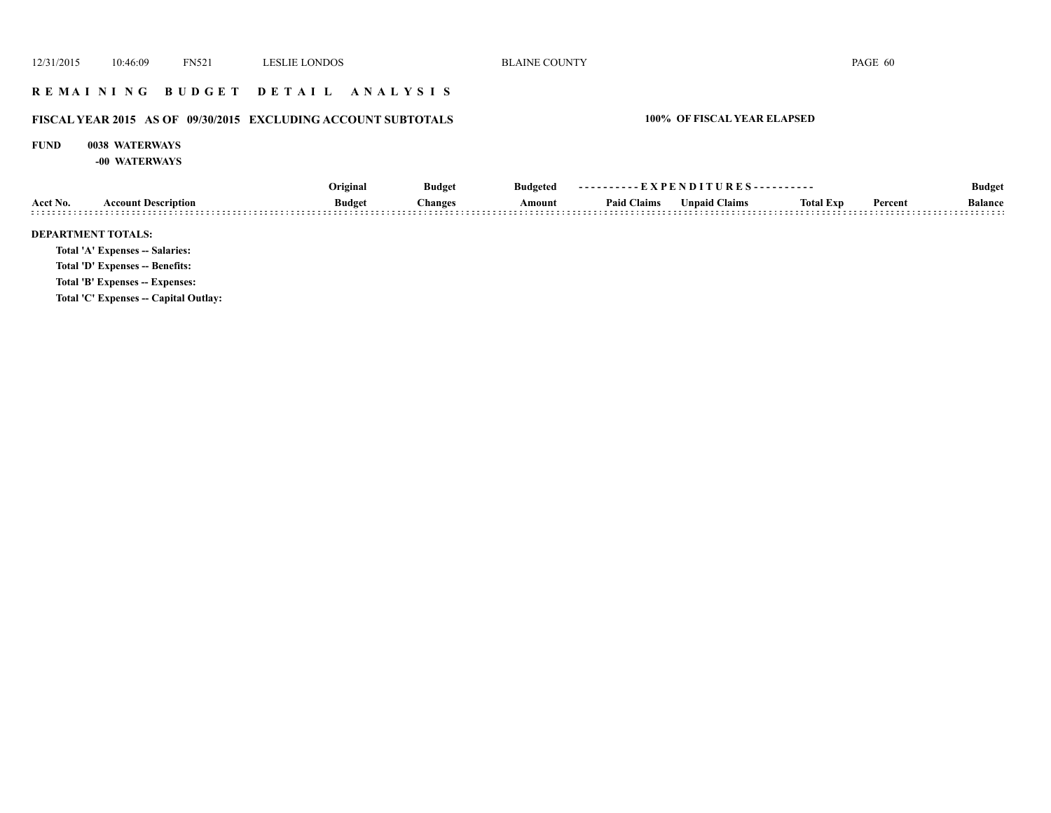### **R E M A I N I N G B U D G E T D E T A I L A N A L Y S I S**

# **FISCAL YEAR 2015 AS OF 09/30/2015 EXCLUDING ACCOUNT SUBTOTALS 100% OF FISCAL YEAR ELAPSED**

### **FUND 0038 WATERWAYS**

**-00 WATERWAYS**

|                           | <b>Account Description</b>            | Original      | <b>Budget</b>  | Budgeted | ----------EXPENDITURES---------- |                      |                  |         | <b>Budget</b>  |
|---------------------------|---------------------------------------|---------------|----------------|----------|----------------------------------|----------------------|------------------|---------|----------------|
| Acct No.                  |                                       | <b>Budget</b> | <b>Changes</b> | Amount   | <b>Paid Claims</b>               | <b>Unpaid Claims</b> | <b>Total Exp</b> | Percent | <b>Balance</b> |
| <b>DEPARTMENT TOTALS:</b> |                                       |               |                |          |                                  |                      |                  |         |                |
|                           | Total 'A' Expenses -- Salaries:       |               |                |          |                                  |                      |                  |         |                |
|                           | Total 'D' Expenses -- Benefits:       |               |                |          |                                  |                      |                  |         |                |
|                           | Total 'B' Expenses -- Expenses:       |               |                |          |                                  |                      |                  |         |                |
|                           | Total 'C' Expenses -- Capital Outlay: |               |                |          |                                  |                      |                  |         |                |
|                           |                                       |               |                |          |                                  |                      |                  |         |                |
|                           |                                       |               |                |          |                                  |                      |                  |         |                |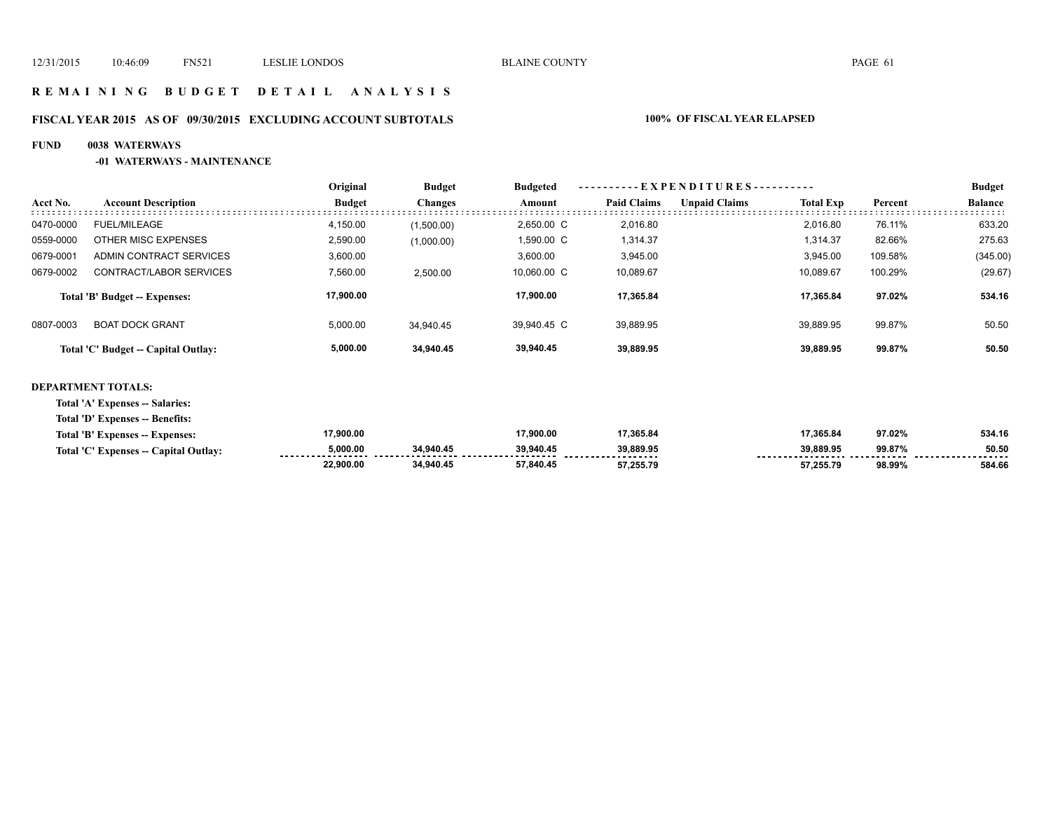### **R E M A I N I N G B U D G E T D E T A I L A N A L Y S I S**

# **FISCAL YEAR 2015 AS OF 09/30/2015 EXCLUDING ACCOUNT SUBTOTALS 100% OF FISCAL YEAR ELAPSED**

### **FUND 0038 WATERWAYS**

### **-01 WATERWAYS - MAINTENANCE**

|           |                                     | Original      | <b>Budget</b>  | <b>Budgeted</b> | $-$ EXPENDITURES $-$ --------- |                      |                  |         | <b>Budget</b>  |  |
|-----------|-------------------------------------|---------------|----------------|-----------------|--------------------------------|----------------------|------------------|---------|----------------|--|
| Acct No.  | <b>Account Description</b>          | <b>Budget</b> | <b>Changes</b> | Amount          | <b>Paid Claims</b>             | <b>Unpaid Claims</b> | <b>Total Exp</b> | Percent | <b>Balance</b> |  |
| 0470-0000 | FUEL/MILEAGE                        | 4,150.00      | (1,500.00)     | 2.650.00 C      | 2.016.80                       |                      | 2.016.80         | 76.11%  | 633.20         |  |
| 0559-0000 | OTHER MISC EXPENSES                 | 2,590.00      | (1,000.00)     | 1.590.00 C      | 1,314.37                       |                      | 1.314.37         | 82.66%  | 275.63         |  |
| 0679-0001 | ADMIN CONTRACT SERVICES             | 3,600.00      |                | 3,600.00        | 3,945.00                       |                      | 3,945.00         | 109.58% | (345.00)       |  |
| 0679-0002 | CONTRACT/LABOR SERVICES             | 7,560.00      | 2.500.00       | 10.060.00 C     | 10,089.67                      |                      | 10.089.67        | 100.29% | (29.67)        |  |
|           | Total 'B' Budget -- Expenses:       | 17,900.00     |                | 17.900.00       | 17.365.84                      |                      | 17.365.84        | 97.02%  | 534.16         |  |
| 0807-0003 | <b>BOAT DOCK GRANT</b>              | 5,000.00      | 34.940.45      | 39.940.45 C     | 39,889.95                      |                      | 39.889.95        | 99.87%  | 50.50          |  |
|           | Total 'C' Budget -- Capital Outlay: | 5,000.00      | 34.940.45      | 39,940.45       | 39.889.95                      |                      | 39.889.95        | 99.87%  | 50.50          |  |

### **DEPARTMENT TOTALS:**

**Total 'A' Expenses -- Salaries:**

**Total 'D' Expenses -- Benefits:**

| Total 'B' Expenses -- Expenses:       | 17.900.00 |           | 17.900.00 | 17.365.84 | 17.365.84                       | 97.02% | 534.16     |
|---------------------------------------|-----------|-----------|-----------|-----------|---------------------------------|--------|------------|
| Total 'C' Expenses -- Capital Outlay: | 000.00 ن  | 34.940.45 | 39.940.45 | 39.889.95 | 39.889.95<br>------------------ | 99.87% | 50.50<br>. |
|                                       | 22,900.00 | 34.940.45 | 57.840.45 | 57,255.79 | 57.255.79                       | 98.99% | 584.66     |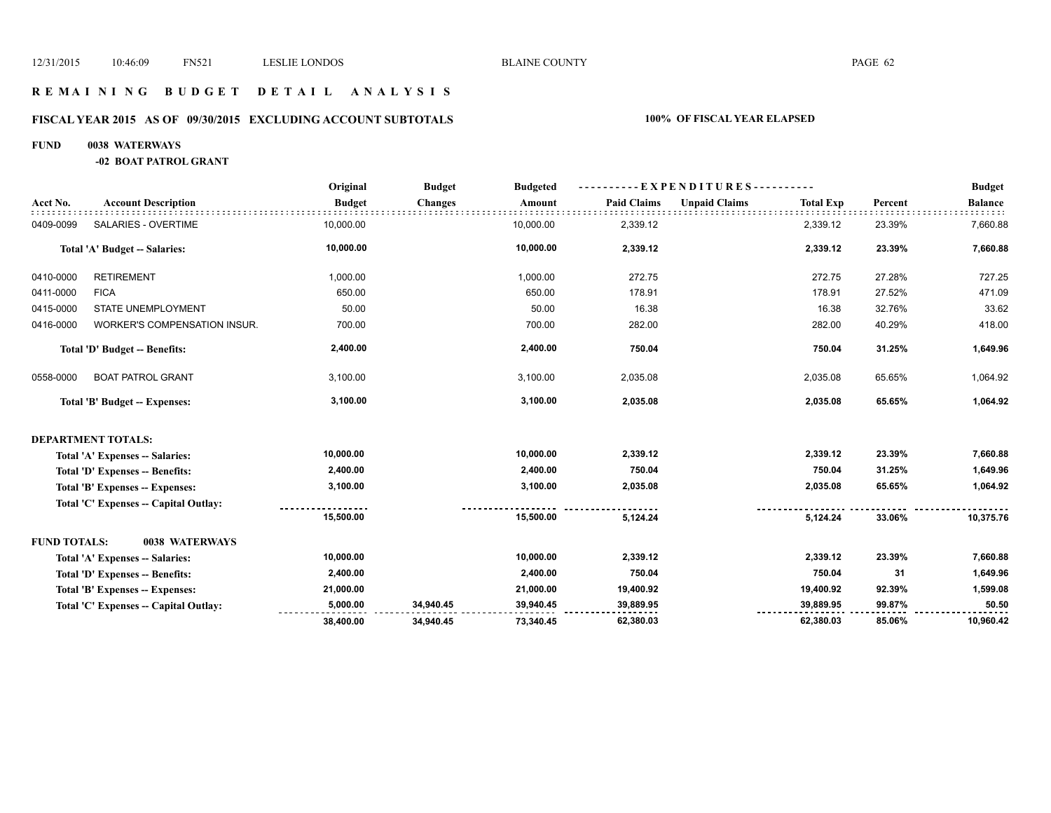### **R E M A I N I N G B U D G E T D E T A I L A N A L Y S I S**

# **FISCAL YEAR 2015 AS OF 09/30/2015 EXCLUDING ACCOUNT SUBTOTALS 100% OF FISCAL YEAR ELAPSED**

### **FUND 0038 WATERWAYS**

**-02 BOAT PATROL GRANT**

|                     |                                       | Original      | <b>Budget</b>  | <b>Budgeted</b> | -EXPENDITURES-     |                      |                  |         | <b>Budget</b>  |
|---------------------|---------------------------------------|---------------|----------------|-----------------|--------------------|----------------------|------------------|---------|----------------|
| Acct No.            | <b>Account Description</b>            | <b>Budget</b> | <b>Changes</b> | Amount          | <b>Paid Claims</b> | <b>Unpaid Claims</b> | <b>Total Exp</b> | Percent | <b>Balance</b> |
| 0409-0099           | SALARIES - OVERTIME                   | 10,000.00     |                | 10,000.00       | 2,339.12           |                      | 2,339.12         | 23.39%  | 7,660.88       |
|                     | Total 'A' Budget -- Salaries:         | 10,000.00     |                | 10,000.00       | 2,339.12           |                      | 2,339.12         | 23.39%  | 7,660.88       |
| 0410-0000           | <b>RETIREMENT</b>                     | 1,000.00      |                | 1,000.00        | 272.75             |                      | 272.75           | 27.28%  | 727.25         |
| 0411-0000           | <b>FICA</b>                           | 650.00        |                | 650.00          | 178.91             |                      | 178.91           | 27.52%  | 471.09         |
| 0415-0000           | STATE UNEMPLOYMENT                    | 50.00         |                | 50.00           | 16.38              |                      | 16.38            | 32.76%  | 33.62          |
| 0416-0000           | WORKER'S COMPENSATION INSUR.          | 700.00        |                | 700.00          | 282.00             |                      | 282.00           | 40.29%  | 418.00         |
|                     | Total 'D' Budget -- Benefits:         | 2,400.00      |                | 2,400.00        | 750.04             |                      | 750.04           | 31.25%  | 1,649.96       |
| 0558-0000           | <b>BOAT PATROL GRANT</b>              | 3,100.00      |                | 3,100.00        | 2,035.08           |                      | 2,035.08         | 65.65%  | 1,064.92       |
|                     | Total 'B' Budget -- Expenses:         | 3,100.00      |                | 3,100.00        | 2,035.08           |                      | 2,035.08         | 65.65%  | 1,064.92       |
|                     | <b>DEPARTMENT TOTALS:</b>             |               |                |                 |                    |                      |                  |         |                |
|                     | Total 'A' Expenses -- Salaries:       | 10,000.00     |                | 10,000.00       | 2,339.12           |                      | 2,339.12         | 23.39%  | 7,660.88       |
|                     | Total 'D' Expenses -- Benefits:       | 2,400.00      |                | 2,400.00        | 750.04             |                      | 750.04           | 31.25%  | 1,649.96       |
|                     | Total 'B' Expenses -- Expenses:       | 3,100.00      |                | 3,100.00        | 2,035.08           |                      | 2,035.08         | 65.65%  | 1,064.92       |
|                     | Total 'C' Expenses -- Capital Outlay: |               |                |                 |                    |                      |                  |         |                |
|                     |                                       | 15,500.00     |                | 15,500.00       | 5,124.24           |                      | 5,124.24         | 33.06%  | 10,375.76      |
| <b>FUND TOTALS:</b> | 0038 WATERWAYS                        |               |                |                 |                    |                      |                  |         |                |
|                     | Total 'A' Expenses -- Salaries:       | 10,000.00     |                | 10,000.00       | 2,339.12           |                      | 2,339.12         | 23.39%  | 7,660.88       |
|                     | Total 'D' Expenses -- Benefits:       | 2,400.00      |                | 2,400.00        | 750.04             |                      | 750.04           | 31      | 1,649.96       |
|                     | Total 'B' Expenses -- Expenses:       | 21,000.00     |                | 21,000.00       | 19,400.92          |                      | 19,400.92        | 92.39%  | 1,599.08       |
|                     | Total 'C' Expenses - Capital Outlay:  | 5,000.00      | 34,940.45      | 39,940.45       | 39,889.95          |                      | 39,889.95        | 99.87%  | 50.50          |
|                     |                                       | 38,400.00     | 34,940.45      | 73,340.45       | 62,380.03          |                      | 62,380.03        | 85.06%  | 10,960.42      |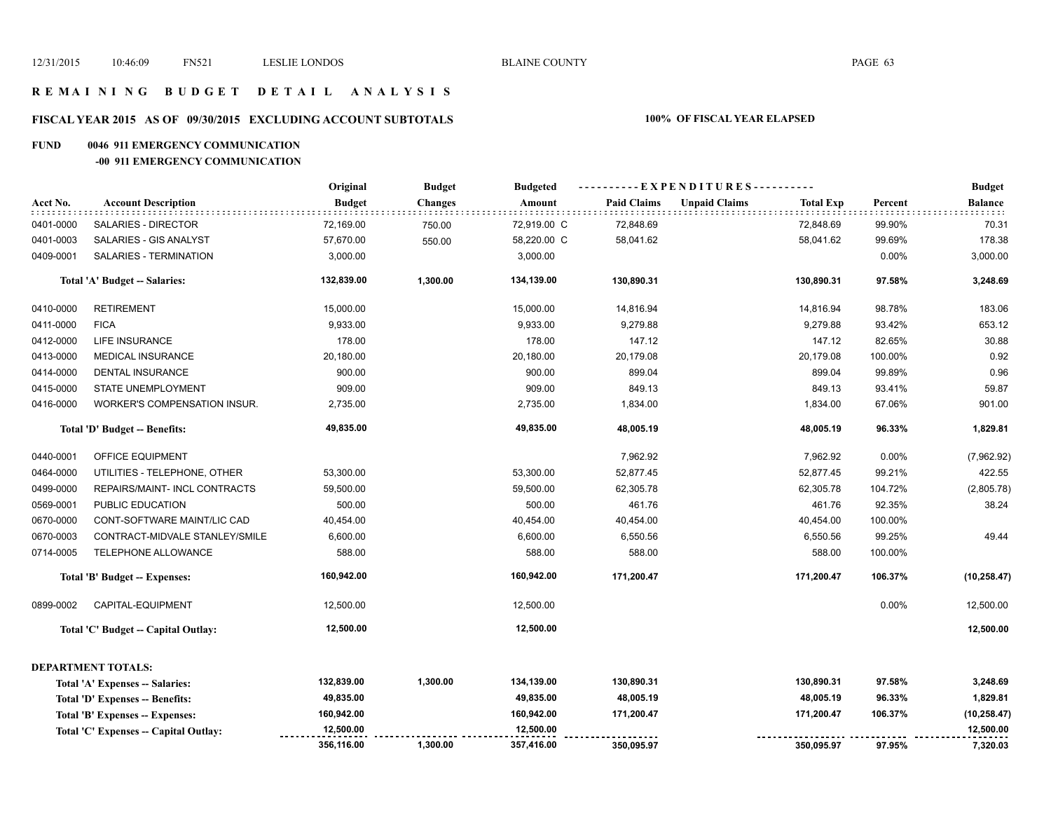### **R E M A I N I N G B U D G E T D E T A I L A N A L Y S I S**

### **FISCAL YEAR 2015 AS OF 09/30/2015 EXCLUDING ACCOUNT SUBTOTALS 100% OF FISCAL YEAR ELAPSED**

### **FUND 0046 911 EMERGENCY COMMUNICATION**

### **-00 911 EMERGENCY COMMUNICATION**

|           |                                       | Original      | <b>Budget</b>  | <b>Budgeted</b> | ----------EXPENDITURES---------- |                      |                  |         | <b>Budget</b> |
|-----------|---------------------------------------|---------------|----------------|-----------------|----------------------------------|----------------------|------------------|---------|---------------|
| Acct No.  | <b>Account Description</b>            | <b>Budget</b> | <b>Changes</b> | Amount          | <b>Paid Claims</b>               | <b>Unpaid Claims</b> | <b>Total Exp</b> | Percent | Balance       |
| 0401-0000 | SALARIES - DIRECTOR                   | 72,169.00     | 750.00         | 72,919.00 C     | 72,848.69                        |                      | 72,848.69        | 99.90%  | 70.31         |
| 0401-0003 | SALARIES - GIS ANALYST                | 57,670.00     | 550.00         | 58,220.00 C     | 58,041.62                        |                      | 58,041.62        | 99.69%  | 178.38        |
| 0409-0001 | SALARIES - TERMINATION                | 3,000.00      |                | 3,000.00        |                                  |                      |                  | 0.00%   | 3,000.00      |
|           | Total 'A' Budget -- Salaries:         | 132,839.00    | 1,300.00       | 134,139.00      | 130,890.31                       |                      | 130,890.31       | 97.58%  | 3,248.69      |
| 0410-0000 | <b>RETIREMENT</b>                     | 15,000.00     |                | 15,000.00       | 14,816.94                        |                      | 14,816.94        | 98.78%  | 183.06        |
| 0411-0000 | <b>FICA</b>                           | 9,933.00      |                | 9,933.00        | 9,279.88                         |                      | 9,279.88         | 93.42%  | 653.12        |
| 0412-0000 | LIFE INSURANCE                        | 178.00        |                | 178.00          | 147.12                           |                      | 147.12           | 82.65%  | 30.88         |
| 0413-0000 | <b>MEDICAL INSURANCE</b>              | 20,180.00     |                | 20,180.00       | 20,179.08                        |                      | 20,179.08        | 100.00% | 0.92          |
| 0414-0000 | <b>DENTAL INSURANCE</b>               | 900.00        |                | 900.00          | 899.04                           |                      | 899.04           | 99.89%  | 0.96          |
| 0415-0000 | STATE UNEMPLOYMENT                    | 909.00        |                | 909.00          | 849.13                           |                      | 849.13           | 93.41%  | 59.87         |
| 0416-0000 | WORKER'S COMPENSATION INSUR.          | 2,735.00      |                | 2,735.00        | 1,834.00                         |                      | 1,834.00         | 67.06%  | 901.00        |
|           | Total 'D' Budget -- Benefits:         | 49,835.00     |                | 49,835.00       | 48,005.19                        |                      | 48,005.19        | 96.33%  | 1,829.81      |
| 0440-0001 | <b>OFFICE EQUIPMENT</b>               |               |                |                 | 7,962.92                         |                      | 7,962.92         | 0.00%   | (7,962.92)    |
| 0464-0000 | UTILITIES - TELEPHONE, OTHER          | 53,300.00     |                | 53,300.00       | 52,877.45                        |                      | 52,877.45        | 99.21%  | 422.55        |
| 0499-0000 | REPAIRS/MAINT- INCL CONTRACTS         | 59,500.00     |                | 59,500.00       | 62,305.78                        |                      | 62,305.78        | 104.72% | (2,805.78)    |
| 0569-0001 | PUBLIC EDUCATION                      | 500.00        |                | 500.00          | 461.76                           |                      | 461.76           | 92.35%  | 38.24         |
| 0670-0000 | CONT-SOFTWARE MAINT/LIC CAD           | 40,454.00     |                | 40,454.00       | 40,454.00                        |                      | 40,454.00        | 100.00% |               |
| 0670-0003 | CONTRACT-MIDVALE STANLEY/SMILE        | 6,600.00      |                | 6,600.00        | 6,550.56                         |                      | 6,550.56         | 99.25%  | 49.44         |
| 0714-0005 | TELEPHONE ALLOWANCE                   | 588.00        |                | 588.00          | 588.00                           |                      | 588.00           | 100.00% |               |
|           | <b>Total 'B' Budget -- Expenses:</b>  | 160,942.00    |                | 160,942.00      | 171,200.47                       |                      | 171,200.47       | 106.37% | (10, 258.47)  |
| 0899-0002 | CAPITAL-EQUIPMENT                     | 12,500.00     |                | 12,500.00       |                                  |                      |                  | 0.00%   | 12,500.00     |
|           | Total 'C' Budget -- Capital Outlay:   | 12,500.00     |                | 12,500.00       |                                  |                      |                  |         | 12,500.00     |
|           | <b>DEPARTMENT TOTALS:</b>             |               |                |                 |                                  |                      |                  |         |               |
|           | Total 'A' Expenses -- Salaries:       | 132,839.00    | 1,300.00       | 134,139.00      | 130,890.31                       |                      | 130,890.31       | 97.58%  | 3,248.69      |
|           | Total 'D' Expenses -- Benefits:       | 49,835.00     |                | 49,835.00       | 48,005.19                        |                      | 48,005.19        | 96.33%  | 1,829.81      |
|           | Total 'B' Expenses -- Expenses:       | 160,942.00    |                | 160,942.00      | 171,200.47                       |                      | 171,200.47       | 106.37% | (10, 258.47)  |
|           | Total 'C' Expenses -- Capital Outlay: | 12,500.00     |                | 12,500.00       |                                  |                      |                  |         | 12,500.00     |
|           |                                       | 356,116.00    | 1,300.00       | 357,416.00      | 350,095.97                       |                      | 350,095.97       | 97.95%  | 7,320.03      |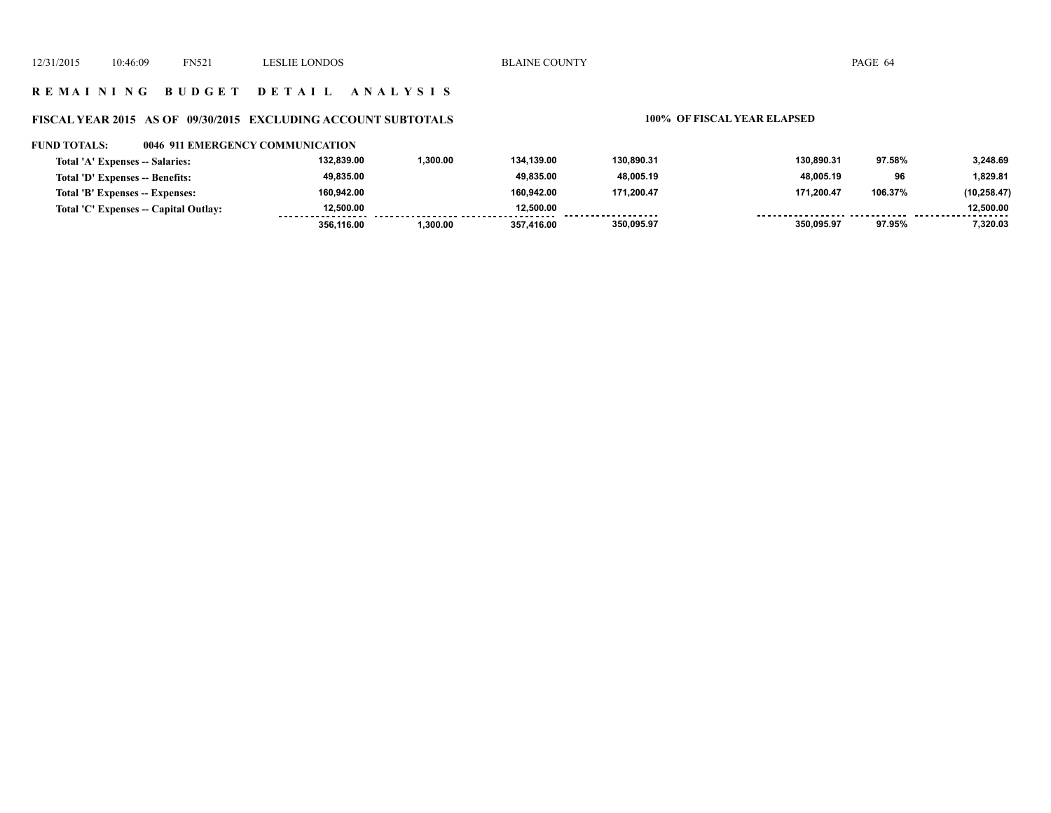### **R E M A I N I N G B U D G E T D E T A I L A N A L Y S I S**

### **FISCAL YEAR 2015 AS OF 09/30/2015 EXCLUDING ACCOUNT SUBTOTALS 100% OF FISCAL YEAR ELAPSED**

### **FUND TOTALS: 0046 911 EMERGENCY COMMUNICATION**

| Total 'A' Expenses -- Salaries:       | 132.839.00 | 1.300.00 | 134.139.00 | 130.890.31         | 130.890.31 | 97.58%  | 3.248.69       |
|---------------------------------------|------------|----------|------------|--------------------|------------|---------|----------------|
| Total 'D' Expenses -- Benefits:       | 49,835.00  |          | 49.835.00  | 48,005.19          | 48.005.19  | 96      | 1,829.81       |
| Total 'B' Expenses -- Expenses:       | 160.942.00 |          | 160.942.00 | 171,200.47         | 171.200.47 | 106.37% | (10, 258.47)   |
| Total 'C' Expenses -- Capital Outlay: | 12.500.00  |          | 12.500.00  | ------------------ |            |         | 12.500.00<br>. |
|                                       | 356.116.00 | 1.300.00 | 357.416.00 | 350,095.97         | 350,095.97 | 97.95%  | 7,320.03       |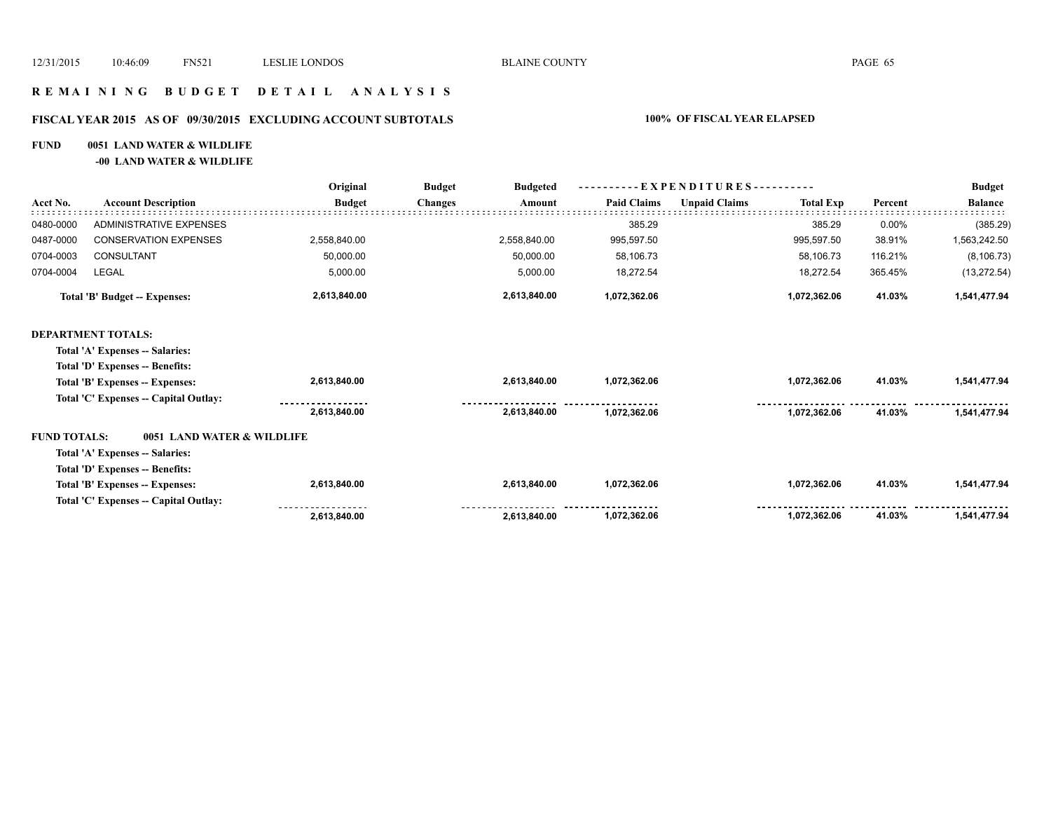### **R E M A I N I N G B U D G E T D E T A I L A N A L Y S I S**

### **FISCAL YEAR 2015 AS OF 09/30/2015 EXCLUDING ACCOUNT SUBTOTALS 100% OF FISCAL YEAR ELAPSED**

### **FUND 0051 LAND WATER & WILDLIFE**

**-00 LAND WATER & WILDLIFE**

|                                       | <b>Account Description</b>           | Original<br><b>Budget</b> | <b>Budget</b><br><b>Budgeted</b> | --EXPENDITURES---------- |                      |                  |         | <b>Budget</b>  |
|---------------------------------------|--------------------------------------|---------------------------|----------------------------------|--------------------------|----------------------|------------------|---------|----------------|
| Acct No.                              |                                      |                           | <b>Changes</b><br>Amount         | <b>Paid Claims</b>       | <b>Unpaid Claims</b> | <b>Total Exp</b> | Percent | <b>Balance</b> |
| 0480-0000                             | <b>ADMINISTRATIVE EXPENSES</b>       |                           |                                  | 385.29                   |                      | 385.29           | 0.00%   | (385.29)       |
| 0487-0000                             | <b>CONSERVATION EXPENSES</b>         | 2,558,840.00              | 2,558,840.00                     | 995,597.50               |                      | 995,597.50       | 38.91%  | 1,563,242.50   |
| 0704-0003                             | CONSULTANT                           | 50,000.00                 | 50,000.00                        | 58,106.73                |                      | 58,106.73        | 116.21% | (8, 106.73)    |
| 0704-0004                             | <b>LEGAL</b>                         | 5,000.00                  | 5,000.00                         | 18,272.54                |                      | 18,272.54        | 365.45% | (13, 272.54)   |
| Total 'B' Budget -- Expenses:         |                                      | 2,613,840.00              | 2,613,840.00                     | 1,072,362.06             |                      | 1,072,362.06     | 41.03%  | 1,541,477.94   |
|                                       | <b>DEPARTMENT TOTALS:</b>            |                           |                                  |                          |                      |                  |         |                |
|                                       | Total 'A' Expenses -- Salaries:      |                           |                                  |                          |                      |                  |         |                |
|                                       | Total 'D' Expenses -- Benefits:      |                           |                                  |                          |                      |                  |         |                |
|                                       | Total 'B' Expenses -- Expenses:      | 2,613,840.00              | 2,613,840.00                     | 1,072,362.06             |                      | 1,072,362.06     | 41.03%  | 1,541,477.94   |
| Total 'C' Expenses -- Capital Outlay: |                                      |                           |                                  |                          |                      |                  |         |                |
|                                       |                                      | 2,613,840.00              | 2,613,840.00                     | 1,072,362.06             |                      | 1,072,362.06     | 41.03%  | 1,541,477.94   |
| <b>FUND TOTALS:</b>                   | 0051 LAND WATER & WILDLIFE           |                           |                                  |                          |                      |                  |         |                |
|                                       | Total 'A' Expenses -- Salaries:      |                           |                                  |                          |                      |                  |         |                |
|                                       | Total 'D' Expenses -- Benefits:      |                           |                                  |                          |                      |                  |         |                |
|                                       | Total 'B' Expenses -- Expenses:      | 2,613,840.00              | 2,613,840.00                     | 1,072,362.06             |                      | 1,072,362.06     | 41.03%  | 1,541,477.94   |
|                                       | Total 'C' Expenses - Capital Outlay: |                           |                                  |                          |                      |                  |         |                |
|                                       |                                      | 2,613,840.00              | 2,613,840.00                     | 1,072,362.06             |                      | 1,072,362.06     | 41.03%  | 1,541,477.94   |